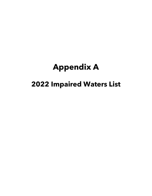## **Appendix A**

## **2022 Impaired Waters List**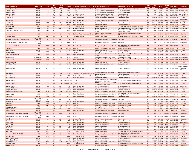| <b>Waterbody Name</b>                         | <b>Water Type</b>                  | <b>Size</b>   | AU             | Cycle          | <b>Source</b>               | Pollutant/Cause (WDNR & EPA) Impairment (WDNR)     |                                                                              | <b>Observed Effect (EPA)</b>                                               | <b>Listing</b> | <b>TMDL</b>      | <b>WBIC</b>        | WDN<br><b>AU ID</b> | <b>EPA AU ID</b>         | <b>Counties</b>            |
|-----------------------------------------------|------------------------------------|---------------|----------------|----------------|-----------------------------|----------------------------------------------------|------------------------------------------------------------------------------|----------------------------------------------------------------------------|----------------|------------------|--------------------|---------------------|--------------------------|----------------------------|
| <b>Adams Valley Creek</b>                     | <b>RIVER</b>                       | 2.6           | Category<br>5A | Listed<br>1998 | <b>NPS</b>                  | Sediment/Total Suspended Solids                    | <b>Degraded Habitat</b>                                                      | <b>Physical Substrate Habitat Alterations</b>                              | Category<br>5A | Priority<br>Low  | 1653700            | 14002               | WI10008303               | La Crosse                  |
| Ahnapee River                                 | <b>RIVER</b>                       | 7.9           | 5A             | 1998           | Other                       | PCBs                                               | PCBs Contaminated Fish Tissue                                                | PCBs in Fish Tissue                                                        | 5A             | Low              | 94800              | 18073               | WI10006107               | Door, Kewaunee             |
| <b>Ahnapee River</b>                          | <b>RIVER</b>                       | 6.9           | 5A             | 1998           | Other                       | <b>PCBs</b>                                        | PCBs Contaminated Fish Tissue                                                | PCBs in Fish Tissue                                                        | 5A             | Low              | 94800              | 482923              | WI10008822               | Door                       |
| Ahnapee River                                 | <b>RIVER</b>                       | 7.9           | 5A             | 2022           | <b>PS/NPS</b>               | <b>Unknown Pollutant</b>                           | <b>Degraded Biological Community</b>                                         | <b>Biological Integrity</b>                                                | 5А             | Low              | 94800              | 18073               | WI10006107               | Door, Kewaunee             |
| <b>Allen Creek</b><br>Allen Creek             | <b>RIVER</b><br><b>RIVER</b>       | 5.2<br>2.7    | 5A<br>5A       | 2020<br>2016   | <b>NPS</b><br><b>NPS</b>    | <b>Total Phosphorus</b><br><b>Total Phosphorus</b> | <b>Degraded Biological Community</b><br><b>Degraded Biological Community</b> | <b>Biological Integrity</b><br><b>Biological Integrity</b>                 | 5A<br>5A       | Low<br>Medium    | 883700<br>883700   | 13625<br>13626      | WI10010031<br>WI10010032 | Rock<br>Rock               |
|                                               |                                    |               |                |                |                             |                                                    |                                                                              |                                                                            |                |                  |                    |                     |                          | Dane, Green,               |
| <b>Allen Creek</b>                            | <b>RIVER</b>                       | 4.0           | 5A             | 2016           | <b>PS/NPS</b>               | <b>Total Phosphorus</b>                            | <b>Degraded Biological Community</b>                                         | <b>Biological Integrity</b>                                                | 5A             | Medium           | 883700             |                     | 5542005 WI10034660       | Rock                       |
| Allen Creek                                   | <b>RIVER</b>                       | 10.6          | 5P             | 2018           | PS/NPS                      | <b>Total Phosphorus</b>                            | <b>Impairment Unknown</b>                                                    | Organic Enrichment                                                         | 5P             | Medium           | 883700             | 13623               | WI10002800               | Green, Rock                |
| <b>Allen Creek</b><br>Amacoy Lake             | <b>RIVER</b><br>LAKE               | 2.0<br>282.5  | 5P<br>5A       | 2020<br>2014   | <b>NPS</b><br><b>NPS</b>    | <b>Total Phosphorus</b><br>Unknown Pollutant       | <b>Impairment Unknown</b><br><b>Excess Algal Growth</b>                      | <b>Organic Enrichment</b><br>Nutrient/Eutrophication Biological Indicators | 5P<br>5Α       | Medium<br>Low    | 883700<br>2359700  | 18522<br>15269      | WI10006436<br>WI10003999 | Rock<br>Rusk               |
| Amber Lake                                    | LAKE                               | 735.6         | 5A             | 2014           | <b>NPS</b>                  | Unknown Pollutant                                  | <b>Excess Algal Growth</b>                                                   | Nutrient/Eutrophication Biological Indicators                              | 5A             | Low              | 2271600            | 18693               | WI10006556               | Oneida, Vilas              |
| Amik Lake, Pike Lake Chain                    | LAKE                               | 140.8         | 5C             | 2016           | <b>NPS</b>                  | <b>Total Phosphorus</b>                            | Impairment Unknown, Excess Algal                                             | Organic Enrichment, Nutrient/Eutrophication                                | 5C             | Low              | 2268600            | 14815               | WI10003623               | Vilas                      |
|                                               |                                    |               |                |                |                             |                                                    | Growth                                                                       | <b>Biological Indicators</b>                                               |                |                  |                    |                     |                          |                            |
| Amnicon Lake                                  | LAKE                               | 390.2         | 5A             | 1998           | <b>NPS</b>                  | Sediment/Total Suspended Solids                    | Elevated Water Temperature,<br><b>Degraded Habitat</b>                       | Temperature, Physical Substrate Habitat<br>Alterations                     | 5A             | Low              | 2858100            | 296831              | WI10008205               | Douglas                    |
| Amnicon Lake                                  | LAKE                               | 390.2         | 5A             | 2020           | <b>NPS</b>                  | <b>Unknown Pollutant</b>                           | <b>Excess Algal Growth</b>                                                   | Nutrient/Eutrophication Biological Indicators                              | 5A             | Low              | 2858100            | 296831              | WI10008205               | Douglas                    |
| Amnicon River Beach, Lake Superior            | <b>GREAT LAKES</b>                 | 0.3           | 5A             | 2016           | <b>NPS</b>                  | E. coli                                            | Recreational Restrictions - Pathogens                                        | Pathogens                                                                  | 5A             | Low              | 2751220            |                     | 1487383 WI10024757       | Douglas                    |
|                                               | <b>BEACH</b>                       |               |                |                |                             |                                                    |                                                                              |                                                                            |                |                  |                    |                     |                          |                            |
| Amsterdam Beach, Lake Michigan                | <b>GREAT LAKES</b><br><b>BEACH</b> | 0.3           | 5A             | 2022           | <b>NPS</b>                  | E. coli                                            | Recreational Restrictions - Pathogens                                        | Pathogens                                                                  | 5A             | Low              | 20                 |                     | 1487416 WI10024777       | Sheboygan                  |
|                                               |                                    |               |                |                |                             |                                                    |                                                                              | Eutrophication, Nutrient/Eutrophication                                    |                |                  |                    |                     |                          |                            |
| Andrus Lake (Little Round)                    | LAKE                               | 30.1          | 5W             | 2020           | <b>NPS</b>                  | <b>Total Phosphorus</b>                            | Eutrophication, Excess Algal Growth                                          | <b>Biological Indicators</b>                                               | 5W             | Low              | 2668600            | 16788               | WI10005223               | Polk                       |
| Anna Lake                                     | LAKE                               | 194.5         | 5B             | 1998           | Atm. Dep.                   | Mercury                                            | Mercury Contaminated Fish Tissue                                             | Mercury in Fish Tissue                                                     | 5B             | Low              | 2953800            | 128391              | WI10007528               | Vilas                      |
| <b>Annis Creek</b>                            | <b>RIVER</b><br>LAKE               | 6.0<br>25.9   | 5P<br>5B       | 2018           | <b>NPS</b>                  | <b>Total Phosphorus</b>                            | <b>Impairment Unknown</b>                                                    | <b>Organic Enrichment</b><br>Mercury in Fish Tissue                        | 5P<br>5B       | Low              | 2066200<br>2898200 | 15664               | WI10004328               | Dunn                       |
| Anodanta Lake                                 |                                    |               |                | 2018           | Atm. Dep.                   | Mercury                                            | Mercury Contaminated Fish Tissue<br>High Phosphorus Levels, Excess Alga      | Organic Enrichment, Nutrient/Eutrophication                                |                | Low              |                    | 20558               | WI10011028               | Bayfield                   |
| <b>Apple River Flowage</b>                    | LAKE                               | 604.5         | 5W             | 2012           | <b>NPS</b>                  | <b>Total Phosphorus</b>                            | Growth                                                                       | <b>Biological Indicators</b>                                               | 5W             | Low              | 2624200            | 16550               | WI10005025               | Polk                       |
| Arbutus Lake                                  | <b>IMPOUNDMENT</b>                 | 773.8         | 5A             | 1998           | Other                       | Mercury                                            | Mercury Contaminated Fish Tissue                                             | Mercury in Fish Tissue                                                     | 5А             | Low              | 1727700            | 14235               | WI10003168               | Clark, Jackson             |
| <b>Arbutus Lake</b>                           | <b>IMPOUNDMENT</b>                 | 773.8         | 5A             | 2018           | <b>NPS</b>                  | <b>Total Phosphorus</b>                            | High Phosphorus Levels, Excess Algal                                         | Organic Enrichment, Nutrient/Eutrophication                                | 5A             | Low              | 1727700            | 14235               | WI10003168               | Clark, Jackson             |
| Arkansaw Creek                                | <b>RIVER</b>                       | 9.0           | 5P             | 2018           | <b>NPS</b>                  | <b>Total Phosphorus</b>                            | Growth<br><b>Impairment Unknown</b>                                          | <b>Biological Indicators</b><br>Organic Enrichment                         | 5P             | Low              | 2055300            | 15612               | WI10004288               | Pepin                      |
| <b>Arrowhead River</b>                        | <b>RIVER</b>                       | 6.5           | 5A             | 2018           | <b>PS/NPS</b>               | <b>Total Phosphorus</b>                            | <b>Degraded Biological Community</b>                                         | <b>Biological Integrity</b>                                                | 5A             | Low              | 241700             | 10750               | WI10000777               | Winnebago                  |
|                                               |                                    |               |                |                |                             |                                                    |                                                                              |                                                                            |                |                  |                    |                     |                          | Dodge, Jefferson,          |
| Ashippun River                                | <b>RIVER</b>                       | 33.17         | 5P             | 2014           | <b>NPS</b>                  | <b>Total Phosphorus</b>                            | <b>Impairment Unknown</b>                                                    | Organic Enrichment                                                         | 5P             | Low              | 853800             | 11543               | WI10038700               | Washington,<br>Waukesha    |
|                                               |                                    |               |                |                |                             |                                                    | Degraded Biological Community,                                               | <b>Biological Integrity, Physical Substrate</b>                            |                |                  |                    |                     |                          |                            |
| <b>Babb Creek</b>                             | <b>RIVER</b>                       | 6.4           | 5A             | 1998           | <b>NPS</b>                  | Sediment/Total Suspended Solids                    | <b>Degraded Habitat</b>                                                      | <b>Habitat Alterations</b>                                                 | 5A             | Low              | 1279100            | 13003               | WI10002426               | Sauk                       |
| Bacon Branch                                  | <b>RIVER</b>                       | 6.0           | 5A             | 2006           | <b>NPS</b>                  | Sediment/Total Suspended Solids                    | <b>Degraded Habitat</b>                                                      | Physical Substrate Habitat Alterations                                     | 5A             | Low              | 953200             | 18554               | WI10026493               | Grant                      |
| <b>Bad Axe River</b>                          | <b>RIVER</b>                       | 4.3           | 5P             | 2016           | <b>NPS</b>                  | <b>Total Phosphorus</b>                            | <b>Impairment Unknown</b>                                                    | <b>Organic Enrichment</b>                                                  | 5P             | Medium           | 1639300            | 13966               | WI10008317               | Vernon                     |
| <b>Badfish Creek</b>                          | <b>RIVER</b>                       | 12.3          | 5A             | 1998           | Contam. Sed.                | PCBs                                               | PCB Contaminated Sediments, PCBs<br><b>Contaminated Fish Tissue</b>          | PCBs in Sediment, PCBs in Fish Tissue                                      | 5A             | Low              | 799500             | 11652               | WI10001446               | Dane, Rock                 |
|                                               |                                    |               |                |                |                             |                                                    | PCB Contaminated Sediments, PCBs                                             | PCBs in Sediment, PCBs in Fish Tissue                                      |                |                  |                    |                     |                          |                            |
| <b>Badfish Creek</b>                          | <b>RIVER</b>                       | 0.9           | 5A             | 1998           | Contam. Sed.                | <b>PCBs</b>                                        | <b>Contaminated Fish Tissue</b>                                              |                                                                            | 5A             | Low              | 799500             | 11653               | WI10001447               | Dane                       |
| Badfish Creek                                 | <b>RIVER</b>                       | 12.3          | 5A             | 2012           | <b>NPS</b>                  | Total Phosphorus                                   | <b>High Phosphorus Levels</b>                                                | Organic Enrichment                                                         | 5A             | Low              | 799500             | 11652               | WI10001446               | Dane, Rock                 |
| <b>Badger Mill Creek</b><br>Badger Mill Creek | <b>RIVER</b><br><b>RIVER</b>       | 2.0<br>3.0    | 5A<br>5A       | 2018<br>2018   | <b>NPS</b><br><b>PS/NPS</b> | <b>Total Phosphorus</b><br><b>Total Phosphorus</b> | <b>High Phosphorus Levels</b><br><b>High Phosphorus Levels</b>               | <b>Organic Enrichment</b><br>Organic Enrichment                            | 5A<br>5A       | Medium<br>Medium | 888100<br>888100   | 13654<br>13655      | WI10002822<br>WI10002823 | Dane<br>Dane               |
| <b>Ballard Lake (Ballard Chain</b>            | LAKE                               | 502.6         | 5B             | 1998           | Atm. Dep.                   | Mercury                                            | Mercury Contaminated Fish Tissue                                             | Mercury in Fish Tissue                                                     | 5B             | Low              | 2340700            | 15235               | WI10003970               | Vilas                      |
|                                               | LAKE                               | 325.4         | 5W             | 2016           | <b>NPS</b>                  |                                                    |                                                                              | Eutrophication, Nutrient/Eutrophication                                    | 5W             | Low              | 2112800            | 16052               | WI10004640               | Washburn                   |
| Balsam Lake                                   |                                    |               |                |                |                             | <b>Total Phosphorus</b>                            | Eutrophication, Excess Algal Growth                                          | <b>Biological Indicators</b>                                               |                |                  |                    |                     |                          |                            |
| <b>Bark River</b>                             | <b>RIVER</b><br><b>GREAT LAKES</b> | 12.5          | 5A             | 2016           | <b>NPS</b>                  | <b>Total Phosphorus</b>                            | <b>Degraded Biological Community</b>                                         | <b>Biological Integrity</b>                                                | 5A             | Medium           | 813500             | 5541890             | WI1003462                | Jefferson                  |
| Barker Island Inner Beach                     | <b>BEACH</b>                       | 0.4           | 5A             | 2018           | <b>NPS</b>                  | E. coli                                            | Recreational Restrictions - Pathogens                                        | Pathogens                                                                  | 5A             | Low              | 2751220            |                     | 1452402 WI10023510       | Douglas                    |
| Bass Creek                                    | <b>RIVER</b>                       | 18.1          | 5P             | 2014           | PS/NPS                      | <b>Total Phosphorus</b>                            | <b>Impairment Unknown</b>                                                    | <b>Organic Enrichment</b>                                                  | 5P             | Low              | 795800             | 11631               | WI10001431               | Rock                       |
| Bass Lake                                     | LAKE                               | 105.8         | 5B             | 2012           | Atm. Dep                    | Mercury                                            | Mercury Contaminated Fish Tissue                                             | Mercury in Fish Tissue                                                     | 5B             | Low              | 969600             | 127945              | WI10007132               | Lincoln                    |
| <b>Bass Lake</b>                              | LAKE                               | 84.5<br>190.0 | 5B<br>5B       | 1998           | Atm. Dep.                   | Mercury                                            | Mercury Contaminated Fish Tissue                                             | Mercury in Fish Tissue<br>Mercury in Fish Tissue                           | 5B<br>5B       | Low              | 2279800            | 18701               | WI10006837               | Price                      |
| Bass Lake, North<br><b>Batavia Creek</b>      | LAKE<br><b>RIVER</b>               | 4.9           | 5A             | 1998<br>2016   | Atm. Dep.<br><b>NPS</b>     | Mercury<br><b>Unknown Pollutant</b>                | Mercury Contaminated Fish Tissue<br><b>Elevated Water Temperature</b>        | Temperature                                                                | 5A             | Low<br>Low       | 1868900<br>31400   | 14929<br>10083      | WI10003714<br>WI10000270 | Iron<br>Sheboygan          |
| <b>Bay City Creek</b>                         | <b>RIVER</b>                       | 7.8           | 5A             | 2016           | <b>NPS</b>                  | <b>Total Phosphorus</b>                            | Degraded Biological Community                                                | <b>Biological Integrity</b>                                                | 5A             | Low              | 2891100            | 17627               | WI6936105                | Ashland                    |
| Bayview Park Beach, Lake Michigan             | <b>GREAT LAKES</b><br><b>BEACH</b> | 0.4           | 5W             | 2022           | <b>NPS</b>                  | E. coli                                            | Recreational Restrictions - Pathogens Pathogens                              |                                                                            | 5W             | Low              | 20                 |                     | 1527102 WI10025421       | Milwaukee                  |
| Bayview Park Beach, Lake Superior             | <b>GREAT LAKES</b><br><b>BEACH</b> | 0.07          | 5A             | 2022           | <b>NPS</b>                  | E. coli                                            | Recreational Restrictions - Pathogens                                        | Pathogens                                                                  | 5A             | Low              | 2751220            | 3894378             | WI10026958               | Ashland                    |
| Bear Creek                                    | <b>RIVER</b>                       | 5.3           | 5A             | 2018           | <b>NPS</b>                  | <b>Unknown Pollutant</b>                           | <b>Elevated Water Temperature</b>                                            | Temperature                                                                | 5A             | Low              | 267400             | 315668              | WI10008438               | Portage                    |
| Bear Creek<br><b>Bear Creek</b>               | <b>RIVER</b><br><b>RIVER</b>       | 8.2<br>2.5    | 5A<br>5A       | 2012<br>2014   | <b>NPS</b><br><b>NPS</b>    | <b>Total Phosphorus</b><br><b>Total Phosphorus</b> | <b>High Phosphorus Levels</b><br><b>High Phosphorus Levels</b>               | Organic Enrichment<br>Organic Enrichment                                   | 5A<br>5A       | Low              | 1234600<br>2061900 | 13408<br>15582      | WI10010182<br>WI10004264 | Richland<br>Buffalo, Pepin |
| Bear Creek                                    | <b>RIVER</b>                       | 1.5           | 5A             | 2014           | <b>NPS</b>                  | <b>Total Phosphorus</b>                            | <b>High Phosphorus Levels</b>                                                | <b>Organic Enrichment</b>                                                  | 5A             | Low<br>Low       | 2061900            |                     | 3883349 WI10026051       | Pepin                      |
| <b>Bear Creek</b>                             | <b>RIVER</b>                       | 6.0           | 5P             | 2014           | <b>NPS</b>                  | <b>Total Phosphorus</b>                            | <b>Impairment Unknown</b>                                                    | <b>Organic Enrichment</b>                                                  | 5P             | Low              | 2061900            |                     | 15581 WI10004263         | Pepin                      |
| Bear Creek                                    | <b>RIVER</b>                       | 6.6           | 5P             | 2014           | <b>NPS</b>                  | <b>Total Phosphorus</b>                            | <b>Impairment Unknown</b>                                                    | Organic Enrichment                                                         | 5P             | Low              | 2061900            |                     | 1470824 WI10024531       | Buffalo                    |
| <b>Bear Creek</b>                             | <b>RIVER</b>                       | 11.0          | 5P             | 2018           | <b>NPS</b>                  | <b>Total Phosphorus</b>                            | <b>Impairment Unknown</b>                                                    | <b>Organic Enrichment</b>                                                  | 5P             | Low              | 2834600            | 17455               | WI10005772               | Douglas                    |
| Bear Lake                                     | LAKE                               | 66.3          | 5A             | 2016           | <b>NPS</b>                  | Unknown Pollutant                                  | <b>Excess Algal Growth</b>                                                   | Nutrient/Eutrophication Biological Indicators                              | 5C             | Low              | 552100             | 127730              | WI10006939               | Forest                     |
| Bear Lake (T36N R12W S2)                      | LAKE                               | 1347.8        | 5W             | 2014           | <b>NPS</b>                  | <b>Total Phosphorus</b>                            | Eutrophication, Excess Algal Growth                                          | Eutrophication, Nutrient/Eutrophication<br><b>Biological Indicators</b>    | 5W             | Low              | 2105100            | 15985               | WI10004582               | Washburn,<br>Barron        |
| Bear Trap Lake                                | LAKE                               | 247.5         | 5W             | 2014           | <b>NPS</b>                  | <b>Unknown Pollutant</b>                           | <b>Excess Algal Growth</b>                                                   | Nutrient/Eutrophication Biological Indicators                              | 5W             | Low              | 2618100            | 16487               | WI10004970               | Polk                       |
| Bears Grass Creek                             | <b>RIVER</b>                       | 9.8           | 5W             | 2016           | <b>NPS</b>                  | <b>Total Phosphorus</b>                            | <b>High Phosphorus Levels</b>                                                | <b>Organic Enrichment</b>                                                  | 5W             | Medium           | 2130300            | 16099               | WI10024616               | Eau Claire                 |
| Bears Grass Creek                             | <b>RIVER</b>                       | 6.1           | 5W             | 2016           | <b>NPS</b>                  | <b>Total Phosphorus</b>                            | <b>High Phosphorus Levels</b>                                                | Organic Enrichment                                                         | 5W             | Medium           | 2130300            | 1476724             | WI10028200               | Eau Claire                 |
| <b>Bearskill Lake</b><br>Bearskin Lake        | LAKE<br>LAKE                       | 80.8<br>402.7 | 5B<br>5C       | 1998<br>2016   | Atm. Dep.<br><b>NPS</b>     | Mercury<br>Unknown Pollutant                       | Mercury Contaminated Fish Tissue<br><b>Excess Algal Growth</b>               | Mercury in Fish Tissue<br>Nutrient/Eutrophication Biological Indicators    | 5B<br>5C       | Low<br>Low       | 2265100<br>1523600 | 14803<br>128040     | WI10003611<br>WI10007217 | Iron<br>Oneida             |
| <b>Beaver Creek</b>                           | <b>RIVER</b>                       | 2.7           | 5A             | 2020           | <b>PS/NPS</b>               | Chloride                                           | <b>Chronic Aquatic Toxicity</b>                                              | <b>Chronic Toxicity</b>                                                    | 5A             | Low              | 20000              |                     | 10008 WI10000220         | Milwaukee                  |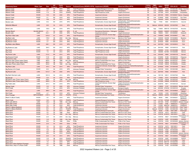| Waterbody Name                            | <b>Water Type</b>   | <b>Size</b> | <b>AU</b> | Cycle  | <b>Source</b> | Pollutant/Cause (WDNR & EPA) Impairment (WDNR) |                                         | <b>Observed Effect (EPA)</b>                | <b>Listing</b> | <b>TMDL</b> | <b>WBIC</b>     | WDNF    | <b>EPA AU ID</b>           | <b>Counties</b>             |
|-------------------------------------------|---------------------|-------------|-----------|--------|---------------|------------------------------------------------|-----------------------------------------|---------------------------------------------|----------------|-------------|-----------------|---------|----------------------------|-----------------------------|
|                                           |                     |             | Categor   | Listed |               |                                                |                                         |                                             | Category       | Priority    |                 | AU ID   |                            |                             |
| <b>Beaver Creek</b>                       | <b>RIVER</b>        | 14.9        | 5A        | 2016   | <b>NPS</b>    | <b>Total Phosphorus</b>                        | Degraded Biological Community           | <b>Biological Integrity</b>                 | 5A             | Low         | 836500          | 11418   |                            | WI10001264 Dodge, Columbia  |
| <b>Beaver Creek</b>                       | <b>RIVER</b>        | 5.1         | 5A        | 2016   | <b>NPS</b>    | <b>Unknown Pollutant</b>                       | <b>Elevated Water Temperature</b>       | Temperature                                 | 5A             | Low         | 1459300         | 12479   | WI10032342                 | Marathon                    |
| <b>Beaver Creek</b>                       | <b>RIVER</b>        | 11.0        | 5A        | 2018   | <b>PS/NPS</b> | <b>Total Phosphorus</b>                        | <b>High Phosphorus Levels</b>           | Organic Enrichment                          | 5A             | Low         | 1677500         | 14078   | WI10003062                 | Trempealeau                 |
|                                           |                     |             |           |        |               |                                                |                                         |                                             |                |             |                 |         |                            |                             |
| <b>Beaver Creek</b>                       | <b>RIVER</b>        | 10.0        | 5W        | 2020   | <b>NPS</b>    | <b>Total Phosphorus</b>                        | <b>Impairment Unknown</b>               | Organic Enrichment                          | 5W             | Low         | 2091400         | 15808   |                            | WI10006047 Barron, Chippewa |
| <b>Beaver Creek</b>                       | <b>RIVER</b>        | 8.1         | 5W        | 2018   | <b>NPS</b>    | <b>Total Phosphorus</b>                        | <b>Impairment Unknown</b>               | Organic Enrichment                          | 5W             | Low         | 2129400         | 16092   | WI10024610                 | Eau Claire                  |
| <b>Beaver Lake</b>                        | LAKE                | 16.6        | 5P        | 2012   | <b>NPS</b>    | <b>Total Phosphorus</b>                        | <b>Impairment Unknown</b>               | <b>Organic Enrichment</b>                   | 5P             | Low         | 1834400         | 16223   | WI10004760                 | Chippewa                    |
|                                           |                     |             |           |        |               |                                                |                                         | Eutrophication, Nutrient/Eutrophication     |                |             |                 |         |                            |                             |
| <b>Becker Lake</b>                        | LAKE                | 35.2        | 5W        | 2016   | <b>NPS</b>    | <b>Total Phosphorus</b>                        | Eutrophication, Excess Algal Growth     | <b>Biological Indicators</b>                | 5W             | High        | 77300           | 9920    | WI10000172                 | Calumet                     |
|                                           |                     |             |           |        |               |                                                |                                         | Eutrophication, Nutrient/Eutrophication     |                |             |                 |         |                            |                             |
| <b>Belleville Millpond</b>                | LAKE                | 29.5        | 5A        | 2016   | <b>NPS</b>    | <b>Total Phosphorus</b>                        | Eutrophication, Excess Algal Growth     | <b>Biological Indicators</b>                | 5A             | Medium      | 4000040         | 902204  | WI10027805                 | Dane                        |
|                                           |                     |             |           |        |               |                                                |                                         | Eutrophication, Nutrient/Eutrophication     |                |             |                 |         |                            |                             |
| <b>Benet Lake</b>                         | LAKE                | 109.9       | 5W        | 2018   | <b>NPS</b>    | <b>Total Phosphorus</b>                        | Eutrophication, Excess Algal Growth     | <b>Biological Indicators</b>                | 5W             | High        | 734800          | 3895153 | WI10027035                 | Kenosha                     |
|                                           |                     |             |           |        |               |                                                |                                         |                                             |                |             |                 |         |                            |                             |
| <b>Bernies Beach</b>                      | <b>INLAND BEACH</b> | 0.1         | 5A        | 2020   | <b>NPS</b>    | E. coli                                        | Recreational Restrictions - Pathogens   | Pathogens                                   | 5A             | Low         | 804600          |         | 1490972 WI10024844         | Dane                        |
| Beulah Lake                               | LAKE                | 812.1       | 5P        | 2020   | <b>NPS</b>    | <b>Total Phosphorus</b>                        | Impairment Unknown                      | Organic Enrichment                          | 5P             | High        | 766600          | 10501   | WI10000591                 | Walworth                    |
| <b>Big Arbor Vitae Lake</b>               | LAKE                | 1070.4      | 5C        | 2018   | <b>NPS</b>    | <b>Total Phosphorus</b>                        | Impairment Unknown, Excess Algal        | Organic Enrichment, Nutrient/Eutrophication | 5A             | Low         | 1545600         | 128406  | WI10008937                 | Vilas                       |
|                                           |                     |             |           |        |               |                                                | Growth                                  | <b>Biological Indicators</b>                |                |             |                 |         |                            |                             |
| <b>Big Bass Lake</b>                      | LAKE                | 176.9       | 5B        | 2002   | Atm. Dep      | Mercury                                        | Mercury Contaminated Fish Tissue        | Mercury in Fish Tissue                      | 5B             | Low         | 1405200         | 424458  | WI10008654                 | Marathon                    |
| <b>Big Beaver Creek</b>                   | <b>RIVER</b>        | 6.4         | 5W        | 2018   | <b>NPS</b>    | <b>Total Phosphorus</b>                        | <b>Impairment Unknown</b>               | <b>Organic Enrichment</b>                   | 5W             | Low         | 2076200         | 15689   | WI10004348                 | Dunn                        |
| <b>Big Beaver Creek</b>                   | <b>RIVER</b>        | 2.7         | 5W        | 2018   | <b>NPS</b>    | <b>Total Phosphorus</b>                        | Impairment Unknown                      | Organic Enrichment                          | 5W             | Low         | 2076200         | 15690   | WI10004349                 | Dunn                        |
|                                           |                     |             |           |        |               |                                                |                                         | Eutrophication, Nutrient/Eutrophication     |                |             |                 |         |                            |                             |
| Big Blake Lake (Blake)                    | LAKE                | 208.1       | 5W        | 2016   | <b>NPS</b>    | <b>Total Phosphorus</b>                        | Eutrophication, Excess Algal Growth     | <b>Biological Indicators</b>                | 5W             | Low         | 2627000         | 16558   | WI10005033                 | Polk                        |
|                                           |                     |             |           |        |               |                                                |                                         | Eutrophication, Nutrient/Eutrophication     |                |             |                 |         |                            |                             |
| <b>Big Butternut Lake</b>                 | LAKE                | 384.5       | 5W        | 2012   | <b>NPS</b>    | <b>Total Phosphorus</b>                        | Eutrophication, Excess Algal Growth     | <b>Biological Indicators</b>                | 5W             | Low         | 2641000         | 16680   | WI10005133                 | Polk                        |
| <b>Big Creek</b>                          | <b>RIVER</b>        | 5.0         | 5A        | 2012   | <b>NPS</b>    | <b>Total Phosphorus</b>                        | <b>High Phosphorus Levels</b>           | <b>Organic Enrichment</b>                   | 5A             | Low         | 1692900         | 14124   | WI10003088                 | Monroe                      |
|                                           |                     |             |           |        |               |                                                |                                         |                                             |                |             |                 |         |                            |                             |
| <b>Big Creek</b>                          | <b>RIVER</b>        | 1.5         | 5A        | 2012   | <b>NPS</b>    | <b>Total Phosphorus</b>                        | <b>High Phosphorus Levels</b>           | Organic Enrichment                          | 5A             | Low         | 1692900         | 1527961 | WI10026390                 | Monroe                      |
| <b>Big Doctor Lake</b>                    | LAKE                | 213.2       | 5W        | 2014   | <b>NPS</b>    | <b>Total Phosphorus</b>                        | Eutrophication, Excess Algal Growth     | Eutrophication, Nutrient/Eutrophication     | 5A             | Low         | 2453400         | 16690   | WI10005139                 | <b>Burnett</b>              |
|                                           |                     |             |           |        |               |                                                |                                         | <b>Biological Indicators</b>                |                |             |                 |         |                            |                             |
| <b>Big Drywood Creek</b>                  | <b>RIVER</b>        | 17.81       | 5P        | 2022   | <b>NPS</b>    | <b>Total Phosphorus</b>                        | <b>Impairment Unknown</b>               | Organic Enrichment                          | 5P             | Low         | 2154800         | 16188   | WI10004732                 | Chippewa                    |
| Big Dummy Lake                            | LAKE                | 113.7       | 5W        | 2014   | <b>NPS</b>    | <b>Total Phosphorus</b>                        | <b>Impairment Unknown</b>               | Organic Enrichment                          | 5W             | Low         | 1835100         | 15829   | WI10004446                 | Barron                      |
| Big Fork Lake (Three Lakes Chain)         | LAKE                | 662.8       | 5B        | 1998   | Atm. Dep.     | Mercury                                        | Mercury Contaminated Fish Tissue        | Mercury in Fish Tissue                      | 5B             | Low         | 1610700         | 128044  | WI10007221                 | Oneida                      |
| Big Fork Lake (Three Lakes Chain)         | LAKE                | 662.8       | 5B        | 2014   | <b>NPS</b>    | <b>Total Phosphorus</b>                        | <b>Impairment Unknown</b>               | <b>Organic Enrichment</b>                   | 5P             | Low         | 1610700         | 128044  | WI10007221                 | Oneida                      |
| Big Lake (Three Lakes Chain)              | LAKE                | 844.8       | 5B        | 1998   | Atm. Dep.     | Mercury                                        | Mercury Contaminated Fish Tissue        | Mercury in Fish Tissue                      | 5B             | Low         | 1613000         | 128045  | WI10008469                 | Oneida                      |
|                                           |                     |             |           |        |               |                                                | Impairment Unknown, Excess Algal        | Organic Enrichment, Nutrient/Eutrophication |                |             |                 |         |                            |                             |
| <b>Big Moon Lake</b>                      | LAKE                | 187.0       | 5W        | 2014   | <b>NPS</b>    | <b>Total Phosphorus</b>                        | Growth                                  | <b>Biological Indicators</b>                | 5W             | Low         | 2079000         | 15706   | WI10004359                 | Barron                      |
| Big Roche A Cri Creek                     | <b>RIVER</b>        | 20.3        | 5A        | 2018   | <b>NPS</b>    | Unknown Pollutant                              | <b>Elevated Water Temperature</b>       | Temperature                                 | 5A             | Low         | 1374100         | 12244   | WI10001892                 | Adams                       |
|                                           |                     |             |           |        |               |                                                |                                         | Eutrophication, Nutrient/Eutrophication     |                |             |                 |         |                            |                             |
| <b>Big Round Lake</b>                     | LAKE                | 1013.7      | 5W        | 2020   | <b>NPS</b>    | <b>Total Phosphorus</b>                        | Eutrophication, Excess Algal Growth     |                                             | 5W             | Low         | 2627400         | 16562   | WI10005037                 | Polk                        |
|                                           |                     |             |           |        |               |                                                |                                         | <b>Biological Indicators</b>                |                |             |                 |         |                            |                             |
| <b>Big Saint Germain Lake</b>             | LAKE                | 1621.8      | 5A        | 2014   | <b>NPS</b>    | <b>Total Phosphorus</b>                        | Eutrophication, Excess Algal Growth     | Eutrophication, Nutrient/Eutrophication     | 5A             | Low         | 1591100         | 128411  | WI10007545                 | Vilas                       |
|                                           |                     |             |           |        |               |                                                |                                         | <b>Biological Indicators</b>                |                |             |                 |         |                            |                             |
| <b>Big Slough</b>                         | <b>RIVER</b>        | 10.4        | 5A        | 2018   | <b>NPS</b>    | <b>Total Phosphorus</b>                        | <b>Impairment Unknown</b>               | <b>Organic Enrichment</b>                   | 5A             | Low         | 174500          | 10731   | WI10000762                 | Columbia                    |
| Big Stone Lake (Three Lakes Chain)        | LAKE                | 606.8       | 5A        | 1998   | Atm. Dep.     | Mercury                                        | Mercury Contaminated Fish Tissue        | Mercury in Fish Tissue                      | 5B             | Low         | 1612200         | 128046  | WI10007222                 | Oneida                      |
| Big Stone Lake (Three Lakes Chain)        | LAKE                | 606.8       | 5A        | 2014   | <b>NPS</b>    | <b>Total Phosphorus</b>                        | <b>High Phosphorus Levels</b>           | <b>Organic Enrichment</b>                   | 5A             | Low         | 1612200         |         | 128046 WI10007222          | Oneida                      |
|                                           |                     |             |           |        |               |                                                | Impairment Unknown, Excess Algal        | Organic Enrichment, Nutrient/Eutrophication |                |             |                 |         |                            |                             |
| <b>Big Trade Lake</b>                     | LAKE                | 327.3       | 5W        | 2018   | <b>NPS</b>    | <b>Total Phosphorus</b>                        | Growth                                  | <b>Biological Indicators</b>                | 5W             | Low         | 2638700         | 16671   | WI10005125                 | <b>Burnett</b>              |
| <b>Billings Creek</b>                     | <b>RIVER</b>        | 15.2        | 5C        | 2020   | <b>NPS</b>    | <b>Unknown Pollutant</b>                       | <b>Elevated Water Temperature</b>       | Temperature                                 | 5C             | Low         | 1196900         | 13197   | WI10002532                 | Monroe, Vernor              |
| <b>Birch Creek</b>                        | <b>RIVER</b>        | 6.9         | 5A        | 2016   | <b>NPS</b>    | Unknown Pollutant                              | <b>Degraded Biological Community</b>    | <b>Biological Integrity</b>                 | 5A             | Low         | 2833500         | 4700332 | WI10030145                 | Douglas                     |
|                                           |                     |             |           |        |               |                                                | Impairment Unknown, Excess Algal        | Organic Enrichment, Nutrient/Eutrophication |                |             |                 |         |                            | <b>Washburn</b>             |
| <b>Birch Lake</b>                         | LAKE                | 368.0       | 5W        | 2022   | <b>NPS</b>    | <b>Total Phosphorus</b>                        | Growth                                  | <b>Biological Indicators</b>                | 5W             | Low         | 2113000         | 16053   | WI10006820                 | Sawyer                      |
|                                           |                     |             |           |        |               |                                                |                                         |                                             |                |             |                 |         |                            |                             |
| <b>Bird Creek</b>                         | RIVER               | 4.7         | 5A        | 2018   | <b>NPS</b>    | Unknown Pollutant                              | <b>Elevated Water Temperature</b>       | Temperature                                 | 5A             | Low         | 152300          | 11053   | WI10000990                 | Waushara                    |
| <b>Biron Flowage</b>                      | <b>IMPOUNDMENT</b>  | 2187.0      | 5A        | 2022   | PS/NPS        | <b>PFOS</b>                                    | PFOS Contaminated Fish Tissue           | PFOS in Fish Tissue                         | 5A             | Medium      | 1396900         | 424404  | WI10008648                 | Wood, Portage               |
| Black Cr (Buck Creek)                     | <b>RIVER</b>        | 9.5         | 5P        | 2018   | <b>NPS</b>    | <b>Total Phosphorus</b>                        | Impairment Unknown                      | Organic Enrichment                          | 5P             | High        | 88300           | 9960    | WI1000020                  | Kewaunee                    |
|                                           |                     |             |           |        |               |                                                |                                         |                                             |                |             |                 |         |                            | Manitowoc                   |
| <b>Black Creek</b>                        | <b>RIVER</b>        | 16.0        | 5A        | 2018   | PS/NPS        | <b>Total Phosphorus</b>                        | <b>Degraded Biological Community</b>    | <b>Biological Integrity</b>                 | 5A             | Low         | 317100          | 337848  | WI10008453                 | Outagamie                   |
| Black Lake (Birch)                        | LAKE                | 133.2       | 5B        | 1998   | Atm. Dep.     | Mercury                                        | Mercury Contaminated Fish Tissue        | Mercury in Fish Tissue                      | 5B             | Low         | 2401300         | 18758   | WI10006610                 | Ashland, Sawye              |
| <b>Black Otter Creek</b>                  | <b>RIVER</b>        | 2.7         | 5P        | 2018   | <b>NPS</b>    | <b>Total Phosphorus</b>                        | <b>Impairment Unknown</b>               | Organic Enrichment                          | 5P             | Low         | 315300          | 9788    | WI6902216                  | Outagamie                   |
| <b>Black Otter Creek</b>                  | <b>RIVER</b>        | 3.3         | 5P        | 2018   | <b>NPS</b>    | Total Phosphorus                               | <b>Impairment Unknown</b>               | Organic Enrichment                          | 5P             | Low         | 315300          | 6902218 | WI6902219                  | Outagamie                   |
| Black R. (Below Medford)                  | <b>RIVER</b>        | 35.7        | 5A        | 1998   | Atm. Dep.     | Mercury                                        | Mercury Contaminated Fish Tissue        | Mercury in Fish Tissue                      | 5A             | Low         | 1676700         | 14258   | WI10003185                 | Clark, Taylor               |
| Black R. (Below Medford)                  | <b>RIVER</b>        | 35.7        | 5A        | 2016   | <b>PS/NPS</b> | <b>Total Phosphorus</b>                        | Impairment Unknown                      | Organic Enrichment                          | 5P             | Medium      | 1676700         | 14258   | WI10003185                 | Clark, Taylor               |
| <b>Black River</b>                        | <b>RIVER</b>        | 6.0         | 5A        | 2014   | <b>NPS</b>    | <b>Total Phosphorus</b>                        | <b>Degraded Biological Community</b>    | <b>Biological Integrity</b>                 | 5A             | High        | 50300           | 11346   | WI8112897                  | Sheboygan                   |
| <b>Black River</b>                        | <b>RIVER</b>        | 9.4         | 5A        | 1998   | Other         |                                                | Mercury Contaminated Fish Tissue        | Mercury in Fish Tissue                      | 5A             |             | 1676700         | 14215   | WI8102613                  | Clark                       |
|                                           |                     | 4.0         |           |        |               | Mercury                                        |                                         |                                             |                | Low         |                 |         |                            |                             |
| <b>Black River</b>                        | <b>RIVER</b>        |             | 5A        | 1998   | Atm. Dep.     | Mercury                                        | Mercury Contaminated Fish Tissue        | Mercury in Fish Tissue                      | 5A             | Low         |                 |         | 1676700 8102615 WI8102616  | Clark                       |
| Black River                               | RIVER               | 22.5        | 5A        | 2004   | Atm. Dep.     | Mercury                                        | Mercury Contaminated Fish Tissue        | Mercury in Fish Tissue                      | 5B             | Low         | 1676700         | 18627   | WI10006500                 | Trempealeau La              |
|                                           |                     |             |           |        |               |                                                |                                         |                                             |                |             |                 |         |                            | Crosse                      |
| <b>Black River</b>                        | <b>RIVER</b>        | 13.5        | 5B        | 1998   | Atm. Dep.     | Mercury                                        | <b>Mercury Contaminated Fish Tissue</b> | Mercury in Fish Tissue                      | 5B             | Low         | 1676700         | 14287   | WI10026856                 | Jackson                     |
| <b>Black River</b>                        | <b>RIVER</b>        | 36.4        | 5A        | 1998   | Other         | PCBs                                           | PCBs Contaminated Fish Tissue           | PCBs in Fish Tissue                         | 5A             | Low         | 1676700         | 14309   |                            | WI10003226 Jackson, Monroe  |
|                                           | <b>RIVER</b>        | 22.5        |           |        |               | <b>PCBs</b>                                    |                                         |                                             |                |             |                 | 18627   | WI10006500                 | Trempealeau, La             |
| <b>Black River</b>                        |                     |             | 5A        | 2004   | Other         |                                                | PCBs Contaminated Fish Tissue           | PCBs in Fish Tissue                         | 5A             | Low         | 1676700         |         |                            | Crosse                      |
| <b>Black River</b>                        | <b>RIVER</b>        | 9.4         | 5A        | 2014   | <b>NPS</b>    | <b>Total Phosphorus</b>                        | Impairment Unknown                      | Organic Enrichment                          | 5P             | Low         | 1676700         | 14215   | WI8102613                  | Clark                       |
| <b>Black River</b>                        | <b>RIVER</b>        | 4.0         | 5A        | 2014   | <b>PS/NPS</b> | <b>Total Phosphorus</b>                        | <b>Impairment Unknown</b>               | Organic Enrichment                          | 5P             | Low         | 1676700         |         | 8102615 WI8102616          | Clark                       |
| <b>Black River</b>                        | <b>RIVER</b>        | 15.5        | 5P        | 2022   | PS/NPS        | <b>Total Phosphorus</b>                        | <b>Impairment Unknown</b>               | Organic Enrichment                          | 5P             | Low         | 1676700         | 14062   | WI10003050                 | Taylor                      |
| <b>Black River</b>                        | <b>RIVER</b>        | 8.3         | 5P        | 2018   | <b>NPS</b>    | <b>Total Phosphorus</b>                        |                                         | Organic Enrichment                          | 5P             |             | 1676700         | 14308   | WI10003225                 | Clark                       |
|                                           |                     |             |           |        |               |                                                | <b>Impairment Unknown</b>               |                                             |                | Low         |                 |         |                            |                             |
| <b>Black River</b>                        | <b>RIVER</b>        | 36.4        | 5A        | 2018   | PS/NPS        | <b>Total Phosphorus</b>                        | Impairment Unknown                      | Organic Enrichment                          | 5P             | Low         | 1676700         | 14309   |                            | WI10003226 Jackson, Monroe  |
| <b>Black River</b>                        | <b>RIVER</b>        | 22.5        | 5A        | 2012   | <b>NPS</b>    | <b>Total Phosphorus</b>                        | <b>Impairment Unknown</b>               | <b>Organic Enrichment</b>                   | 5P             | Low         | 1676700         | 18627   | WI10006500                 | Trempealeau, La             |
|                                           |                     |             |           |        |               |                                                |                                         |                                             |                |             |                 |         |                            | Crosse                      |
| <b>Black River</b>                        | <b>RIVER</b>        | 13.5        | 5B        | 2018   | PS/NPS        | <b>Total Phosphorus</b>                        | Impairment Unknown                      | Organic Enrichment                          | 5P             | Low         | 1676700         | 14287   | WI10026856                 | Jackson                     |
| <b>Black River</b>                        | <b>RIVER</b>        | 17.2        | 5P        | 2018   | <b>PS/NPS</b> | <b>Total Phosphorus</b>                        | <b>Impairment Unknown</b>               | <b>Organic Enrichment</b>                   | 5P             | Low         | 1676700 6777572 |         | WI10039660                 | Clark                       |
| <b>Black River</b>                        | <b>RIVER</b>        | 7.6         | 5P        | 2018   | NPS           | <b>Total Phosphorus</b>                        | Impairment Unknown                      | Organic Enrichment                          | 5P             | Low         |                 |         | 1676700 6897757 WI10040760 | Clark                       |
| <b>Black River (Near Medford Flowage)</b> | <b>RIVER</b>        | 6.5         | 5P        | 2022   | <b>NPS</b>    | <b>Total Phosphorus</b>                        | <b>Impairment Unknown</b>               | Organic Enrichment                          | 5P             | Low         |                 |         | 1676700 201404 WI10008204  | Taylor                      |
| Black River, Hwy H To Rock Creek          | <b>RIVER</b>        | 9.0         | 5A        | 1998   | Other         | Mercury                                        | Mercury Contaminated Fish Tissue        | Mercury in Fish Tissue                      | 5A             | Low         |                 |         | 1676700  14105  WI10003080 | Clark                       |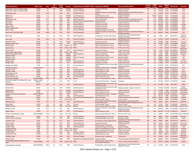| Waterbody Name                                            | <b>Water Type</b>    | <b>Size</b>  | <b>AU</b><br>Category | Cycle<br>Listed | <b>Source</b>        | Pollutant/Cause (WDNR & EPA) Impairment (WDNR) |                                                                   | <b>Observed Effect (EPA)</b>                                                         | <b>Listing</b><br>Category | <b>TMDL</b><br>Priority | WBIC               | WDNR<br><b>AU ID</b> | EPA AU ID                | <b>Counties</b>                    |
|-----------------------------------------------------------|----------------------|--------------|-----------------------|-----------------|----------------------|------------------------------------------------|-------------------------------------------------------------------|--------------------------------------------------------------------------------------|----------------------------|-------------------------|--------------------|----------------------|--------------------------|------------------------------------|
| Black River, Hwy H To Rock Creek                          | <b>RIVER</b>         | 9.0          | 5A                    | 2018            | PS/NPS               | <b>Total Phosphorus</b>                        | <b>Impairment Unknown</b>                                         | <b>Organic Enrichment</b>                                                            | 5P                         | Low                     | 1676700            | 14105                | WI10003080               | Clark                              |
| Black River, Hwy H To Rock Creek<br><b>Blackhawk Lake</b> | <b>RIVER</b><br>LAKE | 9.0<br>212.5 | 5A<br>5A              | 1998<br>2022    | PS/NPS<br><b>NPS</b> | Unknown Pollutant<br><b>Total Phosphorus</b>   | Low DO<br>Impairment Unknown, Excess Algal                        | Dissolved Oxygen<br>Organic Enrichment, Nutrient/Eutrophication                      | 5A<br>5A                   | Low<br>Low              | 1676700<br>1239400 | 14105<br>13338       | WI10003080<br>WI10002617 | Clark<br>lowa                      |
| <b>Blake Fork</b>                                         | RIVER                | 17.2         | 5A                    | 2012            | <b>PS/NPS</b>        | <b>Total Phosphorus</b>                        | Growth<br><b>High Phosphorus Levels</b>                           | <b>Biological Indicators</b><br>Organic Enrichment                                   | 5A                         | Medium                  | 962000             | 13917                | WI10036800               | Grant                              |
| <b>Blake Fork</b>                                         | <b>RIVER</b>         | 17.2         | 5A                    | 2016            | <b>PS/NPS</b>        | <b>Unknown Pollutant</b>                       | <b>Degraded Biological Community</b>                              | <b>Biological Integrity</b>                                                          | 5A                         | Low                     | 962000             | 13917                | WI10036800               | Grant                              |
| Blockhouse Lake                                           | LAKE                 | 241.1        | 5A                    | 2016            | <b>NPS</b>           | <b>Total Phosphorus</b>                        | <b>Excess Algal Growth</b>                                        | Nutrient/Eutrophication Biological Indicators                                        | 5A                         | Low                     | 2256800            | 14782                | WI10006060               | Price                              |
| <b>Blue River</b>                                         | <b>RIVER</b>         | 3.2          | 5A                    | 1998            | <b>NPS</b>           | Sediment/Total Suspended Solids                |                                                                   | <b>Physical Substrate Habitat Alterations</b>                                        | 5A                         | Low                     | 1211000            | 13271                | WI10008198               | lowa                               |
|                                                           |                      |              |                       |                 |                      |                                                | <b>Degraded Habitat</b>                                           |                                                                                      |                            |                         |                    |                      |                          |                                    |
| Blue River                                                | <b>RIVER</b>         | 17.9         | 5P                    | 2012            | <b>NPS</b>           | <b>Total Phosphorus</b>                        | Impairment Unknown                                                | Organic Enrichment                                                                   | 5P                         | Low                     | 1211000            | 13269                | WI10006006               | Grant                              |
| <b>Bluff Creek</b>                                        | <b>RIVER</b>         | 18.2         | 5P                    | 2018            | <b>NPS</b>           | <b>Total Phosphorus</b>                        | <b>Impairment Unknown</b>                                         | <b>Organic Enrichment</b>                                                            | 5P                         | Low                     | 2833200            | 17454                | WI10008208               | Douglas                            |
| <b>Bogus Creek</b>                                        | <b>RIVER</b>         | 8.3          | 5P                    | 2020            | <b>NPS</b>           | <b>Total Phosphorus</b>                        | Impairment Unknown                                                | <b>Organic Enrichment</b>                                                            | 5P                         | Low                     | 2438900            | 16305                | WI10006008               | Pepin                              |
| <b>Bohris Valley Creek</b>                                | <b>RIVER</b>         | 5.0          | 5P                    | 2012            | <b>NPS</b>           | <b>Total Phosphorus</b>                        | <b>Impairment Unknown</b>                                         | <b>Organic Enrichment</b>                                                            | 5P                         | Low                     | 1774200            | 14339                | WI10003248               | <b>Buffalo</b>                     |
| <b>Boice Creek</b>                                        | <b>RIVER</b>         | 15.9         | 5A                    | 2016            | <b>NPS</b>           | Unknown Pollutant                              | Degraded Biological Community                                     | <b>Biological Integrity</b>                                                          | 5A                         | Low                     | 956200             | 13902                | WI10036762               | Grant                              |
|                                                           |                      |              |                       |                 |                      |                                                | Impairment Unknown, Excess Algal                                  | Organic Enrichment, Nutrient/Eutrophication                                          |                            |                         |                    |                      |                          |                                    |
| Bone Lake T35n R16w S06                                   | LAKE                 | 1666.6       | 5W                    | 2012            | <b>NPS</b>           | <b>Total Phosphorus</b>                        | Growth                                                            | <b>Biological Indicators</b>                                                         | 5W                         | Low                     | 2628100            | 16565                | WI10005039               | Polk                               |
| <b>Boot Lake</b>                                          | LAKE                 | 10.5         | 5W                    | 2016            | <b>NPS</b>           | <b>Total Phosphorus</b>                        | Eutrophication, Excess Algal Growth                               | Eutrophication, Nutrient/Eutrophication<br><b>Biological Indicators</b>              | 5W                         | High                    | 77600              | 9921                 | WI10000173               | Calumet<br>Manitowoc               |
| <b>Boot Lake</b>                                          | LAKE                 | 285.8        | 5C                    | 2018            | <b>NPS</b>           | <b>Unknown Pollutant</b>                       | Eutrophication, Excess Algal Growth                               | Eutrophication, Nutrient/Eutrophication<br><b>Biological Indicators</b>              | 5C                         | Low                     | 1619100            | 128416               | WI10007549               | Vilas                              |
| Bostwick Creek                                            | <b>RIVER</b>         | 3.7          | 5W                    | 2014            | <b>PS/NPS</b>        | <b>Total Phosphorus</b>                        | Impairment Unknown                                                | Organic Enrichment                                                                   | 5W                         | Low                     | 1650900            | 13989                | WI10008312               | La Crosse                          |
| <b>Botana Valley Creek</b>                                | <b>RIVER</b>         | 6.2          | 5A                    | 2016            | <b>NPS</b>           | <b>Unknown Pollutant</b>                       | <b>Degraded Biological Community</b>                              | <b>Biological Integrity</b>                                                          | 5A                         | Low                     | 1775700            | 14350                | WI10035840               | <b>Buffalo</b>                     |
| <b>Branch River</b>                                       | <b>RIVER</b>         | 7.74         | 5A                    | 1998            | Contam. Sed. PCBs    |                                                | PCBs Contaminated Fish Tissue                                     | PCBs in Fish Tissue                                                                  | 5A                         |                         | 71300              | 482183               | WI10008814               | Manitowoc                          |
|                                                           |                      |              |                       |                 |                      |                                                |                                                                   |                                                                                      |                            | Low                     |                    |                      |                          | Brown.                             |
| <b>Branch River</b>                                       | <b>RIVER</b>         | 16.6         | 5A                    | 1998            | Contam. Sed.         | PCBs                                           | <b>PCBs Contaminated Fish Tissue</b>                              | PCBs in Fish Tissue                                                                  | 5A                         | Low                     | 71300              | 482239               | WI10008815               | Manitowoc                          |
| Branch River                                              | <b>RIVER</b>         | 7.7          | 5A                    | 2020            | <b>NPS</b>           | <b>Total Phosphorus</b>                        | Impairment Unknown                                                | Organic Enrichment                                                                   | 5P                         | High                    | 71300              | 482183               | WI10008814               | Manitowoc                          |
| Branch River (Main Stem)                                  | <b>RIVER</b>         | 12.4         | 5A                    | 2002            | Contam. Sed.         | <b>PCBs</b>                                    | <b>PCBs Contaminated Fish Tissue</b>                              | PCBs in Fish Tissue                                                                  | 5A                         | Low                     | 71300              | 9899                 | WI10000158               | Manitowoc                          |
| Branch River (Main Stem)                                  | <b>RIVER</b>         | 12.4         | 5A                    | 2020            | <b>PS/NPS</b>        | <b>Total Phosphorus</b>                        | Impairment Unknown                                                | <b>Organic Enrichment</b>                                                            | 5P                         | High                    | 71300              | 9899                 | WI10000158               | Manitowoc                          |
| <b>Brewery Creek</b>                                      | <b>RIVER</b>         | 3.3          | 5A                    | 1998            | <b>PS/NPS</b>        | Lead                                           | Chronic Aquatic Toxicity                                          | <b>Chronic Toxicity</b>                                                              | 5A                         | Low                     | 928600             | 13815                | WI10002911               | lowa                               |
| <b>Brewery Creek</b>                                      | <b>RIVER</b>         | 3.3          | 5A                    | 2018            | <b>PS/NPS</b>        | <b>Unknown Pollutant</b>                       | Degraded Biological Community                                     | <b>Biological Integrity</b>                                                          | 5A                         | Low                     | 928600             | 13815                | WI10002911               | lowa                               |
| <b>Brewery Creek</b>                                      | <b>RIVER</b>         | 3.3          | 5A                    | 1998            | <b>PS/NPS</b>        | Zinc                                           | Chronic Aquatic Toxicity                                          | <b>Chronic Toxicity</b>                                                              | <b>5A</b>                  | Low                     | 928600             | 13815                | WI10002911               | lowa                               |
|                                                           |                      |              | 5W                    |                 |                      |                                                |                                                                   |                                                                                      | 5W                         |                         |                    |                      |                          | Eau Claire                         |
| Bridge Creek                                              | <b>RIVER</b>         | 5.5          |                       | 2014            | PS/NPS               | <b>Total Phosphorus</b>                        | Impairment Unknown                                                | Organic Enrichment                                                                   |                            | Low                     | 2130600            | 1480660              | WI10024640               |                                    |
| <b>Bridge Creek</b>                                       | <b>RIVER</b>         | 3.6          | 5W                    | 2014            | <b>NPS</b>           | <b>Total Phosphorus</b>                        | <b>Impairment Unknown</b>                                         | <b>Organic Enrichment</b>                                                            | 5W                         | Low                     | 2130600            | 16102                | WI10026563               | Eau Claire                         |
| Bridget Lake (Mud)                                        | LAKE                 | 96.2         | 5W                    | 2022            | <b>NPS</b>           | <b>Total Phosphorus</b>                        | High Phosphorus Levels, Excess Algal<br>Growth                    | Organic Enrichment, Nutrient/Eutrophication<br><b>Biological Indicators</b>          | 5W                         | Low                     | 2619100            | 16491                | WI10004974               | Polk                               |
| <b>Brittingham Beach</b>                                  | <b>INLAND BEACH</b>  | 0.3          | 5A                    | 2020            | <b>NPS</b>           | E. coli                                        | Recreational Restrictions - Pathogens                             | Pathogens                                                                            | 5A                         | Low                     | 804600             | 1487466              | WI10024778               | Dane                               |
| Bronken Creek                                             | RIVER                | 1.2          | 5W                    | 2018            | <b>NPS</b>           | <b>Total Phosphorus</b>                        | <b>High Phosphorus Levels</b>                                     | Organic Enrichment                                                                   | 5W                         | Low                     | 2083300            | 15746                | WI10004387               | Dunn                               |
| Bronken Creek                                             | <b>RIVER</b>         | 5.7          | 5W                    | 2018            | <b>NPS</b>           | <b>Total Phosphorus</b>                        | <b>High Phosphorus Levels</b>                                     | <b>Organic Enrichment</b>                                                            | 5W                         |                         | 2083300            | 1457656              | WI10023636               | Dunn                               |
|                                                           |                      |              |                       |                 |                      |                                                |                                                                   |                                                                                      |                            | Low                     |                    |                      |                          |                                    |
| Brothertown Creek                                         | <b>RIVER</b>         | 3.8          | 5P                    | 2018            | <b>NPS</b>           | <b>Total Phosphorus</b>                        | Impairment Unknown                                                | Organic Enrichment                                                                   | 5P                         | Low                     | 132100             |                      | 5728467 WI10037740       | Calumet                            |
| <b>Brown Branch</b>                                       | <b>RIVER</b>         | 4.6          | 5A                    | 2018            | <b>NPS</b>           | <b>Unknown Pollutant</b>                       | <b>Degraded Biological Community</b>                              | <b>Biological Integrity</b>                                                          | 5A                         | Low                     | 915900             | 13773                | WI10025706               | Lafayette                          |
| <b>Bruce Valley Creek</b>                                 | <b>RIVER</b>         | 6.5          | 5A                    | 2020            | <b>NPS</b>           | <b>Total Phosphorus</b>                        | <b>High Phosphorus Levels</b>                                     | Organic Enrichment                                                                   | 5A                         | Low                     | 1786700            | 14387                | WI10025710               | ⊺rempealeau                        |
| <b>Brule River Flowage</b>                                | <b>IMPOUNDMENT</b>   | 209.6        | 5B                    | 2002            | Atm. Dep.            | Mercury                                        | <b>Mercury Contaminated Fish Tissue</b>                           | Mercury in Fish Tissue                                                               | 5B                         | Low                     | 704400             | 890809               | WI10008903               | Florence                           |
| Brule River State Forest Beach #3, Lake                   | <b>GREAT LAKES</b>   |              |                       |                 |                      |                                                |                                                                   |                                                                                      |                            |                         |                    |                      |                          |                                    |
| Superior                                                  | <b>BEACH</b>         | 0.7          | 5A                    | 2016            | <b>NPS</b>           | E. coli                                        | Recreational Restrictions - Pathogens                             | Pathogens                                                                            | 5A                         | Low                     | 2751220            |                      | 1452476 WI10024759       | Douglas                            |
| <b>Buffalo River</b>                                      | <b>RIVER</b>         | 29.8         | 5A                    | 2012            | <b>NPS</b>           | <b>Total Phosphorus</b>                        | Degraded Biological Community, High                               | Biological Integrity, Organic Enrichment                                             | 5A                         | Low                     | 1813900            | 14468                | WI8102807                | <b>Buffalo</b>                     |
|                                                           | <b>RIVER</b>         | 12.5         | 5A                    | 2012            | <b>PS/NPS</b>        |                                                | <b>Phosphorus Levels</b><br>Degraded Biological Community, High   | Biological Integrity, Organic Enrichment                                             | 5A                         | Low                     | 1813900            |                      | WI8102810                | Buffalo,                           |
| <b>Buffalo River</b>                                      |                      |              |                       |                 |                      | <b>Total Phosphorus</b>                        | Phosphorus Levels                                                 |                                                                                      |                            |                         |                    | 8102809              |                          | Trempealeau                        |
| <b>Buffalo River</b>                                      | <b>RIVER</b>         | 11.4         | 5A                    | 2014            | <b>PS/NPS</b>        | <b>Total Phosphorus</b>                        | <b>High Phosphorus Levels</b>                                     | <b>Organic Enrichment</b>                                                            | 5A                         | Low                     | 1813900            | 14496                | WI1000336                | Trempealeau                        |
| <b>Buffalo River</b>                                      | <b>RIVER</b>         | 13.1         | 5A                    | 2014            | <b>PS/NPS</b>        | <b>Total Phosphorus</b>                        | <b>High Phosphorus Levels</b>                                     | Organic Enrichment                                                                   | 5A                         | Low                     | 1813900            |                      | 1439446 WI10023291       | Trempealeau                        |
|                                                           |                      |              |                       |                 | <b>NPS</b>           | E. coli                                        |                                                                   |                                                                                      |                            | Low                     |                    |                      |                          |                                    |
| Bugle Lake (Island Park Beach)                            | <b>INLAND BEACH</b>  | 0.0          | 5A                    | 2022            |                      |                                                | <b>Recreational Restrictions - Pathogens</b>                      | Pathogens                                                                            | 5A                         |                         | 1782700            |                      | 8113230 WI10044741       | Trempealeau                        |
| Bull Br                                                   | RIVER                | 1.6          | 5A                    | 2012            | <b>NPS</b>           | <b>Total Phosphorus</b>                        | <b>High Phosphorus Levels</b>                                     | Organic Enrichment                                                                   | 5A                         | Low                     | 953100             | 13880                | WI1000295                | Grant                              |
| <b>Bull Branch</b>                                        | <b>RIVER</b>         | 3.8          | 5A                    | 1998            | <b>PS/NPS</b>        | Sediment/Total Suspended Solids                | <b>Degraded Habitat</b>                                           | <b>Physical Substrate Habitat Alterations</b>                                        | 5A                         | Medium                  | 936400             | 13836                | WI10002925               | Lafayette                          |
| <b>Bull Branch</b>                                        | <b>RIVER</b>         | 3.8          | 5A                    | 2010            | Point Source Zinc    |                                                | <b>Chronic Aquatic Toxicity</b>                                   | <b>Chronic Toxicity</b>                                                              | 5A                         | Low                     | 936400             | 13836                | WI10002925               | Lafayette                          |
| <b>Bullhead Lake</b>                                      | LAKE                 | 69.5         | 5A                    | 2012            | <b>NPS</b>           | <b>Total Phosphorus</b>                        | Eutrophication, Impairment Unknown,<br><b>Excess Algal Growth</b> | Eutrophication, Organic Enrichment.<br>Nutrient/Eutrophication Biological Indicators | 5A                         | High                    | 68300              | 9881                 | WI10000142               | Manitowoc                          |
| <b>Butler Ditch</b>                                       | <b>RIVER</b>         | 2.9          | 5A                    | 2020            | <b>NPS</b>           | Chloride                                       | Chronic Aquatic Toxicity                                          | <b>Chronic Toxicity</b>                                                              | 5A                         | Low                     | 18100              | 10040                | WI10000245               | Waukesha                           |
| <b>Butternut Lake</b>                                     | LAKE                 | 983.2        | 5A                    | 1998            | Atm. Dep.            | Mercury                                        | Mercury Contaminated Fish Tissue                                  | Mercury in Fish Tissue                                                               | 5B                         | Low                     | 2283300            | 14864                | WI10003659               | Ashland, Price                     |
|                                                           |                      |              |                       |                 |                      |                                                | Impairment Unknown, Excess Algal                                  |                                                                                      |                            |                         |                    |                      |                          |                                    |
| <b>Butternut Lake</b>                                     | LAKE                 | 983.2        | 5A                    | 2012            | <b>NPS</b>           | <b>Total Phosphorus</b>                        | Growth                                                            | Organic Enrichment, Nutrient/Eutrophication<br><b>Biological Indicators</b>          | 5A                         | Low                     | 2283300            | 14864                | WI10003659               | Ashland, Price                     |
| <b>Button Creek</b>                                       | <b>RIVER</b>         | 1.6          | 5A                    | 2022            | <b>NPS</b>           | <b>Total Phosphorus</b>                        | <b>High Phosphorus Levels</b>                                     | <b>Organic Enrichment</b>                                                            | 5A                         | High                    | 5041807            |                      | 9117125 WI10045172       | Walworth                           |
|                                                           |                      |              |                       |                 |                      |                                                |                                                                   |                                                                                      |                            |                         |                    |                      |                          |                                    |
| Caldron Falls Reservoir (Imp)                             | <b>IMPOUNDMENT</b>   | 1018.0       | 5B                    | 1998            | Atm. Dep.            | Mercury                                        | Mercury Contaminated Fish Tissue                                  | Mercury in Fish Tissue                                                               | 5B                         | Low                     | 545400             |                      |                          | 11949 WI10001685 Oconto, Marinette |
| <b>Calvin Creek</b>                                       | RIVER                | 5.8          |                       | 2018            | <b>NPS</b>           | Total Phosphorus                               | <b>Degraded Biological Community</b>                              | <b>Biological Integrity</b>                                                          | 5W                         | High                    | 66900              | 18027                | WI10006069               | Manitowoc                          |
| Cambra Creek (Canada)                                     | <b>RIVER</b>         | 3.0          | 5A                    | 2012            | <b>NPS</b>           | <b>Total Phosphorus</b>                        | Degraded Biological Community                                     | <b>Biological Integrity</b>                                                          | 5A                         | Low                     | 836200             |                      | 11417 WI10001263         | Dodge                              |
|                                                           |                      |              |                       |                 |                      |                                                |                                                                   | Eutrophication, Nutrient/Eutrophication                                              |                            |                         |                    |                      |                          |                                    |
| Carstens Lake                                             | LAKE                 | 22.3         | 5W                    | 2014            | <b>NPS</b>           | <b>Total Phosphorus</b>                        | Eutrophication, Excess Algal Growth                               | <b>Biological Indicators</b>                                                         | 5W                         | High                    | 66800              | 9869                 | WI10000132               | Manitowoc                          |
| Casco Creek                                               | <b>RIVER</b>         | 0.5          | 5P                    | 2018            | <b>NPS</b>           | <b>Total Phosphorus</b>                        | Impairment Unknown                                                | Organic Enrichment                                                                   | 5P                         | High                    | 91600              | 10178                | WI10000345               | Kewaunee                           |
| Caves Creek                                               | <b>RIVER</b>         | 12.1         | 5A                    | 2018            | <b>NPS</b>           | <b>Unknown Pollutant</b>                       | <b>Elevated Water Temperature</b>                                 | Temperature                                                                          | 5A                         | Low                     | 166100             | 10718                | WI10000751               | Marquette                          |
|                                                           |                      |              |                       |                 |                      |                                                |                                                                   |                                                                                      |                            |                         |                    |                      |                          |                                    |
| Cawley Creek                                              | <b>RIVER</b>         | 14.3         | 5A                    | 2018            | <b>NPS</b>           | <b>Total Phosphorus</b>                        | Degraded Biological Community                                     | <b>Biological Integrity</b>                                                          | 5A                         | Low                     | 1750100            | 14268                | WI10003191               | Clark                              |
| <b>Cedarburg Pond</b>                                     | LAKE                 | 5.4          | 5A                    | 1998            | Contam. Sed. Mercury |                                                | Mercury Contaminated Fish Tissue                                  | Mercury in Fish Tissue                                                               | 5A                         | Low                     | 8500               | 11271                | WI10001149               | Ozaukee                            |
| Cedarburg Pond                                            | LAKE                 | 5.4          | 5A                    | 2012            | Contam. Sed. PCBs    |                                                | PCBs Contaminated Fish Tissue                                     | PCBs in Fish Tissue                                                                  | 5A                         | Low                     | 8500               | 11271                | WI10001149               | Ozaukee                            |
| <b>Center Creek</b>                                       | <b>RIVER</b>         | 2.0          | 5A                    | 2016            | <b>NPS</b>           | <b>Unknown Pollutant</b>                       | <b>Degraded Biological Community</b>                              | <b>Biological Integrity</b>                                                          | 5A                         | Low                     | 1225800            | 13366                | WI10002631               | Richland                           |
| Centerville Creek                                         | <b>RIVER</b>         | 5.5          | 5A                    | 2020            | <b>NPS</b>           | <b>Total Phosphorus</b>                        | <b>High Phosphorus Levels</b>                                     | Organic Enrichment                                                                   | 5A                         | High                    | 65400              |                      | 3999071 WI10029121       | Manitowoc                          |
|                                                           |                      |              |                       |                 |                      |                                                |                                                                   |                                                                                      |                            |                         |                    |                      |                          |                                    |
| <b>Chaffee Creek</b>                                      | <b>RIVER</b>         | 14.0         | 5A                    | 2018            | <b>NPS</b>           | <b>Unknown Pollutant</b>                       | <b>Elevated Water Temperature</b>                                 | Temperature                                                                          | 5A                         | Low                     | 155900             |                      | 18181 WI10006186         | Marquette,<br>Waushara             |
| Chase Creek                                               | <b>RIVER</b>         | 1.2          | 5A                    | 1998            | <b>NPS</b>           | Sediment/Total Suspended Solids                | <b>Degraded Habitat</b>                                           |                                                                                      | 5A                         |                         | 965800             | 18575                | WI10006468               | Grant                              |
|                                                           |                      |              |                       |                 |                      |                                                |                                                                   | Physical Substrate Habitat Alterations                                               |                            | Low                     |                    |                      |                          |                                    |
| Chequamegon Bay (Ashland Coal Tar                         | BAY/HARBOR           | 16.6         | 5A                    | 1998            | Contam. Sed. PAHs    |                                                | Chronic Aquatic Toxicity, PAHs                                    | Chronic Toxicity, PAHs in Sediment                                                   | 5A                         | Low                     | 2753770            | 891683               | WI10008951               | Ashland                            |
| Site)                                                     |                      |              |                       |                 |                      |                                                | <b>Contaminated Sediments</b>                                     |                                                                                      |                            |                         |                    |                      |                          |                                    |
| Chequamegon Flowage                                       | <b>IMPOUNDMENT</b>   | 2366.3       | 5A                    | 2014            | <b>NPS</b>           | <b>Total Phosphorus</b>                        | Eutrophication, Excess Algal Growth                               | Eutrophication, Nutrient/Eutrophication<br><b>Biological Indicators</b>              | 5A                         | Low                     | 2160700            | 16206                | WI10004746               | Taylor                             |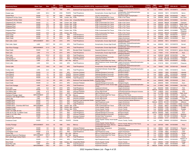| <b>Waterbody Name</b>               | <b>Water Type</b>  | <b>Size</b> | AU<br>Categon | Cycle<br>Listed | <b>Source</b>     | Pollutant/Cause (WDNR & EPA) Impairment (WDNR)              |                                                                                                         | <b>Observed Effect (EPA)</b>                                                | <b>Listing</b><br>Category | <b>TMDL</b><br><b>Priority</b> | <b>WBIC</b> | WDNF<br><b>AU ID</b> | <b>EPA AU ID</b>                 | <b>Counties</b>                           |
|-------------------------------------|--------------------|-------------|---------------|-----------------|-------------------|-------------------------------------------------------------|---------------------------------------------------------------------------------------------------------|-----------------------------------------------------------------------------|----------------------------|--------------------------------|-------------|----------------------|----------------------------------|-------------------------------------------|
| <b>Cherry Branch</b>                | <b>RIVER</b>       | 2.1         | 5A            | 1998            | <b>NPS</b>        | Sediment/Total Suspended Solids Degraded Habitat, Turbidity |                                                                                                         | Physical Substrate Habitat Alterations,<br>Turbidity                        | 5C                         | Low                            | 898900      |                      | 352979 WI10008472                | Lafayette                                 |
| Chetek Lake                         | LAKE               | 923.4       | 5W            | 2006            | PS/NPS            | <b>Total Phosphorus</b>                                     | Eutrophication, Excess Algal Growth                                                                     | Eutrophication, Nutrient/Eutrophication<br><b>Biological Indicators</b>     | 5W                         | Low                            | 2094000     | 15815                | WI10026758                       | Barron                                    |
| <b>Chetek River</b>                 | <b>RIVER</b>       | 5.2         | 5W            | 2008            | <b>PS/NPS</b>     | <b>Total Phosphorus</b>                                     | Low DO, Eutrophication                                                                                  | Dissolved Oxygen, Eutrophication                                            | 5W                         | Low                            | 2089000     | 15795                | WI10004420                       | Barron                                    |
| Chippewa R At Eau Claire            | <b>RIVER</b>       | 1.2         | 5A            | 1998            | Contam. Sed. PCBs |                                                             | PCBs Contaminated Fish Tissue                                                                           | PCBs in Fish Tissue                                                         | 5A                         | Low                            | 2050000     | 889320               | WI10008884                       | Eau Claire                                |
| Chippewa R At Eau Claire            | <b>RIVER</b>       | $1.2$       | 5A            | 1998            |                   | Contam. Sed. Unspecified Metals                             | <b>Unspecified Metals Contaminated</b>                                                                  | <b>Unspecified Metals in Sediment</b>                                       | 5A                         | Low                            | 2050000     | 889320               | WI10008884                       | Eau Claire                                |
|                                     |                    |             |               |                 |                   |                                                             | Sediments                                                                                               |                                                                             |                            |                                |             |                      |                                  |                                           |
| Chippewa R At L Wissota             | <b>RIVER</b>       | 3.1         | 5A            | 1998            | Contam. Sed. PCBs |                                                             | PCBs Contaminated Fish Tissue                                                                           | PCBs in Fish Tissue                                                         | 5A                         | Low                            | 2050000     | 889449               | WI10008886                       | Chippewa                                  |
| Chippewa River                      | <b>RIVER</b>       | 20.7        | 5A            | 2008            | Contam. Sed. PCBs |                                                             | <b>PCBs Contaminated Fish Tissue</b>                                                                    | PCBs in Fish Tissue                                                         | 5A                         | Low                            | 2050000     | 18765                | WI10006014                       | Buffalo, Pepin                            |
| Chippewa River                      | <b>RIVER</b>       | 16.9        | 5A            | 1998            | Contam, Sed. PCBs |                                                             | PCBs Contaminated Fish Tissue                                                                           | PCBs in Fish Tissue                                                         | 5A                         | Low                            | 2050000     | 304733               | WI10008319                       | Pepin, Dunn                               |
| Chippewa River                      | <b>RIVER</b>       | 21.3        | 5A            | 1998            | Contam. Sed. PCBs |                                                             | <b>PCBs Contaminated Fish Tissue</b>                                                                    | PCBs in Fish Tissue                                                         | 5A                         | Low                            | 2050000     | 889277               |                                  | WI10008883 Eau Claire, Dunr<br>Eau Claire |
| Chippewa River                      | <b>RIVER</b>       | 17.0        | 5A            | 2002            | Contam. Sed. PCBs |                                                             | PCBs Contaminated Fish Tissue                                                                           | PCBs in Fish Tissue                                                         | 5A                         | Low                            | 2050000     | 889365               | WI10008885                       | Chippewa                                  |
| Chippewa River                      | <b>RIVER</b>       | 25.6        | 5A            | 1998            | Contam. Sed. PCBs |                                                             | <b>PCBs Contaminated Fish Tissue</b>                                                                    | PCBs in Fish Tissue                                                         | 5A                         | Low                            | 2050000     | 889529               | WI10008887                       | Chippewa                                  |
| Cisna Creek                         | <b>RIVER</b>       | 5.2         | 5P            | 2018            | <b>NPS</b>        | <b>Total Phosphorus</b>                                     | Impairment Unknown                                                                                      | Organic Enrichment                                                          | 5P                         | Low                            | 1713400     | 14227                | WI10003161                       | Jackson                                   |
| <b>Clack Creek</b>                  | <b>RIVER</b>       | 3.3         | 5P            | 2018            | <b>NPS</b>        | <b>Total Phosphorus</b>                                     | <b>Impairment Unknown</b>                                                                               | <b>Organic Enrichment</b>                                                   | 5P                         | Low                            | 2066300     | 18789                | WI10006632                       | Dunn                                      |
| <b>Clack Creek</b>                  | <b>RIVER</b>       | 2.0         | 5P            | 2018            | <b>NPS</b>        | <b>Total Phosphorus</b>                                     | Impairment Unknown                                                                                      | <b>Organic Enrichment</b>                                                   | 5P                         | Low                            | 2066300     |                      | 1456011 WI10023593               | Dunn                                      |
| Clam Lake, Lower                    | <b>IMPOUNDMENT</b> | 366.5       | 5W            | 2018            | <b>NPS</b>        | <b>Total Phosphorus</b>                                     | Eutrophication, Excess Algal Growth                                                                     | Eutrophication, Nutrient/Eutrophication<br><b>Biological Indicators</b>     | 5W                         | Low                            | 2655300     | 18914                | WI10006734                       | <b>Burnett</b>                            |
| Clam Lake, Upper                    | LAKE               | 1337.7      | 5W            | 2012            | <b>NPS</b>        | <b>Total Phosphorus</b>                                     | Eutrophication, Excess Algal Growth                                                                     | Eutrophication, Nutrient/Eutrophication<br><b>Biological Indicators</b>     | 5W                         | Low                            | 2656200     | 18915                | WI10006735                       | <b>Burnett</b>                            |
| <b>Clam River Flowage</b>           | <b>IMPOUNDMENT</b> | 411.9       | 5W            | 2018            | <b>NPS</b>        | <b>Total Phosphorus</b>                                     | Eutrophication, Excess Algal Growth                                                                     | Eutrophication, Nutrient/Eutrophication<br><b>Biological Indicators</b>     | 5W                         | Low                            | 2654500     | 16761                | WI10005201                       | <b>Burnett</b>                            |
| Clear Creek                         | <b>RIVER</b>       | 5.8         | 5A            | 2002            | <b>NPS</b>        | <b>Elevated Water Temperature</b>                           | Degraded Biological Community                                                                           | <b>Biological Integrity</b>                                                 | 5A                         | Low                            | 1697800     | 14149                |                                  | WI10023212 Jackson, Monroe                |
| Clear Lake                          | LAKE               | 77.4        | 5A            | 2010            | <b>NPS</b>        | <b>Total Phosphorus</b>                                     | Eutrophication, Excess Algal Growth                                                                     | Eutrophication, Nutrient/Eutrophication                                     | 5A                         | Low                            | 775000      | 11701                | WI10001485                       | Rock                                      |
|                                     |                    |             |               |                 |                   |                                                             |                                                                                                         | <b>Biological Indicators</b>                                                |                            |                                |             |                      |                                  |                                           |
| Clear Lake                          | LAKE               | 515.2       | 5P            | 2014            | <b>NPS</b>        | <b>Total Phosphorus</b>                                     | Impairment Unknown                                                                                      | Organic Enrichment                                                          | 5P                         | Low                            | 2329000     | 128438               | WI10027803                       | Vilas                                     |
| Coco Creek                          | <b>RIVER</b>       | 1.9         | 5A            | 2018            | <b>NPS</b>        | <b>Unknown Pollutant</b>                                    | <b>Degraded Biological Community</b>                                                                    | <b>Biological Integrity</b>                                                 | 5A                         | Low                            | 772100      | 897130               | WI10039400                       | Waukesha                                  |
| Cold Springs Cr                     | <b>RIVER</b>       | 4.2         | 5P            | 2018            | <b>NPS</b>        | <b>Total Phosphorus</b>                                     | Impairment Unknown                                                                                      | Organic Enrichment                                                          | 5P                         | Low                            | 831900      |                      | 5534355 WI10033542               | Dodge                                     |
| Collins (Fish) Lake                 | LAKE               | 42.9        | 5A            | 2002            | Atm. Dep          | Mercury                                                     | <b>Mercury Contaminated Fish Tissue</b>                                                                 | Mercury in Fish Tissue                                                      | 5B                         | Low                            | 270200      | 10319                | WI10000447                       | Portage                                   |
| Como Lake                           | LAKE               | 98.0        | 5A            | 2020            | <b>NPS</b>        | <b>Total Phosphorus</b>                                     | High Phosphorus Levels, Excess Alga<br>Growth                                                           | Organic Enrichment, Nutrient/Eutrophication<br><b>Biological Indicators</b> | 5A                         | Low                            | 2152100     | 18840                | WI10006675                       | Chippewa                                  |
| <b>Comus Lake</b>                   | LAKE               | 130.8       | 5A            | 2022            | <b>NPS</b>        | <b>Total Phosphorus</b>                                     | Eutrophication, Excess Algal Growth                                                                     | Eutrophication, Nutrient/Eutrophication<br><b>Biological Indicators</b>     | 5A                         | Low                            | 794200      | 11620                | WI10001424                       | Walworth                                  |
| Cooley Lake                         | LAKE               | 62.0        | 5A            | 2022            | <b>NPS</b>        | <b>Total Phosphorus</b>                                     | Impairment Unknown, Excess Algal                                                                        | Organic Enrichment, Nutrient/Eutrophication                                 | 5A                         | Low                            | 447200      | 10955                | WI10000916                       | Oconto                                    |
|                                     |                    |             |               |                 |                   |                                                             | Growth                                                                                                  | <b>Biological Indicators</b>                                                |                            |                                |             |                      |                                  |                                           |
| Coon Branch                         | <b>RIVER</b>       | 1.4         | 5A            | 2016            | <b>NPS</b>        | <b>Unknown Pollutant</b>                                    | <b>Degraded Biological Community</b>                                                                    | <b>Biological Integrity</b>                                                 | 5A                         | Low                            | 936500      | 13838                | WI10002927                       | Lafayette                                 |
| Coon Branch                         | <b>RIVER</b>       | 5.2         | 5A            | 2016            | PS/NPS            | Unknown Pollutant                                           | Degraded Biological Community                                                                           | <b>Biological Integrity</b>                                                 | 5A                         | Low                            | 936500      | 13837                | WI10036760                       | Lafayette                                 |
| Coon Branch                         | <b>RIVER</b>       | 1.3         | 5A            | 2016            | <b>PS/NPS</b>     | <b>Unknown Pollutant</b>                                    | <b>Degraded Biological Community</b>                                                                    | <b>Biological Integrity</b>                                                 | 5A                         | Low                            | 936500      | 1482046              | WI10036761                       | Lafayette                                 |
| Coon Creek                          | RIVER              | 13.8        | 5P            | 2012            | <b>PS/NPS</b>     | <b>Total Phosphorus</b>                                     | Impairment Unknown                                                                                      | Organic Enrichment                                                          | 5P                         | Low                            | 1643500     | 893459               | WI10008964                       | Vernon                                    |
| Coon Creek                          | <b>RIVER</b>       | 3.4         | 5W            | 2002            | <b>NPS</b>        | Sediment/Total Suspended Solids                             | Elevated Water Temperature,<br><b>Degraded Habitat</b>                                                  | Temperature, Physical Substrate Habitat<br>Alterations                      | 5W                         | Low                            | 2066400     | 15665                | WI10004329                       | Dunn                                      |
| Coon Creek                          | <b>RIVER</b>       | 3.4         | 5W            | 2014            | <b>NPS</b>        | Unknown Pollutant                                           | Degraded Biological Community<br><b>High Phosphorus Levels, Excess Algal</b>                            | <b>Biological Integrity</b><br>Organic Enrichment, Nutrient/Eutrophication  | 5W                         | Low                            | 2066400     | 15665                | WI10004329                       | Dunn                                      |
| Coon Fork Flowage                   | LAKE               | 62.1        | 5W            | 2016            | <b>NPS</b>        | <b>Total Phosphorus</b>                                     | Growth                                                                                                  | <b>Biological Indicators</b>                                                | 5W                         | Low                            | 2135600     | 18825                | WI10006666                       | Eau Claire                                |
| Coon Lake                           | LAKE               | 42.2        | 5W            | 2018            | <b>NPS</b>        | <b>Total Phosphorus</b>                                     | Impairment Unknown                                                                                      | Organic Enrichment                                                          | 5W                         | Low                            | 2642000     | 16686                | WI10005137                       | Polk                                      |
| <b>Correction Creek</b>             | <b>RIVER</b>       | 7.2         | 5A            | 2018            | <b>NPS</b>        | <b>Total Phosphorus</b>                                     | <b>High Phosphorus Levels</b>                                                                           | <b>Organic Enrichment</b>                                                   | 5A                         | Medium                         | 1765400     | 14318                | WI10003234                       | Taylor                                    |
| Cox Hollow Lake                     | LAKE               | 81.5        | 5A            | 2016            | <b>NPS</b>        | Unknown Pollutant                                           | <b>Excess Algal Growth</b>                                                                              | Nutrient/Eutrophication Biological Indicators                               | 5A                         | Low                            | 1246500     | 13432                | WI10002667                       | lowa                                      |
| Cranberry Creek                     | <b>RIVER</b>       | 14.5        | 5A            | 2018            | <b>NPS</b>        | <b>Total Phosphorus</b>                                     | <b>High Phosphorus Levels</b>                                                                           | <b>Organic Enrichment</b>                                                   | 5A                         | Low                            | 2117000     | 16344                | WI10004857                       | Pepin, Dunn                               |
| Cranberry Flowage, Upper            | <b>IMPOUNDMENT</b> | 35.0        | 5B            | 2002            | Atm. Dep.         | Mercury                                                     | Mercury Contaminated Fish Tissue                                                                        | Mercury in Fish Tissue                                                      | 5B                         | Low                            | 1707100     | 14180                | WI10003128                       | Jackson                                   |
| Cranberry Lake (Eagle Chain)        | LAKE               | 924.4       | 5A            | 2014            | <b>NPS</b>        | Unknown Pollutant                                           | <b>Excess Algal Growth</b>                                                                              | Nutrient/Eutrophication Biological Indicators                               | 5A                         | Low                            | 1603800     | 128768               | WI10007862                       | Oneida, Vilas                             |
| Crane Lake                          | LAKE               | 355.2       | 5A            | 2014            | <b>NPS</b>        | Unknown Pollutant                                           | <b>Excess Algal Growth</b>                                                                              | Nutrient/Eutrophication Biological Indicators                               | 5A                         | Low                            | 388500      | 10605                | WI10000669                       | Forest                                    |
| Crawfish River                      | <b>RIVER</b>       | 30.0        | 5A            | 2014            | <b>NPS</b>        | Sediment/Total Suspended Solids                             | <b>Degraded Habitat</b>                                                                                 | <b>Physical Substrate Habitat Alterations</b>                               | 5A                         | Low                            | 829700      | 11438                | WI10000211                       | Dodge, Columbia                           |
| Crawfish River                      | <b>RIVER</b>       | 11.0        | 5A            | 2016            | <b>NPS</b>        | <b>Total Phosphorus</b>                                     | <b>High Phosphorus Levels</b>                                                                           | Organic Enrichment                                                          | 5A                         | Medium                         | 829700      |                      | 5513911 WI10033060               | Jefferson                                 |
| <b>Crawfish River</b>               | <b>RIVER</b>       | 30.0        | 5A            | 2014            | <b>NPS</b>        | <b>Total Phosphorus</b>                                     | <b>Impairment Unknown</b>                                                                               | <b>Organic Enrichment</b>                                                   | 5P                         | Low                            | 829700      | 11438                | WI10000211                       | Dodge, Columbia                           |
| Crawfish River - Columbus Mill Pond | <b>IMPOUNDMENT</b> | 18.4        | 5A            | 1998            | Contam. Sed.      | PCBs                                                        | PCBs Contaminated Fish Tissue                                                                           | PCBs in Fish Tissue                                                         | 5A                         | Low                            | 842500      | 356471               |                                  | WI10008488 Dodge, Columbia                |
| <b>Crawford Creek</b>               | <b>RIVER</b>       | 9.1         | 5A            | 1998            | Contam, Sed.      | Creosote                                                    | <b>Chronic Aquatic Toxicity</b>                                                                         | <b>Chronic Toxicity</b>                                                     | 5A                         | Low                            | 2835500     | 17458                | WI10008211                       | Douglas                                   |
| <b>Crawford Creek</b>               | <b>RIVER</b>       | 9.1         | 5A            | 1998            | Contam, Sed.      | PAHs                                                        | <b>Chronic Aquatic Toxicity</b>                                                                         | <b>Chronic Toxicity</b>                                                     | 5A                         | Low                            | 2835500     | 17458                | WI10008211                       | Douglas                                   |
| Creek 1-8 (T29N, R11W)              | <b>RIVER</b>       | 2.9         | 5W            | 2012            | <b>NPS</b>        | Total Phosphorus                                            | <b>High Phosphorus Levels</b>                                                                           | <b>Organic Enrichment</b>                                                   | 5W                         | Low                            | 2083000     | 1457461              | WI10023630                       | Dunn                                      |
|                                     | <b>RIVER</b>       | 4.0         | 5A            | 2016            | <b>NPS</b>        |                                                             |                                                                                                         |                                                                             | 5A                         | Medium                         | 2064650     | 15656                | WI10035480                       | Dunn                                      |
| Creek 20-16 Trib. To Gilbert Creek  | <b>RIVER</b>       | 5.41        | 5A            | 2014            | <b>NPS</b>        | <b>Total Phosphorus</b><br><b>Unknown Pollutant</b>         | Degraded Biological Community                                                                           | <b>Biological Integrity</b>                                                 | 5A                         |                                | 1458400     |                      | 1459550 WI10023716               | Marathon                                  |
| Creek 2-14 (T29n, R4e)              |                    |             |               |                 |                   |                                                             | <b>Degraded Biological Community</b>                                                                    | <b>Biological Integrity</b>                                                 |                            | Low                            |             |                      |                                  |                                           |
| Creek 8-13b                         | <b>RIVER</b>       | د. ا        | טכ            | 2018            | NPS               | Unknown Pollutant                                           | Elevated Water Temperature                                                                              | i emperature                                                                | 5C                         | LOW                            | 533700      |                      | 1517423 WI10025806               | Marinette                                 |
| Crescent Lake (Pickerel)            | LAKE               | 15.0        | 5W            | 2022            | <b>NPS</b>        | <b>Total Phosphorus</b>                                     | <b>Impairment Unknown</b>                                                                               | <b>Organic Enrichment</b>                                                   | 5W                         | Low                            |             |                      | 2458900 16737 WI10005180         | Polk                                      |
| Crestwood Creek                     | <b>RIVER</b>       | 1.4         | 5A            | 2020            | PS/NPS            | Chloride                                                    | Chronic Aquatic Toxicity, Acute Aquatic Chronic Toxicity, Toxicity<br>Toxicity                          |                                                                             | 5A                         | Low                            | 19450       |                      | 3988802 WI10028340               | Milwaukee                                 |
| <b>Crowley Flowage</b>              | <b>IMPOUNDMENT</b> | 353.6       | 5A            | 1998            | Other             | Mercury                                                     | Chronic Aquatic Toxicity, Mercury<br>Contaminated Fish Tissue, Mercury<br><b>Contaminated Sediments</b> | Chronic Toxicity, Mercury in Fish Tissue,<br>Mercury in Sediment            | 5A                         | Low                            | 2287200     | 14880                | WI10003669                       | Price                                     |
| <b>Crystal River</b>                | <b>RIVER</b>       | 9.8         | 5A            | 2016            | <b>NPS</b>        | <b>Unknown Pollutant</b>                                    | <b>Elevated Water Temperature</b>                                                                       | Temperature                                                                 | 5A                         | Low                            | 258200      | 10287                | WI10000419                       | Waupaca                                   |
| <b>Culver Br</b>                    | <b>RIVER</b>       | 2.3         | 5A            | 1998            | <b>NPS</b>        | Sediment/Total Suspended Solids                             | Degraded Habitat                                                                                        | <b>Physical Substrate Habitat Alterations</b>                               | 5A                         | Low                            | 950900      | 13875                | WI10010060                       | Grant                                     |
| <b>Cunningham Creek</b>             | <b>RIVER</b>       | 21.8        | 5A            | 2012            | <b>NPS</b>        | <b>Total Phosphorus</b>                                     | <b>High Phosphorus Levels</b>                                                                           | Organic Enrichment                                                          | 5A                         | Low                            | 1747900     | 18625                | WI10000214                       | Clark                                     |
| <b>Currie Lake</b>                  | LAKE               | 94.9        | 5B            | 1998            | Atm. Dep.         | Mercury                                                     | Mercury Contaminated Fish Tissue                                                                        | Mercury in Fish Tissue                                                      | 5B                         | Low                            | 979300      | 128089               | WI10007261                       | Oneida                                    |
| Dairyland Reservoir (Flambeau)      | <b>IMPOUNDMENT</b> | 1870.5      | 5B            | 1998            | Atm. Dep.         | Mercury                                                     | Mercury Contaminated Fish Tissue                                                                        | Mercury in Fish Tissue                                                      | 5B                         | Low                            | 2229200     | 14663                | WI10003492                       | Rusk                                      |
| Dam Lake (Sugar Camp Chain)         | LAKE               | 732.1       | 5C            | 2016            | <b>NPS</b>        | <b>Total Phosphorus</b>                                     | <b>Impairment Unknown</b>                                                                               | <b>Organic Enrichment</b>                                                   | 5C                         | Low                            | 1596900     |                      | 128092 WI10007263                | Oneida                                    |
| Davis Creek                         | <b>RIVER</b>       | 6.9         | 5A            | 2016            | <b>NPS</b>        | <b>Total Phosphorus</b>                                     | <b>High Phosphorus Levels</b>                                                                           | Organic Enrichment                                                          | 5A                         | Medium                         | 1689300     | 14111                | WI10023203                       | Jackson, La<br>Crosse                     |
| Davy Creek                          | <b>RIVER</b>       | 5.7         | 5A            | 1998            |                   | Contam. Sed. Unspecified Metals                             | <b>Chronic Aquatic Toxicity</b>                                                                         | <b>Chronic Toxicity</b>                                                     | 5A                         | Low                            | 855400      | 11548                | WI10001373                       | Dodge                                     |
| Dead Pike Lake                      | LAKE               | 308.6       | 5W            | 2016            | <b>NPS</b>        | <b>Total Phosphorus</b>                                     | Impairment Unknown                                                                                      | Organic Enrichment                                                          | 5W                         | Low                            | 2316600     | 15067                | WI10003830                       | Vilas                                     |
| Decatur Lake                        | <b>IMPOUNDMENT</b> | 109.2       | 5P            | 2014            | <b>NPS</b>        | <b>Total Phosphorus</b>                                     | <b>Impairment Unknown</b>                                                                               | <b>Organic Enrichment</b>                                                   | 5P                         |                                |             |                      | Medium 879400 4701075 WI10030160 |                                           |
|                                     |                    |             |               |                 |                   |                                                             |                                                                                                         |                                                                             |                            |                                |             |                      |                                  | Green                                     |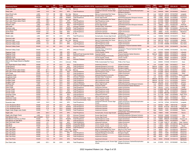| <b>Waterbody Name</b>                          | <b>Water Type</b>            | <b>Size</b>  | <b>AU</b>     | Cycle          | <b>Source</b>              | Pollutant/Cause (WDNR & EPA) Impairment (WDNR)     |                                                                              | <b>Observed Effect (EPA)</b>                                                     | <b>Listing</b> | <b>TMDL</b>      | <b>WBIC</b>        | WDNF             | <b>EPA AU ID</b>           | <b>Counties</b>       |
|------------------------------------------------|------------------------------|--------------|---------------|----------------|----------------------------|----------------------------------------------------|------------------------------------------------------------------------------|----------------------------------------------------------------------------------|----------------|------------------|--------------------|------------------|----------------------------|-----------------------|
| Deep Hole Lake                                 | LAKE                         | 95.2         | Categor<br>5B | Listed<br>1998 | Atm. Dep.                  | Mercury                                            | Mercury Contaminated Fish Tissue                                             | Mercury in Fish Tissue                                                           | Category<br>5B | Priority<br>Low  | 184500             | AU ID<br>10541   | WI10000612                 | Forest                |
|                                                |                              |              |               |                |                            |                                                    | Impairment Unknown, Excess Algal                                             | Organic Enrichment, Nutrient/Eutrophication                                      |                |                  |                    |                  |                            |                       |
| Deep Lake                                      | LAKE                         | 43.0         | 5W            | 2012           | <b>NPS</b>                 | <b>Total Phosphorus</b>                            | Growth                                                                       | <b>Biological Indicators</b>                                                     | 5W             | Low              | 1844000            | 15894            | WI10004500                 | Washburn              |
| Deep Wood Lake                                 | LAKE                         | 72.0         | 5B            | 1998           | Atm. Dep.                  | Mercury                                            | Mercury Contaminated Fish Tissue                                             | Mercury in Fish Tissue                                                           | 5B             | Low              | 1445100            | 128724           | WI10007825                 | Langlade              |
| Deer Creek                                     | <b>RIVER</b>                 | 8.1          | 5A            | 1998           | <b>PS/NPS</b>              | Sediment/Total Suspended Solids                    | <b>Elevated Water Temperature</b>                                            | Temperature                                                                      | 5A             | High             | 772900             | 424345           | WI10008643                 | Waukesha              |
| Deer Creek<br>Deer Lake (Three Lakes Chain)    | <b>RIVER</b><br>LAKE         | 8.1<br>188.2 | 5A<br>5A      | 2008<br>2018   | <b>PS/NPS</b><br>Atm. Dep. | <b>Total Phosphorus</b><br>Mercury                 | Excess Algal Growth<br>Mercury Contaminated Fish Tissue                      | Nutrient/Eutrophication Biological Indicators<br>Mercury in Fish Tissue          | 5A<br>5B       | High<br>Low      | 772900<br>1612300  | 424345<br>128094 | WI10008643<br>WI10007265   | Waukesha<br>Oneida    |
| Deer Lake (Three Lakes Chain)                  | LAKE                         | 188.2        | 5A            | 2018           | <b>NPS</b>                 | <b>Total Phosphorus</b>                            | <b>High Phosphorus Levels</b>                                                | Organic Enrichment                                                               | 5A             | Low              | 1612300            | 128094           | WI10007265                 | Oneida                |
| <b>Deer Tail Creek</b>                         | <b>RIVER</b>                 | 38.6         | 5P            | 2012           | <b>PS/NPS</b>              | <b>Total Phosphorus</b>                            | <b>Impairment Unknown</b>                                                    | <b>Organic Enrichment</b>                                                        | 5P             | Low              | 2221700            | 14650            | WI10003482                 | <b>Rusk</b>           |
| Delavan Lake                                   | LAKE                         | 1906.0       | 5A            | 2016           | <b>NPS</b>                 | <b>Total Phosphorus</b>                            | <b>Excess Algal Growth</b>                                                   | Nutrient/Eutrophication Biological Indicators                                    | 5A             | Low              | 793600             | 11618            | WI10001422                 | Walworth              |
| <b>Dell Creek</b>                              | <b>RIVER</b>                 | 3.4          | 5A            | 2018           | <b>NPS</b>                 | Unknown Pollutant                                  | <b>Elevated Water Temperature</b>                                            | Temperature                                                                      | 5A             | Low              | 1295200            | 6897810          | WI6897811                  | Juneau, Sauk          |
| Deneveu Lake                                   | LAKE                         | 79.9         | 5P            | 2020           | <b>PS/NPS</b>              | <b>Total Phosphorus</b>                            | <b>Impairment Unknown</b>                                                    | Organic Enrichment                                                               | 5P             | High             | 139300             | 10996            | WI10000952                 | Fond du Lac           |
| Des Plaines River                              | <b>RIVER</b>                 | 23.4         | 5P            | 2014           | <b>PS/NPS</b>              | <b>Total Phosphorus</b>                            | <b>Impairment Unknown</b>                                                    | <b>Organic Enrichment</b>                                                        | 5P             | High             | 734000             | 11799            | WI10000215                 | Racine, Kenosh        |
| Devil's River                                  | <b>RIVER</b>                 | 6.0          | 5P            | 2020           | <b>NPS</b>                 | <b>Total Phosphorus</b>                            | Impairment Unknown                                                           | Organic Enrichment                                                               | 5P             | High             | 89900              | 10138            | WI10000312                 | Manitowoc             |
| <b>Dexter Lake</b>                             | LAKE                         | 286.7        | 5A            | 1998           | <b>NPS</b>                 | E. coli                                            | Recreational Restrictions - Pathogens                                        | Pathogens<br>Eutrophication, Nutrient/Eutrophication                             | 5A             | Low              | 1369900            |                  | 1446343 WI10023470         | Wood                  |
| Dexter Lake                                    | LAKE                         | 286.7        | 5A            | 2010           | <b>NPS</b>                 | <b>Total Phosphorus</b>                            | Eutrophication, Excess Algal Growth                                          | <b>Biological Indicators</b>                                                     | 5A             | Low              | 1369900            |                  | 1446343 WI10023470         | Wood                  |
| <b>Diamond Lake</b>                            | LAKE                         | 49.1         | 5B            | 1998           | Atm. Dep.                  | Mercury                                            | Mercury Contaminated Fish Tissue                                             | Mercury in Fish Tissue                                                           | 5B             | Low              | 1757200            | 14291            | WI10003210                 | Taylor                |
| Diamond Lake                                   | LAKE                         | 322.4        | 5B            | 1998           | Atm. Dep.                  | Mercury                                            | Mercury Contaminated Fish Tissue                                             | Mercury in Fish Tissue                                                           | 5B             | Low              | 2897100            | 891007           | WI10026588                 | Bayfield              |
| <b>Diamond Valley Creek</b>                    | <b>RIVER</b>                 | 6.2          | 5W            | 2014           | <b>NPS</b>                 | <b>Total Phosphorus</b>                            | <b>High Phosphorus Levels</b>                                                | <b>Organic Enrichment</b>                                                        | 5W             | Low              | 2131400            | 16109            | WI10004678                 | Eau Claire            |
| <b>Diamond Valley Creek</b>                    | <b>RIVER</b>                 | 0.9          | 5W            | 2014           | <b>NPS</b>                 | <b>Total Phosphorus</b>                            | <b>High Phosphorus Levels</b>                                                | Organic Enrichment                                                               | 5W             | Low              | 2131400            |                  | 1480889 WI10024646         | Eau Claire            |
| <b>Diamond Valley Creek</b>                    | <b>RIVER</b>                 | 6.2          | 5W            | 2014           | <b>NPS</b>                 | <b>Unknown Pollutant</b>                           | Elevated Water Temperature,                                                  | Temperature, Physical Substrate Habitat                                          | 5W             | Low              | 2131400            | 16109            | WI10004678                 | Eau Claire            |
|                                                |                              |              |               |                |                            |                                                    | Degraded Habitat<br>Elevated Water Temperature,                              | Alterations                                                                      |                |                  |                    |                  |                            |                       |
| <b>Diamond Valley Creek</b>                    | <b>RIVER</b>                 | 0.9          | 5W            | 2014           | <b>NPS</b>                 | Unknown Pollutant                                  | Degraded Habitat                                                             | Temperature, Physical Substrate Habitat<br>Alterations                           | 5W             | Low              | 2131400            |                  | 1480889 WI10024646         | Eau Claire            |
| <b>Diggings Creek</b>                          | <b>RIVER</b>                 | 5.4          | 5A            | 1998           | <b>NPS</b>                 | Lead                                               | <b>Chronic Aquatic Toxicity</b>                                              | <b>Chronic Toxicity</b>                                                          | 5A             | Low              | 936800             | 353842           | WI10008476                 | Lafayette             |
| Diggings Creek                                 | <b>RIVER</b>                 | 5.4          | 5A            | 1998           | <b>NPS</b>                 | Sediment/Total Suspended Solids                    | Degraded Habitat                                                             | <b>Physical Substrate Habitat Alterations</b>                                    | 5A             | Medium           | 936800             | 353842           | WI10008476                 | Lafayette             |
| Diggings Creek                                 | <b>RIVER</b>                 | 5.4          | 5A            | 2016           | <b>NPS</b>                 | <b>Unknown Pollutant</b>                           | <b>Degraded Biological Community</b>                                         | <b>Biological Integrity</b>                                                      | 5A             | Low              | 936800             | 353842           | WI10008476                 | Lafayette             |
| Diggings Creek                                 | <b>RIVER</b>                 | 5.4          | 5A            | 1998           | <b>NPS</b>                 | Zinc                                               | Chronic Aquatic Toxicity                                                     | <b>Chronic Toxicity</b>                                                          | 5A             | Low              | 936800             | 353842           | WI10008476                 | Lafayette             |
| Ditch #5 (N.Br. Tenmile Creek)                 | <b>RIVER</b>                 | 4.9          | 5A            | 2018           | <b>NPS</b>                 | <b>Unknown Pollutant</b>                           | <b>Elevated Water Temperature</b>                                            | Temperature                                                                      | 5A             | Low              | 1384600            | 12280            | WI10001917                 | Portage               |
| Ditch to the Oregon Branch of Badfish          | <b>RIVER</b>                 | 3.7          | 5A            | 2012           | Unknown                    | PCBs                                               | PCBs Contaminated Fish Tissue                                                | PCBs in Fish Tissue                                                              | 5A             | Low              | 800800             |                  | 1516935 WI10025151         | Dane                  |
| Creek                                          | <b>RIVER</b>                 | 3.4          | 5P            |                |                            |                                                    |                                                                              |                                                                                  | 5P             |                  |                    |                  |                            | Grant                 |
| Doc Smith Branch (Cass Valley)<br>Dodge Branch | <b>RIVER</b>                 | 3.8          | 5A            | 2012<br>2016   | <b>NPS</b><br><b>NPS</b>   | <b>Total Phosphorus</b><br><b>Total Phosphorus</b> | <b>Impairment Unknown</b><br>Degraded Biological Community                   | Organic Enrichmen<br>Biological Integrity                                        | 5A             | Low<br>Medium    | 1212000<br>910800  | 13281<br>13748   | WI10002577<br>WI10002875   | lowa                  |
| Dodge Branch                                   | <b>RIVER</b>                 | 2.5          | 5A            | 2016           | PS/NPS                     | <b>Total Phosphorus</b>                            | <b>Degraded Biological Community</b>                                         | <b>Biological Integrity</b>                                                      | 5A             | Medium           | 910800             | 13749            | WI10002876                 | lowa                  |
| Dog Lake (Three Lakes Chain)                   | LAKE                         | 201.7        | 5A            | 1998           | Atm. Dep.                  | Mercury                                            | Mercury Contaminated Fish Tissue                                             | Mercury in Fish Tissue                                                           | 5B             | Low              | 1612900            | 128743           | WI10007841                 | Oneida                |
| Dog Lake (Three Lakes Chain)                   | LAKE                         | 201.7        | 5A            | 2018           | <b>NPS</b>                 | <b>Total Phosphorus</b>                            | <b>High Phosphorus Levels</b>                                                | <b>Organic Enrichment</b>                                                        | 5A             | Low              | 1612900            | 128743           | WI10007841                 | Oneida                |
| Door Creek                                     | <b>RIVER</b>                 | 14.0         | 5P            | 2012           | <b>NPS</b>                 | <b>Total Phosphorus</b>                            | <b>Impairment Unknown</b>                                                    | Organic Enrichmen                                                                | 5P             | Low              | 802800             | 11644            | WI10025683                 | Dane                  |
| Dougherty Creek                                | <b>RIVER</b>                 | 14.0         | 5A            | 2020           | <b>NPS</b>                 | <b>Total Phosphorus</b>                            | <b>Degraded Biological Community</b>                                         | <b>Biological Integrity</b>                                                      | 5A             | Low              | 901000             | 13698            | WI10000217                 | Green, Lafayette      |
| Dougherty Creek                                | <b>RIVER</b>                 | 2.6          | 5A            | 2016           | <b>NPS</b>                 | Unknown Pollutan                                   | <b>Elevated Water Temperature</b>                                            | Temperature                                                                      | 5A             | Low              | 901000             | 13700            | WI10010038                 | Green                 |
| Douglas Creek                                  | <b>RIVER</b>                 | 2.1          | 5A            | 2016           | <b>NPS</b>                 | <b>Total Phosphorus</b>                            | <b>High Phosphorus Levels</b>                                                | <b>Organic Enrichment</b>                                                        | 5A             | Medium           | 1691300            | 14117            | WI10003084                 | Jackson               |
| Douglas Creek                                  | <b>RIVER</b>                 | 5.9          | 5A<br>5A      | 2016<br>2016   | <b>NPS</b>                 | <b>Total Phosphorus</b>                            | <b>High Phosphorus Levels</b>                                                | Organic Enrichment                                                               | 5A             | Medium<br>Medium | 1691300            | 14118<br>14116   | WI10023204                 | Jackson<br>Jackson    |
| Douglas Creek<br>Dowling Lake                  | <b>RIVER</b><br>LAKE         | 1.8<br>141.4 | 5A            | 2014           | <b>NPS</b><br><b>NPS</b>   | <b>Total Phosphorus</b><br>Unknown Pollutan        | <b>High Phosphorus Levels</b><br><b>Excess Algal Growth</b>                  | <b>Organic Enrichment</b><br>Nutrient/Eutrophication Biological Indicators       | 5A<br>5A       | Low              | 1691300<br>2858300 | 20362            | WI10026693<br>WI10010837   | Douglas               |
| <b>Drew Creek</b>                              | <b>RIVER</b>                 | 3.0          | 5A            | 2014           | <b>NPS</b>                 | Sediment/Total Suspended Solids                    | <b>Degraded Habitat</b>                                                      | <b>Physical Substrate Habitat Alterations</b>                                    | 5A             | Low              | 836100             | 11416            | WI10001262                 | Dodge                 |
| Drew Creek                                     | <b>RIVER</b>                 | 3.0          | 5A            | 2014           | <b>NPS</b>                 | <b>Total Phosphorus</b>                            | Impairment Unknown                                                           | Organic Enrichment                                                               | 5P             | Low              | 836100             | 11416            | WI10001262                 | Dodge                 |
| <b>Duncan Creek</b>                            | <b>RIVER</b>                 | 6.3          | 5A            | 2014           | <b>NPS</b>                 | <b>Total Phosphorus</b>                            | <b>High Phosphorus Levels</b>                                                | <b>Organic Enrichment</b>                                                        | 5A             | Low              | 2150600            | 3987136          | WI10028040                 | Chippewa              |
| Duncan Creek                                   | <b>RIVER</b>                 | 8.5          | 5A            | 2014           | <b>NPS</b>                 | <b>Total Phosphorus</b>                            | <b>High Phosphorus Levels</b>                                                | Organic Enrichment                                                               | 5A             | Low              | 2150600            | 16166            | WI10028160                 | Chippewa              |
| Duncan Creek                                   | <b>RIVER</b>                 | 5.9          | 5A            | 2014           | PS/NPS                     | <b>Total Phosphorus</b>                            | <b>High Phosphorus Levels</b>                                                | <b>Organic Enrichment</b>                                                        | 5A             | Low              | 2150600            |                  | 3987409 WI10028161         | Chippewa              |
| Duscham Creek                                  | <b>RIVER</b>                 | 8.0          | 5A            | 2020           | <b>NPS</b>                 | <b>Total Phosphorus</b>                            | <b>Impairment Unknown</b>                                                    | Organic Enrichment                                                               | 5A             | Low              | 2117100            | 16345            | WI10004858                 | Pepin, Dunr           |
| <b>Dustin Creek</b>                            | <b>RIVER</b>                 | 3.7          | 5A            | 2018           | <b>NPS</b>                 | <b>Total Phosphorus</b>                            | <b>High Phosphorus Levels</b>                                                | <b>Organic Enrichment</b>                                                        | 5A             | Low              | 1694300            | 14133            | WI10023210                 | Monroe                |
| Dutchman Creek                                 | <b>RIVER</b>                 | 4.0          | 5A            | 1998           | <b>PS/NPS</b>              | Ammonia (Unionized) - Toxin                        | Chronic Aquatic Toxicity                                                     | <b>Chronic Toxicity</b>                                                          | 5A             | Low              | 121600             | 10832            | WI10000830                 | Brown                 |
| <b>Dutchman Creek</b>                          | <b>RIVER</b>                 | 1.9          | 5A            | 1998           | <b>PS/NPS</b>              | Ammonia (Unionized) - Toxin                        | Chronic Aquatic Toxicity<br>Impairment Unknown, Excess Algal                 | <b>Chronic Toxicity</b><br>Organic Enrichment, Nutrient/Eutrophication           | 5A             | Low              | 121600             | 1854741          | WI10025588                 | Outagamie             |
| Dynamite Lake                                  | LAKE                         | 100.5        | 5C            | 2022           | <b>NPS</b>                 | <b>Total Phosphorus</b>                            | Growth                                                                       | <b>Biological Indicators</b>                                                     | 5C             | Low              | 1451700            | 127844           | WI10007039                 | Langlade              |
| E. Br. Pecatonica River                        | <b>RIVER</b>                 | 10.8         | 5P            | 2012           | <b>NPS</b>                 | <b>Total Phosphorus</b>                            | <b>Impairment Unknown</b>                                                    | <b>Organic Enrichment</b>                                                        | 5P             | Low              | 897800             | 13687            | WI8103185                  | Lafayette             |
| E. Br. Pecatonica River                        | <b>RIVER</b>                 | 22.4         | 5P            | 2012           | PS/NPS                     | <b>Total Phosphorus</b>                            | <b>Impairment Unknown</b>                                                    | Organic Enrichment                                                               | 5P             | Low              | 897800             | 8103187          | WI8103188                  | Lafayette             |
| E. Br. Pecatonica River                        | <b>RIVER</b>                 | 21.9         | 5P            | 2014           | <b>PS/NPS</b>              | <b>Total Phosphorus</b>                            | <b>Impairment Unknown</b>                                                    | <b>Organic Enrichment</b>                                                        | 5P             | Low              | 897800             | 13737            | WI10038760                 | fayette, Iowa         |
| Eagle Creek (Eagle Lake Outlet)                | <b>RIVER</b>                 | 7.5          | 5P            | 2022           | PS/NPS                     | <b>Total Phosphorus</b>                            | Impairment Unknown                                                           | Organic Enrichment                                                               | 5P             | High             | 759500             | 10465            | WI10000560                 | Racine                |
| Eagle Lake                                     | LAKE                         | 529.3        | 5A            | 2016           | <b>NPS</b>                 | <b>Total Phosphorus</b>                            | Eutrophication, Excess Algal Growth                                          | Eutrophication, Nutrient/Eutrophication                                          | 5A             | High             | 759800             | 10466            | WI10000561                 | Racine                |
| Eagle Lake (Eagle Chain)                       | LAKE                         | 574.8        | 5A            | 2018           | <b>NPS</b>                 | Unknown Pollutant                                  | <b>Excess Algal Growth</b>                                                   | <b>Biological Indicators</b><br>Nutrient/Eutrophication Biological Indicators    | <b>5A</b>      | Low              | 1600200            | 128460           | WI10026531                 | Vilas                 |
| East Balsam Lake                               | BAY/HARBOR                   | 554.8        | 5W            | 2014           | <b>NPS</b>                 | <b>Unknown Pollutant</b>                           | <b>Excess Algal Growth</b>                                                   | Nutrient/Eutrophication Biological Indicators                                    | 5W             | Low              |                    |                  | 2620600 4698566 WI10030040 | Polk                  |
| East Branch Fond Du Lac River                  | <b>RIVER</b>                 | 8.3          | 5P            | 2018           | PS/NPS                     | <b>Total Phosphorus</b>                            | <b>High Phosphorus Levels</b>                                                | Organic Enrichment                                                               | 5P             | Low              | 135900             |                  | 3990279 WI10035880         | Fond du Lac           |
| <b>East Branch of Little Black</b>             | <b>RIVER</b>                 | 13.82        | 5A            | 2018           | <b>NPS</b>                 | <b>Total Phosphorus</b>                            | <b>High Phosphorus Levels</b>                                                | <b>Organic Enrichment</b>                                                        | 5A             | Low              | 1765900            |                  | 14319 WI10003235           | Taylor                |
| East Fork Halls Creek                          | <b>RIVER</b>                 | 2.2          | 5P            | 2020           | <b>NPS</b>                 | <b>Total Phosphorus</b>                            | Impairment Unknown                                                           | Organic Enrichment                                                               | 5P             | Low              | 1711600            |                  | 1438117 WI7168914          | Clark, Jackson        |
| <b>East River</b>                              | <b>RIVER</b>                 | 28.1         | 5A            | 1998           | <b>PS/NPS</b>              | <b>Unspecified Metals</b>                          | <b>Chronic Aquatic Toxicity</b>                                              | <b>Chronic Toxicity</b>                                                          | 5A             | Low              | 118000             | 10680            | WI10000726                 | Brown, Calumet        |
| East River                                     | <b>RIVER</b>                 | 14.2         | 5A            | 1998           | PS/NPS                     | <b>Unspecified Metals</b>                          | <b>Chronic Aquatic Toxicity</b>                                              | <b>Chronic Toxicity</b>                                                          | 5A             | Low              | 118000             | 10679            | WI10026183                 | Brown                 |
| East Twin Lake                                 | LAKE                         | 60.0         | 5W            | 1998           | <b>PS/NPS</b>              | <b>Total Phosphorus</b>                            | Eutrophication, Elevated pH                                                  | Eutrophication, pH                                                               | 5W             | Low              | 2598900            | 16372            | WI10004877                 | Saint Croix           |
| East Twin River                                | <b>RIVER</b>                 | 10.5         | 5A            | 1998           | Atm. Dep.                  | Mercury                                            | Mercury Contaminated Fish Tissue                                             | Mercury in Fish Tissue                                                           | 5B             | Low              | 84000              | 18071            | WI10006105                 | Manitowoc             |
| <b>East Twin River</b><br>East Twin River      | <b>RIVER</b><br><b>RIVER</b> | 10.5<br>6.7  | 5A<br>5A      | 2012<br>2014   | Contam. Sed.<br><b>NPS</b> | PCBs<br><b>Total Phosphorus</b>                    | <b>PCBs Contaminated Fish Tissue</b><br><b>Degraded Biological Community</b> | PCBs in Fish Tissue                                                              | 5A<br>5A       | Low              | 84000<br>84000     | 18071<br>10206   | WI10006105<br>WI10000369   | Manitowoc<br>Kewaunee |
| <b>East Twin River</b>                         | <b>RIVER</b>                 | 7.8          | 5P            | 2014           | <b>NPS</b>                 | <b>Total Phosphorus</b>                            | <b>Impairment Unknown</b>                                                    | <b>Biological Integrity</b><br><b>Organic Enrichment</b>                         | 5P             | High<br>High     | 84000              | 10205            | WI10000368                 | Kewaunee              |
| <b>East Twin River</b>                         | <b>RIVER</b>                 | 10.5         | 5A            | 2018           | <b>NPS</b>                 | <b>Total Phosphorus</b>                            | <b>Impairment Unknown</b>                                                    | <b>Organic Enrichment</b>                                                        | 5P             | High             | 84000              |                  | 18071 WI10006105           | Manitowoc             |
|                                                |                              |              |               |                |                            |                                                    |                                                                              |                                                                                  |                |                  |                    |                  |                            | Kewaunee,             |
| East Twin River                                | <b>RIVER</b>                 | 15.9         | 5P            | 2018           | <b>NPS</b>                 | <b>Total Phosphorus</b>                            | <b>Impairment Unknown</b>                                                    | <b>Organic Enrichment</b>                                                        | 5P             | High             | 84000              |                  | 4700226 WI10030100         | Manitowoc             |
| Eau Claire Lake                                | LAKE                         | 870.1        | 5W            | 2016           | <b>NPS</b>                 | <b>Total Phosphorus</b>                            |                                                                              | High Phosphorus Levels, Excess Algal Organic Enrichment, Nutrient/Eutrophication | 5W             | Low              | 2133200            |                  | 16115 WI10004681           | Eau Claire            |
|                                                |                              |              |               |                |                            |                                                    | Growth                                                                       | <b>Biological Indicators</b>                                                     |                |                  |                    |                  |                            |                       |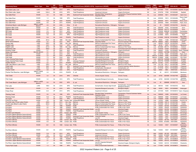| <b>Waterbody Name</b>                                           | <b>Water Type</b>                  | <b>Size</b>   | AU<br>Categon | <b>Cycle</b><br>Listed | <b>Source</b>                 | Pollutant/Cause (WDNR & EPA) Impairment (WDNR)       |                                                                | <b>Observed Effect (EPA)</b>                                  | Listing<br>Category | TMDL<br><b>Priority</b> | <b>WBIC</b>        | <b>WDNF</b><br>AU ID | <b>EPA AU ID</b>         | <b>Counties</b>                 |
|-----------------------------------------------------------------|------------------------------------|---------------|---------------|------------------------|-------------------------------|------------------------------------------------------|----------------------------------------------------------------|---------------------------------------------------------------|---------------------|-------------------------|--------------------|----------------------|--------------------------|---------------------------------|
| Eau Claire Lake, Low                                            | LAKE                               | 784.4         | 5W            | 2014                   | <b>NPS</b>                    | <b>Total Phosphorus</b>                              | <b>Impairment Unknown</b>                                      | <b>Organic Enrichment</b>                                     | 5W                  | Low                     | 2741600            | 17091                |                          | WI10005965 Bayfield, Douglas    |
| Eau Claire Lake, Upper                                          | LAKE                               | 1024.4        | 5W            | 2018                   | <b>NPS</b>                    | <b>Total Phosphorus</b>                              | <b>Impairment Unknown</b>                                      | Organic Enrichment                                            | 5W                  | Low                     | 2742700            | 17095                | WI10005480               | Bayfield                        |
| <b>Eau Galle River</b>                                          | <b>RIVER</b>                       | 5.5           | 5A            | 1998                   | <b>NPS</b>                    | Sediment/Total Suspended Solids                      | Elevated Water Temperature,<br><b>Degraded Habitat</b>         | Temperature, Physical Substrate Habitat<br>Alterations        | 5A                  | Low                     | 2055000            | 15611                | WI10004287               | <b>Saint Croix</b>              |
| Eau Galle River                                                 | <b>RIVER</b>                       | 1.2           | 5A            | 1998                   | <b>NPS</b>                    | <b>Total Phosphorus</b>                              | Elevated pH                                                    | pH                                                            | 5A                  | Low                     | 2055000            | 15610                | WI10004286               | Pierce, Saint<br>Croix          |
| <b>Eau Galle River</b>                                          | <b>RIVER</b>                       | 12.8          | 5P            | 2020                   | <b>PS/NPS</b>                 | <b>Total Phosphorus</b>                              | <b>Impairment Unknown</b>                                      | <b>Organic Enrichment</b>                                     | 5P                  | Low                     | 2055000            | 18771                | WI10029262               | Pierce, Dunn                    |
| Eau Galle River                                                 | <b>RIVER</b><br><b>GREAT LAKES</b> | 8.8           | 5P            | 2014                   | PS/NPS                        | <b>Total Phosphorus</b>                              | <b>Impairment Unknown</b>                                      | <b>Organic Enrichment</b>                                     | 5P                  | Low                     | 2055000            | 15608                | WI10029263               | Pepin, Dunn                     |
| Eichelman Beach, Lake Michigan                                  | <b>BEACH</b>                       | 0.6           | 5W            | 2006                   | Other                         | E. coli                                              | Recreational Restrictions - Pathogens                          | Pathogens                                                     | 5W                  | Low                     | 20                 | 1452637              | WI10024764               | Kenosha                         |
| Eighteen Mile Creek<br><b>Eighteen Mile Creek</b>               | <b>RIVER</b><br><b>RIVER</b>       | 4.8<br>0.7    | 5W<br>5W      | 2012<br>2012           | <b>NPS</b><br><b>NPS</b>      | <b>Total Phosphorus</b><br><b>Total Phosphorus</b>   | <b>High Phosphorus Levels</b><br><b>High Phosphorus Levels</b> | <b>Organic Enrichment</b><br><b>Organic Enrichment</b>        | 5W<br>5W            | Low<br>Low              | 2082400<br>2082400 | 15742<br>1527717     | WI10004384<br>WI10025426 | Dunn<br>Dunn                    |
| Elk Creek                                                       | <b>RIVER</b>                       | 0.3           | 5A            | 2012                   | <b>NPS</b>                    | <b>Total Phosphorus</b>                              | <b>High Phosphorus Levels</b>                                  | Organic Enrichment                                            | 5A                  | Low                     | 1782500            |                      | 5688228 WI10036680       | Trempealeau                     |
| <b>Elk Creek</b>                                                | <b>RIVER</b>                       | 20.8          | 5A            | 2012                   | <b>PS/NPS</b>                 | <b>Total Phosphorus</b>                              | <b>High Phosphorus Levels</b>                                  | <b>Organic Enrichment</b>                                     | 5A                  | Low                     | 1782500            | 14380                | WI10037040               | rempealeau                      |
| <b>Elk Creek</b>                                                | <b>RIVER</b>                       | 4.0           | 5A            | 2012                   | <b>NPS</b>                    | <b>Total Phosphorus</b>                              | <b>High Phosphorus Levels</b>                                  | Organic Enrichment                                            | 5A                  | Low                     | 2120800            | 16075                | WI10004656               | Dunn                            |
| <b>Elk Creek</b>                                                | <b>RIVER</b>                       | 16.4          | 5A            | 2020                   | <b>PS/NPS</b>                 | <b>Total Phosphorus</b>                              | <b>High Phosphorus Levels</b>                                  | <b>Organic Enrichment</b>                                     | 5A                  | Low                     | 2120800            | 1456184              | WI10023596               | Eau Claire,<br>Chippewa         |
| <b>Elkhart Lake</b>                                             | LAKE                               | 291.6         | 5B            | 1998                   | Atm. Dep                      | Mercury                                              | Mercury Contaminated Fish Tissue                               | Mercury in Fish Tissue                                        | 5B                  | Low                     | 59300              | 11365                | WI10001225               | Sheboygan                       |
| Elmer School Branch                                             | <b>RIVER</b>                       | 4.0           | 5A            | 2014                   | <b>NPS</b>                    | Sediment/Total Suspended Solids                      | <b>Degraded Habitat</b>                                        | <b>Physical Substrate Habitat Alterations</b>                 | 5A                  | Medium                  | 880600             | 18527                | WI10006439               | Green<br>Oneida                 |
| Emma Lake<br><b>English Lake</b>                                | LAKE<br>LAKE                       | 226.5<br>48.0 | 5B<br>5P      | 1998<br>2018           | Atm. Dep<br><b>NPS</b>        | Mercury<br><b>Total Phosphorus</b>                   | Mercury Contaminated Fish Tissue<br><b>Impairment Unknown</b>  | Mercury in Fish Tissue<br><b>Organic Enrichment</b>           | 5B<br>5P            | Low<br>High             | 983500<br>68100    | 128745<br>9878       | WI10007843<br>WI10000141 | Manitowoc                       |
| English Lake                                                    | LAKE                               | 231.6         | 5B            | 1998                   | Atm. Dep.                     | Mercury                                              | Mercury Contaminated Fish Tissue                               | Mercury in Fish Tissue                                        | 5B                  | Low                     | 2914800            | 891177               | WI10008923               | Ashland                         |
| <b>Enterprise Lake</b>                                          | LAKE                               | 508.8         | 5A            | 2014                   | <b>NPS</b>                    | Unknown Pollutant                                    | <b>Excess Algal Growth</b>                                     | Nutrient/Eutrophication Biological Indicators                 | 5A                  | Low                     | 1579700            | 127847               | WI10007042               | Langlade                        |
| Erickson Creek                                                  | <b>RIVER</b>                       | 5.7           | 5P            | 2020                   | <b>NPS</b>                    | <b>Total Phosphorus</b>                              | <b>Impairment Unknown</b>                                      | Organic Enrichment                                            | 5P                  | Low                     | 906200             | 13708                | WI10002852               | een, Lafayett<br>Gn             |
| <b>Esther Park Beach</b>                                        | <b>INLAND BEACH</b>                | 0.2           | 5A            | 2014                   | <b>NPS</b>                    | E. coli                                              | Recreational Restrictions - Pathogens                          | Pathogens                                                     | 5A                  | Low                     | 804600             | 1487996              | WI10024785               | Dane                            |
| <b>Fall Creek</b><br>Fall Creek                                 | <b>RIVER</b><br><b>RIVER</b>       | 8.2<br>3.4    | 5A<br>5W      | 2018<br>2016           | <b>NPS</b><br><b>PS/NPS</b>   | Total Phosphorus<br><b>Total Phosphorus</b>          | <b>High Phosphorus Levels</b><br><b>High Phosphorus Levels</b> | Organic Enrichment<br><b>Organic Enrichment</b>               | 5A<br>5W            | Low<br>Medium           | 2116700<br>2129900 | 16342<br>16095       | WI10004856<br>WI10004669 | Pepin, Dunn<br>Eau Claire       |
| Fall Creek                                                      | <b>RIVER</b>                       | 7.3           | 5W            | 2016                   | <b>NPS</b>                    | <b>Total Phosphorus</b>                              | <b>High Phosphorus Levels</b>                                  | <b>Organic Enrichment</b>                                     | 5W                  | Medium                  | 2129900            | 16096                | WI10024641               | Eau Claire                      |
| Faxon (Central Park) Creek                                      | <b>RIVER</b>                       | 3.2           | 5A            | 2020                   | <b>NPS</b>                    | E. coli                                              | Recreational Restrictions - Pathogens                          | Pathogens                                                     | 5A                  | Low                     | 2843700            | 1525909              | WI10025412               | Douglas                         |
| Faxon (Central Park) Creek                                      | <b>RIVER</b>                       | 3.2           | 5A            | 2014                   | <b>NPS</b>                    | Unknown Pollutan                                     | Degraded Biological Community                                  | <b>Biological Integrity</b>                                   | 5A                  | Low                     | 2843700            |                      | 1525909 WI10025412       | Douglas                         |
| Feather Branch                                                  | <b>RIVER</b>                       | 5.0           | 5A            | 2016                   | <b>PS/NPS</b>                 | <b>Total Phosphorus</b>                              | <b>Degraded Biological Community</b>                           | <b>Biological Integrity</b>                                   | 5A                  | Medium                  | 917400             | 13776                | WI10002890               | Lafayette                       |
| Fifth Lake (Moen's Lake Chain <sup>:</sup>                      | LAKE                               | 238.0         | 5B            | 2014                   | Atm. Dep                      | Mercury                                              | Mercury Contaminated Fish Tissue                               | Mercury in Fish Tissue                                        | 5B                  | Low                     | 1571100            | 128111               | WI10007280               | Oneida                          |
| <b>Finley Lake</b>                                              | LAKE                               | 58.0          | 5A            | 1998                   | <b>NPS</b>                    | Sediment/Total Suspended Solids                      | <b>Degraded Habitat</b>                                        | <b>Physical Substrate Habitat Alterations</b>                 | 5A                  | Low                     | 2175700            | 16273                | WI10004800               | Chippewa                        |
| <b>Finley Lake</b><br><b>Fischer Creek</b>                      | LAKE<br><b>RIVER</b>               | 58.0<br>8.8   | 5A<br>5P      | 1998<br>2020           | <b>NPS</b><br><b>NPS</b>      | <b>Total Phosphorus</b><br><b>Total Phosphorus</b>   | Eutrophication, Elevated pH<br><b>Impairment Unknown</b>       | Eutrophication, pH<br><b>Organic Enrichment</b>               | 5A<br>5P            | Low<br>High             | 2175700<br>65800   | 16273<br>9863        | WI10004800<br>WI6970300  | Chippewa<br>Manitowoc           |
| Fischer Park Beaches, Lake Michigan                             | <b>GREAT LAKES</b><br><b>BEACH</b> | 0.9           | 5A            | 2016                   | PS/NPS                        | E. coli                                              | Recreational Restrictions - Pathogens Pathogens                |                                                               | 5A                  | Low                     | 20                 | 481811               | WI10008806               | Manitowoc                       |
| <b>Fish Creek</b>                                               | <b>RIVER</b>                       | 3.4           | 5A            | 2018                   | <b>NPS</b>                    | Chloride                                             | <b>Chronic Aquatic Toxicity</b>                                | <b>Chronic Toxicity</b>                                       | 5A                  | Low                     | 44700              | 3924909              | WI10027788               | Ozaukee,<br>Milwaukee           |
| <b>Fish Creek</b>                                               | <b>RIVER</b>                       | 3.4           | 5A            | 2014                   | <b>NPS</b>                    | <b>Total Phosphorus</b>                              | Degraded Biological Community                                  | <b>Biological Integrity</b>                                   | 5A                  | Low                     | 44700              |                      | 3924909 WI10027788       | Ozaukee                         |
| Fish Creek Beach, Lake Michigan                                 | <b>GREAT LAKES</b>                 | 0.0           | 5A            | 2022                   | <b>NPS</b>                    | E. coli                                              | Recreational Restrictions - Pathogens                          | Pathogens                                                     | 5A                  | Low                     | 20                 |                      | 3896985 WI10027173       | Milwaukee<br>Door               |
| Fish Lake                                                       | <b>BEACH</b><br>LAKE               | 198.6         | 5A            | 2016                   | <b>NPS</b>                    | <b>Total Phosphorus</b>                              | Eutrophication, Excess Algal Growth                            | Eutrophication, Nutrient/Eutrophication                       | 5A                  | Low                     | 985100             | 13490                | WI10002702               | Dane                            |
|                                                                 | <b>RIVER</b>                       | 4.4           |               |                        | <b>NPS</b>                    |                                                      |                                                                | <b>Biological Indicators</b>                                  | 5A                  |                         |                    |                      |                          |                                 |
| <b>Fisher Creek</b>                                             |                                    |               | 5A            | 2016                   |                               | <b>Total Phosphorus</b>                              | <b>Degraded Biological Community</b>                           | <b>Biological Integrity</b>                                   |                     | High                    | 62500              | 18021                | WI10006065               | Sheboygan                       |
| <b>Fisher River</b>                                             | <b>RIVER</b>                       | 32.4          | 5P            | 2014                   | <b>NPS</b>                    | <b>Total Phosphorus</b>                              | Impairment Unknown<br>Elevated Water Temperature,              | Organic Enrichment<br>Temperature, Physical Substrate Habitat | 5P                  | Low                     | 2181500            | 16294                |                          | WI10004818 Taylor, Chippewa     |
| <b>Fleming Creek</b>                                            | <b>RIVER</b>                       | 9.6           | 5A            | 1998                   | <b>NPS</b>                    | Sediment/Total Suspended Solids                      | <b>Degraded Habitat</b>                                        | Alterations                                                   | 5A                  | Low                     | 1685600            | 14066                | WI10003054               | La Crosse                       |
| Fleming Creek                                                   | <b>RIVER</b>                       | 10.0          | 5A            | 2012                   | PS/NPS                        | <b>Total Phosphorus</b>                              | <b>High Phosphorus Levels</b>                                  | Organic Enrichment                                            | 5A                  | Low                     | 1685600            | 14065                | WI10003053               | La Crosse                       |
| <b>Fly Creek</b><br>Fond Du Lac River                           | <b>RIVER</b><br><b>RIVER</b>       | 7.2<br>1.6    | 5A<br>5A      | 2022<br>1998           | <b>NPS</b><br>Contam. Sed.    | <b>Total Phosphorus</b><br><b>Unspecified Metals</b> | <b>High Phosphorus Levels</b><br>Chronic Aquatic Toxicity      | <b>Organic Enrichment</b><br><b>Chronic Toxicity</b>          | 5A<br>5A            | Low<br>Low              | 1792600<br>133700  | 14395<br>10989       | WI10003287<br>WI10000946 | Trempealeau<br>Fond du Lac      |
| Fourmile Lake (Three Lakes Chain)                               | LAKE                               | 209.6         | 5B            | 2012                   | Atm. Dep                      | Mercury                                              | <b>Mercury Contaminated Fish Tissue</b>                        | Mercury in Fish Tissue                                        | 5B                  | Low                     | 1610800            | 128114               | WI10007283               | Oneida                          |
| Fourth Lake (Moen's Lake Chain)                                 | LAKE                               | 253.0         | 5B            | 2014                   | Atm. Dep                      | Mercury                                              | Mercury Contaminated Fish Tissue                               | Mercury in Fish Tissue                                        | 5B                  | Low                     | 1572000            | 128115               | WI10007284               | Oneida                          |
| Fox River                                                       | <b>RIVER</b>                       | 7.1           | 5A            | 1998                   | <b>PS/NPS</b>                 | <b>PCBs</b>                                          | <b>PCBs Contaminated Fish Tissue</b>                           | PCBs in Fish Tissue                                           | 5A                  | Low                     | 742500             | 424184               | WI10008640               | Waukesha                        |
| Fox River                                                       | <b>RIVER</b>                       | 9.5           | 5A            | 1998                   | <b>PS/NPS</b>                 | PCBs                                                 | PCBs Contaminated Fish Tissue                                  | PCBs in Fish Tissue                                           | 5A                  | Low                     | 742500             | 424225               | WI10026438               | Waukesha                        |
| <b>Fox River</b>                                                | <b>RIVER</b>                       | 7.1           | 5A            | 1998                   | <b>PS/NPS</b>                 | Sediment/Total Suspended Solids                      | Low DO                                                         | <b>Dissolved Oxygen</b>                                       | 5A                  | High                    | 742500             | 424184               | WI10008640               | Waukesha                        |
| Fox River                                                       | <b>RIVER</b>                       | 7.1<br>0.5    | 5A            | 1998                   | <b>PS/NPS</b>                 | <b>Total Phosphorus</b>                              | Low DO                                                         | Dissolved Oxygen                                              | 5A                  | High                    | 742500             | 424184               | WI10008640               | Waukesha                        |
| Fox River (At Oshkosh)<br>Fox River (Below Barstow Impoundment) | <b>RIVER</b><br><b>RIVER</b>       | 3.9           | 5A<br>5A      | 2004<br>1998           | Contam. Sed.<br><b>PS/NPS</b> | PAHs<br>PCBs                                         | <b>Acute Aquatic Toxicity</b><br>PCBs Contaminated Fish Tissue | Toxicity<br>PCBs in Fish Tissue                               | 5A<br>5A            | Low<br>Low              | 117900<br>742500   | 352759<br>10461      | WI10008466<br>WI10000556 | Winnebago<br>Waukesha           |
| Fox River (Below Barstow Impoundment)                           | <b>RIVER</b>                       | 3.9           |               | 1998                   | PS/NPS                        | Sediment/Total Suspended Solids                      | Degraded Habitat                                               | <b>Physical Substrate Habitat Alterations</b>                 | 5A                  | High                    | 742500             | 10461                | WI10000556               | Waukesha                        |
| Fox River (Below Barstow Impoundment)                           | <b>RIVER</b>                       | 3.9           | 5A            | 1998                   | PS/NPS                        | <b>Total Phosphorus</b>                              | Low DO                                                         | Dissolved Oxygen                                              | 5A                  | High                    | 742500             | 10461                | WI10000556               | Waukesha                        |
| Fox River (Illinois)                                            | <b>RIVER</b>                       | 13.4          | 5A            | 1998                   | Contam, Sed. PCBs             |                                                      | <b>PCBs Contaminated Fish Tissue</b>                           | PCBs in Fish Tissue                                           | 5A                  | Low                     | 742500             | 481165               | WI8103691                | Waukesha                        |
| Fox River (Illinois)                                            | <b>RIVER</b>                       | 6.8           | 5A            | 1998                   | Contam. Sed. PCBs             |                                                      | PCBs Contaminated Fish Tissue                                  | PCBs in Fish Tissue                                           | 5A                  | Low                     | 742500             |                      | 8103693 WI8103694        | Waukesha                        |
| Fox River (Illinois)                                            | <b>RIVER</b>                       | 38.1          | 5A            | 1998                   | Contam, Sed. PCBs             |                                                      | PCBs Contaminated Fish Tissue                                  | PCBs in Fish Tissue                                           | 5A                  | Low                     | 742500             | 10507                | WI10000597               | Racine,<br>Waukesha,<br>Kenosha |
| Fox River (Illinois)                                            | <b>RIVER</b>                       | 38.1          | 5A            | 2012                   | <b>PS/NPS</b>                 | <b>Total Phosphorus</b>                              | Degraded Biological Community                                  | <b>Biological Integrity</b>                                   | 5A                  | High                    | 742500             | 10507                | WI10000597               | Racine,<br>Waukesha,<br>Kenosha |
| Fox River (Illinois)                                            | <b>RIVER</b>                       | 13.4          | 5A            | 2014                   | <b>NPS</b>                    | <b>Total Phosphorus</b>                              | <b>Impairment Unknown</b>                                      | <b>Organic Enrichment</b>                                     | 5P                  | High                    | 742500             | 481165               | WI8103691                | Waukesha                        |
| Fox River (Illinois)                                            | <b>RIVER</b>                       | 6.8           | 5A            | 2014                   | PS/NPS                        | <b>Total Phosphorus</b>                              | Impairment Unknown                                             | Organic Enrichment                                            | 5P                  | High                    | 742500             | 8103693              | WI8103694                | Waukesha                        |
| Fox River At Buffalo Lake                                       | LAKE                               | 2178.9        | 5A            | 1998                   | Contam. Sed.                  | PCBs                                                 | <b>PCBs Contaminated Fish Tissue</b>                           | PCBs in Fish Tissue                                           | 5A                  | Low                     | 168000             | 11083                | WI10001014               | Marquette                       |
| Fox River, Upper Barstow Impoundment                            | <b>RIVER</b>                       | 3.7           | 5A            | 1998                   | PS/NPS                        | PCBs                                                 | PCBs Contaminated Fish Tissue                                  | PCBs in Fish Tissue                                           | 5A                  | Low                     | 742500             | 424143               | WI10008639               | Waukesha                        |
| Fox River, Upper Barstow Impoundment                            | <b>RIVER</b>                       | 3.7           | 5A            | 1998                   | <b>PS/NPS</b>                 | Sediment/Total Suspended Solids                      | Low DO                                                         | <b>Dissolved Oxygen</b>                                       | 5A                  | High                    | 742500             |                      | 424143 WI10008639        | Waukesha                        |
| Fox River, Upper Barstow Impoundment                            | <b>RIVER</b>                       | 3.7           | 5A            | 1998                   | <b>PS/NPS</b>                 | <b>Total Phosphorus</b>                              | Low DO, Degraded Biological<br>Community                       | Dissolved Oxygen, Biological Integrity                        | 5A                  | High                    | 742500             |                      | 424143 WI10008639        | Waukesha                        |
| Frame Park Creek                                                | <b>RIVER</b>                       | 1.3           | 5A            | 1998                   | <b>NPS</b>                    | PAHs                                                 | <b>PAHs Contaminated Sediments</b>                             | PAHs in Sediment                                              | 5A                  | Low                     | 771650             |                      | 424708 WI10008674        | Waukesha                        |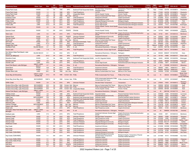| <b>Waterbody Name</b>                               | <b>Water Type</b>                      | <b>Size</b> | AU<br>Categon | Cycle<br>Listed | <b>Source</b>        | Pollutant/Cause (WDNR & EPA) Impairment (WDNR) |                                                                                   | <b>Observed Effect (EPA)</b>                                                 | Listing<br>Category | <b>TMDL</b><br>Priority | <b>WBIC</b> | WDNR<br>AU ID | EPA AU ID                  | <b>Counties</b>                |
|-----------------------------------------------------|----------------------------------------|-------------|---------------|-----------------|----------------------|------------------------------------------------|-----------------------------------------------------------------------------------|------------------------------------------------------------------------------|---------------------|-------------------------|-------------|---------------|----------------------------|--------------------------------|
| Frame Park Creek                                    | <b>RIVER</b>                           | 1.3         | 5A            | 1998            | <b>NPS</b>           | Sediment/Total Suspended Solids                | Elevated Water Temperature,<br>Degraded Habitat                                   | Temperature, Physical Substrate Habitat<br>Alterations                       | 5A                  | High                    | 771650      |               | 424708 WI10008674          | Waukesha                       |
| <b>Frame Park Creek</b>                             | <b>RIVER</b>                           | 1.3         | 5A            | 1998            | <b>NPS</b>           | <b>Total Phosphorus</b>                        | Low DO                                                                            | <b>Dissolved Oxygen</b>                                                      | 5A                  | High                    | 771650      | 424708        | WI10008674                 | Waukesha                       |
| Frame Park Creek                                    | RIVER                                  | 1.3         | 5A            | 1998            | <b>NPS</b>           | <b>Unspecified Metals</b>                      | Chronic Aquatic Toxicity                                                          | <b>Chronic Toxicity</b>                                                      | 5A                  | Low                     | 771650      | 424708        | WI10008674                 | Waukesha                       |
| <b>Franklin Lake</b>                                | LAKE                                   | 159.2       | 5B            | 1998            | Atm. Dep             | Mercury                                        | Mercury Contaminated Fish Tissue                                                  | Mercury in Fish Tissue                                                       | 5B                  | Low                     | 986000      |               | 128117 WI10026427          | Oneida                         |
| Frederick Creek                                     | <b>RIVER</b>                           | 2.0         | 5P            | 2022            | <b>NPS</b>           | <b>Total Phosphorus</b>                        | Impairment Unknown                                                                | Organic Enrichment                                                           | 5P                  | Low                     | 2152900     | 16178         | WI10004722                 | Chippewa                       |
| French Creek                                        | <b>RIVER</b>                           | 6.3         | 5A            | 2020            | <b>NPS</b>           | <b>Total Phosphorus</b>                        | <b>High Phosphorus Levels</b>                                                     | <b>Organic Enrichment</b>                                                    | 5A                  | Low                     | 1679500     | 14086         | WI10010463                 | Trempealeau                    |
| Friday Creek                                        | <b>RIVER</b>                           | 2.24        | 5W            | 2014            | <b>NPS</b>           | <b>Total Phosphorus</b>                        | Degraded Biological Community                                                     | <b>Biological Integrity</b>                                                  | 5W                  | Low                     | 2618200     | 16488         | WI1000497                  | Polk                           |
| <b>Friendship Lake</b>                              | LAKE                                   | 124.9       | 5A            | 2014            | <b>NPS</b>           | <b>Unknown Pollutant</b>                       | <b>Excess Algal Growth</b>                                                        | Nutrient/Eutrophication Biological Indicators                                | 5A                  | Low                     | 1352000     | 424108        | WI10008634                 | Adams                          |
| <b>Friess Lake</b>                                  | LAKE                                   | 121.5       | 5A            | 2016            | <b>NPS</b>           | <b>Total Phosphorus</b>                        | <b>Excess Algal Growth</b>                                                        | Nutrient/Eutrophication Biological Indicators                                | 5A                  | Low                     | 853200      | 11510         | WI10007980                 | Washington                     |
| <b>Galloway Creek</b>                               | <b>RIVER</b>                           | 2.6         | 5A            | 2016            | <b>NPS</b>           | Chloride                                       | Chronic Aquatic Toxicity, Acute Aquatic<br><b>Toxicity</b>                        | <b>Chronic Toxicity, Toxicity</b>                                            | 5A                  | Low                     | 2065700     |               | 3990988 WI10028522         | Dunn                           |
| Garners Creek                                       | <b>RIVER</b>                           | 7.0         | 5W            | 2016            | <b>PS/NPS</b>        | Chloride                                       | <b>Chronic Aquatic Toxicity</b>                                                   | <b>Chronic Toxicity</b>                                                      | 5W                  | Low                     | 127700      | 10845         | WI10000839                 | Calumet<br>Outagamie           |
| Gass Lake                                           | LAKE                                   | 6.0         | 5W            | 2016            | <b>NPS</b>           | <b>Total Phosphorus</b>                        | High Phosphorus Levels, Excess Algal<br>Growth                                    | Organic Enrichment, Nutrient/Eutrophication<br><b>Biological Indicators</b>  | 5W                  | High                    | 67100       | 9870          | WI10000133                 | Manitowoc                      |
| Gelena River                                        | <b>RIVER</b>                           | 32.6        | 5A            | 2016            | <b>PS/NPS</b>        | <b>Unknown Pollutant</b>                       | <b>Degraded Biological Community</b>                                              | <b>Biological Integrity</b>                                                  | 5A                  | Low                     | 935500      | 13833         | WI10002922                 | Lafayette                      |
| German Creek                                        | <b>RIVER</b>                           | 7.2         | 5W            | 2018            | <b>NPS</b>           | <b>Total Phosphorus</b>                        | <b>High Phosphorus Levels</b>                                                     | <b>Organic Enrichment</b>                                                    | 5W                  | Low                     | 2094900     | 15820         | WI10004440                 | Barron                         |
| Ghost Lake                                          | LAKE                                   | 384.1       | 5B            | 1998            | Atm. Dep             | Mercury                                        | Mercury Contaminated Fish Tissue                                                  | Mercury in Fish Tissue                                                       | 5B                  | Low                     | 2423000     | 15537         | WI10004224                 | Sawyer                         |
| <b>Gill Creek</b>                                   | <b>RIVER</b>                           | 6.3         | 5A            | 2006            | <b>NPS</b>           | Ammonia (Unionized) - Toxin                    | <b>Acute Aquatic Toxicity</b>                                                     | Toxicity                                                                     | 5A                  | Low                     | 861700      | 11570         | WI10001389                 | Dodge                          |
| Gilmore Lake                                        | LAKE                                   | 371.4       | 5W            | 2014            | <b>NPS</b>           | <b>Total Phosphorus</b>                        | Impairment Unknown                                                                | Organic Enrichment                                                           | 5W                  | Low                     | 2695800     | 17283         | WI10005638                 | Washburn                       |
| Goggle-Eye Creek                                    | <b>RIVER</b>                           | 7.2         | 5W            | 2018            | <b>PS/NPS</b>        | <b>Total Phosphorus</b>                        | <b>High Phosphorus Levels</b>                                                     | <b>Organic Enrichment</b>                                                    | 5W                  | Medium                  | 2148800     | 16158         | WI10026566                 | Clark                          |
| Goodland Park                                       | <b>INLAND BEACH</b>                    | 0.1         | 5A            | 2020            | <b>NPS</b>           | E. coli                                        | Recreational Restrictions - Pathogens                                             | Pathogens                                                                    | 5A                  | Low                     | 803700      |               | 1527156 WI10025763         | Dane                           |
| Goose Lake                                          | LAKE                                   | 11.9        | 5A            | 2016            | <b>NPS</b>           | <b>Total Phosphorus</b>                        | Eutrophication, Excess Algal Growth                                               | Eutrophication, Nutrient/Eutrophication<br><b>Biological Indicators</b>      | 5A                  | Medium                  | 872600      |               | 902174 WI10009843          | Dane                           |
| Gov Nelson State Park Beach. Lake<br>Mendota        | <b>INLAND BEACH</b>                    | 0.1         | 5A            | 2022            | <b>NPS</b>           | E. coli                                        | Recreational Restrictions - Pathogens                                             | Pathogens                                                                    | 5A                  | Low                     | 805400      |               | 3896257 WI10027095         | Dane                           |
| Grand Lak (Millpond)                                | LAKE                                   | 241.9       | 5P            | 2022            | <b>NPS</b>           | <b>Total Phosphorus</b>                        | <b>Impairment Unknown</b>                                                         | <b>Organic Enrichment</b>                                                    | 5P                  | Low                     | 161100      | 10696         | WI10000737                 | <b>Green Lake</b>              |
| Grandma Creek                                       | <b>RIVER</b>                           | 4.8         | 5A            | 1998            | <b>NPS</b>           | Sediment/Total Suspended Solids                | Low DO, Degraded Habitat                                                          | Dissolved Oxygen, Physical Substrate<br><b>Habitat Alterations</b>           | 5A                  | High                    | 62400       | 480998        | WI10008796                 | Sheboygan                      |
| Grandma Creek                                       | <b>RIVER</b>                           | 4.8         | 5A            | 1998            | <b>NPS</b>           | <b>Total Phosphorus</b>                        | Low DO                                                                            | <b>Dissolved Oxygen</b>                                                      | 5A                  | High                    | 62400       | 480998        | WI10008796                 | Sheboygan                      |
| Granite Lake                                        | LAKE                                   | 154.9       | 5W            | 2014            | <b>NPS</b>           | Unknown Pollutant                              | <b>Excess Algal Growth</b>                                                        | Nutrient/Eutrophication Biological Indicators                                | 5W                  | Low                     | 2100800     | 15877         | WI10004488                 | Barron                         |
| Grant Park Beach, Lake Michigan                     | <b>GREAT LAKES</b><br><b>BEACH</b>     | 0.7         | 5A            | 2006            | Other                | E. coli                                        | <b>Recreational Restrictions - Pathogens</b>                                      | Pathogens                                                                    | 5A                  | Low                     | 20          | 1452696       | WI10023513                 | Milwaukee                      |
| <b>Grant River</b>                                  | <b>RIVER</b>                           | 18.9        | 5P            | 2014            | <b>NPS</b>           | <b>Total Phosphorus</b>                        | Impairment Unknown                                                                | <b>Organic Enrichment</b>                                                    | 5P                  | Low                     | 956000      | 13901         | WI6901613                  | Grant                          |
| <b>Grant River</b>                                  | <b>RIVER</b>                           | 7.1         | 5P            | 2014            | <b>NPS</b>           | <b>Total Phosphorus</b>                        | <b>Impairment Unknown</b>                                                         | <b>Organic Enrichment</b>                                                    | 5P                  | Low                     | 956000      |               | 6901615 WI6901616          | Grant                          |
| Greater Bass Lake                                   | LAKE                                   | 244.1       | 5B            | 1998            | Atm. Dep             | Mercury                                        | Mercury Contaminated Fish Tissue                                                  | Mercury in Fish Tissue                                                       | 5B                  | Low                     | 1445500     | 127855        | WI10026686                 | Langlade                       |
|                                                     |                                        |             |               |                 |                      |                                                |                                                                                   |                                                                              |                     |                         |             |               |                            | Brown, Door                    |
| Green Bay (GI Shoreline)                            | <b>GREAT LAKES</b><br><b>SHORELINE</b> | 131.2       | 5A            | 1998            | Contam, Sed. PCBs    |                                                | <b>PCBs Contaminated Fish Tissue</b>                                              | PCBs in Fish Tissue                                                          | 5A                  | Low                     | 70          | 483034        | WI10008823                 | Kewaunee.<br>Oconto, Marinette |
| Green Bay (Inner Bay, Aoc)                          | <b>BAY/HARBOR</b>                      | 13867.4     | 5A            | 1998            | Contam. Sed. PCBs    |                                                | PCB Contaminated Sediments, PCBs<br><b>Contaminated Fish Tissue</b>               | PCBs in Sediment, PCBs in Fish Tissue                                        | 5A                  | Low                     | 70          | 357876        | WI10008497                 | Brown                          |
| <b>Griffin Creek</b>                                | <b>RIVER</b>                           | 2.8         | 5A            | 2016            | <b>NPS</b>           | <b>Unknown Pollutant</b>                       | <b>Elevated Water Temperature</b>                                                 | Temperature                                                                  | 5A                  | Low                     | 279000      | 10403         | WI10000512                 | Waupaca,<br>Portage            |
| Grubers Grove Bay, Lake Wisconsin                   | <b>BAY/HARBOR</b>                      | 25.0        | 5A            | 1998            | Contam. Sed. Mercury |                                                | Mercury Contaminated Fish Tissue                                                  | Mercury in Fish Tissue                                                       | 5A                  | Low                     | 1260600     | 887849        | WI10008869                 | Sauk                           |
| Grubers Grove Bay, Lake Wisconsin                   | <b>BAY/HARBOR</b>                      | 25.0        | 5A            | 1998            | Contam. Sed. PCBs    |                                                | <b>PCBs Contaminated Fish Tissue</b>                                              | PCBs in Fish Tissue                                                          | 5A                  | Low                     | 1260600     | 887849        | WI10008869                 | Sauk                           |
| Grubers Grove Bay, Lake Wisconsin                   | BAY/HARBOR                             | 25.0        | 5A            | 2006            |                      | Contam. Sed. Unspecified Metals                | <b>Chronic Aquatic Toxicity</b>                                                   | Chronic Toxicity                                                             | 5A                  | Low                     | 1260600     | 887849        | WI10008869                 | Sauk                           |
| Haines Park Beach, Lake Michigan                    | <b>GREAT LAKES</b><br><b>BEACH</b>     | 0.1         | 5A            | 2022            | <b>NPS</b>           | E. coli                                        | Recreational Restrictions - Pathogens                                             | Pathogens                                                                    | 5A                  | Low                     | 20          | 3897039       | WI10027175                 | Door                           |
| Halfway Creek                                       | <b>RIVER</b>                           | 3.9         | 5A            | 1998            | <b>NPS</b>           | Sediment/Total Suspended Solids                | <b>Degraded Habitat</b>                                                           | Physical Substrate Habitat Alterations                                       | 5A                  | Low                     | 1676000     | 14056         | WI10003044                 | La Crosse                      |
| Halfway Prairie Creek                               | <b>RIVER</b>                           | 8.0         | 5A            | 2016            | <b>PS/NPS</b>        | <b>Unknown Pollutant</b>                       | <b>Degraded Biological Community</b>                                              | <b>Biological Integrity</b>                                                  | 5A                  | Low                     | 1248800     | 13478         | WI10002693                 | Dane                           |
| Hallie Lake                                         | <b>IMPOUNDMENT</b>                     | 78.6        | 5A            | 1998            | <b>NPS</b>           | Sediment/Total Suspended Solids                | Degraded Habitat                                                                  | Physical Substrate Habitat Alterations                                       | 5A                  | Low                     | 2150200     | 18837         | WI10006673                 | Chippewa                       |
| Halls Branch                                        | <b>RIVER</b>                           | 3.2         | 5A            | 1998            | <b>NPS</b>           | Sediment/Total Suspended Solids                | <b>Degraded Habitat</b>                                                           | <b>Physical Substrate Habitat Alterations</b>                                | 5A                  | Low                     | 1184300     | 887220        | WI10008866                 | Crawford                       |
| Halls Creek                                         | <b>RIVER</b>                           | 13.2        | 5P            | 2014            | <b>PS/NPS</b>        | <b>Total Phosphorus</b>                        | Impairment Unknown                                                                | Organic Enrichment                                                           | 5P                  | Low                     | 1710600     | 18612         | WI10006489                 | Jackson                        |
| Hancock Lake                                        | LAKE                                   | 258.6       | 5A            | 2014            | <b>NPS</b>           | Unknown Pollutant                              | <b>Excess Algal Growth</b>                                                        | Nutrient/Eutrophication Biological Indicators                                | 5A                  | Low                     | 1517900     | 128130        | WI10007295                 | Oneida                         |
| Harkner Flowage                                     | IMPOUNDMENT                            | 53.2        | 5B            | 1998            | Atm. Dep             | Mercury                                        | Mercury Contaminated Fish Tissue                                                  | Mercury in Fish Tissue                                                       | 5B                  | Low                     | 1704100     | 14169         | WI10026616                 | Jackson                        |
| Harper Lake, South                                  | LAKE                                   | 72.3        | 5B            | 1998            | Atm. Dep.            | Mercury                                        | <b>Mercury Contaminated Fish Tissue</b>                                           | Mercury in Fish Tissue                                                       | 5B                  | Low                     | 2204100     | 14618         | WI10003458                 | Taylor                         |
| Harpt Lake                                          | LAKE                                   | 32.2        | 5A            | 2016            | <b>NPS</b>           | <b>Total Phosphorus</b>                        | <b>High Phosphorus Levels</b>                                                     | Organic Enrichment                                                           | 5A                  | High                    | 84600       | 10149         | WI10000321                 | Manitowoc                      |
| Harrington State Park Beach North, Lake<br>Michigan | <b>GREAT LAKES</b><br><b>BEACH</b>     | 0.2         | 5A            | 2022            | <b>NPS</b>           | E. coli                                        | Recreational Restrictions - Pathogens                                             | Pathogens                                                                    | 5A                  | Low                     | 20          |               | 3899054 WI10027383         | Ozaukee                        |
| Hartlaub Lake                                       | LAKE                                   | 37.4        | 5W            | 2016            | <b>NPS</b>           | <b>Total Phosphorus</b>                        | Impairment Unknown, Excess Algal<br>Growth                                        | Organic Enrichment, Nutrient/Eutrophication<br><b>Biological Indicators</b>  | 5W                  | High                    | 67200       | 9871          | WI10000134                 | Manitowoc                      |
| Hartman Creek                                       | <b>RIVER</b>                           | 1.6         | 5A            | 2018            | <b>NPS</b>           | <b>Unknown Pollutant</b>                       | <b>Elevated Water Temperature</b>                                                 | Temperature                                                                  | 5A                  | Low                     | 263000      | 10298         | WI10000429                 | Waupaca                        |
| Harvey Creek                                        | <b>RIVER</b>                           | 3.3         | 5A            | 2020            | <b>NPS</b>           | <b>Total Phosphorus</b>                        | <b>High Phosphorus Levels</b>                                                     | Organic Enrichment                                                           | 5A                  | Low                     | 1819300     | 14486         | WI10034560                 | Buffalo                        |
| <b>Harvey Creek</b>                                 | <b>RIVER</b>                           | 3.6         | 5A            | 2020            | <b>NPS</b>           | <b>Total Phosphorus</b>                        | <b>High Phosphorus Levels</b>                                                     | <b>Organic Enrichment</b>                                                    | 5A                  | Low                     |             |               | 1819300 5514178 WI10034580 | Buffalo, Pepin                 |
| Harvey Creek                                        | <b>RIVER</b>                           | 1.5         | 5A            | 2016            | <b>NPS</b>           | Unknown Pollutant                              | Degraded Biological Community                                                     | <b>Biological Integrity</b>                                                  | 5A                  | Low                     | 1819300     |               | 5541777 WI10034601         | Buffalo                        |
| <b>Hawkinson Creek</b>                              | <b>RIVER</b>                           | 4.0         | 5A            | 2016            | <b>NPS</b>           | <b>Unknown Pollutant</b>                       | Degraded Biological Community                                                     | <b>Biological Integrity</b>                                                  | 5A                  | Low                     | 1785500     |               | 14386 WI10003282           | Trempealeau                    |
| Hay Creek                                           | <b>RIVER</b>                           | 8.3         | 5W            | 2014            | <b>NPS</b>           | <b>Total Phosphorus</b>                        | Impairment Unknown                                                                | <b>Organic Enrichment</b>                                                    | 5W                  | Low                     | 2133300     |               | 1453560 WI10023529         | Eau Claire<br>Chippewa         |
| Hay Creek                                           | <b>RIVER</b>                           | 13.1        | 5W            | 2014            | <b>NPS</b>           | <b>Total Phosphorus</b>                        | <b>Impairment Unknown</b>                                                         | <b>Organic Enrichment</b>                                                    | 5W                  | Low                     | 2133300     |               | 1453605 WI10023530         | Eau Claire                     |
| Hay Creek                                           | <b>RIVER</b>                           | 10.1        | 5P            | 2022            | <b>NPS</b>           | <b>Total Phosphorus</b>                        | Impairment Unknown                                                                | <b>Organic Enrichment</b>                                                    | 5P                  | Low                     | 2157700     | 16198         | WI10004740                 | Chippewa                       |
| Hay Creek (T25N R6W)                                | <b>RIVER</b>                           | 7.1         | 5W            | 2018            | <b>NPS</b>           | <b>Total Phosphorus</b>                        | <b>Degraded Biological Community</b>                                              | <b>Biological Integrity</b>                                                  | 5W                  | Low                     | 2131900     | 16110         | WI10024669                 | Eau Claire                     |
| Hay Creek (T25N R6W)                                | <b>RIVER</b>                           | 7.1         | 5W            | 2014            | <b>NPS</b>           | Unknown Pollutant                              | Degraded Biological Community,<br>Elevated Water Temperature,<br>Degraded Habitat | Biological Integrity, Temperature, Physical<br>Substrate Habitat Alterations | 5W                  | Low                     | 2131900     | 16110         | WI10024669                 | Eau Claire                     |
| Hay Creek (T28N, R5W)                               | <b>RIVER</b>                           | 5.1         | 5W            | 2014            | <b>NPS</b>           | <b>Total Phosphorus</b>                        | <b>Impairment Unknown</b>                                                         | <b>Organic Enrichment</b>                                                    | 5W                  | Low                     | 2133300     | 16116         | WI10004682                 | Chippewa                       |
| Hay Creek (T28n,R14w)                               | <b>RIVER</b>                           | 4.2         | 5P            | 2018            | <b>NPS</b>           | <b>Total Phosphorus</b>                        | Impairment Unknown                                                                | Organic Enrichment                                                           | 5P                  | Low                     | 2067000     | 15668         | WI10026180                 | Dunn                           |
| Hay River                                           | <b>RIVER</b>                           | 37.7        | 5W            | 2012            | <b>NPS</b>           | <b>Total Phosphorus</b>                        | <b>Impairment Unknown</b>                                                         | <b>Organic Enrichment</b>                                                    | 5W                  | Low                     | 2068600     | 15684         | WI10004344                 | Barron, Dunn                   |
| Hay River                                           | <b>RIVER</b>                           | 26.3        | 5W            | 2014            | PS/NPS               | <b>Total Phosphorus</b>                        | Impairment Unknown                                                                | Organic Enrichment                                                           | 5W                  | Low                     | 2068600     |               | 1500711 WI10025025         | Barron                         |
| <b>Hayden Creek</b>                                 | <b>RIVER</b>                           | 3.7         | 5A            | 2018            | <b>NPS</b>           | <b>Total Phosphorus</b>                        | <b>High Phosphorus Levels</b>                                                     | <b>Organic Enrichment</b>                                                    | 5A                  | Low                     | 1713600     |               | 14228 WI10003162           | Jackson                        |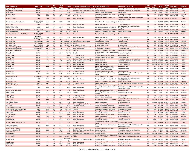| <b>Waterbody Name</b>                | <b>Water Type</b>                   | <b>Size</b> | AU<br>Categor | Cycle<br>Listed | <b>Source</b>            | Pollutant/Cause (WDNR & EPA) Impairment (WDNR)     |                                                                      | <b>Observed Effect (EPA)</b>                                                | <b>Listing</b><br>Category | <b>TMDL</b><br>Priority | <b>WBIC</b>       | <b>WDNR</b><br>AU ID | EPA AU ID                  | <b>Counties</b>                          |
|--------------------------------------|-------------------------------------|-------------|---------------|-----------------|--------------------------|----------------------------------------------------|----------------------------------------------------------------------|-----------------------------------------------------------------------------|----------------------------|-------------------------|-------------------|----------------------|----------------------------|------------------------------------------|
| Hefty Creek, Center Branch           | <b>RIVER</b>                        | 5.2         | 5A            | 2014            | <b>NPS</b>               | Sediment/Total Suspended Solids                    | <b>Degraded Habitat</b>                                              | Physical Substrate Habitat Alterations                                      | 5A                         | Medium                  | 882200            | 13643                | WI10002815                 | Green                                    |
| Hefty Creek, South Branch            | <b>RIVER</b>                        | 4.0         | 5A            | 2014            | <b>NPS</b>               | Sediment/Total Suspended Solids                    | <b>Degraded Habitat</b>                                              | <b>Physical Substrate Habitat Alterations</b>                               | 5A                         | Medium                  | 882000            | 13642                | WI10002814                 | Green                                    |
| Heins Creek                          | <b>RIVER</b>                        | 0.8         | 5C            | 2020            | <b>NPS</b>               | Unknown Pollutant                                  | <b>Elevated Water Temperature</b>                                    | Temperature                                                                 | 5C                         | Low                     | 98400             | 18081                | WI10006113                 | Door                                     |
| <b>Hemlock Lake</b>                  | LAKE                                | 38.0        | 5B            | 1998            | Atm. Dep.                | Mercury                                            | Mercury Contaminated Fish Tissue                                     | Mercury in Fish Tissue                                                      | 5B                         | Low                     | 989200            | 128137               | WI10008935                 | Oneida                                   |
| Hemlock Lake                         | LAKE                                | 29.6        | 5A            | 2012            | <b>NPS</b>               | <b>Total Phosphorus</b>                            | Impairment Unknown                                                   | Organic Enrichment                                                          | 5P                         | Low                     | 1853400           | 16230                | WI10004766                 | Chippewa                                 |
| <b>Hemlock Slough</b>                | LAKE                                | 22.3        | 5A            | 2016            | <b>NPS</b>               | <b>Total Phosphorus</b>                            | Impairment Unknown, Excess Algal<br>Growth                           | Organic Enrichment, Nutrient/Eutrophication<br><b>Biological Indicators</b> | 5A                         | Low                     | 1286100           | 424051               | WI10008627                 | Sauk                                     |
| Herbster Beach, Lake Superior        | <b>GREAT LAKES</b><br><b>BEACH</b>  | 0.3         | 5A            | 2022            | <b>NPS</b>               | E. coli                                            | Recreational Restrictions - Pathogens                                | Pathogens                                                                   | 5A                         | Low                     |                   |                      | 2751220 3895679 WI10027077 | Bayfield                                 |
| Herby Lake                           | LAKE                                | 62.6        | 5W            | 2020            | <b>NPS</b>               | <b>Total Phosphorus</b>                            | <b>Impairment Unknown</b>                                            | Organic Enrichment                                                          | 5W                         | Low                     | 2468900           | 16624                | WI10005088                 | Polk                                     |
| Hidden Valley Lake                   | LAKE                                | 22.4        | 5A            | 2018            | <b>NPS</b>               | <b>Total Phosphorus</b>                            | Eutrophication, Excess Algal Growth                                  | Eutrophication, Nutrient/Eutrophication<br><b>Biological Indicators</b>     | 5A                         | Low                     | 903450            |                      | 6861331 WI10040240         | Lafayette                                |
| High Cliff SP - Lake Winnebago Beach | <b>INLAND BEACH</b>                 | 0.1         | 5A            | 2022            | <b>NPS</b>               | E. coli                                            | Recreational Restrictions - Pathogens                                | Pathogens                                                                   | 5A                         | Low                     | 131100            |                      | 3896136 WI10027092         | Calumet                                  |
| <b>High Falls Reservoir</b>          | LAKE                                | 1498.0      | 5B            | 1998            | Atm. Dep.                | Mercury                                            | Mercury Contaminated Fish Tissue                                     | Mercury in Fish Tissue                                                      | 5B                         | Low                     | 540600            | 18285                | WI10006269                 | Marinette                                |
| Hika Park Bay Beach, Lake Michigan   | <b>GREAT LAKES</b><br><b>BEACH</b>  | 0.2         | 5A            | 1998            | Other                    | E. coli                                            | Recreational Restrictions - Pathogens                                | Pathogens                                                                   | 5A                         | Low                     | 20                | 481845               | WI10008807                 | Manitowoc                                |
| Hill Slough West                     | <b>RIVERINE</b><br><b>BACKWATER</b> | 10.1        | 5A            | 2020            | <b>NPS</b>               | <b>Total Phosphorus</b>                            | <b>Impairment Unknown</b>                                            | Organic Enrichment                                                          | 5P                         | Low                     | 1241200           |                      | 3991220 WI10028530         | Sauk                                     |
| <b>Hodstradt Lake</b>                | LAKE                                | 119.4       | 5B            | 1998            | Atm. Dep.                | Mercury                                            | Mercury Contaminated Fish Tissue                                     | Mercury in Fish Tissue                                                      | 5B                         | Low                     | 990700            |                      | 128143 WI10007306          | Oneida                                   |
| Hog Island Inlet                     | <b>BAY/HARBOR</b>                   | 18.5        | 5A            | 1998            |                          | Contam. Sed. Foam/Flocs/Scum/Oil Slicks            | Chronic Aquatic Toxicity                                             | <b>Chronic Toxicity</b>                                                     | 5A                         | Low                     | 2751300           | 891512               | WI10008948                 | Douglas                                  |
| <b>Hog Island Inlet</b>              | <b>BAY/HARBOR</b>                   | 18.5        | 5A            | 1998            | Contam. Sed. PAHs        |                                                    | <b>Chronic Aquatic Toxicity</b>                                      | <b>Chronic Toxicity</b>                                                     | 5A                         | Low                     | 2751300           | 891512               | WI10008948                 | <b>Douglas</b>                           |
| Hog Island Inlet                     | BAY/HARBOR                          | 18.5        | 5A            | 1998            | Contam. Sed.             | <b>Unspecified Metals</b>                          | Chronic Aquatic Toxicity                                             | <b>Chronic Toxicity</b>                                                     | 5A                         | Low                     | 2751300           | 891512               | WI10008948                 | Douglas                                  |
| <b>Holcombe Flowage North</b>        | IMPOUNDMENT                         | 1541.9      | 5A            | 1998            | <b>NPS</b>               | Sediment/Total Suspended Solids                    | <b>Degraded Habitat</b>                                              | <b>Physical Substrate Habitat Alterations</b>                               | 5A                         | Low                     | 2184900           | 18659                |                            | WI10006525 Rusk, Chippewa                |
| Holcombe Flowage North               | <b>IMPOUNDMENT</b>                  | 1541.9      | 5A            | 1998            | <b>NPS</b>               | <b>Total Phosphorus</b>                            | Eutrophication, Elevated pH                                          | Eutrophication, pH                                                          | 5A                         | Low                     | 2184900           | 18659                |                            | WI10006525 Rusk, Chippewa                |
| Holly Lake, Upper (Holly)            | LAKE                                | 33.0        | 5B            | 2016            | Atm. Dep.                | Mercury                                            | Mercury Contaminated Fish Tissue                                     | Mercury in Fish Tissue                                                      | 5B                         | Low                     | 2394600           | 15376                | WI10004089                 | Sawyer                                   |
| Honey Creek                          | <b>RIVER</b>                        | 9.0         | 5A            | 2018            | <b>PS/NPS</b>            | Chloride                                           | Chronic Aquatic Toxicity, Acute Aquatic<br>Toxicity                  | Chronic Toxicity, Toxicity                                                  | 5A                         | Low                     | 16300             | 10021                | WI10008001                 | Milwaukee                                |
| <b>Honey Creek</b>                   | <b>RIVER</b>                        | 5.1         | 5A            | 2014            | <b>NPS</b>               | <b>Unknown Pollutant</b>                           | <b>Degraded Biological Community</b>                                 | <b>Biological Integrity</b>                                                 | 5A                         | Low                     | 751500            | 10486                | WI10039180                 | Walworth                                 |
| Honey Creek                          | <b>RIVER</b>                        | 5.6         | 5A            | 2018            | PS/NPS                   | Unknown Pollutant                                  | Degraded Biological Community                                        | <b>Biological Integrity</b>                                                 | 5A                         | Low                     | 751500            |                      | 6776684 WI10039601         | Walworth                                 |
| <b>Honey Creek</b>                   | <b>RIVER</b>                        | 9.3         | 5A            | 1998            | <b>NPS</b>               | Sediment/Total Suspended Solids                    | <b>Degraded Habitat</b>                                              | <b>Physical Substrate Habitat Alterations</b>                               | 5A                         | Medium                  | 892300            | 13672                | WI10002834                 | Green                                    |
| Honey Creek                          | <b>RIVER</b>                        | 6.6         | 5A            | 1998            | <b>PS/NPS</b>            | Sediment/Total Suspended Solids                    | Degraded Habitat                                                     | <b>Physical Substrate Habitat Alterations</b>                               | 5A                         | Medium                  | 892300            | 352889               | WI10008471                 | Green                                    |
| Honey Creek                          | <b>RIVER</b>                        | 9.3         | 5A            | 2014            | <b>NPS</b>               | <b>Total Phosphorus</b>                            | <b>Impairment Unknown</b>                                            | <b>Organic Enrichment</b>                                                   | 5P                         | Medium                  | 892300            | 13672                | WI10002834                 | Green                                    |
| Honey Creek                          | <b>RIVER</b>                        | 6.6         | 5A            | 2012            | PS/NPS                   | <b>Total Phosphorus</b>                            | <b>Impairment Unknown</b>                                            | Organic Enrichmen                                                           | 5P                         | Medium                  | 892300            | 352889               | WI10008471                 | Green                                    |
| <b>Honey Creek</b>                   | <b>RIVER</b>                        | 25.5        | 5A            | 2012            | <b>PS/NPS</b>            | <b>Total Phosphorus</b>                            | <b>Degraded Biological Community</b>                                 | <b>Biological Integrity</b>                                                 | 5A                         | Low                     | 1253900           | 13455                | WI10008002                 | Sauk                                     |
| Honey Creek                          | <b>RIVER</b>                        | 4.9         | 5A            | 2014            | <b>NPS</b>               | Unknown Pollutant                                  | Degraded Biological Community,<br><b>Elevated Water Temperature</b>  | <b>Biological Integrity</b>                                                 | 5A                         | Low                     | 1253900           | 13456                | WI10008003                 | Sauk                                     |
| <b>Hoods Creek</b>                   | <b>RIVER</b>                        | 9.7         | 5W            | 2018            | <b>NPS</b>               | <b>Unknown Pollutant</b>                           | <b>Degraded Biological Community</b>                                 | <b>Biological Integrity</b>                                                 | 5W                         | Low                     | 3100              | 10534                | WI10000606                 | Racine                                   |
| Hooker Lake                          | LAKE                                | 103.3       | 5A            | 2020            | <b>NPS</b>               | <b>Total Phosphorus</b>                            | Impairment Unknown, Excess Algal<br>Growth                           | Organic Enrichment, Nutrient/Eutrophication<br><b>Biological Indicators</b> | 5A                         | High                    | 738400            | 10425                | WI10000528                 | Kenosha                                  |
| <b>Hoopers Millpond</b>              | <b>IMPOUNDMENT</b>                  | 18.7        | 5A            | 1998            | Contam. Sed. PCBs        |                                                    | <b>PCB Contaminated Sediments</b>                                    | <b>PCBs in Sediment</b>                                                     | 5A                         | Low                     | 830300            | 11384                | WI10001234                 | Jefferson                                |
| Horse Lake                           | LAKE                                | 221.3       | 5W            | 2018            | <b>NPS</b>               | <b>Total Phosphorus</b>                            | Eutrophication, Excess Algal Growth                                  | Eutrophication, Nutrient/Eutrophication<br><b>Biological Indicators</b>     | 5W                         | Low                     | 2616200           | 16457                | WI10004946                 | Polk                                     |
| <b>Horseshoe Lake</b>                | LAKE                                | 26.7        | 5B            | 1998            | Atm. Dep.                | Mercury                                            | Mercury Contaminated Fish Tissue                                     | Mercury in Fish Tissue                                                      | 5B                         | Low                     | 1854300           | 14519                | WI10003376                 | Chippewa                                 |
| Horseshoe Lake                       | LAKE                                | 398.1       | 5W            | 2016            | <b>NPS</b>               | Unknown Pollutant                                  | <b>Excess Algal Growth</b>                                           | Nutrient/Eutrophication Biological Indicators                               | 5W                         | Low                     | 2630100           | 16574                | WI10005047                 | Polk, Barron                             |
| <b>Hudson Park Beach</b>             | <b>INLAND BEACH</b>                 | 0.2         | 5A            | 2014            | <b>NPS</b>               | E. coli                                            | <b>Recreational Restrictions - Pathogens</b>                         | Pathogens                                                                   | 5A                         | Low                     | 804600            | 1488247              | WI10024790                 | Dane                                     |
| Hulls Lake                           | LAKE                                | 67.3        | 5C            | 2016            | <b>NPS</b>               | <b>Total Phosphorus</b>                            | Impairment Unknown, Excess Algal<br>Growth                           | Organic Enrichment, Nutrient/Eutrophication<br><b>Biological Indicators</b> | 5C                         | Low                     | 1762700           | 14303                | WI10003222                 | Taylor                                   |
| Husher Creek (Hoosier                | <b>RIVER</b>                        | 3.4         | 5W            | 2012            | <b>NPS</b>               | <b>Total Phosphorus</b>                            | <b>Degraded Biological Community</b>                                 | <b>Biological Integrity</b>                                                 | 5W                         | Medium                  | 3500              | 18118                | WI10027604                 | Racine                                   |
| <b>Indian Creek</b>                  | <b>RIVER</b>                        | 2.6         | 5A            | 2018            | PS/NPS                   | Chloride                                           | Chronic Aquatic Toxicity, Acute Aquati<br>Toxicity                   | Chronic Toxicity, Toxicity                                                  | 5A                         | Low                     | 19600             | 10005                | WI10027434                 | Milwaukee                                |
| Indian Creek<br>Indian Creek         | <b>RIVER</b><br><b>RIVER</b>        | 2.6<br>3.9  | 5A<br>5C      | 1998<br>2018    | <b>NPS</b><br><b>NPS</b> | <b>Unspecified Metals</b><br>Unknown Pollutant     | <b>Chronic Aquatic Toxicity</b><br><b>Elevated Water Temperature</b> | <b>Chronic Toxicity</b><br>Temperature                                      | 5A<br>5C                   | Low<br>Low              | 19600<br>1219700  | 10005<br>13316       | WI10027434<br>WI10002603   | Milwaukee<br>Richland                    |
|                                      |                                     |             |               |                 |                          |                                                    |                                                                      | Eutrophication, Nutrient/Eutrophication                                     |                            |                         |                   |                      |                            |                                          |
| Indian Lake<br>Inlet of Lake Ripley  | LAKE<br><b>RIVER</b>                | 64.2<br>3.6 | 5A<br>5P      | 2020<br>2016    | <b>NPS</b><br><b>NPS</b> | <b>Total Phosphorus</b><br><b>Total Phosphorus</b> | Eutrophication, Excess Algal Growth<br>Impairment Unknown            | <b>Biological Indicators</b><br>Organic Enrichment                          | 5A<br>5P                   | Medium<br>Medium        | 1249000<br>809700 | 11698<br>5476766     | WI10001483<br>WI10031002   | Dane<br>Jefferson                        |
| Irish Creek                          | <b>RIVER</b>                        | 3.8         | 5A            | 2006            | <b>NPS</b>               | Ammonia (Unionized) - Toxin                        | <b>Acute Aquatic Toxicity</b>                                        | Toxicity                                                                    | 5A                         | Low                     | 861600            | 11569                | WI10026550                 | Dodge                                    |
| Irvin Creek                          | <b>RIVER</b>                        | 5.3         | 5A            | 2014            | <b>NPS</b>               | Unknown Pollutant                                  | Degraded Biological Community                                        | <b>Biological Integrity</b>                                                 | 5A                         | Low                     | 1792200           | 14392                | WI10003285                 | rempealeau                               |
| Irving Lake (Ballard Chain)          | LAKE                                | 418.66      | 5B            | 1998            | Atm. Dep.                | Mercury                                            | Mercury Contaminated Fish Tissue                                     | Mercury in Fish Tissue                                                      | 5B                         | Low                     | 2340900           | 15236                | WI10003971                 | Vilas                                    |
| Island Lake (Three Lakes Chain)      | LAKE                                | 304.5       | 5B            | 1998            | Atm. Dep.                | Mercury                                            | Mercury Contaminated Fish Tissue                                     | Mercury in Fish Tissue                                                      | 5B                         | Low                     | 1610500           | 128153               | WI10007314                 | Oneida                                   |
| Island Lake T44 R1e S25              | LAKE                                | 344.3       | 5B            | 1998            | Atm. Dep.                | Mercury                                            | Mercury Contaminated Fish Tissue                                     | Mercury in Fish Tissue                                                      | 5B                         | Low                     | 2945500           | 891296               | WI10008930                 | Iron                                     |
| Jack Creek                           | <b>RIVER</b>                        | 12.2        | 5P            | 2018            | <b>NPS</b>               | <b>Total Phosphorus</b>                            | Impairment Unknown                                                   | Organic Enrichment                                                          | 5P                         | Low                     | 1748000           | 14259                | WI10008185                 | Clark                                    |
| <b>Jackson Creek</b>                 | <b>RIVER</b>                        | 2.9         | 5W            | 2016            | <b>NPS</b>               | <b>Total Phosphorus</b>                            | <b>Degraded Biological Community</b>                                 | <b>Biological Integrity</b>                                                 | 5W                         | Low                     | 793800            | 11619                | WI10036561                 | Walworth                                 |
| Jackson Lake                         | LAKE                                | 149.5       | 5W            | 2020            | NPS                      | <b>Total Phosphorus</b>                            | impairment Unknown                                                   | Organic Enrichment                                                          | 5W                         | Low                     | 2734200           | 17444                | WI10005764                 | Bayfield                                 |
| Jag Lake                             | LAKE                                | 161.7       | 5A            | 1998            | Contam. Sed. Mercury     |                                                    | Mercury Contaminated Fish Tissue                                     | Mercury in Fish Tissue                                                      | 5A                         | Low                     | 1855900           |                      | 15126 WI10003879           | Vilas                                    |
| Jambo Creek                          | RIVER                               | 2.0         | 5P            | 2018            | <b>NPS</b>               | <b>Total Phosphorus</b>                            | Impairment Unknown                                                   | Organic Enrichment                                                          | 5P                         | High                    | 84300             | 10146                | WI10000318                 | Kewaunee                                 |
| Jarrett Creek at Schneider Ave       | <b>RIVER</b>                        | 2.7         | 5W            | 2016            | <b>NPS</b>               | Chloride                                           | Chronic Aquatic Toxicity, Acute Aquatic<br><b>Toxicity</b>           | <b>Chronic Toxicity, Toxicity</b>                                           | 5W                         | Low                     |                   |                      | 2067800 3991015 WI10028523 | Dunn                                     |
| Jersey Valley Lake                   | LAKE                                | 51.8        | 5A            | 2016            | <b>NPS</b>               | <b>Total Phosphorus</b>                            | Impairment Unknown, Excess Algal<br>Growth                           | Organic Enrichment, Nutrient/Eutrophication<br><b>Biological Indicators</b> | 5A                         | Low                     | 1191600           | 13167                | WI10002517                 | Vernon                                   |
| Jetzers Creek Tributary              | <b>RIVER</b>                        | 3.5         | 5A            | 2018            | <b>NPS</b>               | <b>Unknown Pollutant</b>                           | <b>Degraded Biological Community</b>                                 | <b>Biological Integrity</b>                                                 | 5A                         | Low                     | 62600             | 948890               | WI10010397                 | Sheboygan                                |
| Johnson Coulee Creek                 | <b>RIVER</b>                        | 2.26        | 5A            | 1998            | <b>NPS</b>               | Sediment/Total Suspended Solids                    | Degraded Habitat                                                     | Physical Substrate Habitat Alterations                                      | 5A                         | Low                     | 1676400           | 14059                | WI10003047                 | La Crosse                                |
| Johnson Creek                        | <b>RIVER</b>                        | 4.4         | 5P            | 2022            | <b>NPS</b>               | <b>Total Phosphorus</b>                            | <b>Impairment Unknown</b>                                            | <b>Organic Enrichment</b>                                                   | 5P                         | High                    | 84100             | 10143                | WI10000316                 | Manitowoc                                |
| Jordan Creek                         | <b>RIVER</b>                        | 6.0         | 5A            | 2010            | <b>NPS</b>               | Sediment/Total Suspended Solids                    | <b>Degraded Habitat</b>                                              | Physical Substrate Habitat Alterations                                      | 5A                         | Medium                  | 895000            | 13680                | WI10002839                 | Green                                    |
| <b>Jordon Creek</b>                  | <b>RIVER</b>                        | $1.4$       | 5A            | 2002            | Contam. Sed. PCBs        |                                                    | PCB Contaminated Sediments, PCBs<br><b>Contaminated Fish Tissue</b>  | PCBs in Sediment, PCBs in Fish Tissue                                       | 5W                         | Low                     | 80200             |                      | 18046 WI10006086           | Calumet                                  |
| Juda Branch                          | <b>RIVER</b>                        | 4.4         | 5A            | 2016            | al                       | Habitat/Physic Sediment/Total Suspended Solids     | Degraded Habitat                                                     | Physical Substrate Habitat Alterations                                      | 5A                         | Medium                  | 877500            |                      | 13614 WI10035441           | Green                                    |
| Juda Branch                          | <b>RIVER</b>                        | 3.8         | 5A            | 2022            | <b>NPS</b>               | <b>Total Phosphorus</b>                            | Degraded Biological Community                                        | <b>Biological Integrity</b>                                                 | 5A                         | Medium                  | 877500            |                      | 6895664 WI10040703         | Green                                    |
| Juda Branch                          | <b>RIVER</b>                        | 4.4         | 5A            | 2016            | <b>NPS</b>               | <b>Total Phosphorus</b>                            | Impairment Unknown                                                   | Organic Enrichment                                                          | 5P                         | Medium                  | 877500            | 13614                | WI10035441                 | Green                                    |
| Julia Lake                           | LAKE                                | 404.2       | 5B            | 1998            | Atm. Dep.                | Mercury                                            | Mercury Contaminated Fish Tissue                                     | Mercury in Fish Tissue                                                      | 5B                         | Low                     |                   |                      |                            | 1614300 128160 WI10008945 Forest, Oneida |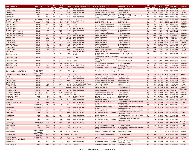| <b>Waterbody Name</b>                                | <b>Water Type</b>                      | <b>Size</b>      | <b>AU</b><br>Categor | Cycle<br>Listed | <b>Source</b>                   | Pollutant/Cause (WDNR & EPA) Impairment (WDNR)          |                                                                                | <b>Observed Effect (EPA)</b>                                                | <b>Listing</b><br>Category | <b>TMDL</b><br>Priority | WBIC              | WDNR            | <b>EPA AU ID</b>         | <b>Counties</b>             |
|------------------------------------------------------|----------------------------------------|------------------|----------------------|-----------------|---------------------------------|---------------------------------------------------------|--------------------------------------------------------------------------------|-----------------------------------------------------------------------------|----------------------------|-------------------------|-------------------|-----------------|--------------------------|-----------------------------|
| <b>Kaul Creek</b>                                    | <b>RIVER</b>                           | 1.0              | 5A                   | 2020            | <b>NPS</b>                      | <b>Total Phosphorus</b>                                 | <b>High Phosphorus Levels</b>                                                  | <b>Organic Enrichment</b>                                                   | 5A                         | Low                     | 5032520           |                 | 5481866 WI10031366       | Ozaukee                     |
| Keenans Creek                                        | <b>RIVER</b>                           | 2.1              | 5A                   | 2018            | <b>NPS</b>                      | <b>Total Phosphorus</b>                                 | <b>High Phosphorus Levels</b>                                                  | <b>Organic Enrichment</b>                                                   | 5A                         | Low                     | 803500            | 5513171         | WI10032924               | Dane                        |
| Kelsey Br                                            | <b>RIVER</b>                           | 2.0              | 5A                   | 2016            | <b>NPS</b>                      | <b>Total Phosphorus</b>                                 | Degraded Biological Community                                                  | <b>Biological Integrity</b>                                                 | 5A                         | Medium                  | 936600            | 13839           | WI10002928               | Lafayette                   |
| Kentuck Lake                                         | LAKE                                   | 1001.2           | 5A                   | 1998            | Atm. Dep.                       | Mercury                                                 | Mercury Contaminated Fish Tissue                                               | Mercury in Fish Tissue                                                      | 5B                         | Low                     | 716800            |                 | 128505 WI10007625        | Forest, Vilas               |
| <b>Kentuck Lake</b>                                  | LAKE                                   | 1001.2           | 5A                   | 2014            | <b>NPS</b>                      | <b>Total Phosphorus</b>                                 | Impairment Unknown, Excess Algal<br>Growth                                     | Organic Enrichment, Nutrient/Eutrophication                                 | 5A                         | Low                     | 716800            | 128505          | WI10007625               | Forest, Vilas               |
| Kewaunee Inner Harbor                                | <b>BAY/HARBOR</b>                      | 36.4             | 5A                   | 1998            | Other                           | <b>PCBs</b>                                             | PCBs Contaminated Fish Tissue                                                  | <b>Biological Indicators</b><br>PCBs in Fish Tissue                         | 5A                         | Low                     | 90700             | 482755          | WI10008820               | Kewaunee                    |
| Kewaunee Inner Harboı                                | <b>BAY/HARBOR</b>                      | 36.4             | 5A                   | 1998            | Contam, Sed.                    | <b>Unspecified Metals</b>                               | Chronic Aquatic Toxicity                                                       | Chronic Toxicity                                                            | 5A                         | Low                     | 90700             | 482755          | WI10008820               | Kewaunee                    |
| Kewaunee River                                       | <b>RIVER</b>                           | 11.5             | 5A                   | 1998            | Other                           | <b>PCBs</b>                                             | <b>PCBs Contaminated Fish Tissue</b>                                           | PCBs in Fish Tissue                                                         | 5A                         | Low                     | 90700             | 482871          | WI10008821               | DIUWII,<br>$I$ <sub>A</sub> |
| Kewaunee River                                       | <b>RIVER</b>                           | 10.9             | 5A                   | 2006            | Other                           | PCBs                                                    | PCBs Contaminated Fish Tissue                                                  | PCBs in Fish Tissue                                                         | 5A                         | Low                     | 90700             | 18061           | WI10026146               | Kewaunee                    |
| <b>Kewaunee River</b>                                | <b>RIVER</b>                           | 2.9              | 5A                   | 1998            | Other                           | <b>PCBs</b>                                             | <b>PCBs Contaminated Fish Tissue</b>                                           | PCBs in Fish Tissue                                                         | 5A                         | Low                     | 90700             | 10170           | WI10026813               | Kewaunee                    |
| Kewaunee River                                       | <b>RIVER</b>                           | 11.53            | 5A                   | 2020            | <b>PS/NPS</b>                   | <b>Total Phosphorus</b>                                 | <b>High Phosphorus Levels</b>                                                  | Organic Enrichment                                                          | 5A                         | High                    | 90700             | 482871          | WI10008821               | <b>DIUWII</b><br>Coursunos  |
| Kewaunee River                                       | <b>RIVER</b>                           | 10.9             | 5A                   | 2020            | <b>NPS</b>                      | <b>Total Phosphorus</b>                                 | <b>Impairment Unknown</b>                                                      | <b>Organic Enrichment</b>                                                   | 5P                         | High                    | 90700             | 18061           | WI10026146               | Kewaunee                    |
| Kewaunee River and Marsh                             | <b>RIVER</b>                           | 2.3              | 5A                   | 2020            | Contam. Sed.                    | Arsenic                                                 | <b>Acute Aquatic Toxicity</b>                                                  | Toxicity                                                                    | 5A                         | Low                     | 90700             | 10169           | WI10025677               | Kewaunee                    |
| Kewaunee River and Marsh<br>Kewaunee River and Marsh | <b>RIVER</b><br><b>RIVER</b>           | 2.3<br>2.26      | 5A<br>5A             | 1998<br>2016    | Other<br><b>PS/NPS</b>          | <b>PCBs</b><br><b>Total Phosphorus</b>                  | <b>PCBs Contaminated Fish Tissue</b><br><b>Impairment Unknown</b>              | PCBs in Fish Tissue<br>Organic Enrichment                                   | 5A<br>5P                   | Low<br>High             | 90700<br>90700    | 10169<br>10169  | WI10025677<br>WI10025677 | Kewaunee<br>Kewaunee        |
| Kickapoo River                                       | <b>RIVER</b>                           | 7.1              | 5P                   | 2018            | <b>PS/NPS</b>                   | <b>Total Phosphorus</b>                                 | <b>Impairment Unknown</b>                                                      | <b>Organic Enrichment</b>                                                   | 5P                         | Low                     | 1182400           | 5782086         | WI6903170                | Monroe                      |
| Kickapoo River                                       | <b>RIVER</b>                           | 30.1             | 5P                   | 2012            | <b>PS/NPS</b>                   | <b>Total Phosphorus</b>                                 | <b>Impairment Unknown</b>                                                      | <b>Organic Enrichment</b>                                                   | 5P                         | Low                     | 1182400           | 13169           | WI8103960                | Richland, Vernor            |
| Kickapoo River                                       | <b>RIVER</b>                           | 16.7             | 5P                   | 2012            | <b>PS/NPS</b>                   | <b>Total Phosphorus</b>                                 | <b>Impairment Unknown</b>                                                      | <b>Organic Enrichment</b>                                                   | 5P                         | Low                     | 1182400           | 8103962         | WI8103963                | Monroe, Vernor              |
| Kickapoo River                                       | <b>RIVER</b>                           | 6.4              | 5A                   | 2012            | <b>NPS</b>                      | <b>Total Phosphorus</b>                                 | <b>Impairment Unknown</b>                                                      | <b>Organic Enrichment</b>                                                   | 5P                         | Low                     | 1182400           | 887065          | WI10008863               | Crawford                    |
| Kickapoo River                                       | <b>RIVER</b>                           | 4.4              | 5P                   | 2018            | <b>NPS</b>                      | <b>Total Phosphorus</b>                                 | <b>Impairment Unknown</b>                                                      | <b>Organic Enrichment</b>                                                   | 5P                         | Low                     | 1182400           | 6895701         | WI10040704               | Monroe                      |
| Kilbourn Road Ditch                                  | <b>RIVER</b>                           | 14.3             | 5A                   | 2022            | <b>NPS</b>                      | Chloride                                                | Chronic Aquatic Toxicity                                                       | <b>Chronic Toxicity</b>                                                     | 5A                         | Low                     | 736900            | 10421           |                          | WI10000524 Racine, Kenosha  |
| Killsnake River                                      | <b>RIVER</b><br><b>RIVER</b>           | 19.7             | 5A<br>5A             | 2018<br>2016    | <b>NPS</b><br><b>NPS</b>        | <b>Total Phosphorus</b><br>Unknown Pollutan             | <b>High Phosphorus Levels</b>                                                  | <b>Organic Enrichment</b>                                                   | 5A                         | High                    | 78200             | 18043           | WI10006083               | Calumet<br>Calumet          |
| Killsnake River<br><b>King Creek</b>                 | <b>RIVER</b>                           | 19.7<br>5.7      | 5P                   | 2022            | <b>NPS</b>                      | <b>Total Phosphorus</b>                                 | <b>Elevated Water Temperature</b><br><b>Impairment Unknown</b>                 | Temperature<br><b>Organic Enrichment</b>                                    | 5A<br>5P                   | Low<br>High             | 78200<br>89400    | 18043<br>10133  | WI10006083<br>WI10000307 | DIUWII.                     |
|                                                      |                                        |                  |                      |                 |                                 |                                                         | Chronic Aquatic Toxicity, Acute Aquatic                                        |                                                                             |                            |                         |                   |                 |                          | <b>QUIQLIDOC</b>            |
| Kinnickinnic River                                   | <b>RIVER</b>                           | 2.3              | 5A                   | 2014            | <b>NPS</b>                      | Chloride                                                | Toxicity<br>Chronic Aquatic Toxicity, Acute Aquatio                            | Chronic Toxicity, Toxicity                                                  | 5A                         | Low                     | 15100             | 9974            | WI10008007               | Milwaukee                   |
| <b>Kinnickinnic River</b>                            | <b>RIVER</b>                           | 3.2              | 5A                   | 2022            | PS/NPS                          | Chloride                                                | Toxicity                                                                       | <b>Chronic Toxicity, Toxicity</b>                                           | 5A                         | Low                     | 15100             | 9973            | WI10008186               | Milwaukee                   |
| Kinnickinnic River                                   | <b>RIVER</b>                           | 4.4              | 5A                   | 2018            | PS/NPS                          | Chloride                                                | Chronic Aquatic Toxicity, Acute Aquatic Chronic Toxicity, Toxicity<br>Toxicity |                                                                             | 5A                         | Low                     | 15100             | 3899425         | WI10027436               | Milwaukee                   |
| Kinnickinnic River                                   | <b>RIVER</b>                           | 3.2              | 5A                   | 1998            | Contam. Sed. PCBs               |                                                         | PCBs Contaminated Fish Tissue                                                  | PCBs in Fish Tissue                                                         | 5A                         | Low                     | 15100             | 9973            | WI10008186               | Milwaukee                   |
| Kinnickinnic River                                   | <b>RIVER</b>                           | 3.2              | 5A                   | 1998            |                                 | Contam. Sed. Unspecified Metals                         | Chronic Aquatic Toxicity                                                       | <b>Chronic Toxicity</b>                                                     | 5A                         | Low                     | 15100             | 9973            | WI10008186               | Milwaukee                   |
| Klaus Lake                                           | LAKE                                   | 21.8             | 5A                   | 2022            | <b>NPS</b>                      | <b>Total Phosphorus</b>                                 | Eutrophication, Excess Algal Growth                                            | Eutrophication, Nutrient/Eutrophication<br><b>Biological Indicators</b>     | 5A                         | Low                     | 445800            | 900340          | WI10009573               | Oconto                      |
| Klode Park Beach, Lake Michigan                      | <b>GREAT LAKES</b><br><b>BEACH</b>     | 0.1              | 5A                   | 2022            | <b>NPS</b>                      | E. coli                                                 | Recreational Restrictions - Pathogens Pathogens                                |                                                                             | 5A                         | Low                     | 20                |                 | 3899028 WI10027377       | Milwaukee                   |
| Kreher Park Beach, Lake Superior                     | <b>GREAT LAKES</b><br><b>BEACH</b>     | 0.2              | 5A                   | 2022            | <b>NPS</b>                      | E. coli                                                 | Recreational Restrictions - Pathogens                                          | Pathogens                                                                   | 5A                         | Low                     | 2751220           | 3895108         | WI10027031               | Ashland                     |
| Krok Creek                                           | <b>RIVER</b>                           | 0.7              | 5A                   | 2012            | <b>NPS</b>                      | <b>Total Phosphorus</b>                                 | Degraded Biological Community                                                  | <b>Biological Integrity</b>                                                 | 5A                         | High                    | 86700             | 10162           | WI10000334               | Kewaunee                    |
| <b>Krok Creek</b>                                    | <b>RIVER</b>                           | 2.7              | 5A                   | 2012            | <b>NPS</b>                      | <b>Total Phosphorus</b>                                 | <b>Degraded Biological Community</b>                                           | <b>Biological Integrity</b>                                                 | 5A                         | High                    | 86700             | 903433          | WI10010003               | Kewaunee                    |
| Kuenster Creek                                       | <b>RIVER</b>                           | 1.0              | 5A                   | 2016            | <b>NPS</b>                      | Unknown Pollutan                                        | Degraded Biological Community                                                  | <b>Biological Integrit</b>                                                  | 5A                         | Low                     | 957900            | 13910           | WI10002972               | Grant                       |
| Kuenster Creek<br>Kummel Creek                       | <b>RIVER</b><br><b>RIVER</b>           | 8.9<br>10.4      | 5A<br>5A             | 2016<br>2006    | <b>NPS</b><br>PS/NPS            | <b>Unknown Pollutant</b><br>Ammonia (Unionized) - Toxin | <b>Degraded Biological Community</b><br><b>Acute Aquatic Toxicity</b>          | <b>Biological Integrity</b><br>Toxicity                                     | 5A<br>5A                   | Low<br>Low              | 957900<br>863500  | 18564<br>11592  | WI10036763<br>WI10001406 | Grant<br>Dodge              |
| La Crosse River                                      | <b>RIVER</b>                           | 17.8             | 5P                   | 2012            | <b>PS/NPS</b>                   | <b>Total Phosphorus</b>                                 | <b>Impairment Unknown</b>                                                      | <b>Organic Enrichment</b>                                                   | 5P                         | Low                     | 1650200           | 14023           | WI8104153                | La Crosse                   |
| La Crosse River                                      | <b>RIVER</b>                           | 9.6              | 5P                   | 2012            | <b>PS/NPS</b>                   | <b>Total Phosphorus</b>                                 | Impairment Unknown                                                             | <b>Organic Enrichment</b>                                                   | 5P                         | Low                     |                   | 1650200 8104155 | WI8104156                | La Crosse                   |
| La Crosse River                                      | <b>RIVER</b>                           | 10.9             | 5P                   | 2012            | <b>PS/NPS</b>                   | <b>Total Phosphorus</b>                                 | <b>Impairment Unknown</b>                                                      | <b>Organic Enrichment</b>                                                   | 5P                         | Low                     | 1650200           | 8104212         | WI8104213                | Monroe, La                  |
|                                                      |                                        |                  |                      |                 |                                 |                                                         |                                                                                |                                                                             |                            |                         |                   |                 |                          | Crosse                      |
| La Crosse River Marsh                                | WETLANDS                               | 29.24            | 5A                   | 2020            | Contam, Sed.                    | Lead                                                    | <b>Lead Contaminated Sediments</b>                                             | Lead in Sediment                                                            | 5A                         | Low                     | 5561990           | 32450           | WI10021259               | La Crosse                   |
| La Crosse River Marsh                                | <b>WETLANDS</b>                        | 3.1              | 5A                   | 2020            | Contam. Sed.                    | Lead                                                    | <b>Lead Contaminated Sediments</b>                                             | Lead in Sediment                                                            | 5A                         | Low                     | 5562016           | 34407           | WI10021263               | La Crosse                   |
| Lac Courte Oreilles<br>Lac La Belle                  | LAKE<br>LAKE                           | 5139.5<br>1153.7 | 5A<br>5A             | 2018<br>1998    | <b>NPS</b><br>Contam. Sed. PCBs | Unknown Pollutant                                       | Low DO<br><b>PCBs Contaminated Fish Tissue</b>                                 | Dissolved Oxyger<br>PCBs in Fish Tissue                                     | 5A<br>5A                   | Low<br>Low              | 2390800<br>848800 | 15368<br>11489  | WI10004082<br>WI10001317 | Sawyer<br>Waukesha          |
| Lac La Belle                                         | LAKE                                   | 1153.7           | 5A                   | 2020            | <b>NPS</b>                      | <b>Total Phosphorus</b>                                 | <b>Impairment Unknown</b>                                                      | Organic Enrichment                                                          | 5P                         | Low                     | 848800            | 11489           | WI10001317               | Waukesha                    |
|                                                      |                                        |                  |                      |                 |                                 |                                                         | Impairment Unknown, Excess Algal                                               | Organic Enrichment, Nutrient/Eutrophication                                 |                            |                         |                   |                 |                          |                             |
| Lac Sault Dore (Soo Lake)                            | LAKE                                   | 600.8            | 5A                   | 2012            | <b>NPS</b>                      | <b>Total Phosphorus</b>                                 | Growth                                                                         | <b>Biological Indicators</b>                                                | 5A                         | Low                     | 2236800           | 14708           | WI10003528               | Price                       |
| Lake Alice                                           | <b>IMPOUNDMENT</b>                     | 1438.3           | 5A                   | 1998            | Other                           | BOD, sediment load                                      | Low DC                                                                         | <b>Dissolved Oxygen</b>                                                     | 5A                         | Low                     | 1555900           | 127972          | WI10008855               | Lincoln                     |
| Lake Altoona                                         | <b>IMPOUNDMENT</b>                     | 719.9            | 5W                   | 2018            | <b>NPS</b>                      | <b>Total Phosphorus</b>                                 | Impairment Unknown, Excess Algal<br>Growth                                     | Organic Enrichment, Nutrient/Eutrophication<br><b>Biological Indicators</b> | 5W                         | Low                     | 2128100           | 16084           | WI10004661               | Eau Claire                  |
| Lake Arrowhead                                       | <b>IMPOUNDMENT</b>                     | 295.1            | 5A                   | 2014            | <b>NPS</b>                      | Unknown Pollutant                                       | <b>Excess Algal Growth</b>                                                     | Nutrient/Eutrophication Biological Indicators                               | 5A                         | Low                     | 1377700           |                 | 1851405 WI1002550        | Adams                       |
| Lake Chetac                                          | LAKE                                   | 2399.6           | 5W                   | 2014            | <b>NPS</b>                      | <b>Total Phosphorus</b>                                 | Eutrophication, Excess Algal Growth                                            | Eutrophication, Nutrient/Eutrophication<br><b>Biological Indicators</b>     | 5W                         | Low                     | 2113300           | 16054           | WI1000464                | Sawyer                      |
| Lake Content                                         | LAKE                                   | 239.0            | 5A                   | 2014            | <b>NPS</b>                      | <b>Total Phosphorus</b>                                 | <b>Excess Algal Growth</b>                                                     | Nutrient/Eutrophication Biological Indicators                               | 5A                         | Low                     | 1592000           |                 | 128514 WI10007633        | Vilas                       |
| Lake Desair                                          | LAKE                                   | 79.5             | 5W                   | 1998            | <b>NPS</b>                      | Sediment/Total Suspended Solids                         | Eutrophication                                                                 | Eutrophication<br>Eutrophication, Nutrient/Eutrophication                   | 5W                         | Low                     | 2104500           | 15983           | WI10004580               | Barron                      |
| Lake Desair                                          | LAKE                                   | 79.5             | 5W                   | 1998            | <b>NPS</b>                      | <b>Total Phosphorus</b>                                 | Eutrophication, Excess Algal Growth                                            | <b>Biological Indicators</b>                                                | 5W                         | Low                     | 2104500           | 15983           | WI10004580               | Barron<br>Pierce, Saint     |
| Lake George                                          | <b>IMPOUNDMENT</b>                     | 134.6            | 5A                   | 2002            | <b>NPS</b>                      | <b>Total Phosphorus</b>                                 | Elevated pH                                                                    | pH                                                                          | 5A                         | Low                     | 2059800           | 15644           | WI10006024               | Croix                       |
| Lake Kegonsa                                         | LAKE                                   | 3200.5           | 5A                   | 2022            | <b>NPS</b>                      | <b>PFOS</b>                                             | PFOS Contaminated Fish Tissue                                                  | PFOS in Fish Tissue                                                         | 5A                         | Low                     | 802600            | 11643           | WI10027603               | Dane                        |
| Lake Lorraine                                        | LAKE                                   | 63.3             | 5A                   | 2018            | <b>NPS</b>                      | <b>Total Phosphorus</b>                                 | Impairment Unknown, Excess Algal<br>Growth                                     | Organic Enrichment, Nutrient/Eutrophication<br><b>Biological Indicators</b> | 5A                         | Low                     | 777500            | 11774           | WI10001543               | Walworth                    |
| Lake Michigan                                        | <b>GREAT LAKES</b><br>SHORELINE        | 261.1            | 5A                   | 1998            | Atm. Dep.                       | Mercury                                                 | Mercury Contaminated Fish Tissue                                               | Mercury in Fish Tissue                                                      | 5B                         | Low                     | 20                | 892521          | WI10008956               | Multiple                    |
| Lake Michigan                                        | <b>GREAT LAKES</b><br><b>SHORELINE</b> | 261.1            | 5A                   | 1998            | Contam. Sed. PCBs               |                                                         | <b>PCBs Contaminated Fish Tissue</b>                                           | PCBs in Fish Tissue                                                         | 5A                         | Low                     | 20                | 892521          | WI10008956               | Multiple                    |
| Lake Mohawksin                                       | <b>IMPOUNDMENT</b>                     | 1508.3           | 5A                   | 1998            | Other                           | BOD, sediment load                                      | Low DO                                                                         | Dissolved Oxygen                                                            | 5A                         | Low                     | 1515400           | 127977          | WI10007160               | Lincoln                     |
| Lake Monona - Schluter Beach                         | <b>INLAND BEACH</b>                    | 0.1              | 5A                   | 2022            | <b>NPS</b>                      | E. coli                                                 | Recreational Restrictions - Pathogens                                          | Pathogens                                                                   | 5A                         | Low                     | 804600            |                 | 9124116 WI10045360       | Dane                        |
| Lake Montanis                                        | LAKE                                   | 211.7            | 5W                   | 2018            | <b>NPS</b>                      | <b>Total Phosphorus</b>                                 | Eutrophication, Excess Algal Growth                                            | Eutrophication, Nutrient/Eutrophication<br><b>Biological Indicators</b>     | 5W                         | Low                     | 2103200           | 15975           | WI10004574               | Barron                      |
| Lake Nebagamon                                       | LAKE                                   | 985.6            | 5B                   | 2010            | Atm. Dep.                       | Mercury                                                 | Mercury Contaminated Fish Tissue                                               | Mercury in Fish Tissue                                                      | 5B                         | Low                     |                   |                 | 2865000 20304 WI10010781 | Douglas                     |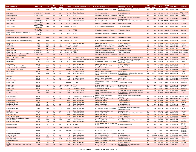| <b>Waterbody Name</b>                                          | Water Type                             | <b>Size</b>  | <b>AU</b><br>Category | Cycle<br>Listed | <b>Source</b>            | Pollutant/Cause (WDNR & EPA) Impairment (WDNR) |                                                                                | <b>Observed Effect (EPA)</b>                                                                   | <b>Listing</b><br>Category | <b>TMDL</b><br>Priority | <b>WBIC</b>       | WDNR<br><b>AU ID</b> | <b>EPA AU ID</b>           | <b>Counties</b>             |
|----------------------------------------------------------------|----------------------------------------|--------------|-----------------------|-----------------|--------------------------|------------------------------------------------|--------------------------------------------------------------------------------|------------------------------------------------------------------------------------------------|----------------------------|-------------------------|-------------------|----------------------|----------------------------|-----------------------------|
| Lake of The Woods                                              | LAKE                                   | 46.4         | 5W                    | 2020            | <b>NPS</b>               | <b>Total Phosphorus</b>                        | Eutrophication, Excess Algal Growth                                            | Eutrophication, Nutrient/Eutrophication<br><b>Biological Indicators</b>                        | 5W                         | Low                     | 2632100           | 16585                | WI10026583                 | Barron                      |
| Lake Pepin                                                     | <b>IMPOUNDMENT</b>                     | 25502.8      | 5A                    | 2016            | <b>PS/NPS</b>            | <b>Total Phosphorus</b>                        | <b>High Phosphorus Levels</b>                                                  | <b>Organic Enrichment</b>                                                                      | 5A                         | Low                     | 731800            | 4704964              | WI10030300                 | Buffalo, Pierce,<br>Pepin   |
| Lake Ripley Beach                                              | <b>INLAND BEACH</b>                    | 0.1          | 5A                    | 2022            | <b>NPS</b>               | E. coli                                        | Recreational Restrictions - Pathogens                                          | Pathogens                                                                                      | 5A                         | Low                     | 809600            |                      | 3894224 WI10026954         | Jefferson                   |
| Lake Shangrila                                                 | LAKE                                   | 73.9         | 5W                    | 2018            | <b>NPS</b>               | <b>Total Phosphorus</b>                        | Eutrophication, Excess Algal Growth                                            | Eutrophication, Nutrient/Eutrophication<br><b>Biological Indicators</b>                        | 5W                         | High                    | 734700            | 10417                | WI10000521                 | Kenosha                     |
| Lake Sherwood                                                  | <b>IMPOUNDMENT</b>                     | 214.7        | 5A                    | 2014            | <b>NPS</b>               | Unknown Pollutant                              | <b>Excess Algal Growth</b>                                                     | Nutrient/Eutrophication Biological Indicators                                                  | 5A                         | Low                     | 1377900           |                      | 1851420 WI10026706         | Adams                       |
| <b>Lake Superior</b>                                           | <b>GREAT LAKES</b><br><b>SHORELINE</b> | 186.0        | 5A                    | 2006            | Atm. Dep.                | Mercury                                        | Mercury Contaminated Fish Tissue                                               | Mercury in Fish Tissue                                                                         | 5B                         | Low                     | 2751220           | 892439               | WI10008955                 | Douglas                     |
| Lake Superior                                                  | <b>GREAT LAKES</b><br>SHORELINE        | 186.0        | 5A                    | 1998            | Contam. Sed.             | PCBs                                           | PCBs Contaminated Fish Tissue                                                  | PCBs in Fish Tissue                                                                            | 5A                         | Low                     | 2751220           | 892439               | WI10008955                 | Douglas                     |
| <b>Lake Superior</b>                                           | <b>GREAT LAKES</b><br><b>SHORELINE</b> | 186.0        | 5A                    | 2022            | <b>NPS</b>               | <b>PFOS</b>                                    | <b>PFOS Contaminated Fish Tissue</b>                                           | PFOS in Fish Tissue                                                                            | 5A                         | Low                     | 2751220           | 892439               | WI10008955                 | Douglas                     |
| Lake Superior - Wisconsin Point Lot 12<br>Beach                | <b>GREAT LAKES</b><br><b>BEACH</b>     | 0.3          | 5A                    | 2022            | <b>NPS</b>               | E. coli                                        | Recreational Restrictions - Pathogens                                          | Pathogens                                                                                      | 5A                         | Low                     |                   |                      | 2751220 6878341 WI10040623 | Douglas                     |
| Lake Superior (mouth of Bois Brule River)                      | LAKE                                   | 66.1         | 5A                    | 2006            | Atm. Dep.                | Mercury                                        | Mercury Contaminated Fish Tissue                                               | Mercury in Fish Tissue                                                                         | 5B                         | Low                     | 2751220           | 1855784              | WI10025773                 | Douglas                     |
| Lake Superior (mouth of Bois Brule River)                      | LAKE                                   | 66.1         | 5A                    | 1998            | Contam, Sed. PCBs        |                                                | PCBs Contaminated Fish Tissue                                                  | PCBs in Fish Tissue                                                                            | 5A                         | Low                     | 2751220           |                      | 1855784 WI10025773         | Douglas                     |
| Lake Thirty                                                    | LAKE                                   | 75.5         | 5W                    | 2020            | <b>NPS</b>               | <b>Total Phosphorus</b>                        | <b>Impairment Unknown</b>                                                      | <b>Organic Enrichment</b>                                                                      | 5W                         | Low                     | 2099900           | 15875                | WI10004486                 | Barron                      |
| Lake Three                                                     | LAKE                                   | 61.4         | 5B                    | 1998            | Atm. Dep.                | Mercury                                        | Mercury Contaminated Fish Tissue                                               | Mercury in Fish Tissue                                                                         | 5B                         | Low                     | 2915800           | 891194               | WI10008924                 | Ashland                     |
| Lake Waubesa                                                   | LAKE                                   | 2074.5       | 5A                    | 2022            | <b>NPS</b>               | <b>PFOS</b>                                    | <b>PFOS Contaminated Fish Tissue</b>                                           | PFOS in Fish Tissue                                                                            | 5A                         | Low                     | 803700            | 11661                | WI10001452                 | Dane                        |
| Lake Wingra                                                    | LAKE                                   | 336.3        | 5A                    | 2012            | Unknown                  | PCBs                                           | PCBs Contaminated Fish Tissue                                                  | PCBs in Fish Tissue                                                                            | 5A                         | Low                     | 805000            | 11667                | WI10001457                 | Dane                        |
| Lake Wisconsin                                                 | <b>IMPOUNDMENT</b>                     | 7197.3       | 5A                    | 1998            | Contam. Sed.             | Mercury                                        | Mercury Contaminated Fish Tissue                                               | Mercury in Fish Tissue                                                                         | 5A                         | Low                     | 1260600           | 13500                | WI10002709                 | Sauk, Columbia              |
| Lake Wisconsin<br>Lakeland Campground Beach -- 2803 E.         | <b>IMPOUNDMENT</b>                     | 7197.3       | 5A                    | 1998            | Contam. Sed.             | PCBs                                           | PCBs Contaminated Fish Tissue                                                  | PCBs in Fish Tissue                                                                            | 5A                         | Low                     | 1260600           | 13500                | WI10002709                 | Sauk, Columbia              |
| State Rd. 59, Lake Koshkonong<br>Lakes Of The Pines (Pickerel) | <b>INLAND BEACH</b><br>LAKE            | 0.0<br>272.7 | 5A<br>5A              | 2022<br>2018    | <b>NPS</b><br><b>NPS</b> | E. coli<br>Unknown Pollutant                   | <b>Recreational Restrictions - Pathogens</b>                                   | Pathogens                                                                                      | 5A<br>5A                   | Low                     | 808700<br>2275300 | 3899461<br>14844     | WI10027437<br>WI10026309   | Rock                        |
| <b>Lannon Creek</b>                                            | <b>RIVER</b>                           | 5.5          | 5A                    | 1998            | <b>NPS</b>               | Sediment/Total Suspended Solids                | <b>Excess Algal Growth</b>                                                     | Nutrient/Eutrophication Biological Indicators<br><b>Physical Substrate Habitat Alterations</b> | 5A                         | Low<br>High             | 773700            | 424314               | WI10008642                 | Sawyer<br>Waukesha          |
|                                                                |                                        |              |                       |                 |                          |                                                | <b>Degraded Habitat</b>                                                        | Eutrophication, Nutrient/Eutrophication                                                        |                            |                         |                   |                      |                            |                             |
| Largon Lake                                                    | LAKE                                   | 134.8        | 5W                    | 2020            | <b>NPS</b>               | <b>Total Phosphorus</b>                        | Eutrophication, Excess Algal Growth                                            | <b>Biological Indicators</b>                                                                   | 5W                         | Low                     | 2668100           | 16784                | WI10005220                 | Polk                        |
| Larson Creek                                                   | <b>RIVER</b>                           | 5.0          | 5A                    | 2022            | <b>NPS</b>               | <b>Total Phosphorus</b>                        | <b>Impairment Unknown</b>                                                      | <b>Organic Enrichment</b>                                                                      | 5A                         | Low                     | 100200            | 18083                | WI10006115                 | Door                        |
| Laurel Lake (Three Lakes Chain)                                | LAKE                                   | 248.7        | 5A                    | 2018            | Atm. Dep.                | Mercury                                        | Mercury Contaminated Fish Tissue                                               | Mercury in Fish Tissue                                                                         | 5B                         | Low                     | 1611800           | 128175               | WI10007332                 | Oneida                      |
| Laurel Lake (Three Lakes Chain)                                | LAKE                                   | 248.7        | 5A                    | 2018            | <b>NPS</b>               | <b>Total Phosphorus</b>                        | <b>High Phosphorus Levels</b>                                                  | Organic Enrichment                                                                             | 5A                         | Low                     | 1611800           | 128175               | WI10007332                 | Oneida                      |
| Lazy Lake (Fall R Millpond)                                    | LAKE                                   | 206.0        | 5A                    | 2012            | <b>PS/NPS</b>            | <b>Total Phosphorus</b>                        | <b>High Phosphorus Levels</b>                                                  | Organic Enrichment                                                                             | 5A                         | Low                     | 843400            | 11442                | WI10010053                 | Columbia                    |
| Leech Creek                                                    | <b>RIVER</b>                           | 3.4          | 5A                    | 2018            | <b>NPS</b>               | Unknown Pollutant                              | <b>Elevated Water Temperature</b>                                              | Temperature                                                                                    | 5A                         | Low                     | 1271600           | 12980                | WI10038885                 | Sauk                        |
| Leota Lake                                                     | LAKE                                   | 35.7         | 5A                    | 2016            | <b>NPS</b>               | <b>Total Phosphorus</b>                        | High Phosphorus Levels, Excess Algal<br>Growth                                 | Organic Enrichment, Nutrient/Eutrophication<br><b>Biological Indicators</b>                    | 5A                         | Medium                  | 884700            | 902198               | WI10009847                 | Rock                        |
| <b>Lilly Creek</b>                                             | <b>RIVER</b>                           | 4.7          | 5A                    | 2016            | <b>NPS</b>               | Chloride                                       | <b>Chronic Aquatic Toxicity</b>                                                | <b>Chronic Toxicity</b>                                                                        | 5A                         | Low                     | 18400             | 10042                | WI10008011                 | Waukesha                    |
| <b>Lily River</b>                                              | <b>RIVER</b>                           | 9.5          | 5A                    | 2016            | <b>NPS</b>               | Unknown Pollutant                              | <b>Elevated Water Temperature</b>                                              | Temperature                                                                                    | 5A                         | Low                     | 370900            | 10555                |                            | WI10000624 Forest, Langlade |
| <b>Limestone Creek</b>                                         | <b>RIVER</b>                           | 2.8          | 5A                    | 2012            | <b>NPS</b>               | <b>Total Phosphorus</b>                        | <b>High Phosphorus Levels</b>                                                  | <b>Organic Enrichment</b>                                                                      | 5A                         | Low                     | 866800            | 11602                | WI10026552                 | Washington                  |
| Lincoln Creek                                                  | <b>RIVER</b>                           | 9.7          | 5A                    | 2014            | PS/NPS                   | Chloride                                       | Chronic Aquatic Toxicity, Acute Aquatio<br>Toxicity                            | Chronic Toxicity, Toxicity                                                                     | 5A                         | Low                     | 19400             | 9999                 | WI10000218                 | Milwaukee                   |
| Lincoln Creek                                                  | <b>RIVER</b>                           | 9.7          | 5A                    | 1998            | Contam. Sed.             | PAHs                                           | <b>Chronic Aquatic Toxicity</b>                                                | <b>Chronic Toxicity</b>                                                                        | 5A                         | Low                     | 19400             | 9999                 | WI10000218                 | Milwaukee                   |
| Lincoln Creek                                                  | <b>RIVER</b>                           | 9.7          | 5A                    | 2012            | Contam. Sed. PCBs        |                                                | PCBs Contaminated Fish Tissue                                                  | PCBs in Fish Tissue                                                                            | 5A                         | Low                     | 19400             | 9999                 | WI10000218                 | Milwaukee                   |
| Lincoln Creek                                                  | <b>RIVER</b>                           | 9.7          | 5A                    | 1998            | Other                    | <b>Unspecified Metals</b>                      | <b>Chronic Aquatic Toxicity</b>                                                | <b>Chronic Toxicity</b>                                                                        | 5A                         | Low                     | 19400             | 9999                 | WI10000218                 | Milwaukee                   |
| Lipsett Lake                                                   | LAKE                                   | 392.6        | 5W                    | 2014            | <b>NPS</b>               | Unknown Pollutant                              | <b>Excess Algal Growth</b>                                                     | Nutrient/Eutrophication Biological Indicators                                                  | 5W                         | Low                     | 2678100           | 16977                | WI10005383                 | <b>Burnett</b>              |
| Little Arbor Vitae Lake                                        | LAKE                                   | 479.9        | 5A                    | 2016            | <b>NPS</b>               | <b>Total Phosphorus</b>                        | Impairment Unknown, Excess Algal<br>Growth                                     | Organic Enrichment, Nutrient/Eutrophication<br><b>Biological Indicators</b>                    | $5C$                       | Low                     | 1545300           | 128524               | WI10007641                 | Vilas                       |
| Little Bear Creek                                              | <b>RIVER</b>                           | 6.8          | 5A                    | 2010            | <b>NPS</b>               | Sediment/Total Suspended Solids                | Elevated Water Temperature,<br>Degraded Habitat                                | Temperature, Physical Substrate Habitat<br>Alterations                                         | 5A                         | Low                     | 1234700           | 18505                | WI10006421                 | Richland, Saul              |
| Little Bear Creek                                              | <b>RIVER</b>                           | 6.8          | 5A                    | 2010            | <b>NPS</b>               | <b>Total Phosphorus</b>                        | <b>Degraded Biological Community</b>                                           | <b>Biological Integrity</b>                                                                    | 5A                         | Low                     | 1234700           | 18505                | WI10006421                 | Richland, Saul              |
| Little Bear Creek                                              | <b>RIVER</b>                           | 4.4          | 5P                    | 2012            | <b>NPS</b>               | <b>Total Phosphorus</b>                        | <b>Impairment Unknown</b>                                                      | Organic Enrichment                                                                             | 5P                         | Low                     | 2048000           | 15571                | WI10004255                 | Buffalo                     |
| Little Bearskin Lake                                           | LAKE                                   | 184.1        | 5C                    | 2016            | <b>NPS</b>               | <b>Total Phosphorus</b>                        | <b>Impairment Unknown</b>                                                      | <b>Organic Enrichment</b>                                                                      | 5C                         | Low                     | 1523500           | 128180               | WI10007337                 | Oneida                      |
| Little Beaver Creek                                            | <b>RIVER</b>                           | 7.0          | 5W                    | 2018            | <b>NPS</b>               | <b>Total Phosphorus</b>                        | Impairment Unknown                                                             | Organic Enrichment                                                                             | 5W                         | Low                     | 2076300           | 15691                | WI10008012                 | Dunn                        |
| <b>Little Black River</b>                                      | <b>RIVER</b>                           | 7.55         | 5A                    | 2018            | <b>NPS</b>               | <b>Total Phosphorus</b>                        | <b>High Phosphorus Levels</b>                                                  | <b>Organic Enrichment</b>                                                                      | 5A                         | Medium                  | 1765300           | 14317                | WI10003233                 | Taylor                      |
| Little Butternut Lake                                          | LAKE                                   | 184.6        | 5W                    | 2022            | <b>NPS</b>               | <b>Total Phosphorus</b>                        | Eutrophication, Excess Algal Growth                                            | Eutrophication, Nutrient/Eutrophication<br><b>Biological Indicators</b>                        | 5W                         | Low                     | 2640700           | 16679                | WI10005132                 | Polk                        |
| <b>Little Creek</b>                                            | <b>RIVER</b>                           | 5.9          | 5W                    | 2018            | <b>NPS</b>               | <b>Total Phosphorus</b>                        | <b>Degraded Biological Community</b>                                           | <b>Biological Integrity</b>                                                                    | 5W                         | Low                     | 280700            | 10334                | WI10000459                 | Waupaca                     |
| Little Crooked Lake                                            | LAKE                                   | 153.7        | 5A                    | 2014            | <b>NPS</b>               | Unknown Pollutan                               | <b>Excess Algal Growth</b>                                                     | Nutrient/Eutrophication Biological Indicators                                                  | 5A                         | Low                     | 2335500           | 128530               | WI10007646                 | Vilas                       |
| <b>Little Door Creek</b>                                       | <b>RIVER</b>                           | 5.9          | 5P                    | 2018            | <b>NPS</b>               | <b>Total Phosphorus</b>                        | <b>Impairment Unknown</b>                                                      | <b>Organic Enrichment</b>                                                                      | 5P                         | Low                     | 802900            | 11645                | WI10026554                 | Dane                        |
| Little Drvwood Creek                                           | RIVER                                  | 19.8         | 5Е                    | 2022            | <b>NPS</b>               | Total Phosphorus                               | <b>Impairment Unknown</b>                                                      | Organic Enrichment                                                                             | -5F                        | Low                     | 2155100           | 16190                | WI10026346                 | Chippewa                    |
| Little Fork Lake (Three Lakes Chain)                           | LAKE                                   | 336.4        | 5B                    | 2018            | Atm. Dep.                | Mercury                                        | Mercury Contaminated Fish Tissue                                               | Mercury in Fish Tissue                                                                         | 5B                         | Low                     | 1610600           |                      | 128181 WI10007338          | Oneida                      |
| Little Friess Lake                                             | LAKE                                   | 16.2         | 5A                    | 2020            | <b>NPS</b>               | Unknown Pollutant                              | <b>Excess Algal Growth</b>                                                     | Nutrient/Eutrophication Biological Indicators                                                  | 5A                         | Low                     | 853100            | 11509                | WI10001337                 | Washington                  |
| Little La Crosse River                                         | <b>RIVER</b>                           | 10.3         | 5P                    | 2012            | <b>NPS</b>               | <b>Total Phosphorus</b>                        | <b>Impairment Unknown</b>                                                      | <b>Organic Enrichment</b>                                                                      | 5P                         | Low                     | 1655900           | 14008                | WI10030063                 | Monroe                      |
| Little Menomonee                                               | <b>RIVER</b>                           | 9.0          | 5A                    | 2016            | PS/NPS                   | Chloride                                       | Chronic Aquatic Toxicity, Acute Aquatic Chronic Toxicity, Toxicity<br>Toxicity |                                                                                                | 5A                         | Low                     | 17600             | 10038                | WI10008014                 | Ozaukee,<br>Milwaukee       |
| Little Menomonee                                               | <b>RIVER</b>                           | 9.0          | 5A                    | 1998            | Contam. Sed. Creosote    |                                                | <b>Chronic Aquatic Toxicity</b>                                                | <b>Chronic Toxicity</b>                                                                        | 5A                         | Low                     | 17600             | 10038                | WI10008014                 | Ozaukee,<br>Milwaukee       |
| Little Menomonee                                               | <b>RIVER</b>                           | 9.0          | 5A                    | 2016            | <b>PS/NPS</b>            | Unknown Pollutant                              | <b>Elevated Water Temperature</b>                                              | Temperature                                                                                    | 5A                         | Low                     | 17600             | 10038                | WI10008014                 | Ozaukee,<br>Milwaukee       |
| <b>Little Menomonee River</b>                                  | <b>RIVER</b>                           | 3.9          | 5A                    | 2010            | Other                    | <b>Fecal Coliform</b>                          | Recreational Restrictions - Pathogens                                          | Pathogens                                                                                      | 5A                         | Low                     | 17900             | 10039                | WI10000244                 | Ozaukee                     |
| Little Otter Creek                                             | <b>RIVER</b>                           | 4.9          | 5W                    | 2018            | <b>NPS</b>               | <b>Total Phosphorus</b>                        | <b>High Phosphorus Levels</b>                                                  | Organic Enrichment                                                                             | 5W                         | Medium                  | 2147300           | 18834                |                            | WI10006672 Clark, Chippewa  |
| <b>Little Platte River</b>                                     | <b>RIVER</b>                           | 34.0         | 5A                    | 2016            | <b>NPS</b>               | <b>Total Phosphorus</b>                        | <b>Degraded Biological Community</b>                                           | <b>Biological Integrity</b>                                                                    | 5A                         | Medium                  | 943800            |                      | 1527892 WI10025429         | Grant                       |
| Little Plum Creek                                              | <b>RIVER</b>                           | 4.7          | 5P                    | 2020            | <b>NPS</b>               | <b>Total Phosphorus</b>                        | Impairment Unknown                                                             | Organic Enrichment                                                                             | 5P                         | Low                     | 2051000           |                      | 1468583 WI10024489         | Pepin                       |
| <b>Little Rice Flowage</b>                                     | LAKE                                   | 1200.6       | 5B                    | 2010            | Atm. Dep.                | Mercury                                        | Mercury Contaminated Fish Tissue                                               | Mercury in Fish Tissue                                                                         | 5B                         | Low                     | 406400            | 10668                | WI10000719                 | Forest                      |
| Little River                                                   | <b>RIVER</b>                           | 10.0         | 5P                    | 2014            | <b>NPS</b>               | <b>Total Phosphorus</b>                        | Impairment Unknown                                                             | Organic Enrichment                                                                             | 5P                         | Low                     | 441300            | 10881                | WI10035800                 | Oconto                      |
| Little Saint Germain Lake North and East<br>Lobes              | LAKE                                   | 446.5        | 5A                    | 2020            | <b>NPS</b>               | <b>Total Phosphorus</b>                        | Eutrophication, Excess Algal Growth                                            | Eutrophication, Nutrient/Eutrophication<br><b>Biological Indicators</b>                        | 5A                         | Low                     |                   |                      | 1596300 8128745 WI8128746  | Vilas                       |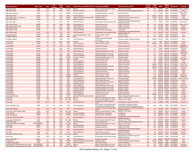| <b>Waterbody Name</b>                                  | <b>Water Type</b>            | <b>Size</b>   | AU<br>Categor | Cycle<br>Listed | <b>Source</b>              | Pollutant/Cause (WDNR & EPA) Impairment (WDNR)     |                                                                       | <b>Observed Effect (EPA)</b>                                            | Listing<br>Category | TMDL<br>Priority | <b>WBIC</b>        | <b>WDN</b><br>AU ID | <b>EPA AU ID</b>                         | <b>Counties</b>             |
|--------------------------------------------------------|------------------------------|---------------|---------------|-----------------|----------------------------|----------------------------------------------------|-----------------------------------------------------------------------|-------------------------------------------------------------------------|---------------------|------------------|--------------------|---------------------|------------------------------------------|-----------------------------|
| Little Sand Lake                                       | LAKE                         | 237.0         | 5B            | 1998            | Atm. Dep.                  | Mercury                                            | Mercury Contaminated Fish Tissue                                      | Mercury in Fish Tissue                                                  | 5В                  | Low              | 389700             | 10609               |                                          | WI10000672 Forest, Langlade |
| <b>Little Sand Lake</b>                                | LAKE                         | 94.2          | 5W            | 2016            | <b>NPS</b>                 | <b>Unknown Pollutant</b>                           | <b>Excess Algal Growth</b>                                            | Nutrient/Eutrophication Biological Indicators                           | 5W                  | Low              | 2661600            | 16827               | WI10005256                               | Barron                      |
| Little Suamico River                                   | <b>RIVER</b>                 | 23.8          | 5A            | 2014            | PS/NPS                     | <b>Total Phosphorus</b>                            | Degraded Biological Community                                         | <b>Biological Integrity</b>                                             | 5A                  | Low              | 411800             | 10862               | WI10026474                               | Brown, Oconto               |
|                                                        |                              |               |               |                 |                            |                                                    |                                                                       |                                                                         |                     |                  |                    |                     |                                          | Shawano                     |
| Little Sugar River                                     | <b>RIVER</b>                 | 19.8          | 5P            | 2012            | <b>NPS</b>                 | <b>Total Phosphorus</b>                            | <b>Impairment Unknown</b>                                             | <b>Organic Enrichment</b>                                               | 5P                  | Medium           | 880100             | 13633               | WI10026178                               | Green                       |
| Little Sugar River, West Branch<br>Little Turtle Creek | RIVER<br><b>RIVER</b>        | 6.9           | 5A<br>5P      | 2014<br>2018    | PS/NPS<br><b>NPS</b>       | Sediment/Total Suspended Solids                    | Degraded Habitat<br><b>Impairment Unknown</b>                         | Physical Substrate Habitat Alterations                                  | 5A<br>5P            | Medium           | 881400             | 13639               | WI10038362                               | Green<br>Rock, Walworth     |
|                                                        |                              | 6.3           |               |                 |                            | <b>Total Phosphorus</b>                            |                                                                       | <b>Organic Enrichment</b><br>Eutrophication, Nutrient/Eutrophication    |                     | Low              | 791700             |                     | 1493752 WI10024899                       |                             |
| Little Twin Lake                                       | LAKE                         | 25.2          | 5A            | 2022            | <b>NPS</b>                 | <b>Total Phosphorus</b>                            | Eutrophication, Excess Algal Growth                                   | <b>Biological Indicators</b>                                            | 5A                  | Low              | 146400             | 18168               | WI10026278                               | Green Lake                  |
| Little Vance Creek                                     | <b>RIVER</b>                 | 2.4           | 5W            | 2020            | <b>NPS</b>                 | <b>Total Phosphorus</b>                            | <b>Impairment Unknown</b>                                             | <b>Organic Enrichment</b>                                               | 5W                  | Low              | 2077300            | 15698               | WI10004353                               | Barron, Dunn                |
| Little Waumandee Creek                                 | <b>RIVER</b>                 | 11.0          | 5P            | 2014            | <b>NPS</b>                 | <b>Total Phosphorus</b>                            | <b>Impairment Unknown</b>                                             | Organic Enrichment                                                      | 5P                  | Low              | 1810300            | 14446               | WI10003320                               | Buffalo                     |
| Little Willow Creek                                    | <b>RIVER</b>                 | 7.7           | 5A            | 2016            | <b>NPS</b>                 | <b>Total Phosphorus</b>                            | <b>Impairment Unknown</b>                                             | <b>Organic Enrichment</b>                                               | 5P                  | Low              | 1221300            | 13349               | WI10008180                               | Richland                    |
| Little Willow Creek                                    | <b>RIVER</b>                 | 7.7           | 5A            | 2016            | <b>NPS</b>                 | Unknown Pollutant                                  | <b>Elevated Water Temperature</b>                                     | Temperature                                                             | 5A                  | Low              | 1221300            | 13349               | WI10008180                               | Richland                    |
| Little Yellow Lake                                     | LAKE                         | 332.4         | 5W            | 2014            | <b>NPS</b>                 | <b>Total Phosphorus</b>                            | Eutrophication, Excess Algal Growth                                   | Eutrophication, Nutrient/Eutrophication                                 | 5W                  | Low              | 2674800            | 16927               | WI10005342                               | <b>Burnett</b>              |
|                                                        |                              |               |               |                 |                            |                                                    |                                                                       | <b>Biological Indicators</b>                                            |                     |                  |                    |                     |                                          |                             |
| Livingston Branch                                      | <b>RIVER</b>                 | 11.6          | 5A            | 1998            | <b>NPS</b>                 | Ammonia (Unionized) - Toxin                        | <b>Chronic Aquatic Toxicity</b>                                       | <b>Chronic Toxicity</b>                                                 | 5A                  | Low              | 932700             | 13828               | WI10002919                               | lowa                        |
| Livingston Branch                                      | <b>RIVER</b>                 | 11.6          | 5A            | 1998            | <b>NPS</b>                 | <b>BOD</b>                                         | Low DO                                                                | <b>Dissolved Oxygen</b>                                                 | 5A                  | Low              | 932700             | 13828               | WI10002919                               | lowa                        |
| Livingston Branch                                      | <b>RIVER</b>                 | 11.6          | 5A            | 1998            | <b>NPS</b>                 | <b>Total Phosphorus</b>                            | Low DO, Degraded Biological                                           | Dissolved Oxygen, Biological Integrity                                  | 5А                  | Medium           | 932700             | 13828               | WI10002919                               | lowa                        |
| _ocal Water                                            | <b>RIVER</b>                 | 0.6           | 5W            | 2016            | <b>NPS</b>                 | Chloride                                           | Community<br><b>Chronic Aquatic Toxicity</b>                          | <b>Chronic Toxicity</b>                                                 | 5W                  | Low              | 2450               |                     | 3991787 WI10028601                       | Racine                      |
| Local Wateı                                            | <b>RIVER</b>                 | 4.3           | 5W            | 2020            | <b>NPS</b>                 | <b>Total Phosphorus</b>                            | <b>High Phosphorus Levels</b>                                         | Organic Enrichmen                                                       | 5W                  | Medium           | 4350               |                     | 3995025 WI10028759                       | Racine                      |
|                                                        |                              |               |               |                 |                            |                                                    |                                                                       |                                                                         |                     |                  |                    |                     |                                          | Waukesha.                   |
| Local Water                                            | <b>RIVER</b>                 | 4.2           | 5W            | 2018            | <b>NPS</b>                 | <b>Total Phosphorus</b>                            | <b>Impairment Unknown</b>                                             | <b>Organic Enrichment</b>                                               | 5W                  | Low              | 6300               |                     | 3996336 WI10028807                       | Milwaukee                   |
| Local Water                                            | <b>RIVER</b>                 | 1.4           | 5P            | 2020            | <b>NPS</b>                 | <b>Total Phosphorus</b>                            | <b>Impairment Unknown</b>                                             | Organic Enrichment                                                      | 5P                  | Low              | 20200              |                     | 3988966 WI10028346                       | Ozaukee                     |
| Local Water                                            | <b>RIVER</b>                 | 9.4           | 5W            | 2018            | <b>NPS</b>                 |                                                    |                                                                       |                                                                         | 5W                  | Low              | 125200             |                     |                                          | Brown,                      |
|                                                        |                              |               |               |                 |                            | <b>Total Phosphorus</b>                            | <b>Degraded Biological Community</b>                                  | <b>Biological Integrity</b>                                             |                     |                  |                    |                     | 5690388 WI10036118                       | Outagamie                   |
| _ocal Water                                            | <b>RIVER</b>                 | 1.8           | 5A            | 2018            | <b>NPS</b>                 | <b>Total Phosphorus</b>                            | Degraded Biological Community                                         | <b>Biological Integrity</b>                                             | 5A                  | Low              | 132300             |                     | 5691675 WI10036152                       | Winnebago                   |
| _ocal Water                                            | <b>RIVER</b>                 | 2.6           | 5A            | 2016            | <b>NPS</b>                 | Unknown Pollutan                                   | <b>Degraded Biological Community</b>                                  | <b>Biological Integrity</b>                                             | 5A                  | Low              | 441100             | 3992334             | WI10028626                               | Oconto                      |
| ocal Water                                             | <b>RIVER</b>                 | 1.5           | 5A            | 2016            | <b>PS/NPS</b>              | <b>Unknown Pollutant</b>                           | Degraded Biological Community                                         | <b>Biological Integrity</b>                                             | 5A                  | Low              | 737350             |                     | 3894716 WI10026987                       | Kenosha                     |
| Local Water                                            | <b>RIVER</b>                 | 4.5           | 5A            | 2020            | <b>NPS</b>                 | Chloride                                           | <b>Chronic Aquatic Toxicity</b>                                       | <b>Chronic Toxicity</b>                                                 | 5A                  | Low              | 771800             |                     | 3991895 WI10028605                       | Waukesha                    |
| _ocal Wateı                                            | <b>RIVER</b>                 | 9.5           | 5P            | 2020            | <b>NPS</b>                 | <b>Total Phosphorus</b>                            | <b>Impairment Unknown</b>                                             | Organic Enrichment                                                      | 5P                  | Low              | 795500             | 338119              | WI10008459                               | Rock                        |
| _ocal Water                                            | <b>RIVER</b>                 | 3.7           | 5P            | 2020            | <b>NPS</b>                 | <b>Total Phosphorus</b>                            | <b>Impairment Unknown</b>                                             | <b>Organic Enrichment</b>                                               | 5P<br>5P            | Low              | 867800             |                     | 5735177 WI10037972                       | Dodge                       |
| _ocal Wateı<br>Local Water                             | <b>RIVER</b><br><b>RIVER</b> | 7.3<br>7.9    | 5P<br>5A      | 2016<br>2016    | <b>NPS</b><br><b>NPS</b>   | <b>Total Phosphorus</b>                            | <b>Impairment Unknown</b>                                             | Organic Enrichment<br><b>Biological Integrity</b>                       | 5A                  | Medium<br>Medium | 870400<br>870800   |                     | 3991645 WI10028566<br>3991618 WI10028565 | Fond du Lac<br>Fond du Lac  |
| Local Wateı                                            | <b>RIVER</b>                 | 2.5           | 5P            | 2016            | <b>NPS</b>                 | <b>Total Phosphorus</b><br><b>Total Phosphorus</b> | <b>Degraded Biological Community</b><br>Impairment Unknown            | Organic Enrichment                                                      | 5P                  | Medium           | 917800             |                     | 3992057 WI1002861                        | Lafayette                   |
| _ocal Water                                            | <b>RIVER</b>                 | 1.4           | 5A            | 2018            | <b>NPS</b>                 | <b>Total Phosphorus</b>                            | Degraded Biological Community                                         | <b>Biological Integrity</b>                                             | 5A                  | Low              | 1202100            |                     | 5721815 WI10037526                       | Monroe                      |
| _ocal Water                                            | <b>RIVER</b>                 | 6.7           | 5W            | 2018            | <b>NPS</b>                 | <b>Total Phosphorus</b>                            | <b>Impairment Unknown</b>                                             | Organic Enrichmen                                                       | 5W                  | Low              | 2145000            | 5558351             | WI10035220                               | Clark                       |
| _ocal Water                                            | <b>RIVER</b>                 | 3.6           | 5W            | 2018            | <b>NPS</b>                 | <b>Total Phosphorus</b>                            | <b>High Phosphorus Levels</b>                                         | <b>Organic Enrichment</b>                                               | 5W                  | Low              |                    |                     | 2145200 5558313 WI10035219               | Clark                       |
| _ocal Wateı                                            | <b>RIVER</b>                 | 1.1           | 5A            | 2018            | PS/NPS                     | Chloride                                           | Chronic Aquatic Toxicity                                              | <b>Chronic Toxicity</b>                                                 | 5A                  | Low              |                    |                     | 3000042 3987930 WI10028285               | Milwaukee                   |
| _ocal Water                                            | <b>RIVER</b>                 | 3.4           | 5A            | 2018            | <b>PS/NPS</b>              | <b>Total Phosphorus</b>                            | <b>High Phosphorus Levels</b>                                         | <b>Organic Enrichment</b>                                               | 5A                  | High             | 3000211            |                     | 5534458 WI10033561                       | Kewaunee                    |
| Local Wateı                                            | <b>RIVER</b>                 | 5.0           | 5A            | 2016            | <b>NPS</b>                 | <b>Total Phosphorus</b>                            | Degraded Biological Community                                         | <b>Biological Integrity</b>                                             | 5A                  | Medium           | 3000558            |                     | 3993990 WI10028714                       | Brown, Shawand              |
| _ocal Water                                            | <b>RIVER</b>                 | 0.5           | 5W            | 2018            | <b>NPS</b>                 | <b>Total Phosphorus</b>                            | <b>High Phosphorus Levels</b>                                         | <b>Organic Enrichment</b>                                               | 5W                  | Low              | 5006245            | 5738017             | WI10038140                               | Barron                      |
| _ocal Water                                            | <b>RIVER</b>                 | 5.1           | 5W            | 2016            | <b>NPS</b>                 | Unknown Pollutant                                  | Degraded Biological Community                                         | <b>Biological Integrity</b>                                             | 5W                  | Low              | 5010743            |                     | 3994803 WI10028750                       | Oconto                      |
| _ocal Water                                            | <b>RIVER</b>                 | 3.9           | 5A            | 2020            | <b>NPS</b>                 | <b>Total Phosphorus</b>                            | <b>High Phosphorus Levels</b>                                         | <b>Organic Enrichmen</b>                                                | 5A                  | High             | 5020187            | 5690951             | WI10036133                               | <b>Brown</b>                |
| Local Water                                            | <b>RIVER</b>                 | 6.4           | 5A            | 2016            | <b>PS/NPS</b>              | <b>Total Phosphorus</b>                            | Degraded Biological Community                                         | <b>Biological Integrity</b>                                             | 5A                  | High             | 5020832            |                     | 3994857 WI10028752                       | Manitowoc                   |
| Local Water                                            | <b>RIVER</b>                 | 3.3           | 5A            | 2018            | <b>NPS</b>                 | Unknown Pollutant                                  | <b>Degraded Biological Community</b>                                  | <b>Biological Integrity</b>                                             | 5A                  | Low              | 5026964            |                     | 3992145 WI10028615                       | Fond du Lac                 |
| _ocal Wateı                                            | <b>RIVER</b>                 | 2.8           | 5A            | 2018            | <b>NPS</b>                 | Unknown Pollutant                                  | Degraded Biological Community                                         | <b>Biological Integrity</b>                                             | 5A                  | Low              | 5027792            |                     | 5729011 WI10037770                       | Juneau                      |
| Local Water                                            | <b>RIVER</b><br><b>RIVER</b> | 3.3<br>1.6    | 5A<br>5A      | 2018<br>2018    | <b>NPS</b><br><b>NPS</b>   | <b>Total Phosphorus</b>                            | <b>Degraded Biological Community</b>                                  | <b>Biological Integrity</b>                                             | 5A<br>5A            | Low              | 5033787<br>5035112 | 5727989             | WI10037706                               | Sauk<br>Crawford            |
| _ocal Wateı<br>_omira Creek                            | <b>RIVER</b>                 | 5.4           | 5P            | 2016            | PS/NPS                     | <b>Total Phosphorus</b><br><b>Total Phosphorus</b> | <b>High Phosphorus Levels</b><br><b>Impairment Unknown</b>            | Organic Enrichmen<br><b>Organic Enrichment</b>                          | 5P                  | Low<br>Medium    | 864100             | 18236               | 5727823 WI10037701<br>WI10006229         | Dodge                       |
| Long Coulee Creek                                      | <b>RIVER</b>                 | 5.3           | 5A            | 1998            | <b>NPS</b>                 | Sediment/Total Suspended Solids                    | Degraded Habitat                                                      | Physical Substrate Habitat Alterations                                  | 5A                  | Low              | 1676100            | 14057               | WI10003045                               | La Crosse                   |
| Long Lake                                              | LAKE                         | 119.2         | 5B            | 2012            | Atm. Dep.                  | Mercury                                            | Mercury Contaminated Fish Tissue                                      | Mercury in Fish Tissue                                                  | 5B                  | Low              | 1001000            | 127980              | WI10026794                               | Lincoln                     |
| Long Lake                                              | LAKE                         | 112.9         | 5B            | 1998            | Atm. Dep.                  | Mercury                                            | Mercury Contaminated Fish Tissue                                      | Mercury in Fish Tissue                                                  | 5В                  | Low              | 1001300            | 128190              | WI10007346                               | Oneida                      |
|                                                        |                              |               |               |                 |                            |                                                    | Eutrophication, High Phosphorus                                       |                                                                         |                     |                  |                    |                     |                                          |                             |
| Long Lake                                              | LAKE                         | 3478.0        | 5W            | 2014            | <b>NPS</b>                 | <b>Total Phosphorus</b>                            | Levels                                                                | Eutrophication, Organic Enrichment                                      | 5W                  | Low              | 2106800            | 15992               | WI10004589                               | Washburn                    |
| Long Lake (Big Long)                                   | LAKE                         | 127.3         | 5W            | 2010            | <b>NPS</b>                 | <b>Total Phosphorus</b>                            | Eutrophication, Degraded Biological                                   | Eutrophication, Biological Integrity                                    | 5W                  | High             | 77500              | 18042               | WI10006082                               | Manitowoc                   |
|                                                        |                              |               |               |                 |                            |                                                    | Community, Excess Algal Growth                                        | Nutrient/Eutrophication Biological Indicators                           |                     |                  |                    |                     |                                          |                             |
| Long Lake (Helbig)                                     | LAKE                         | 60.9          | 5W            | 2022            | <b>NPS</b>                 | <b>Total Phosphorus</b>                            | Impairment Unknown, Excess Algal                                      | Organic Enrichment, Nutrient/Eutrophication                             | 5W                  | Low              | 2631600            | 16581               | WI10005054                               | Polk                        |
|                                                        |                              |               | 5B            |                 |                            |                                                    | Growth                                                                | <b>Biological Indicators</b>                                            |                     |                  |                    |                     |                                          |                             |
| ong Lake (Three Lakes Chain).<br>ong Lake Br_          | LAKE<br><b>RIVER</b>         | 604.3<br>16.9 | 5A            | 1998<br>2016    | Atm. Dep.<br><b>PS/NPS</b> | Mercury<br><b>Unknown Pollutant</b>                | Mercury Contaminated Fish Tissue<br><b>Elevated Water Temperature</b> | Mercury in Fish Tissue<br>Temperature                                   | 5B<br>5A            | Low<br>Low       | 1609000<br>2894900 | 128193<br>17655     | WI10007349<br>WI10023242                 | Oneida<br>Bayfield          |
| Long Lake Branch                                       | <b>RIVER</b>                 | 5.4           | 5A            | 2016            | PS/NPS                     | Unknown Pollutan                                   | <b>Elevated Water Temperature</b>                                     | Temperature                                                             | 5A                  | Low              | 2894900            |                     | 1494187 WI10026961                       | Bayfield                    |
|                                                        |                              |               |               |                 |                            |                                                    |                                                                       | Eutrophication, Nutrient/Eutrophication                                 |                     |                  |                    |                     |                                          |                             |
| Long Lake T34n R17w S06                                | LAKE                         | 273.3         | 5W            | 2014            | <b>NPS</b>                 | <b>Total Phosphorus</b>                            | Eutrophication, Excess Algal Growth                                   | <b>Biological Indicators</b>                                            | 5W                  | Low              | 2478200            | 16477               | WI10004962                               | Polk                        |
| ong Lake T48 R5w S6                                    | LAKE                         | 32.1          | 5B            | 1998            | Atm. Dep.                  | Mercury                                            | Mercury Contaminated Fish Tissue                                      | Mercury in Fish Tissue                                                  | 5B                  | Low              | 2767200            | 890956              | WI10008911                               | Bayfield                    |
| ong Trade Lake                                         | LAKE                         | 150.5         | 5W            | 2012            | <b>NPS</b>                 | <b>Total Phosphorus</b>                            | <b>Excess Algal Growth</b>                                            | Nutrient/Eutrophication Biological Indicators                           | 5W                  | Low              | 2640500            | 16678               | WI10005131                               | Polk                        |
| _oretta Lake (Burnett Flowage)                         | <b>IMPOUNDMENT</b>           | 12.0          | 5B            | 1998            | Atm. Dep.                  | Mercury                                            | Mercury Contaminated Fish Tissue                                      | Mercury in Fish Tissue                                                  | 5В                  | Low              | 2382700            | 15330               | WI10004049                               | Sawyer                      |
| Lost Creek                                             | <b>RIVER</b>                 | 8.0           | 5P            | 2020            | <b>NPS</b>                 | <b>Total Phosphorus</b>                            | <b>Impairment Unknown</b>                                             | <b>Organic Enrichment</b>                                               | 5P                  | Low              | 2438300            | 16302               | WI10004825                               | Pepin                       |
| Lost Creek                                             | <b>RIVER</b>                 | 0.66          | 5W            | 2018            | <b>NPS</b>                 | <b>Total Phosphorus</b>                            | Impairment Unknown                                                    | <b>Organic Enrichment</b>                                               | 5W                  | Low              | 2627100            | 16559               | WI10005034                               | Polk                        |
| Lost Lake                                              | LAKE                         | 247.0         | 5A            | 2016            | <b>NPS</b>                 | <b>Total Phosphorus</b>                            | Eutrophication, Excess Algal Growth                                   | Eutrophication, Nutrient/Eutrophication                                 | 5A                  | Low              | 837100             | 11419               | WI10001265                               | Dodge                       |
|                                                        |                              |               |               |                 |                            |                                                    |                                                                       | <b>Biological Indicators</b>                                            |                     |                  |                    |                     |                                          |                             |
| _ost Lake                                              | LAKE                         | 42.1          | 5A            | 2018            | <b>NPS</b>                 | <b>Total Phosphorus</b>                            | <b>High Phosphorus Levels</b>                                         | <b>Organic Enrichment</b>                                               | 5A                  | Low              | 1407000            | 424519              | WI10008658                               | Marathon                    |
| Lost Lake on Ranch Creek                               | LAKE                         | 18.3          | 5B            | 2014            | Atm. Dep.                  | Mercury                                            | Mercury Contaminated Fish Tissue                                      | Mercury in Fish Tissue                                                  | 5B                  | Low              | 5586673            | 35458               | WI10022983                               | Monroe                      |
| Lotus Lake                                             | LAKE                         | 236.9         | 5W            | 2016            | <b>NPS</b>                 | <b>Total Phosphorus</b>                            | Eutrophication, Excess Algal Growth                                   | Eutrophication, Nutrient/Eutrophication<br><b>Biological Indicators</b> | 5W                  | Low              | 2616900            | 16460               | WI10004948                               | Polk                        |
| Lotus Lake Outlet                                      | <b>RIVER</b>                 | 1.7           | 5W            | 2018            | <b>NPS</b>                 | <b>Total Phosphorus</b>                            | <b>Impairment Unknown</b>                                             | <b>Organic Enrichment</b>                                               | 5W                  | Low              | 5006441            |                     | 5476648 WI10030983                       | Polk                        |
| Louisburg Cr                                           | <b>RIVER</b>                 | 5.3           | 5A            | 1998            | PS/NPS                     | Sediment/Total Suspended Solids                    | Degraded Habitat                                                      | Physical Substrate Habitat Alterations                                  | 5A                  | Medium           | 943000             | 13856               | WI10002939                               | Grant                       |
| _oveless Lake (Bass)                                   | LAKE                         | 131.5         | 5W            | 2022            | <b>NPS</b>                 | <b>Total Phosphorus</b>                            | <b>Impairment Unknown</b>                                             | <b>Organic Enrichment</b>                                               | 5W                  | Low              | 2620000            | 18885               | WI10006711                               | Polk                        |
| _ower Barstow Impoundment (Fox River)                  | <b>IMPOUNDMENT</b>           | 28.2          | 5A            | 1998            | PS/NPS                     | Mercury                                            | Mercury Contaminated Fish Tissue                                      | Mercury in Fish Tissue                                                  | 5A                  | Low              | 771600             | 296926              | WI10008207                               | Waukesha                    |
| Lower Barstow Impoundment (Fox River)                  | <b>IMPOUNDMENT</b>           | 28.2          | 5A            | 2016            | Contam. Sed. PCBs          |                                                    | <b>PCBs Contaminated Fish Tissue</b>                                  | PCBs in Fish Tissue                                                     | 5A                  | Low              | 771600             |                     | 296926 WI10008207                        | Waukesha                    |

2022 Impaired Waters List - Page 11 of 25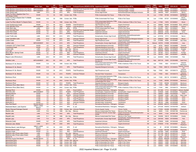| <b>Waterbody Name</b>                                      | <b>Water Type</b>                  | <b>Size</b>  | <b>AU</b> | Cycle        | <b>Source</b>           | Pollutant/Cause (WDNR & EPA) Impairment (WDNR)     |                                                                     | <b>Observed Effect (EPA)</b>                                                 | Listing   | <b>TMDL</b>     | <b>WBIC</b>       | <b>WDNF</b>      | <b>EPA AU ID</b>         | <b>Counties</b>              |
|------------------------------------------------------------|------------------------------------|--------------|-----------|--------------|-------------------------|----------------------------------------------------|---------------------------------------------------------------------|------------------------------------------------------------------------------|-----------|-----------------|-------------------|------------------|--------------------------|------------------------------|
|                                                            | <b>IMPOUNDMENT</b>                 |              | Categor   | Listed       |                         | Sediment/Total Suspended Solids Low DO, Turbidity  |                                                                     |                                                                              | Category  | <b>Priority</b> |                   | AU ID            |                          |                              |
| Lower Barstow Impoundment (Fox River)                      | <b>IMPOUNDMENT</b>                 | 28.2<br>28.2 | 5A<br>5A  | 1998<br>1998 | PS/NPS<br><b>PS/NPS</b> |                                                    | Low DO, Turbidity                                                   | Dissolved Oxygen, Turbidity                                                  | 5A<br>5A  | High            | 771600            | 296926<br>296926 | WI10008207<br>WI10008207 | Waukesha<br>Waukesha         |
| Lower Barstow Impoundment (Fox River)<br>Lower Devils Lake | LAKE                               | 131.4        | 5W        | 2012         | <b>NPS</b>              | <b>Total Phosphorus</b><br><b>Total Phosphorus</b> | <b>Excess Algal Growth</b>                                          | Dissolved Oxygen, Turbidity<br>Nutrient/Eutrophication Biological Indicators | 5W        | High            | 771600<br>1864000 | 15907            | WI10004513               | Barron                       |
| Lower Fox River (Appleton Dam To L.                        |                                    |              |           |              |                         |                                                    |                                                                     |                                                                              |           | Low             |                   |                  |                          | Outagamie,                   |
| Winnebago Outlet)                                          | <b>RIVER</b>                       | 7.9          | 5A        | 1998         | Contam. Sed. PCBs       |                                                    | <b>PCBs Contaminated Fish Tissue</b>                                | <b>PCBs in Fish Tissue</b>                                                   | 5A        | Low             | 117900            | 357364           | WI10008493               | Winnebago                    |
| Lower Fox River (Depere Dam To Middle                      |                                    |              |           |              |                         |                                                    |                                                                     |                                                                              |           |                 |                   |                  |                          | Brown,                       |
| Appleton Dam)                                              | <b>RIVER</b>                       | 24.8         | 5A        | 1998         | Contam. Sed. PCBs       |                                                    | PCBs Contaminated Fish Tissue                                       | PCBs in Fish Tissue                                                          | 5A        | Low             | 117900            |                  | 357301 WI10008492        | Outagamie                    |
|                                                            |                                    |              |           |              |                         |                                                    | PCB Contaminated Sediments, PCBs                                    |                                                                              |           |                 |                   |                  |                          |                              |
| Lower Fox River (Mouth To Depere Dam)                      | <b>RIVER</b>                       | 7.4          | 5A        | 1998         | Contam. Sed.            | PCBs                                               | <b>Contaminated Fish Tissue</b>                                     | PCBs in Sediment, PCBs in Fish Tissue                                        | 5A        | Low             | 117900            | 10678            | WI10008021               | <b>Brown</b>                 |
| Lower Koshkonong Creek                                     | <b>RIVER</b>                       | 27.3         | 5A        | 2012         | <b>PS/NPS</b>           | <b>Total Phosphorus</b>                            | <b>High Phosphorus Levels</b>                                       | Organic Enrichment                                                           | <b>5A</b> | Low             | 808800            | 304950           | WI10038646               | Dane, Jefferson              |
| Lower Merrillan Pond                                       | <b>IMPOUNDMENT</b>                 | 38.0         | 5A        | 1998         | <b>PS/NPS</b>           | <b>Total Phosphorus</b>                            | Eutrophication, Elevated pH                                         | Eutrophication, pH                                                           | 5A        | Low             | 1711500           | 18613            | WI10006490               | Jackson                      |
| Lower Mud Lake                                             | LAKE                               | 184.6        | 5A        | 2022         | <b>NPS</b>              | <b>PFOS</b>                                        | PFOS Contaminated Fish Tissue                                       | PFOS in Fish Tissue                                                          | 5A        | Low             | 803400            | 18251            | WI10006241               | Dane                         |
| Lower Nemadji River                                        | <b>RIVER</b>                       | 38.2         | 5A        | 2010         | <b>PS/NPS</b>           | Sediment/Total Suspended Solids                    | <b>Degraded Habitat</b>                                             | <b>Physical Substrate Habitat Alterations</b>                                | 5A        | Low             | 2835300           | 17456            | WI10025720               | Douglas                      |
| Lower Pine Creek                                           | <b>RIVER</b>                       | 7.0          | 5W        | 2012         | <b>NPS</b>              | <b>Total Phosphorus</b>                            | <b>Impairment Unknown</b>                                           | Organic Enrichment                                                           | 5W        | Low             | 2085300           | 15755            | WI10004393               | Dunn                         |
| <b>Lower Pine Creek</b>                                    | <b>RIVER</b>                       | 3.2          | 5W        | 2014         | <b>PS/NPS</b>           | <b>Total Phosphorus</b>                            | <b>Impairment Unknown</b>                                           | <b>Organic Enrichment</b>                                                    | 5W        | Low             | 2085300           | 1457751          | WI10023639               | Barron, Dunn                 |
| Lower Turtle Lake                                          | LAKE                               | 285.9        | 5W        | 2010         | <b>NPS</b>              | <b>Total Phosphorus</b>                            | Eutrophication, Excess Algal Growth                                 | Eutrophication, Nutrient/Eutrophication<br><b>Biological Indicators</b>      | 5W        | Low             | 2079700           | 15710            | WI10004363               | Barron                       |
| <b>Lower Vermillion Lake</b>                               | LAKE                               | 214.6        | 5W        | 2022         | <b>NPS</b>              | <b>Unknown Pollutant</b>                           | <b>Excess Algal Growth</b>                                          | Nutrient/Eutrophication Biological Indicators                                | 5W        | Low             | 2098200           | 15867            | WI10004480               | Barron                       |
| Lowes Creek                                                | <b>RIVER</b>                       | 11.3         | 5A        | 2012         | <b>NPS</b>              | <b>Total Phosphorus</b>                            | <b>High Phosphorus Levels</b>                                       | Organic Enrichment                                                           | 5A        | Low             | 2123900           | 16354            | WI10004867               | Eau Claire                   |
|                                                            |                                    |              |           |              |                         |                                                    |                                                                     | Eutrophication, Nutrient/Eutrophication                                      |           |                 |                   |                  |                          |                              |
| Ludden Lake                                                | <b>IMPOUNDMENT</b>                 | 56.3         | 5A        | 2018         | <b>NPS</b>              | <b>Total Phosphorus</b>                            | Eutrophication, Excess Algal Growth                                 | <b>Biological Indicators</b>                                                 | 5A        | Medium          | 930700            | 310696           | WI10008359               | lowa                         |
| Ludowissi L Br To Sauk Creek                               | <b>RIVER</b>                       | 4.8          | 5A        | 2018         | <b>NPS</b>              | Unknown Pollutant                                  | Degraded Biological Community                                       | <b>Biological Integrity</b>                                                  | 5A        | Low             | 49700             | 894870           | WI10008989               | Ozaukee                      |
| Luxemburg Creek                                            | <b>RIVER</b>                       | 4.3          | 5A        | 2020         | <b>NPS</b>              | <b>Total Phosphorus</b>                            | <b>Degraded Biological Community</b>                                | <b>Biological Integrity</b>                                                  | 5A        | High            | 92100             | 18072            | WI10006106               | Kewaunee                     |
| Lyman Lake                                                 | LAKE                               | 370.5        | 5B        | 2002         | Atm. Dep.               | Mercury                                            | Mercury Contaminated Fish Tissue                                    | Mercury in Fish Tissue                                                       | 5B        | Low             | 2856400           | 890854           | WI10008905               | Douglas                      |
| Lynx Lake                                                  | LAKE                               | 307.2        | 5B        | 1998         | Atm. Dep.               | Mercury                                            | Mercury Contaminated Fish Tissue                                    | Mercury in Fish Tissue                                                       | 5B        | Low             | 2954500           | 128549           | WI10007663               | Vilas                        |
| Mack (Brown. Spring) Creek                                 | <b>RIVER</b>                       | 2.0          | 5P        | 2018         | <b>NPS</b>              | <b>Total Phosphorus</b>                            | Impairment Unknown                                                  | Organic Enrichmen                                                            | 5P        | Low             | 267300            | 10312            | WI10000441               | Portage                      |
| Madden Br                                                  | <b>RIVER</b>                       | 7.7          | 5A        | 2016         | <b>NPS</b>              | <b>Unknown Pollutant</b>                           | <b>Degraded Biological Community</b>                                | <b>Biological Integrity</b>                                                  | 5A        | Low             | 939100            | 13847            | WI10002931               | Lafayette                    |
| Magnor Lake (Richardson)                                   | LAKE                               | 229.4        | 5W        | 2010         | <b>NPS</b>              | <b>Total Phosphorus</b>                            | Eutrophication, Excess Algal Growth                                 | Eutrophication, Nutrient/Eutrophication                                      | 5W        | Low             | 2624600           | 16596            | WI10005066               | Polk                         |
|                                                            |                                    |              |           |              |                         |                                                    |                                                                     | <b>Biological Indicators</b>                                                 |           |                 |                   |                  |                          |                              |
| Mallalieu Lake                                             | <b>IMPOUNDMENT</b>                 | 289.1        | 5W        | 2004         | <b>NPS</b>              | <b>Total Phosphorus</b>                            | Eutrophication, Excess Algal Growth,<br>Elevated pH                 | Eutrophication, Nutrient/Eutrophication                                      | 5W        | High            | 2607100           | 16400            | WI10004899               | Saint Croix                  |
|                                                            |                                    |              |           |              |                         |                                                    | PCB Contaminated Sediments, PCBs                                    | Biological Indicators, pH                                                    |           |                 |                   |                  |                          | Calumet,                     |
| Manitowoc R. So. Branch                                    | <b>RIVER</b>                       | 12.6         | 5A        | 1998         | Contam. Sed.            | PCBs                                               | <b>Contaminated Fish Tissue</b>                                     | PCBs in Sediment, PCBs in Fish Tissue                                        | 5W        | Low             | 77900             | 9924             | WI10000174               | Manitowoc                    |
|                                                            |                                    |              |           |              |                         |                                                    |                                                                     |                                                                              |           |                 |                   |                  |                          | Calumet, Fond du             |
| Manitowoc R. So. Branch                                    | <b>RIVER</b>                       | 23.9         | 5A        | 2016         | <b>NPS</b>              | <b>Total Phosphorus</b>                            | <b>Degraded Biological Community</b>                                | <b>Biological Integrity</b>                                                  | 5A        | High            | 77900             | 3990110          | WI10028420               | Lac                          |
|                                                            |                                    |              | 5A        |              |                         |                                                    |                                                                     |                                                                              |           |                 |                   |                  |                          | Calumet,                     |
| Manitowoc R. So. Branch                                    | <b>RIVER</b>                       | 12.6         |           | 2012         | <b>PS/NPS</b>           | <b>Total Phosphorus</b>                            | <b>High Phosphorus Levels</b>                                       | Organic Enrichment                                                           | 5A        | High            | 77900             | 9924             | WI10000174               | Manitowoc                    |
| Manitowoc R. So. Branch                                    | <b>RIVER</b>                       | 12.6         | 5A        | 2016         | <b>PS/NPS</b>           | <b>Unknown Pollutant</b>                           | <b>Elevated Water Temperature</b>                                   | Temperature                                                                  | 5A        | Low             | 77900             | 9924             | WI10000174               | Calumet,                     |
|                                                            |                                    |              |           |              |                         |                                                    |                                                                     |                                                                              |           |                 |                   |                  |                          | Manitowoc                    |
| Manitowoc River                                            | <b>RIVER</b>                       | 15.1         | 5A        | 1998         | Contam. Sed. PCBs       |                                                    | PCB Contaminated Sediments, PCBs                                    | PCBs in Sediment, PCBs in Fish Tissue                                        | 5A        | Low             | 71000             | 482116           | WI10008813               | Calumet,                     |
|                                                            |                                    |              |           |              |                         |                                                    | <b>Contaminated Fish Tissue</b>                                     |                                                                              |           |                 |                   |                  |                          | Manitowoc                    |
| <b>Manitowoc River</b>                                     | <b>RIVER</b>                       | 18.7         | 5A        | 2002         | Contam. Sed. PCBs       |                                                    | PCB Contaminated Sediments, PCBs<br><b>Contaminated Fish Tissue</b> | PCBs in Sediment, PCBs in Fish Tissue                                        | 5A        | Low             | 71000             | 482064           | WI10026294               | Manitowoc                    |
| Manitowoc River                                            | <b>RIVER</b>                       | 18.7         | 5A        | 2012         | PS/NPS                  | <b>Total Phosphorus</b>                            | Degraded Biological Community                                       | <b>Biological Integrity</b>                                                  | 5A        | High            | 71000             | 482064           | WI10026294               | Manitowoc                    |
| Manitowoc River (Main Stem)                                | <b>RIVER</b>                       | 2.0          | 5A        | 2002         | Contam. Sed.            | PAHs                                               | <b>PAHs Contaminated Sediments</b>                                  | PAHs in Sediment                                                             | 5A        | Low             | 71000             | 9882             | WI10026175               | Manitowoc                    |
|                                                            |                                    |              |           |              |                         |                                                    | PCB Contaminated Sediments, PCBs                                    |                                                                              |           |                 |                   |                  |                          |                              |
| Manitowoc River (Main Stem)                                | <b>RIVER</b>                       | 2.0          | 5A        | 2002         | Contam. Sed. PCBs       |                                                    | <b>Contaminated Fish Tissue</b>                                     | PCBs in Sediment, PCBs in Fish Tissue                                        | 5A        | Low             | 71000             | 9882             | WI10026175               | Manitowoc                    |
| Marengo River                                              | <b>RIVER</b>                       | 26.8         | 5W        | 2016         | <b>NPS</b>              | <b>Fecal Coliform</b>                              | Recreational Restrictions - Pathogens                               | Pathogens                                                                    | 5W        | Low             | 2911900           | 17712            |                          | WI10008273 Ashland, Bayfield |
| Marinuka Lake                                              | <b>IMPOUNDMENT</b>                 | 116.6        | 5A        | 2010         | PS/NPS                  | <b>Total Phosphorus</b>                            | Eutrophication, Impairment Unknown                                  | Eutrophication, Organic Enrichment                                           | 5A        | Low             | 1678200           | 14080            | WI10003064               | Trempealeau                  |
| <b>Marlowe Branch</b>                                      | <b>RIVER</b>                       | 5.8          | 5A        | 2016         | <b>NPS</b>              | <b>Unknown Pollutant</b>                           | <b>Degraded Biological Community</b>                                | <b>Biological Integrity</b>                                                  | 5A        | Low             | 959400            | 18565            | WI10036764               | Grant                        |
| Marsh Creek                                                | <b>RIVER</b>                       | 4.3          | 5A        | 2018         | <b>PS/NPS</b>           | Unknown Pollutant                                  | Degraded Biological Community                                       | <b>Biological Integrity</b>                                                  | 5A        | Low             | 1252900           | 13346            | WI8112789                | Dane, Iowa                   |
| Martinville Cr                                             | <b>RIVER</b>                       | 2.6          | 5A        | 2014         | <b>NPS</b>              | <b>Total Phosphorus</b>                            | Degraded Biological Community                                       | <b>Biological Integrity</b>                                                  | 5A        | Low             | 955100            | 13887            | WI10002958               | Grant                        |
| Martinville Cr                                             | <b>RIVER</b>                       | 2.5          | 5A        | 2014         | <b>NPS</b>              | <b>Total Phosphorus</b>                            | Degraded Biological Community                                       | <b>Biological Integrity</b>                                                  | 5A        | Low             | 955100            | 13888            | WI10002959               | Grant                        |
| Martinville Cr                                             | <b>RIVER</b>                       | 2.6          | 5A        | 2016         | <b>NPS</b>              | Unknown Pollutant                                  | <b>Elevated Water Temperature</b>                                   | Temperature                                                                  | 5A        | Low             | 955100            | 13887            | WI10002958               | Grant                        |
| Martinville Cr                                             | <b>RIVER</b>                       | 2.5          | 5A        | 2016         | <b>NPS</b>              | Unknown Pollutant                                  | <b>Elevated Water Temperature</b>                                   | Temperature                                                                  | 5A        | Low             | 955100            | 13888            | WI10002959               | Grant                        |
| Mary Park Beach                                            | <b>INLAND BEACH</b>                | 0.0          | 5W        | 2012         | <b>NPS</b>              | E. coli                                            | Recreational Restrictions - Pathogens                               | Pathogens                                                                    | 5W        | Low             | 2608800           |                  | 3894231 WI10026956       | Saint Croix                  |
| Maslowski Beach, Lake Superior                             | <b>GREAT LAKES</b><br><b>BEACH</b> | 0.9          | 5A        | 2016         | <b>NPS</b>              | E. coli                                            | Recreational Restrictions - Pathogens Pathogens                     |                                                                              | 5A        | Low             | 2751220           |                  | 1452812 WI10024768       | Ashland                      |
| Master Disposal Drainage Channel                           | <b>RIVER</b>                       | 1.0          | 5A        | 1998         | Contam. Sed.            | <b>Unknown Pollutant</b>                           | <b>Chronic Aquatic Toxicity</b>                                     | <b>Chronic Toxicity</b>                                                      | 5A        | Low             | 773300            | 424266           | WI10008641               | Waukesha                     |
| Mauthe Lake                                                | LAKE                               | 70.2         | 5A        | 1998         | Atm. Dep.               | Mercury                                            | Mercury Contaminated Fish Tissue                                    | Mercury in Fish Tissue                                                       | 5B        | Low             | 38200             | 11324            | WI10001196               | Fond du Lac                  |
|                                                            |                                    |              |           |              |                         |                                                    | Impairment Unknown, Excess Algal                                    | Organic Enrichment, Nutrient/Eutrophication                                  |           |                 |                   |                  |                          |                              |
| Mauthe Lake                                                | LAKE                               | 70.2         | 5A        | 2022         | <b>NPS</b>              | <b>Total Phosphorus</b>                            | Growth                                                              | <b>Biological Indicators</b>                                                 | 5A        | Low             | 38200             |                  | 11324 WI10001196         | Fond du Lac                  |
| Mcgrath Lake                                               | LAKE                               | 51.1         | 5B        | 1998         | Atm. Dep.               | Mercury                                            | Mercury Contaminated Fish Tissue                                    | Mercury in Fish Tissue                                                       | 5B        | Low             | 1003900           |                  | 128215 WI10026824        | Oneida                       |
| <b>Mckeith Lake</b>                                        | LAKE                               | 73.4         | 5W        | 2020         | <b>NPS</b>              | <b>Total Phosphorus</b>                            | Eutrophication, Excess Algal Growth                                 | Eutrophication, Nutrient/Eutrophication                                      | 5W        | Low             | 2481500           |                  | 16628 WI10005092         | Polk                         |
|                                                            |                                    |              |           |              |                         |                                                    |                                                                     | <b>Biological Indicators</b>                                                 |           |                 |                   |                  |                          |                              |
| Mckenzie Creek                                             | <b>RIVER</b>                       | 16.7         | 5P        | 2018         | <b>NPS</b>              | <b>Total Phosphorus</b>                            | Impairment Unknown                                                  | Organic Enrichment                                                           | 5P        | Low             | 1756900           | 14289            | WI10003208               | Taylor                       |
| Mckenzie Lake, Middle                                      | LAKE                               | 527.1        | 5W        | 2020         | <b>NPS</b>              | <b>Total Phosphorus</b>                            | <b>Impairment Unknown</b>                                           | <b>Organic Enrichment</b>                                                    | 5W        | Low             | 2706500           | 17194            | WI10005561               | Burnett,                     |
|                                                            |                                    |              |           |              |                         |                                                    |                                                                     |                                                                              |           |                 |                   |                  |                          | Washburn                     |
| Mckinley Beach, Lake Michigan                              | <b>GREAT LAKES</b><br><b>BEACH</b> | 0.6          | 5A        | 2020         | <b>NPS</b>              | E. coli                                            | Recreational Restrictions - Pathogens                               | Pathogens                                                                    | 5A        | Low             | 20                |                  | 481498 WI10008802        | Milwaukee                    |
| <b>Meadow Brook Creek</b>                                  | <b>RIVER</b>                       | 3.1          | 5A        | 2018         | <b>NPS</b>              | Chloride                                           | <b>Chronic Aquatic Toxicity</b>                                     | <b>Chronic Toxicity</b>                                                      | 5A        | Low             | 772300            |                  | 3991922 WI10028606       | Waukesha                     |
| Meadow Creek                                               | <b>RIVER</b>                       | 5.0          | 5P        | 2012         | <b>NPS</b>              | <b>Total Phosphorus</b>                            | Impairment Unknown                                                  | Organic Enrichment                                                           | 5P        | Low             | 2227900           | 14660            | WI10003489               | Rusk                         |
| Medicine Lake (Three Lakes Chain)                          | LAKE                               | 395.9        | 5C        | 2018         | Atm. Dep.               | Mercury                                            | Mercury Contaminated Fish Tissue                                    | Mercury in Fish Tissue                                                       | 5B        | Low             | 1611700           |                  | 128218 WI10007372        | Oneida                       |
| Medicine Lake (Three Lakes Chain)                          | LAKE                               | 395.9        | 5C        | 2016         | PS/NPS                  | <b>Total Phosphorus</b>                            | Impairment Unknown                                                  | Organic Enrichment                                                           | 5C        | Low             | 1611700           |                  | 128218 WI10007372        | Oneida                       |
| Meeme R.                                                   | <b>RIVER</b>                       | 11.7         | 5P        | 2012         | <b>PS/NPS</b>           | <b>Total Phosphorus</b>                            | <b>Impairment Unknown</b>                                           | Organic Enrichment                                                           | 5P        | High            | 62900             |                  | 207459 WI10026355        | Manitowoc                    |
| Mendota County Park Beach                                  | <b>INLAND BEACH</b>                | 0.0          | 5A        | 2016         | <b>NPS</b>              | E. coli                                            | Recreational Restrictions - Pathogens                               | Pathogens                                                                    | 5A        | Low             | 805400            |                  | 6980949 WI10043940       | Dane                         |
| <b>Menominee River</b>                                     | <b>RIVER</b>                       | 3.5          | 5A        | 1998         | Contam. Sed. Mercury    |                                                    | Mercury Contaminated Fish Tissue                                    | Mercury in Fish Tissue                                                       | 5A        | Low             | 609000            | 12050            | WI10026844               | Marinette                    |
| Menominee River                                            | RIVER                              | 39.6         | 5A        | 1998         | Contam. Sed. PCBs       |                                                    | PCBs Contaminated Fish Tissue                                       | PCBs in Fish Tissue                                                          | 5A        | Low             | 609000            | 12089            | WI10001785               | Marinette                    |
| <b>Menominee River</b>                                     | <b>RIVER</b>                       | 45.1         | 5A        | 1998         | Contam. Sed. PCBs       |                                                    | <b>PCBs Contaminated Fish Tissue</b>                                | PCBs in Fish Tissue                                                          | 5A        | Low             | 609000            | 12090            | WI10001786               | Marinette                    |
| Menominee River                                            | <b>RIVER</b>                       | 3.5          | 5A        | 1998         | Contam. Sed. PCBs       |                                                    | PCBs Contaminated Fish Tissue                                       | PCBs in Fish Tissue                                                          | 5A        | Low             | 609000            |                  | 12050 WI10026844         | Marinette                    |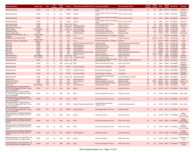| Waterbody Name                                                                                             | <b>Water Type</b>                  | <b>Size</b> | AU<br>Category | Cycle<br>Listed | <b>Source</b>     | Pollutant/Cause (WDNR & EPA) Impairment (WDNR) |                                                                                       | <b>Observed Effect (EPA)</b>                  | <b>Listing</b><br>Category | <b>TMDL</b><br>Priority | WBIC    | <b>WDNF</b><br>AU ID | <b>EPA AU ID</b>         | <b>Counties</b>                              |
|------------------------------------------------------------------------------------------------------------|------------------------------------|-------------|----------------|-----------------|-------------------|------------------------------------------------|---------------------------------------------------------------------------------------|-----------------------------------------------|----------------------------|-------------------------|---------|----------------------|--------------------------|----------------------------------------------|
| <b>Menomonee River</b>                                                                                     | <b>RIVER</b>                       | 6.34        | 5A             | 2018            | <b>PS/NPS</b>     | Chloride                                       | Chronic Aquatic Toxicity, Acute Aquatic Chronic Toxicity, Toxicity<br><b>Toxicity</b> |                                               | 5A                         | Low                     | 16000   |                      | 3884139 WI8104653        | Milwaukee                                    |
| Menomonee River                                                                                            | <b>RIVER</b>                       | 12.2        | 5A             | 2018            | <b>PS/NPS</b>     | Chloride                                       | Chronic Aquatic Toxicity, Acute Aquatic Chronic Toxicity, Toxicity<br>Toxicity        |                                               | 5A                         | Low                     | 16000   | 8104655              | WI8104656                | Washington.<br>Waukesha,<br>Milwaukee        |
| Menomonee River                                                                                            | <b>RIVER</b>                       | 2.7         | <b>5A</b>      | 2018            | <b>PS/NPS</b>     | Chloride                                       | Chronic Aquatic Toxicity, Acute Aquatic<br><b>Toxicity</b>                            | <b>Chronic Toxicity, Toxicity</b>             | 5A                         | Low                     | 16000   | 426506               | WI10008754               | Milwaukee                                    |
| Menomonee River                                                                                            | <b>RIVER</b>                       | 3.6         | 5A             | 2018            | <b>PS/NPS</b>     | Chloride                                       | Chronic Aquatic Toxicity, Acute Aquatic Chronic Toxicity, Toxicity<br>Toxicity        |                                               | 5A                         | Low                     | 16000   | 10017                | WI10026421               | Milwaukee                                    |
| <b>Menomonee River</b>                                                                                     | <b>RIVER</b>                       | 2.7         | 5A             | 1998            | Contam. Sed. PCBs |                                                | <b>PCBs Contaminated Fish Tissue</b>                                                  | PCBs in Fish Tissue                           | 5A                         | Low                     | 16000   | 426506               | WI10008754               | Milwaukee                                    |
| Menomonee River                                                                                            | <b>RIVER</b>                       | 2.7         | 5A             | 1998            |                   | Contam. Sed. Unspecified Metals                | <b>Chronic Aquatic Toxicity</b>                                                       | <b>Chronic Toxicity</b>                       | 5A                         | Low                     | 16000   | 426506               | WI10008754               | Milwaukee                                    |
| Menonminee R -Wi-II Bd                                                                                     | <b>RIVER</b>                       | 4.9         | 5P             | 2018            | <b>PS/NPS</b>     | <b>Total Phosphorus</b>                        | <b>Impairment Unknown</b>                                                             | <b>Organic Enrichment</b>                     | 5P                         | Medium                  | 941700  | 13853                | WI10038783               | Grant                                        |
| Merrill Flowage                                                                                            | <b>IMPOUNDMENT</b>                 | 284.3       | 5A             | 1998            |                   | Contam. Sed. Unknown Pollutant                 | <b>Chronic Aquatic Toxicity</b>                                                       | <b>Chronic Toxicity</b>                       | 5A                         | Low                     | 1481100 | 127986               | WI10007168               | Lincoln                                      |
| Messenger Creek                                                                                            | <b>RIVER</b>                       | 3.8         | 5C             | 2018            | <b>NPS</b>        | <b>Unknown Pollutant</b>                       | <b>Elevated Water Temperature</b>                                                     | Temperature                                   | 5C                         | Low                     | 518400  | 18265                | WI10006251               | Oconto                                       |
| Meyers Valley Creek                                                                                        | RIVER                              | 3.7         | 5A             | 2014            | <b>NPS</b>        | <b>Total Phosphorus</b>                        | Degraded Biological Community                                                         | <b>Biological Integrity</b>                   | 5A                         | Low                     | 1776700 | 14353                | WI10003257               | Trempealeau                                  |
| Michigan Boulevard Beach, Lake<br>Michigan                                                                 | <b>GREAT LAKES</b><br><b>BEACH</b> | 0.2         | 5W             | 2012            | Unknown           | E. coli                                        | Recreational Restrictions - Pathogens                                                 | Pathogens                                     | 5W                         | Low                     | 20      | 3894230              | WI10026955               | Racine                                       |
| Middle Branch Of O'Neill Creek                                                                             | <b>RIVER</b>                       | 8.1         | 5P             | 2014            | <b>NPS</b>        | <b>Total Phosphorus</b>                        | Impairment Unknown                                                                    | Organic Enrichment                            | 5P                         | Medium                  | 1749700 | 14266                | WI10003190               | Clark                                        |
| Middle River Beach, Lake Superior                                                                          | <b>GREAT LAKES</b><br><b>BEACH</b> | 0.5         | 5A             | 2016            | <b>NPS</b>        | E. coli                                        | Recreational Restrictions - Pathogens                                                 | Pathogens                                     | 5A                         | Low                     | 2751220 | 1489001              | WI10024803               | Douglas                                      |
| Mill Creek                                                                                                 | <b>RIVER</b>                       | 3.0         | 5A             | 2014            | <b>NPS</b>        | Sediment/Total Suspended Solids                | Degraded Habitat                                                                      | Physical Substrate Habitat Alterations        | 5A                         | Low                     | 835500  | 11412                | WI10001259               | Dodge                                        |
| Mill Creek                                                                                                 | <b>RIVER</b>                       | 3.0         | 5A             | 2014            | <b>NPS</b>        | <b>Total Phosphorus</b>                        | <b>Impairment Unknown</b>                                                             | <b>Organic Enrichment</b>                     | 5P                         | Low                     | 835500  | 11412                | WI10001259               | Dodge                                        |
| Mill Creek                                                                                                 | <b>RIVER</b>                       | 10.8        | 5A             | 2016            | <b>NPS</b>        | <b>Total Phosphorus</b>                        | <b>High Phosphorus Levels</b>                                                         | Organic Enrichment                            | 5A                         | Low                     | 867700  | 11571                | WI10001390               | Dodge                                        |
| Mill Creek                                                                                                 | <b>RIVER</b>                       | 15.5        | 5P             | 2014            | <b>PS/NPS</b>     | <b>Total Phosphorus</b>                        | <b>Impairment Unknown</b>                                                             | <b>Organic Enrichment</b>                     | 5P                         | Low                     | 1215600 | 13296                | WI10002589               | Richland                                     |
| Mill Creek                                                                                                 | <b>RIVER</b>                       | 15.8        | 5W             | 2012            | <b>NPS</b>        | <b>Total Phosphorus</b>                        | <b>Impairment Unknown</b>                                                             | Organic Enrichment                            | 5W                         | Low                     | 1242200 | 13418                | WI10026082               | lowa                                         |
| Mill Creek                                                                                                 | <b>RIVER</b>                       | 3.0         | <b>5A</b>      | 1998            | <b>NPS</b>        | Sediment/Total Suspended Solids                | <b>Degraded Habitat</b>                                                               | <b>Physical Substrate Habitat Alterations</b> | 5A                         | Low                     | 1688500 | 14109                | WI10008032               | Jackson                                      |
| Milun Creek                                                                                                | <b>RIVER</b>                       | 2.4         | 5P             | 2018            | <b>NPS</b>        | <b>Total Phosphorus</b>                        | Impairment Unknown                                                                    | Organic Enrichment                            | 5P                         | Medium                  | 886300  | 13660                | WI10002827               | Dane                                         |
| Milwaukee Harbor                                                                                           | <b>BAY/HARBOR</b>                  | 0.32        | 5A             | 1998            | Contam. Sed. PCBs |                                                | <b>PCBs Contaminated Fish Tissue</b>                                                  | PCBs in Fish Tissue                           | 5A                         | Low                     | 15010   | 426424               | WI10008753               | Milwaukee                                    |
| Milwaukee Harbor                                                                                           | <b>BAY/HARBOR</b>                  | 0.3         | 5A             | 1998            |                   | Contam. Sed. Unspecified Metals                | <b>Chronic Aquatic Toxicity</b>                                                       | <b>Chronic Toxicity</b>                       | 5A                         | Low                     | 15010   | 426424               | WI10008753               | Milwaukee                                    |
| Milwaukee River                                                                                            | <b>RIVER</b>                       | 2.9         | 5A             | 1998            | Contam. Sed. PCBs |                                                | PCB Contaminated Sediments, PCBs<br><b>Contaminated Fish Tissue</b>                   | PCBs in Sediment, PCBs in Fish Tissue         | 5A                         | Low                     | 15000   | 426339               | WI10008752               | Milwaukee                                    |
| Milwaukee River                                                                                            | <b>RIVER</b>                       | 16.5        | 5A             | 1998            | Contam. Sed. PCBs |                                                | PCBs Contaminated Fish Tissue                                                         | PCBs in Fish Tissue                           | 5A                         | Low                     | 15000   | 426381               | WI10026897               | Ozaukee,<br>Milwaukee                        |
| Milwaukee River                                                                                            | <b>RIVER</b>                       | 39.2        | 5A             | 2016            | <b>PS/NPS</b>     | <b>Unknown Pollutant</b>                       | <b>Elevated Water Temperature</b>                                                     | Temperature                                   | 5A                         | Low                     | 15000   | 481566               | WI10008803               | Ozaukee,                                     |
| Milwaukee River                                                                                            | <b>RIVER</b>                       | 34.8        | 5A             | 2016            | <b>PS/NPS</b>     | Unknown Pollutant                              | <b>Elevated Water Temperature</b>                                                     | Temperature                                   | 5A                         | Low                     | 15000   | 481605               | WI10008804               | Washington<br>Washington,                    |
| Milwaukee River                                                                                            | <b>RIVER</b>                       | 16.5        | 5A             | 2016            | <b>PS/NPS</b>     | <b>Unknown Pollutant</b>                       | <b>Elevated Water Temperature</b>                                                     | Temperature                                   | 5A                         | Low                     | 15000   | 426381               | WI10026897               | Fond du Lac<br>Ozaukee,                      |
| Milwaukee River                                                                                            | <b>RIVER</b>                       | 2.9         | 5A             | 1998            |                   | Contam. Sed. Unspecified Metals                | Unspecified Metals Contaminated                                                       | Unspecified Metals in Sediment                | 5A                         | Low                     | 15000   | 426339               | WI10008752               | Milwaukee<br>Milwaukee                       |
|                                                                                                            |                                    |             |                |                 |                   |                                                | Sediments                                                                             |                                               |                            |                         |         |                      |                          |                                              |
| Mineral Lake                                                                                               | LAKE                               | 227.1       | 5W             | 2016            | <b>NPS</b>        | <b>Total Phosphorus</b>                        | <b>Impairment Unknown</b>                                                             | Organic Enrichment                            | 5W                         | Low                     | 2916900 | 891211               | WI10008925               | Ashland                                      |
| Mineral Point Branch                                                                                       | <b>RIVER</b>                       | 24.5        | 5A             | 2014            | <b>NPS</b>        | <b>Total Phosphorus</b>                        | <b>Degraded Biological Community</b>                                                  | <b>Biological Integrity</b>                   | 5A                         | Medium                  | 927900  | 13810                | WI10002907               | Lafayette, lowa                              |
| <b>Minnesuing Lake</b>                                                                                     | LAKE                               | 450.2       | 5B             | 2002            | Atm. Dep.         | Mercury                                        | Mercury Contaminated Fish Tissue                                                      | Mercury in Fish Tissue                        | 5B                         | Low                     | 2866200 | 890871               | WI10008906               | Douglas                                      |
| Mirror Lake                                                                                                | <b>IMPOUNDMENT</b>                 | 139.0       | 5A             | 2018            | <b>NPS</b>        | <b>Total Phosphorus</b>                        | <b>High Phosphorus Levels</b>                                                         | Organic Enrichment                            | 5P                         | Low                     | 1296000 | 13548                | WI10002739               | Sauk                                         |
| Mississippi (Reach 1) Rush-Vermillion -<br>St. Croix R to Chippewa R(Pools 3- lower<br>Pool 4, Lake Pepin) | <b>RIVER</b>                       | 48.1        | <b>5A</b>      | 1998            | Other             | Mercury                                        | <b>Impairment Unknown</b>                                                             | <b>Organic Enrichment</b>                     | 5A                         | Low                     | 721000  | 892119               | WI10008954               | Pierce, Pepin                                |
| Mississippi (Reach 1) Rush-Vermillion -<br>St. Croix R to Chippewa R(Pools 3- lower<br>Pool 4, Lake Pepin) | RIVER                              | 48.1        | 5A             | 1998            | Other             | PCBs                                           | PCBs Contaminated Fish Tissue                                                         | PCBs in Fish Tissue                           | 5A                         | Low                     | 721000  |                      | 892119 WI10008954        | Pierce, Pepin                                |
| Mississippi (Reach 1) Rush-Vermillion -<br>St. Croix R to Chippewa R(Pools 3- lower<br>Pool 4, Lake Pepin) | <b>RIVER</b>                       | 48.1        | 5A             | 2008            | Other             | <b>PFOS</b>                                    | <b>PFOS Contaminated Fish Tissue</b>                                                  | PFOS in Fish Tissue                           | 5A                         | Low                     | 721000  |                      | 892119 WI10008954        | Pierce, Pepin                                |
| Mississippi (Reach 1) Rush-Vermillion -<br>St. Croix R to Chippewa R(Pools 3- lower<br>Pool 4, Lake Pepin) | <b>RIVER</b>                       | 48.1        | 5A             | 2008            | <b>PS/NPS</b>     | Sediment/Total Suspended Solids                | Degraded Submerged Aquatic<br>Vegetation (SAV)                                        | Aquatic Plants (Macrophytes)                  | 5A                         | Low                     | 721000  |                      | 892119 WI10008954        | Pierce, Pepin                                |
| Mississippi (Reach 1) Rush-Vermillion -<br>St. Croix R to Chippewa R(Pools 3- lower<br>Pool 4, Lake Pepin) | <b>RIVER</b>                       | 48.1        | 5A             | 2012            | <b>PS/NPS</b>     | <b>Total Phosphorus</b>                        | <b>Degraded Biological Community</b>                                                  | <b>Biological Integrity</b>                   | 5A                         | Low                     | 721000  |                      | 892119 WI10008954        | Pierce, Pepin                                |
| Mississippi (Reach 2) Buffalo-Whitewater<br>Chippewa River to LD 6 (lower Pool 4 to<br>Pool 6)             | <b>RIVER</b>                       | 49.2        | 5A             | 1998            | Other             | Mercury                                        | <b>Impairment Unknown</b>                                                             | Organic Enrichment                            | 5A                         | Low                     | 721000  |                      | 892047 WI10008953        | Buffalo,<br>Trempealeau<br>Pepin, La Crosse  |
| Mississippi (Reach 2) Buffalo-Whitewater -<br>Chippewa River to LD 6 (lower Pool 4 to<br>Pool 6)           | <b>RIVER</b>                       | 49.2        | 5A             | 1998            | Other             | <b>PCBs</b>                                    | <b>PCBs Contaminated Fish Tissue</b>                                                  | PCBs in Fish Tissue                           | 5A                         | Low                     | 721000  |                      | 892047 WI10008953        | Buffalo,<br>Trempealeau,<br>Pepin, La Crosse |
| Mississippi (Reach 2) Buffalo-Whitewater<br>Chippewa River to LD 6 (lower Pool 4 to<br>Pool 6)             | RIVER                              | 49.2        | 5A             | 2008            | Other             | <b>PFOS</b>                                    | PFOS Contaminated Fish Tissue                                                         | PFOS in Fish Tissue                           | 5A                         | Low                     | 721000  |                      | 892047 WI10008953        | Buffalo,<br>Trempealeau,<br>Pepin, La Crosse |
| Mississippi (Reach 2) Buffalo-Whitewater -<br>Chippewa River to LD 6 (lower Pool 4 to<br>Pool 6)           | <b>RIVER</b>                       | 49.2        | 5A             | 2012            | <b>PS/NPS</b>     | <b>Total Phosphorus</b>                        | <b>Impairment Unknown</b>                                                             | Organic Enrichment                            | 5P                         | Low                     | 721000  |                      | 892047 WI10008953        | Buffalo,<br>Trempealeau,<br>Pepin, La Crosse |
| Mississippi (Reach 3) LaCrosse-Pine - LD<br>6 to Root River (Pool 7 to upper Pool 8)                       | <b>RIVER</b>                       | 20.5        | 5A             | 1998            | Other             | Mercury                                        | Impairment Unknown                                                                    | <b>Organic Enrichment</b>                     | 5A                         | Low                     | 721000  |                      | 892011 WI10026429        | Trempealeau, La<br>Crosse                    |
| Mississippi (Reach 3) LaCrosse-Pine - LD<br>6 to Root River (Pool 7 to upper Pool 8)                       | <b>RIVER</b>                       | 20.5        | 5A             | 1998            | Other             | <b>PCBs</b>                                    | <b>PCBs Contaminated Fish Tissue</b>                                                  | PCBs in Fish Tissue                           | 5A                         | Low                     |         |                      | 721000 892011 WI10026429 | Trempealeau, La<br>Crosse                    |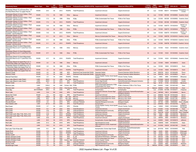| Waterbody Name                                                                              | <b>Water Type</b>    | <b>Size</b>  | <b>AU</b><br>Category | Cycle<br>Listed | <b>Source</b>            | Pollutant/Cause (WDNR & EPA) Impairment (WDNR)     |                                                                     | <b>Observed Effect (EPA)</b>                                            | <b>Listing</b><br>Category | <b>TMDL</b><br>Priority | <b>WBIC</b>        | WDNR<br>AU ID | <b>EPA AU ID</b>                 | <b>Counties</b>                     |
|---------------------------------------------------------------------------------------------|----------------------|--------------|-----------------------|-----------------|--------------------------|----------------------------------------------------|---------------------------------------------------------------------|-------------------------------------------------------------------------|----------------------------|-------------------------|--------------------|---------------|----------------------------------|-------------------------------------|
| Mississippi (Reach 3) LaCrosse-Pine - LD<br>6 to Root River (Pool 7 to upper Pool 8)        | <b>RIVER</b>         | 20.5         | 5A                    | 2012            | PS/NPS                   | <b>Total Phosphorus</b>                            | <b>Impairment Unknown</b>                                           | Organic Enrichment                                                      | 5P                         | Low                     | 721000             | 892011        | WI10026429                       | Trempealeau, La<br>Crosse           |
| Mississippi (Reach 4) Coon-Yellow - Pool<br>10 portion - Wis R to LD 9)                     | <b>RIVER</b>         | 17.3         | 5A                    | 1998            | Other                    | Mercury                                            | <b>Impairment Unknown</b>                                           | <b>Organic Enrichment</b>                                               | 5A                         | Low                     | 721000             | 891939        | WI10008952                       | Crawford, Gran                      |
| Mississippi (Reach 4) Coon-Yellow - Pool<br>10 portion - Wis R to LD 9)                     | <b>RIVER</b>         | 17.3         | 5A                    | 1998            | Other                    | PCBs                                               | PCBs Contaminated Fish Tissue                                       | PCBs in Fish Tissue                                                     | 5A                         | Low                     | 721000             | 891939        |                                  | WI10008952 Crawford, Grant          |
| Mississippi (Reach 4) Coon-Yellow - Pool<br>10 portion - Wis R to LD 9)                     | <b>RIVER</b>         | 17.3         | 5A                    | 2012            | <b>PS/NPS</b>            | <b>Total Phosphorus</b>                            | <b>Impairment Unknown</b>                                           | Organic Enrichment                                                      | 5P                         | Low                     | 721000             | 891939        | WI10008952                       | Crawford, Grant                     |
| Mississippi (Reach 4) Coon-Yellow - Pool<br>8 portion - LD 8 to Root R.)                    | <b>RIVER</b>         | 14.6         | 5A                    | 1998            | Other                    | Mercury                                            | Impairment Unknown                                                  | Organic Enrichment                                                      | 5A                         | Low                     | 721000             |               | 1848773 WI10025434               | Vernon, La<br>Crosse                |
| Mississippi (Reach 4) Coon-Yellow - Pool<br>8 portion - LD 8 to Root R.)                    | <b>RIVER</b>         | 14.6         | 5A                    | 1998            | Other                    | <b>PCBs</b>                                        | <b>PCBs Contaminated Fish Tissue</b>                                | PCBs in Fish Tissue                                                     | 5A                         | Low                     | 721000             |               | 1848773 WI10025434               | Vernon, La<br>Crosse                |
| Mississippi (Reach 4) Coon-Yellow - Pool<br>8 portion - LD 8 to Root R.)                    | <b>RIVER</b>         | 14.6         | 5A                    | 2012            | PS/NPS                   | <b>Total Phosphorus</b>                            | Impairment Unknown                                                  | Organic Enrichment                                                      | 5P                         | Low                     | 721000             |               | 1848773 WI10025434               | Vernon, La<br>Crosse                |
| Mississippi (Reach 4) Coon-Yellow - Pool<br>9 portion - LD 9 to LD 8)                       | <b>RIVER</b>         | 31.1         | 5A                    | 2010            | Other                    | Mercury                                            | Mercury Contaminated Fish Tissue                                    | Mercury in Fish Tissue                                                  | 5A                         | Low                     | 721000             |               |                                  | 1848750 WI10025433 Crawford, Vernon |
| Mississippi (Reach 4) Coon-Yellow - Pool<br>9 portion - LD 9 to LD 8)                       | <b>RIVER</b>         | 31.1         | 5A                    | 1998            | Other                    | PCBs                                               | <b>PCBs Contaminated Fish Tissue</b>                                | PCBs in Fish Tissue                                                     | 5A                         | Low                     | 721000             |               |                                  | 1848750 WI10025433 Crawford, Vernon |
| Mississippi (Reach 4) Coon-Yellow - Pool<br>9 portion - LD 9 to LD 8)                       | <b>RIVER</b>         | 31.1         | 5A                    | 2012            | <b>PS/NPS</b>            | <b>Total Phosphorus</b>                            | <b>Impairment Unknown</b>                                           | <b>Organic Enrichment</b>                                               | 5P                         | Low                     | 721000             | 1848750       |                                  | WI10025433 Crawford, Vernon         |
| Mississippi (Reach 5) Grant-Maquoketa<br>Wisconsin River to LD 11 (mid Pool 10 to<br>LD 12) | <b>RIVER</b>         | 47.7         | 5A                    | 1998            | Other                    | Mercury                                            | Impairment Unknown                                                  | Organic Enrichment                                                      | 5A                         | Low                     | 721000             | 16323         |                                  | WI10004842 Crawford, Grant          |
| Mississippi (Reach 5) Grant-Maquoketa<br>Wisconsin River to LD 11 (mid Pool 10 to<br>LD 12) | <b>RIVER</b>         | 47.7         | 5A                    | 1998            | Other                    | PCBs                                               | <b>PCBs Contaminated Fish Tissue</b>                                | PCBs in Fish Tissue                                                     | 5A                         | Low                     | 721000             | 16323         |                                  | WI10004842 Crawford, Grant          |
| Mississippi (Reach 5) Grant-Maquoketa<br>Wisconsin River to LD 11 (mid Pool 10 to<br>LD 12) | <b>RIVER</b>         | 47.7         | 5A                    | 2016            | PS/NPS                   | <b>Total Phosphorus</b>                            | <b>Impairment Unknown</b>                                           | Organic Enrichment                                                      | 5P                         | Low                     | 721000             | 16323         |                                  | WI10004842 Crawford, Grant          |
| Mississippi (Reach 6) Apple-Plum LD 11<br>to Wisconsin State Line (upper Pool 12)           | <b>RIVER</b>         | 2.2          | 5A                    | 1998            | Other                    | Mercury                                            | <b>Impairment Unknown</b>                                           | <b>Organic Enrichment</b>                                               | 5A                         | Low                     | 721000             | 18638         | WI10006510                       | Grant                               |
| Mississippi (Reach 6) Apple-Plum LD 11<br>to Wisconsin State Line (upper Pool 12)           | <b>RIVER</b>         | 2.2          | 5A                    | 1998            | Other                    | PCBs                                               | PCBs Contaminated Fish Tissue                                       | PCBs in Fish Tissue                                                     | 5A                         | Low                     | 721000             | 18638         | WI10006510                       | Grant                               |
| Mississippi (Reach 6) Apple-Plum LD 11<br>to Wisconsin State Line (upper Pool 12)           | <b>RIVER</b>         | 2.2          | 5A                    | 2016            | <b>PS/NPS</b>            | <b>Total Phosphorus</b>                            | <b>Impairment Unknown</b>                                           | <b>Organic Enrichment</b>                                               | 5P                         | Low                     | 721000             | 18638         | WI10006510                       | Grant                               |
| Missouri Creek                                                                              | <b>RIVER</b>         | 4.0          | 5A                    | 1998            | <b>NPS</b>               | Sediment/Total Suspended Solids                    | <b>Degraded Habitat</b>                                             | Physical Substrate Habitat Alterations                                  | 5A                         | Low                     | 2055700            | 15619         | WI10004294                       | Pierce                              |
| <b>Missouri Creek</b>                                                                       | <b>RIVER</b>         | 5.2          | 5A                    | 1998            | <b>NPS</b>               | Sediment/Total Suspended Solids                    | <b>Degraded Habitat</b>                                             | <b>Physical Substrate Habitat Alterations</b>                           | 5A                         | Low                     | 2055700            | 18774         | WI10006623                       | Dunn                                |
| Mitchell Field Ditch                                                                        | <b>RIVER</b>         | 2.3          | 5A                    | 2020            | PS/NPS                   | Chloride                                           | Chronic Aquatic Toxicity, Acute Aquati<br>Toxicity                  | Chronic Toxicity, Toxicity                                              | 5A                         | Low                     | 14800              | 9968          | WI10008035                       | Milwaukee                           |
| Moen Lake (Moen's Lake Chain)                                                               | LAKE                 | 460.9        | 5C                    | 1998            | Atm. Dep.                | Mercury                                            | Mercury Contaminated Fish Tissue                                    | Mercury in Fish Tissue                                                  | 5B                         | Low                     | 1573800            | 128230        | WI10008940                       | Oneida                              |
| Moen Lake (Moen's Lake Chain)                                                               | LAKE                 | 460.9        | 5C                    | 2016            | <b>NPS</b>               | Total Phosphorus                                   | <b>Excess Algal Growth</b>                                          | Nutrient/Eutrophication Biological Indicators                           | 5C                         | Low                     | 1573800            | 128230        | WI10008940                       | Oneida                              |
| <b>Molash Creek</b>                                                                         | <b>RIVER</b>         | 7.8          | 5P                    | 2012            | <b>NPS</b>               | <b>Total Phosphorus</b>                            | <b>Impairment Unknown</b>                                           | <b>Organic Enrichment</b>                                               | 5P                         | High                    | 90100              | 10164         | WI10000336                       | Manitowoc                           |
| Monona Lake                                                                                 | LAKE                 | 3359.0       | 5A                    | 1998            | Contam. Sed.             | PCBs                                               | PCB Contaminated Sediments, PCBs<br><b>Contaminated Fish Tissue</b> | PCBs in Sediment, PCBs in Fish Tissue                                   | 5A                         | Low                     | 804600             | 11665         | WI10001455                       | Dane                                |
| Monona Lake                                                                                 | LAKE                 | 3359.0       | 5A                    | 2022            | Point Source             | <b>PFOS</b>                                        | <b>PFOS Contaminated Fish Tissue</b>                                | PFOS in Fish Tissue                                                     | 5A                         | Medium                  | 804600             | 11665         | WI10001455                       | Dane                                |
| Moon Bay                                                                                    | BAY/HARBOR           | 355.0        | 5A                    | 2008            | <b>NPS</b>               | Total Phosphorus                                   | Eutrophication<br>Impairment Unknown, Excess Algal                  | Eutrophication<br>Organic Enrichment, Nutrient/Eutrophication           | 5A                         | Low                     | 2152800            |               | 1521808 WI10025271               | Chippewa                            |
| Moon Lake<br>Moose Ear Creek                                                                | LAKE<br><b>RIVER</b> | 73.9<br>7.4  | 5W<br>5W              | 2020<br>2020    | <b>NPS</b><br><b>NPS</b> | <b>Total Phosphorus</b><br><b>Total Phosphorus</b> | Growth<br>Impairment Unknown                                        | <b>Biological Indicators</b><br>Organic Enrichmen                       | 5W<br>5W                   | Low<br>Low              | 1867600<br>2089600 | 18813         | WI10006654<br>1443128 WI10023453 | Barron<br>Barron                    |
| Moose Lake                                                                                  | LAKE                 | 1559.0       | 5B                    | 1998            | Atm. Dep.                | Mercury                                            | Mercury Contaminated Fish Tissue                                    | Mercury in Fish Tissue                                                  | 5B                         | Low                     | 2420600            | 15532         | WI10026667                       | Sawyer                              |
| Moquah Lake                                                                                 | LAKE                 | 64.5         | 5B                    | 2014            | Atm. Dep.                | Mercury                                            | Mercury Contaminated Fish Tissue                                    | Mercury in Fish Tissue                                                  | 5B                         | Low                     | 2918200            | 20895         | WI10011361                       | Ashland                             |
| <b>Morris Creek</b>                                                                         | <b>RIVER</b>         | 14.0         | 5P                    | 2012            | <b>PS/NPS</b>            | <b>Total Phosphorus</b>                            | <b>Impairment Unknown</b>                                           | <b>Organic Enrichment</b>                                               | 5P                         | Low                     | 1200000            | 13209         | WI10002537                       | Monroe                              |
| <b>Mounds Branch</b>                                                                        | <b>RIVER</b>         | 4.5          | 5A                    | 2018            | <b>NPS</b>               | Unknown Pollutant                                  | Degraded Biological Community                                       | <b>Biological Integrity</b>                                             | 5A                         | Low                     | 947100             | 13899         | WI6902844                        | Grant, Lafayette                    |
| Mud (Ojaski) Lake                                                                           | LAKE                 | 331.9        | 5W                    | 2006            | <b>NPS</b>               | <b>Total Phosphorus</b>                            | Eutrophication                                                      | Eutrophication                                                          | 5W                         | Low                     | 2094600            | 15818         | WI10024769                       | Barron                              |
| Mud Creek                                                                                   | <b>RIVER</b>         | 3.7          | 5A                    | 2016            | <b>NPS</b>               | Chloride                                           | Chronic Aquatic Toxicity, Acute Aquatic<br>Toxicity                 | Chronic Toxicity, Toxicity                                              | 5A                         | Low                     | 129500             | 10846         | WI10000840                       | Outagamie,<br>Winnebago             |
| <b>Mud Creek</b>                                                                            | <b>RIVER</b>         | 10.1         | 5P                    | 2022            | <b>NPS</b>               | <b>Total Phosphorus</b>                            | <b>Impairment Unknown</b>                                           | Organic Enrichment                                                      | 5P                         | Low                     | 810300             | 11723         | WI10001499                       | Dane                                |
| Mud Creek                                                                                   | <b>RIVER</b>         | 10.8         | 5A                    | 2016            | <b>NPS</b>               | <b>Total Phosphorus</b>                            | <b>Degraded Biological Community</b>                                | <b>Biological Integrity</b>                                             | 5A                         | Low                     | 840800             | 11387         | WI10001237                       | Dane, Dodge                         |
| Mud Creek                                                                                   | <b>RIVER</b>         | 11.7         | 5C                    | 2014            | <b>NPS</b>               | <b>Total Phosphorus</b>                            | <b>Impairment Unknown</b>                                           | Organic Enrichment                                                      | 5C                         | Low                     | 2344100            | 14539         | WI10003392                       | Rusk, Chippewa                      |
| Mud Creek (Left, Hills) T18n, R21e, S12                                                     | <b>RIVER</b>         | 9.26         | 5A                    | 2018            | PS/NPS                   | <b>Total Phosphorus</b>                            | <b>Impairment Unknown</b>                                           | Organic Enrichment                                                      | 5P                         | High                    | 73600              | 9888          | WI10000148                       | Manitowoc                           |
| Mud Creek (Left, Hills) T18n, R21e, S12                                                     | <b>RIVER</b>         | 9.3          | 5A                    | 2016            | <b>PS/NPS</b>            | <b>Unknown Pollutant</b>                           | <b>Flevated Water Temperature</b>                                   | Temperature                                                             | 5A                         | Low                     | 73600              | 9888          | WI10000148                       | Manitowoc                           |
| Mud Lake                                                                                    | LAKE                 | 34.8         | 5P                    | 2018            | <b>NPS</b>               | <b>Total Phosphorus</b>                            | Impairment Unknown                                                  | Organic Enrichment                                                      | 5P                         | Low                     | 326000             | 9835          | WI10000112                       | Shawano                             |
| Mud Lake                                                                                    | LAKE                 | 83.5         | 5A                    | 2018            | <b>NPS</b>               | <b>Total Phosphorus</b>                            | Eutrophication, Excess Algal Growth                                 | Eutrophication, Nutrient/Eutrophication<br><b>Biological Indicators</b> | 5A                         | Low                     | 830800             | 18222         | WI10006218                       | Jefferson                           |
| Mud Lake                                                                                    | LAKE                 | 51.3         | 5A                    | 2018            | <b>NPS</b>               | <b>Total Phosphorus</b>                            | <b>High Phosphorus Levels</b><br>High Phosphorus Levels, Impairment | Organic Enrichment<br>Organic Enrichment, Nutrient/Eutrophication       | 5A                         | Low                     | 1006500            | 13491         | WI10002703                       | Dane                                |
| Mud Lake                                                                                    | LAKE                 | 116.3        | 5C                    | 2016            | <b>NPS</b>               | <b>Total Phosphorus</b>                            | Unknown                                                             | <b>Biological Indicators</b><br>Eutrophication, Nutrient/Eutrophication | 5C                         | Low                     | 1612500            | 128234        | WI10007385                       | Oneida                              |
| Mud Lake T33n R18w S35<br><b>Mullet River</b>                                               | LAKE<br><b>RIVER</b> | 43.1<br>17.8 | 5W<br>5P              | 2022<br>2012    | <b>NPS</b><br>PS/NPS     | <b>Total Phosphorus</b><br><b>Total Phosphorus</b> | Eutrophication, Excess Algal Growth<br>Impairment Unknown           | <b>Biological Indicators</b><br><b>Organic Enrichment</b>               | 5W<br>5P                   | Low<br>High             | 2615700<br>53400   | 16454<br>9839 | WI10004943<br>WI10008041         | Polk<br>Sheboygan                   |
| <b>Mullet River</b>                                                                         | <b>RIVER</b>         | 5.9          | 5A                    | 2020            | <b>PS/NPS</b>            | <b>Total Phosphorus</b>                            | Impairment Unknown                                                  | Organic Enrichment                                                      | 5P                         | High                    | 53400              | 9842          | WI10026236                       | Sheboygan                           |
| <b>Murbou Creek</b>                                                                         | <b>RIVER</b>         | 0.9          | 5A                    | 2016            | <b>NPS</b>               | <b>Unknown Pollutant</b>                           | <b>Degraded Biological Community</b>                                | <b>Biological Integrity</b>                                             | 5A                         | Low                     | 541800             | 11937         | WI10026217                       | Marinette                           |
| Murphy (Wingra) Creek                                                                       | <b>RIVER</b>         | 1.2          | 5A                    | 2022            | <b>NPS</b>               | E. coli                                            | Recreational Restrictions - Pathogens                               | Pathogens                                                               | 5A                         | Low                     | 804700             | 11666         | WI10001456                       | Dane                                |
| Murphy (Wingra) Creek                                                                       | <b>RIVER</b>         | 1.2          | 5A                    | 2022            | <b>NPS</b>               | <b>PFOS</b>                                        | PFOS Contaminated Fish Tissue                                       | PFOS in Fish Tissue                                                     | 5A                         | Low                     | 804700             | 11666         | WI10001456                       | Dane                                |
| Murphy (Wingra) Creek                                                                       | <b>RIVER</b>         | 1.2          | 5A                    | 1998            | Contam. Sed.             | Unknown Pollutant                                  | <b>Chronic Aquatic Toxicity</b>                                     | <b>Chronic Toxicity</b>                                                 | 5A                         | Low                     | 804700             | 11666         | WI10001456                       | Dane                                |
| <b>Murphys Creek</b>                                                                        | <b>RIVER</b>         | 4.7          | 5P                    | 2018            | <b>NPS</b>               | <b>Total Phosphorus</b>                            | <b>Impairment Unknown</b>                                           | <b>Organic Enrichment</b>                                               | 5P                         | Low                     | 803900             | 11663         | WI10001453                       | Dane                                |
| Murray Creek                                                                                | <b>RIVER</b>         | 2.4          | 5A                    | 2016            | <b>NPS</b>               | Unknown Pollutant                                  | Degraded Biological Community                                       | <b>Biological Integrity</b>                                             | 5A                         | Low                     | 323000             | 9826          | WI10025676                       | Shawano                             |
| <b>Muskellunge Creek</b>                                                                    | <b>RIVER</b>         | 1.0          | 5A                    | 2012            | <b>NPS</b>               | <b>Total Phosphorus</b>                            | <b>High Phosphorus Levels</b>                                       | <b>Organic Enrichment</b>                                               | 5A                         |                         | Medium 957600      |               | 13908 WI10002970                 | Grant                               |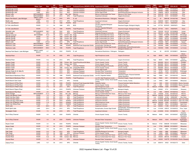| Waterbody Name                    | <b>Water Type</b>                  | <b>Size</b> | <b>AU</b><br>Categor | Cycle<br>Listed | <b>Source</b>        | Pollutant/Cause (WDNR & EPA) Impairment (WDNR) |                                                                                | <b>Observed Effect (EPA)</b>                                            | <b>Listing</b><br>Category | <b>TMDL</b><br>Priority | <b>WBIC</b> | WDNR<br><b>AU ID</b> | <b>EPA AU ID</b>   | <b>Counties</b>                           |
|-----------------------------------|------------------------------------|-------------|----------------------|-----------------|----------------------|------------------------------------------------|--------------------------------------------------------------------------------|-------------------------------------------------------------------------|----------------------------|-------------------------|-------------|----------------------|--------------------|-------------------------------------------|
| <b>Muskellunge Creek</b>          | <b>RIVER</b>                       | 1.0         | 5A                   | 2016            | <b>NPS</b>           | <b>Unknown Pollutant</b>                       | Degraded Biological Community                                                  | <b>Biological Integrity</b>                                             | 5A                         | Low                     | 957600      | 13908                | WI10002970         | Grant                                     |
| Muskellunge Creek                 | <b>RIVER</b>                       | 3.9         | 5A                   | 2016            | <b>NPS</b>           | <b>Unknown Pollutant</b>                       | <b>Degraded Biological Community</b>                                           | <b>Biological Integrity</b>                                             | 5A                         | Low                     | 957600      | 13909                | WI10036765         | Grant                                     |
| Muskellunge Lake                  | LAKE                               | 269.9       | 5C                   | 2014            | <b>NPS</b>           | Unknown Pollutant                              | <b>Excess Algal Growth</b>                                                     | Nutrient/Eutrophication Biological Indicators                           | 5A                         | Low                     | 1596600     | 128570               | WI10007681         | Vilas                                     |
| Musser Lake                       | <b>IMPOUNDMENT</b>                 | 503.5       | 5P                   | 1998            | Atm. Dep.            | Mercury                                        | <b>Mercury Contaminated Fish Tissue</b>                                        | Mercury in Fish Tissue                                                  | 5B                         | Low                     | 2245100     | 14741                | WI10003557         | Price                                     |
| Musser Lake                       | <b>IMPOUNDMENT</b>                 | 503.5       | 5P                   | 2012            | <b>NPS</b>           | <b>Total Phosphorus</b>                        | <b>Impairment Unknown</b>                                                      | Organic Enrichment                                                      | 5P                         | Low                     | 2245100     | 14741                | WI10003557         | Price                                     |
| Myers Park Beach, Lake Michigan   | <b>GREAT LAKES</b><br><b>BEACH</b> | 0.0         | 5A                   | 2022            | <b>NPS</b>           | E. coli                                        | Recreational Restrictions - Pathogens                                          | Pathogens                                                               | 5A                         | Low                     | 20          | 3899108              | WI10027392         | Racine                                    |
| Myrtle Lake                       | LAKE                               | 28.4        | 5P                   | 2012            | <b>NPS</b>           | <b>Total Phosphorus</b>                        | <b>Impairment Unknown</b>                                                      | Organic Enrichment                                                      | 5P                         | Low                     | 1626000     | 128571               | WI10007682         | Vilas                                     |
| N. Fork Juda Branch               | <b>RIVER</b>                       | 1.7         | 5A                   | 1998            | <b>PS/NPS</b>        | <b>BOD</b>                                     | Low DO                                                                         | <b>Dissolved Oxygen</b>                                                 | 5A                         | Low                     | 877700      | 13615                | WI6876676          | Green                                     |
| N. Fork Juda Branch               | <b>RIVER</b>                       | 2.1         | 5A                   | 1998            | <b>NPS</b>           | <b>BOD</b>                                     | Low DO, Degraded Biological<br>Community                                       | Dissolved Oxygen, Biological Integrity                                  | 5A                         | Low                     | 877700      | 6876678              | WI6876679          | Green                                     |
| N. Fork Juda Branch               | <b>RIVER</b>                       | 1.7         | 5A                   | 1998            | <b>PS/NPS</b>        | <b>Total Phosphorus</b>                        | Low DO, Degraded Biological<br>Community                                       | Dissolved Oxygen, Biological Integrity                                  | 5A                         | Medium                  | 877700      | 13615                | WI6876676          | Green                                     |
| Necedah Lake                      | <b>IMPOUNDMENT</b>                 | 189.3       | 5P                   | 2020            | <b>NPS</b>           | <b>Total Phosphorus</b>                        | <b>Impairment Unknown</b>                                                      | Organic Enrichment                                                      | 5P                         | Low                     | 1354300     | 424120               | WI10008636         | Juneau                                    |
| Neda Creek                        | <b>RIVER</b>                       | 3.0         | 5W                   | 2022            | <b>NPS</b>           | <b>Total Phosphorus</b>                        | <b>Degraded Biological Community</b>                                           | <b>Biological Integrity</b>                                             | 5W                         | Low                     | 859100      | 11464                | WI10001298         | Dodge                                     |
| Neenah Channel                    | <b>BAY/HARBOR</b>                  | 101.6       | 5A                   | 2016            | Contam, Sed.         | PCBs                                           | PCBs Contaminated Fish Tissue                                                  | PCBs in Fish Tissue                                                     | 5A                         | Low                     | 130600      | 5720096              | WI10037360         | Winnebago                                 |
| Neenah Slough                     | <b>RIVER</b>                       | 2.8         | 5A                   | 1998            | Contam. Sed.         | PCBs                                           | <b>PCBs Contaminated Fish Tissue</b>                                           | <b>PCBs in Fish Tissue</b>                                              | 5A                         | Low                     | 130800      | 10848                | WI10000842         | Winnebago                                 |
| Neenah Slough                     | <b>RIVER</b>                       | 0.8         | 5A                   | 1998            | Contam. Sed. PCBs    |                                                | PCBs Contaminated Fish Tissue                                                  | PCBs in Fish Tissue                                                     | 5A                         | Low                     | 130800      |                      | 357915 WI10008498  | Winnebago                                 |
| Neenah Slough                     | <b>RIVER</b>                       | 2.6         | 5A                   | 1998            | Contam. Sed.         | PCBs                                           | PCBs Contaminated Fish Tissue                                                  | PCBs in Fish Tissue                                                     | 5A                         | Low                     | 130800      | 357955               | WI10008499         | Winnebago                                 |
| Nelson Lake                       | LAKE                               | 2716.0      | 5W                   | 2014            | <b>NPS</b>           | <b>Total Phosphorus</b>                        | <b>Excess Algal Growth</b>                                                     | Nutrient/Eutrophication Biological Indicators                           | 5W                         | Low                     | 2704200     | 18973                | WI10006780         | Sawyer                                    |
| <b>Neshonoc Lake</b>              | <b>IMPOUNDMENT</b>                 | 606.5       | 5A                   | 1998            | Contam. Sed.         | Mercury                                        | <b>Mercury Contaminated Fish Tissue</b>                                        | Mercury in Fish Tissue                                                  | 5A                         | Low                     | 1653500     | 13999                | WI10008309         | La Crosse                                 |
| Neshonoc Lake                     | <b>IMPOUNDMENT</b>                 | 606.5       | 5A                   | 1998            | <b>PS/NPS</b>        | Sediment/Total Suspended Solids                | Eutrophication, Elevated pH                                                    | Eutrophication, pH                                                      | 5A                         | Low                     | 1653500     | 13999                | WI10008309         | La Crosse                                 |
| <b>Neshonoc Lake</b>              | <b>IMPOUNDMENT</b>                 | 606.5       | 5A                   | 1998            | <b>PS/NPS</b>        | <b>Total Phosphorus</b>                        | Eutrophication, Excess Algal Growth.<br>Elevated pH                            | Eutrophication, Nutrient/Eutrophication<br>Biological Indicators, pH    | 5A                         | Low                     | 1653500     | 13999                | WI10008309         | La Crosse                                 |
| Neshota Park Beach, Lake Michigan | <b>GREAT LAKES</b><br><b>BEACH</b> | 0.7         | 5A                   | 2022            | <b>PS/NPS</b>        | E. coli                                        | Recreational Restrictions - Pathogens                                          | Pathogens                                                               | 5A                         | Low                     | 20          | 481979               | WI10008811         | Manitowoc                                 |
| Neshota River                     | <b>RIVER</b>                       | 3.0         | 5A                   | 2020            | <b>NPS</b>           | <b>Total Phosphorus</b>                        | <b>High Phosphorus Levels</b>                                                  | <b>Organic Enrichment</b>                                               | 5A                         | High                    | 88200       | 9959                 | WI10000200         | Brown.<br>Kewaunee<br>Manitowoc           |
| Neshota River                     | <b>RIVER</b>                       | 14.2        | 5A                   | 2012            | <b>NPS</b>           | <b>Total Phosphorus</b>                        | <b>High Phosphorus Levels</b>                                                  | Organic Enrichment                                                      | 5A                         | High                    | 88200       | 18054                | WI10006091         | Brown,<br>Kewaunee                        |
| Newton Creek                      | <b>RIVER</b>                       | 1.8         | 5A                   | 1998            | Contam. Sed.         | Foam/Flocs/Scum/Oil Slicks                     | <b>Chronic Aquatic Toxicity</b>                                                | <b>Chronic Toxicity</b>                                                 | 5A                         | Low                     | 2843650     | 305141               | WI10008328         | <b>Douglas</b>                            |
| Newton Creek                      | <b>RIVER</b>                       | 1.8         | 5A                   | 1998            | Contam, Sed.         | PAHs                                           | <b>Chronic Aquatic Toxicity</b>                                                | <b>Chronic Toxicity</b>                                                 | 5A                         | Low                     | 2843650     | 305141               | WI10008328         | Douglas                                   |
| Newton Creek                      | <b>RIVER</b>                       | 1.8         | 5A                   | 2018            | <b>NPS</b>           | <b>Unknown Pollutant</b>                       | <b>Degraded Biological Community</b>                                           | <b>Biological Integrity</b>                                             | 5A                         | Low                     | 2843650     | 305141               | WI10008328         | Douglas                                   |
| Newton Creek                      | <b>RIVER</b>                       | 1.8         | 5A                   | 1998            | Contam. Sed.         | <b>Unspecified Metals</b>                      | <b>Chronic Aquatic Toxicity</b>                                                | <b>Chronic Toxicity</b>                                                 | 5A                         | Low                     | 2843650     | 305141               | WI10008328         | Douglas                                   |
| Newton Lake                       | LAKE                               | 19.4        | 5A                   | 2016            | <b>NPS</b>           | <b>Total Phosphorus</b>                        | <b>Excess Algal Growth</b>                                                     | Nutrient/Eutrophication Biological Indicators                           | 5A                         | Low                     | 450600      | 900376               | WI10009578         | Oconto                                    |
| Nichols Creek (N. B. Milw R)      | <b>RIVER</b>                       | 4.3         | 5A                   | 2018            | <b>NPS</b>           | Unknown Pollutant                              | <b>Elevated Water Temperature</b>                                              | Temperature                                                             | 5A                         | Low                     | 27100       | 10070                | WI10008045         | Sheboygar                                 |
| <b>Ninemile Creek</b>             | <b>RIVER</b>                       | 13.0        | 5A                   | 2016            | <b>NPS</b>           | <b>Unknown Pollutant</b>                       | <b>Elevated Water Temperature</b>                                              | Temperature                                                             | 5A                         | Low                     | 366800      | 11255                | WI10001136         | Langlade                                  |
| North Branch Manitowoc River      | <b>RIVER</b>                       | 7.4         | 5W                   | 1998            | <b>PS/NPS</b>        | Sediment/Total Suspended Solids                | Low DO, Degraded Habitat                                                       | Dissolved Oxygen, Physical Substrate<br><b>Habitat Alterations</b>      | 5W                         | High                    | 75900       | 9911                 | WI10000163         | Calumet                                   |
| North Branch Manitowoc River      | <b>RIVER</b>                       | 7.4         | 5W                   | 1998            | <b>PS/NPS</b>        | <b>Total Phosphorus</b>                        | Low DO, High Phosphorus Levels                                                 | Dissolved Oxygen, Organic Enrichment                                    | 5W                         | High                    | 75900       | 9911                 | WI10000163         | Calumet                                   |
| North Branch Oak Creek            | <b>RIVER</b>                       | 5.7         | 5A                   | 2018            | <b>NPS</b>           | Chloride                                       | Chronic Aquatic Toxicity, Acute Aquatic<br>Toxicity                            | Chronic Toxicity, Toxicity                                              | 5A                         | Low                     | 14900       | 9967                 | WI10008046         | Milwaukee                                 |
| North Branch Of Pike River        | <b>RIVER</b>                       | 5.2         | 5W                   | 2008            | <b>PS/NPS</b>        | Sediment/Total Suspended Solids                | <b>Degraded Habitat</b>                                                        | <b>Physical Substrate Habitat Alterations</b>                           | 5W                         | Low                     | 1900        | 10532                |                    | WI10000604 Racine, Kenosha                |
| North Branch Of Pike River        | <b>RIVER</b>                       | 5.2         | 5W                   | 1998            | <b>PS/NPS</b>        | Unknown Pollutant                              | <b>Chronic Aquatic Toxicity</b>                                                | Chronic Toxicity                                                        | 5W                         | Low                     | 1900        | 10532                |                    | WI10000604 Racine, Kenosha                |
| North Branch O'Neill Creek        | <b>RIVER</b>                       | 17.2        | 5A                   | 2014            | <b>NPS</b>           | <b>Total Phosphorus</b>                        | <b>High Phosphorus Levels</b>                                                  | <b>Organic Enrichment</b>                                               | 5A                         | Medium                  | 1749600     | 14265                | WI10026855         | Clark                                     |
| North Branch Pigeon River         | <b>RIVER</b>                       | 5.3         | 5A                   | 2018            | PS/NPS               | Unknown Pollutant                              | Degraded Biological Community,<br><b>Elevated Water Temperature</b>            | <b>Biological Integrity</b>                                             | 5A                         | Low                     | 293900      | 9714                 | WI10026240         | Waupaca                                   |
| North Branch Pike River           | <b>RIVER</b>                       | 2.6         | 5W                   | 2018            | <b>NPS</b>           | Chloride                                       | <b>Chronic Aquatic Toxicity</b>                                                | <b>Chronic Toxicity</b>                                                 | 5W                         | Low                     | 1900        | 425919               | WI10025723         | Racine                                    |
| North Flowage                     | <b>IMPOUNDMENT</b>                 | 211.0       | 5В                   | 2002            | Atm. Dep             | Mercury                                        | Mercury Contaminated Fish Tissue                                               | Mercury in Fish Tissue                                                  | 5B                         | Low                     | 1700300     | 14153                | WI10003107         | Monroe                                    |
| North Fork Beaver Creek           | <b>RIVER</b>                       | 7.9         | 5A                   | 2016            | <b>NPS</b>           | <b>Total Phosphorus</b>                        | <b>High Phosphorus Levels</b>                                                  | <b>Organic Enrichment</b>                                               | 5A                         | Medium                  | 1682500     | 1181543              | WI10010472         | Jackson                                   |
| North Fork Eau Claire             | <b>RIVER</b>                       | 10.5        | 5W                   | 2018            | <b>NPS</b>           | <b>Total Phosphorus</b>                        | <b>Impairment Unknown</b>                                                      | Organic Enrichment                                                      | 5W                         | Low                     | 2145400     | 16146                | WI6923087          | Eau Claire                                |
| North Fork Eau Claire             | <b>RIVER</b>                       | 12.0        | 5W                   | 2018            | <b>NPS</b>           | <b>Total Phosphorus</b>                        | <b>Impairment Unknown</b>                                                      | <b>Organic Enrichment</b>                                               | 5W                         | Low                     | 2145400     | 6923349              | WI10042216         | Clark, Eau Claire                         |
| North Fork Eau Claire River       | <b>RIVER</b>                       | 31.4        | 5W                   | 2018            | <b>PS/NPS</b>        | <b>Total Phosphorus</b>                        | <b>Impairment Unknown</b>                                                      | Organic Enrichment                                                      | 5W                         | Medium                  | 2145400     | 6923457              | WI10042217         | Clark, Eau Claire                         |
| North Fork Of Beaver Creek        | <b>RIVER</b>                       | 11.6        | 5A                   | 2016            | <b>PS/NPS</b>        | <b>Total Phosphorus</b>                        | <b>High Phosphorus Levels</b>                                                  | <b>Organic Enrichment</b>                                               | 5A                         | Medium                  | 1682500     | 14094                | WI10003073         | Trempealeau                               |
| North Fork Willow River           | <b>RIVER</b>                       | 8.1         | 5W                   | 2018            | <b>PS/NPS</b>        | <b>Total Phosphorus</b>                        | <b>Impairment Unknown</b>                                                      | Organic Enrichment                                                      | 5W                         | Low                     | 2606900     | 16413                | WI10038948         | Saint Croix                               |
| North Lake                        | LAKE                               | 440.5       | 5W                   | 2014            | <b>NPS</b>           | <b>Total Phosphorus</b>                        | <b>Impairment Unknown</b>                                                      | <b>Organic Enrichment</b>                                               | 5W                         | Low                     | 850800      | 11496                | WI10001324         | Waukesha                                  |
| North Spirit Lake                 | LAKE                               | 224.4       | 5C                   | 2012            | <b>NPS</b>           | <b>Total Phosphorus</b>                        | Eutrophication, Excess Algal Growth                                            | Eutrophication, Nutrient/Eutrophication<br><b>Biological Indicators</b> | 5C                         | Low                     | 1515200     | 425815               | WI10008722         | Price, Taylor                             |
| Norwegian Creek                   | <b>RIVER</b>                       | 7.5         | 5W                   | 2018            | <b>NPS</b>           | <b>Total Phosphorus</b>                        | <b>Impairment Unknown</b>                                                      | <b>Organic Enrichment</b>                                               | 5W                         | Low                     | 2144500     | 16144                | WI10004703         | Clark                                     |
| Nor-X-Way Channel                 | <b>RIVER</b>                       | 4.9         | 5A                   | 2020            | <b>PS/NPS</b>        | Chloride                                       | <b>Chronic Aquatic Toxicity</b>                                                | Chronic Toxicity                                                        | 5A                         | Medium                  | 18450       | 10043                | WI10000247         | Ozaukee,<br><b>Washington</b><br>Waukesha |
| Nor-X-Way Channel                 | <b>RIVER</b>                       | 4.9         | 5A                   | 2020            | <b>PS/NPS</b>        | <b>Unknown Pollutant</b>                       | <b>Elevated Water Temperature</b>                                              | Temperature                                                             | 5A                         | Medium                  | 18450       |                      | 10043 WI10000247   | Ozaukee,<br>Washington,<br>Waukesha       |
| Noyes Creek                       | <b>RIVER</b>                       | 3.5         | 5A                   | 2020            | PS/NPS               | Chloride                                       | Chronic Aquatic Toxicity, Acute Aquatic Chronic Toxicity, Toxicity<br>Toxicity |                                                                         | 5A                         | Medium                  | 17700       |                      | 3988299 WI10028301 | Milwaukee                                 |
| <b>Noyes Creek</b>                | <b>RIVER</b>                       | 3.5         | 5A                   | 2018            | <b>PS/NPS</b>        | <b>Unknown Pollutant</b>                       | <b>Elevated Water Temperature</b>                                              | Temperature                                                             | 5A                         | Low                     | 17700       | 3988299              | WI10028301         | Milwaukee                                 |
| Oak Creek                         | <b>RIVER</b>                       | 13.3        | 5A                   | 2014            | <b>NPS</b>           | Chloride                                       | Chronic Aquatic Toxicity, Acute Aquatic Chronic Toxicity, Toxicity<br>Toxicity |                                                                         | 5A                         | Low                     | 14500       | 9969                 | WI10008047         | Milwaukee                                 |
| Oak Creek                         | <b>RIVER</b>                       | 13.3        | 5A                   | 2012            | <b>NPS</b>           | <b>Total Phosphorus</b>                        | <b>Degraded Biological Community</b>                                           | <b>Biological Integrity</b>                                             | 5A                         | Low                     | 14500       | 9969                 | WI10008047         | Milwaukee                                 |
| Oak Creek                         | <b>RIVER</b>                       | 13.3        | 5A                   | 1998            | <b>NPS</b>           | Unknown Pollutant                              | <b>Chronic Aquatic Toxicity</b>                                                | <b>Chronic Toxicity</b>                                                 | 5A                         | Low                     | 14500       | 9969                 | WI10008047         | Milwaukee                                 |
| <b>Oconto River</b>               | <b>RIVER</b>                       | 9.9         | 5A                   | 1998            | Contam. Sed. Mercury |                                                | Mercury Contaminated Fish Tissue                                               | Mercury in Fish Tissue                                                  | 5A                         | Low                     | 440200      | 10870                | WI10000858         | Oconto                                    |
| Oconto River                      | <b>RIVER</b>                       | 4.22        | 5A                   | 1998            | Contam. Sed. Mercury |                                                | Mercury Contaminated Fish Tissue                                               | Mercury in Fish Tissue                                                  | 5A                         | Low                     | 440200      | 884729               | WI10008824         | Oconto                                    |
| Oconto River                      | <b>RIVER</b>                       | 4.4         | 5A                   | 2016            | <b>NPS</b>           | <b>Unknown Pollutant</b>                       | <b>Elevated Water Temperature</b>                                              | Temperature                                                             | 5A                         | Low                     | 440200      |                      |                    | 1440776 WI10023350 Oconto, Shawand        |
| Odana Pond                        | LAKE                               | 13.7        | 5A                   | 2012            | <b>NPS</b>           | Chloride                                       | Chronic Aquatic Toxicity, Acute Aquatic Chronic Toxicity, Toxicity             |                                                                         | 5A                         | Low                     | 3000513     |                      | 34522 WI10022173   | Dane                                      |
|                                   |                                    |             |                      |                 |                      |                                                | Toxicity                                                                       |                                                                         |                            |                         |             |                      |                    |                                           |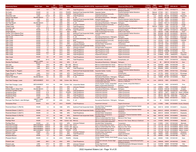| Waterbody Name                                         | <b>Water Type</b>                  | <b>Size</b>   | <b>AU</b><br>Categon | Cycle<br>Listed | <b>Source</b>            | Pollutant/Cause (WDNR & EPA) Impairment (WDNR)             |                                                                                                         | <b>Observed Effect (EPA)</b>                                             | Listing<br>Category | <b>TMDL</b><br>Priority | WBIC               | WDNR<br>AU ID    | <b>EPA AU ID</b>                 | <b>Counties</b>            |
|--------------------------------------------------------|------------------------------------|---------------|----------------------|-----------------|--------------------------|------------------------------------------------------------|---------------------------------------------------------------------------------------------------------|--------------------------------------------------------------------------|---------------------|-------------------------|--------------------|------------------|----------------------------------|----------------------------|
| Odana Pond                                             | LAKE                               | 13.7          | 5A                   | 2012            | <b>NPS</b>               | <b>Total Phosphorus</b>                                    | Eutrophication, Excess Algal Growth                                                                     | Eutrophication, Nutrient/Eutrophication<br><b>Biological Indicators</b>  | 5A                  | Low                     | 3000513            | 34522            | WI10022173                       | Dane                       |
| Ok Creek                                               | <b>RIVER</b>                       | 6.8           | 5A                   | 2016            | <b>PS/NPS</b>            | Sediment/Total Suspended Solids                            | <b>Degraded Habitat</b>                                                                                 | Physical Substrate Habitat Alterations                                   | 5A                  | Medium                  | 877200             | 13611            | WI10034740                       | Green                      |
| Ok Creek                                               | <b>RIVER</b>                       | 6.8           | 5A                   | 2016            | <b>PS/NPS</b>            | <b>Total Phosphorus</b>                                    | <b>Degraded Biological Community</b>                                                                    | <b>Biological Integrity</b>                                              | 5A                  | Medium                  | 877200             | 13611            | WI10034740                       | Green                      |
| Okauchee Lake<br><b>Olbrich Park Beach</b>             | LAKE<br><b>INLAND BEACH</b>        | 1210.3<br>0.2 | 5W                   | 2014<br>2008    | <b>NPS</b><br><b>NPS</b> | <b>Total Phosphorus</b><br>E. coli                         | <b>Impairment Unknown</b>                                                                               | Organic Enrichment                                                       | 5W                  | Low                     | 850300<br>804600   | 902156           | WI10009840<br>1491088 WI10024848 | Waukesha<br>Dane           |
| Old Elk Lake                                           | LAKE                               | 90.2          | 5A<br>5A             | 1998            | <b>NPS</b>               | Sediment/Total Suspended Solids                            | Recreational Restrictions - Pathogens<br>Degraded Habitat                                               | Pathogens<br><b>Physical Substrate Habitat Alterations</b>               | 5A<br>5A            | Low<br>Low              | 1871400            | 16070            | WI10004652                       | Dunn                       |
| Old Elk Lake                                           | LAKE                               | 90.2          | 5A                   | 1998            | <b>NPS</b>               | <b>Total Phosphorus</b>                                    | Low DO, Eutrophication                                                                                  | Dissolved Oxygen, Eutrophication                                         | 5A                  | Low                     | 1871400            | 16070            | WI10004652                       | Dunn                       |
| Olin Park Beach                                        | <b>INLAND BEACH</b>                | 0.1           | 5A                   | 2008            | <b>NPS</b>               | E. coli                                                    | Recreational Restrictions - Pathogens                                                                   | Pathogens                                                                | 5A                  | Low                     | 804600             |                  | 1491113 WI10024849               | Dane                       |
| <b>Oliver Creek</b>                                    | <b>RIVER</b>                       | 4.1           | 5W                   | 2016            | <b>NPS</b>               | <b>Unknown Pollutant</b>                                   | <b>Degraded Biological Community</b>                                                                    | <b>Biological Integrity</b>                                              | 5W                  | Low                     | 859000             | 11463            | WI10001297                       | Dodge                      |
| O'Neill Creek                                          | <b>RIVER</b>                       | 3.1           | 5P                   | 2014            | <b>NPS</b>               | <b>Total Phosphorus</b>                                    | <b>Impairment Unknown</b>                                                                               | <b>Organic Enrichment</b>                                                | 5P                  | Medium                  | 1748800            | 14264            | WI10003189                       | Clark                      |
| Oneonta Lake                                           | LAKE                               | 67.6          | 5A                   | 2014            | <b>NPS</b>               | Unknown Pollutan                                           | <b>Excess Algal Growth</b>                                                                              | Nutrient/Eutrophication Biological Indicators                            | 5A                  | Low                     | 503300             | 12049            | WI10001760                       | Marinette                  |
| Onion River                                            | <b>RIVER</b>                       | 31.8          | 5A                   | 2012            | <b>PS/NPS</b>            | <b>Total Phosphorus</b>                                    | Degraded Biological Community                                                                           | <b>Biological Integrity</b>                                              | 5A                  | High                    | 51200              | 3987353          | WI10028120                       | Sheboygar                  |
| Oregon Branch                                          | <b>RIVER</b>                       | 4.7           | 5A                   | 2012            | <b>NPS</b>               | <b>PCBs</b>                                                | <b>PCBs Contaminated Fish Tissue</b>                                                                    | <b>PCBs in Fish Tissue</b>                                               | 5A                  | Low                     | 800700             | 11656            | WI10001450                       | Dane                       |
| Osman Trib to Meeme River<br>Osman Trib to Meeme River | <b>RIVER</b><br><b>RIVER</b>       | 1.2<br>1.2    | 5A<br>5A             | 1998<br>1998    | <b>NPS</b><br><b>NPS</b> | Sediment/Total Suspended Solids<br><b>Total Phosphorus</b> | Degraded Habitat<br>Low DO                                                                              | <b>Physical Substrate Habitat Alterations</b><br><b>Dissolved Oxygen</b> | 5A<br>5A            | High<br>High            | 5025264<br>5025264 | 481039<br>481039 | WI10008797<br>WI10008797         | Manitowoc<br>Manitowoc     |
| Otter Creek                                            | <b>RIVER</b>                       | 4.0           | 5A                   | 2002            | <b>NPS</b>               | E. coli                                                    | Recreational Restrictions - Pathogens                                                                   | Pathogens                                                                | 5A                  | Low                     | 56400              | 18215            | WI10006214                       | Sheboygar                  |
| Otter Creek                                            | <b>RIVER</b>                       | 10.6          | 5A                   | 2016            | <b>NPS</b>               | Ammonia (Unionized) - Toxin                                | <b>Degraded Biological Community</b>                                                                    | <b>Biological Integrity</b>                                              | 5A                  | Low                     | 923300             | 13798            | WI10036500                       | Lafayette                  |
| Otter Creek                                            | <b>RIVER</b>                       | 10.6          | 5A                   | 2016            | <b>NPS</b>               | <b>BOD</b>                                                 | Degraded Biological Community                                                                           | <b>Biological Integrity</b>                                              | 5A                  | Low                     | 923300             | 13798            | WI10036500                       | Lafayette                  |
| <b>Otter Creek</b>                                     | <b>RIVER</b>                       | 14.9          | 5P                   | 2014            | <b>NPS</b>               | <b>Total Phosphorus</b>                                    | <b>Impairment Unknown</b>                                                                               | <b>Organic Enrichment</b>                                                | 5P                  | Low                     | 1237100            | 18477            | WI10006408                       | lowa                       |
| Otter Creek                                            | <b>RIVER</b>                       | 5.0           | 5A                   | 2016            | <b>NPS</b>               | Unknown Pollutan                                           | <b>Elevated Water Temperature</b>                                                                       | Temperature                                                              | 5A                  | Low                     | 1237100            | 13449            | WI10002676                       | lowa                       |
| Otter Creek                                            | <b>RIVER</b>                       | 17.2          | 5A                   | 2014            | <b>PS/NPS</b>            | Sediment/Total Suspended Solids                            | <b>Degraded Habitat</b>                                                                                 | <b>Physical Substrate Habitat Alterations</b>                            | 5A                  | Low                     | 1258400            | 13470            | WI10010270                       | Sauk                       |
| Otter Creek                                            | <b>RIVER</b>                       | 1.6           | 5A                   | 2020            | <b>NPS</b>               | Unknown Pollutant                                          | <b>Elevated Water Temperature</b>                                                                       | Temperature                                                              | 5A                  | Low                     | 1258400            | 13471            | WI10010271                       | Sauk                       |
| <b>Otter Creek</b>                                     | <b>RIVER</b>                       | 5.9           | 5W                   | 2018            | <b>NPS</b>               | <b>Total Phosphorus</b>                                    | <b>High Phosphorus Levels</b>                                                                           | <b>Organic Enrichment</b>                                                | 5W                  | Low                     | 2068700            | 15686            | WI10004346                       | Dunn                       |
| Otter Creek                                            | <b>RIVER</b>                       | 7.0           | 5W                   | 2018            | <b>NPS</b>               | <b>Total Phosphorus</b>                                    | <b>High Phosphorus Levels</b>                                                                           | <b>Organic Enrichment</b>                                                | 5W<br>5W            | Low                     | 2068700            | 1456596          | WI10023604                       | Dunn                       |
| Otter Creek<br>Otter Creek                             | <b>RIVER</b><br><b>RIVER</b>       | 26.5<br>7.1   | 5W<br>5P             | 2012<br>2018    | <b>NPS</b><br><b>NPS</b> | <b>Total Phosphorus</b><br><b>Total Phosphorus</b>         | <b>High Phosphorus Levels</b><br>Impairment Unknown                                                     | <b>Organic Enrichment</b><br><b>Organic Enrichment</b>                   | 5P                  | Low<br>Low              | 2125700<br>2156800 | 16364<br>16196   | WI10024605<br>WI6923579          | Eau Claire<br>Chippewa     |
| <b>Otter Creek</b>                                     | <b>RIVER</b>                       | 8.6           | 5P                   | 2018            | <b>NPS</b>               | <b>Total Phosphorus</b>                                    | <b>Impairment Unknown</b>                                                                               | <b>Organic Enrichment</b>                                                | 5P                  | Low                     | 2156800            | 6923581          | WI6923582                        | Taylor, Chippewa           |
| Otter Lake                                             | LAKE                               | 601.6         | 5A                   | 2002            | <b>NPS</b>               | <b>Total Phosphorus</b>                                    | Eutrophication, Elevated pH                                                                             | Eutrophication, pH                                                       | 5A                  | Low                     | 2157000            | 16197            | WI10004739                       | Chippewa                   |
| Otumba Park Beach                                      | <b>GREAT LAKES</b><br><b>BEACH</b> | 0.0           | 5A                   | 2022            | <b>NPS</b>               | E. coli                                                    | <b>Recreational Restrictions - Pathogens</b>                                                            | Pathogens                                                                | 5A                  | Low                     | 88                 | 3897218          | WI10027182                       | Door                       |
| Owl Lake                                               | LAKE                               | 125.3         | 5B                   | 1998            | Atm. Dep                 | Mercury                                                    | Mercury Contaminated Fish Tissue                                                                        | Mercury in Fish Tissue                                                   | 5B                  | Low                     | 2307600            | 14996            | WI10003768                       | Iron                       |
| <b>Oxbow Lake</b>                                      | LAKE                               | 523.2         | 5A                   | 2014            | Atm. Dep                 | <b>Mercury</b>                                             | Mercury Contaminated Fish Tissue                                                                        | Mercury in Fish Tissue                                                   | 5B                  | Low                     | 2954800            | 128581           | WI10007691                       | Vilas                      |
| Oxbow Lake                                             | LAKE                               | 523.2         | 5A                   | 2014            | <b>NPS</b>               | <b>Total Phosphorus</b>                                    | <b>Impairment Unknown</b>                                                                               | Organic Enrichment                                                       | 5P                  | Low                     | 2954800            | 128581           | WI10007691                       | Vilas                      |
| Pages Slough (L. Poygan)                               | LAKE                               | 150.0         | 5A                   | 2006            | <b>NPS</b>               | Sediment/Total Suspended Solids                            | Degraded Habitat, Turbidity                                                                             | Physical Substrate Habitat Alterations,<br>Turbidity                     | 5A                  | Low                     | 251700             | 26906            | WI10017332                       | Winnebago                  |
| Pages Slough (L. Poygan)                               | LAKE                               | 150.0         | 5A                   | 2006            | <b>NPS</b>               | <b>Total Phosphorus</b>                                    | Eutrophication                                                                                          | Eutrophication                                                           | 5A                  | Low                     | 251700             | 26906            | WI10017332                       | Winnebago                  |
| Paint Creek                                            | <b>RIVER</b>                       | 20.7          | 5P                   | 2022            | <b>NPS</b>               | <b>Total Phosphorus</b>                                    | <b>Impairment Unknown</b>                                                                               | <b>Organic Enrichment</b>                                                | 5P                  | Low                     | 2153200            | 16180            | WI10004724                       | Chippewa                   |
| Palmer Park Beach                                      | <b>INLAND BEACH</b>                | 0.0           | 5A                   | 2022            | <b>NPS</b>               | E. coli                                                    | Recreational Restrictions - Pathogens                                                                   | Pathogens                                                                | 5A                  | Low                     | 796800             |                  | 6877807 WI10040606               | Rock                       |
| Park Falls Flowage, Lower                              | <b>IMPOUNDMENT</b>                 | 62.0          | 5A                   | 1998            | Contam. Sed. Mercury     |                                                            | Chronic Aquatic Toxicity, Mercury<br>Contaminated Fish Tissue, Mercury<br><b>Contaminated Sediments</b> | Chronic Toxicity, Mercury in Fish Tissue,<br><b>Mercury in Sediment</b>  | 5A                  | Low                     | 2290100            | 14891            | WI10003679                       | Price                      |
| Park Falls Flowage, Lower                              | <b>IMPOUNDMENT</b>                 | 62.0          | 5A                   | 1998            |                          | Contam. Sed. Unspecified Metals                            | Chronic Aquatic Toxicity, Unspecified<br><b>Metals Contaminated Sediments</b>                           | Chronic Toxicity, Unspecified Metals in<br>Sediment                      | 5A                  | Low                     | 2290100            | 14891            | WI10003679                       | Price                      |
| Pats Creek                                             | RIVER                              | 9.0           | 5A                   | 2016            | <b>NPS</b>               | <b>Unknown Pollutant</b>                                   | <b>Degraded Biological Community</b>                                                                    | <b>Biological Integrity</b>                                              | 5A                  | Low                     | 939800             | 13848            | WI10002932                       | Lafayette                  |
| Pattison Beach (State Park)                            | <b>INLAND BEACH</b>                | 0.1           | 5A                   | 2016            | <b>NPS</b>               | E. coli                                                    | Recreational Restrictions - Pathogens                                                                   | Pathogens                                                                | 5A                  | Low                     | 2838000            |                  | 1455339 WI10023586               | Douglas                    |
| Paukotuk-Candlish Creek                                | <b>RIVER</b>                       | 7.9           | 5P                   | 2018            | <b>NPS</b>               | <b>Total Phosphorus</b>                                    | <b>Impairment Unknown</b>                                                                               | <b>Organic Enrichment</b>                                                | 5P                  | Low                     | 132200             |                  | 5691806 WI10036155               | Winnebago                  |
| Pecatonica River                                       | <b>RIVER</b>                       | 51.8          | 5P                   | 2012            | <b>PS/NPS</b>            | <b>Total Phosphorus</b>                                    | Impairment Unknown                                                                                      | <b>Organic Enrichment</b>                                                | 5P                  | Low                     | 889100             | 13677            | WI6901736                        | Green, Lafayette           |
| Pecatonica River                                       | <b>RIVER</b>                       | 28.3          | 5P                   | 2012            | <b>NPS</b>               | <b>Total Phosphorus</b>                                    | <b>Impairment Unknown</b>                                                                               | <b>Organic Enrichment</b>                                                | 5P                  | Low                     | 889100             | 6901822          | WI6901823                        | Lafayette, Iowa            |
| Pecatonica River                                       | <b>RIVER</b>                       | 13.9          | 5P                   | 2012            | <b>NPS</b>               | <b>Total Phosphorus</b>                                    | <b>Impairment Unknown</b>                                                                               | Organic Enrichment                                                       | 5P                  | Low                     | 889100             | 6901738          | WI6901966                        | Lafayette                  |
| Pelican Lake                                           | LAKE                               | 3544.9        | 5A                   | 2016            | <b>NPS</b>               | <b>Unknown Pollutant</b>                                   | <b>Excess Algal Growth</b>                                                                              | Nutrient/Eutrophication Biological Indicators                            | 5A                  | Low                     | 1579900            |                  | 128252 WI10007401                | Oneida                     |
| Pennoyer Park Beach, Lake Michigan                     | <b>GREAT LAKES</b><br><b>BEACH</b> | 0.7           | 5W                   | 2006            | Other                    | E. coli                                                    | Recreational Restrictions - Pathogens                                                                   | Pathogens                                                                | 5W                  | Low                     | 20                 |                  | 1452836 WI10023515               | Kenosha                    |
| <b>Pensaukee River</b>                                 | <b>RIVER</b>                       | 60.4          | 5P                   | 2014            | <b>PS/NPS</b>            | <b>Total Phosphorus</b>                                    | <b>Impairment Unknown</b>                                                                               | <b>Organic Enrichment</b>                                                | 5P                  | Low                     | 412900             | 10866            |                                  | WI10000855 Oconto, Shawano |
| Perennial Stream C (Pb018)                             | <b>RIVER</b>                       | 1.9           | 5A                   | 1998            | <b>NPS</b>               | Sediment/Total Suspended Solids                            | Elevated Water Temperature,<br><b>Degraded Habitat</b>                                                  | Temperature, Physical Substrate Habitat<br>Alterations                   | 5A                  | High                    | 3000119            | 425595           | WI10008711                       | Waukesha                   |
| Perennial Stream C (Sc011)                             | <b>RIVER</b>                       | 3.0           | 5A                   | 1998            | <b>NPS</b>               | Sediment/Total Suspended Solids                            | Elevated Water Temperature,<br><b>Degraded Habitat</b>                                                  | Temperature, Physical Substrate Habitat<br>Alterations                   | 5A                  | High                    | 3000121            | 425628           | WI10008712                       | Waukesha                   |
| Perennial Stream C (Sc011)                             | <b>RIVER</b>                       | 3.0           | 5A                   | 1998            | <b>NPS</b>               | <b>Total Phosphorus</b>                                    | <b>Elevated Water Temperature</b>                                                                       | Temperature                                                              | 5A                  | High                    | 3000121            | 425628           | WI10008712                       | Waukesha                   |
| Perennial Stream D (Pb016)                             | <b>RIVER</b>                       | 0.7           | 5A                   | 1998            | <b>NPS</b>               | Sediment/Total Suspended Solids                            | <b>Elevated Water Temperature</b>                                                                       | Temperature, Physical Substrate Habitat                                  | 5A                  | <b>High</b>             | 3000120            | 425544           | WI10026852                       | Waukesha                   |
| Pesabic Lake                                           | LAKE                               | 147.3         | 5B                   | 1998            | Atm. Dep.                | Mercury                                                    | Degraded Habitat<br>Mercury Contaminated Fish Tissue                                                    | Alterations<br>Mercury in Fish Tissue                                    | 5B                  | Low                     | 1481600            |                  | 127995 WI10008934                | Lincoln                    |
| Peshtigo River                                         | <b>RIVER</b>                       | 11.7          | 5A                   | 1998            | Contam. Sed. Mercury     |                                                            | Mercury Contaminated Fish Tissue,                                                                       | Mercury in Fish Tissue, Mercury in Sediment                              | 5A                  | Low                     | 515500             | 884803           | WI10008826                       | Marinette                  |
| Peshtigo River                                         | <b>RIVER</b>                       | 5.6           | 5A                   | 2016            | <b>NPS</b>               | Unknown Pollutant                                          | <b>Mercury Contaminated Sediments</b><br><b>Elevated Water Temperature</b>                              | Temperature                                                              | 5A                  | Low                     | 515500             | 11844            | WI10001602                       | Marinette                  |
| <b>Petenwell Flowage</b>                               | <b>IMPOUNDMENT</b>                 | 23000.8       | 5A                   | 1998            | Contam. Sed. Dioxin      |                                                            | Dioxin Contaminated Fish Tissue                                                                         | Dioxin in Fish Tissue                                                    | 5A                  | Low                     | 1377100            | 424132           | WI10008638                       | Adams, Juneau              |
| <b>Petenwell Flowage</b>                               | <b>IMPOUNDMENT</b>                 | 23000.8       | 5A                   | 1998            | Contam. Sed. Mercury     |                                                            | Mercury Contaminated Fish Tissue                                                                        | Mercury in Fish Tissue                                                   | 5A                  | Low                     | 1377100            |                  | 424132 WI10008638                | Adams, Juneau              |
| <b>Petenwell Flowage</b>                               | <b>IMPOUNDMENT</b>                 | 23000.8       | 5A                   | 1998            | Contam. Sed. PCBs        |                                                            | PCBs Contaminated Fish Tissue                                                                           | PCBs in Fish Tissue                                                      | 5A                  | Low                     | 1377100            |                  | 424132 WI10008638                | Adams, Juneau              |
| Petenwell Flowage                                      | <b>IMPOUNDMENT</b>                 | 23000.8       | 5A                   | 2022            | PS/NPS                   | <b>PFOS</b>                                                | PFOS Contaminated Fish Tissue                                                                           | PFOS in Fish Tissue                                                      | 5A                  | Low                     | 1377100            |                  | 424132 WI10008638                | Adams, Juneau              |
| Peterson Creek                                         | <b>RIVER</b>                       | 8.2           | 5A                   | 2016            | <b>NPS</b>               | <b>Unknown Pollutant</b>                                   | <b>Elevated Water Temperature</b>                                                                       | Temperature                                                              | 5A                  | Low                     | 275400             | 10395            | WI10000504                       | Waupaca                    |
| Phantom Lake                                           | LAKE                               | 110.2         | 5P                   | 2016            | <b>NPS</b>               | <b>Total Phosphorus</b>                                    | Impairment Unknown                                                                                      | Organic Enrichment<br><b>Chronic Toxicity</b>                            | 5P                  | High                    | 766000             | 10500            | WI10000590                       | Waukesha                   |
| Pheasant Branch                                        | <b>RIVER</b>                       | 1.0           | 5A                   | 2016            | <b>PS/NPS</b>            | Chloride                                                   | <b>Chronic Aquatic Toxicity</b><br>Chronic Aquatic Toxicity, Acute Aquatic Chronic Toxicity, Toxicity   |                                                                          | 5A                  | Low                     | 805900             | 11695            | WI10001480                       | Dane                       |
| Pheasant Branch                                        | <b>RIVER</b>                       | 8.1           | 5A                   | 2016            | PS/NPS                   | Chloride                                                   | Toxicity<br>Impairment Unknown, Excess Algal                                                            | Organic Enrichment, Nutrient/Eutrophication                              | 5A                  | Low                     | 805900             | 11696            | WI10001481                       | Dane                       |
| Pickerel Lake                                          | LAKE                               | 580.7         | 5C                   | 2022            | <b>NPS</b>               | <b>Total Phosphorus</b>                                    | Growth                                                                                                  | <b>Biological Indicators</b>                                             | 5C                  | Low                     | 1590400            | 128257           | WI10007405                       | Oneida                     |
| Pickerel Lake                                          | LAKE                               | 270.3         | 5C                   | 2020            | <b>NPS</b>               | Unknown Pollutant                                          | <b>Excess Algal Growth</b>                                                                              | Nutrient/Eutrophication Biological Indicators                            | 5C                  | Low                     | 1619700            |                  | 128585 WI10007694                | Vilas                      |
| Pidgeon Creek                                          | <b>RIVER</b>                       | 0.4           | 5A                   | 2014            | <b>NPS</b>               | <b>Total Phosphorus</b>                                    | <b>High Phosphorus Levels</b>                                                                           | <b>Organic Enrichment</b>                                                | 5A                  | Low                     |                    |                  | 1792500 5688313 WI10036021       | Trempealeau                |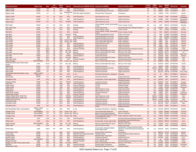| <b>Waterbody Name</b>                       | Water Type                         | <b>Size</b>    | <b>AU</b><br>Categon | Cycle<br>Listed | <b>Source</b>          | Pollutant/Cause (WDNR & EPA) Impairment (WDNR) |                                                                       | <b>Observed Effect (EPA)</b>                                                                                | <b>Listing</b><br>Category | <b>TMDL</b><br>Priority | WBIC               | WDNF<br>AU ID   | <b>EPA AU ID</b>                         | <b>Counties</b>           |
|---------------------------------------------|------------------------------------|----------------|----------------------|-----------------|------------------------|------------------------------------------------|-----------------------------------------------------------------------|-------------------------------------------------------------------------------------------------------------|----------------------------|-------------------------|--------------------|-----------------|------------------------------------------|---------------------------|
| Pigeon Creek                                | <b>RIVER</b>                       | 14.0           | 5A                   | 2012            | <b>NPS</b>             | <b>Total Phosphorus</b>                        | <b>High Phosphorus Levels</b>                                         | Organic Enrichment                                                                                          | 5A                         | Low                     | 959600             | 13916           | WI10002976                               | Grant                     |
| <b>Pigeon Creek</b>                         | <b>RIVER</b>                       | 14.0           | 5A                   | 2016            | <b>NPS</b>             | <b>Unknown Pollutant</b>                       | <b>Degraded Biological Community</b>                                  | <b>Biological Integrity</b>                                                                                 | 5A                         | Low                     | 959600             | 13916           | WI10002976                               | Grant                     |
| Pigeon Creek                                | <b>RIVER</b>                       | 5.0            | 5A                   | 1998            | Habitat/Physio<br>al   | Other flow regime alterations                  | <b>Elevated Water Temperature</b>                                     | Temperature                                                                                                 | 5A                         | Low                     | 1700800            | 14158           | WI10003111                               | Jackson                   |
| <b>Pigeon Creek</b>                         | <b>RIVER</b>                       | 7.0            | 5A                   | 2020            | <b>NPS</b>             | <b>Total Phosphorus</b>                        | <b>High Phosphorus Levels</b>                                         | <b>Organic Enrichment</b>                                                                                   | 5A                         | Low                     | 1792500            | 14394           | WI10026497                               | Jackson,<br>Trempealeau   |
| Pigeon Creek                                | <b>RIVER</b>                       | 7.5            | 5A                   | 2014            | <b>NPS</b>             | <b>Total Phosphorus</b>                        | <b>High Phosphorus Levels</b>                                         | Organic Enrichment                                                                                          | 5A                         | Low                     | 1792500            | 14393           | WI10036020                               | Trempealeau               |
| Pigeon River                                | <b>RIVER</b>                       | 18.1           | 5A                   | 2012            | <b>PS/NPS</b>          | <b>Total Phosphorus</b>                        | <b>High Phosphorus Levels</b>                                         | <b>Organic Enrichment</b>                                                                                   | 5A                         | High                    | 62300              |                 | 1496062 WI10024946                       | Manitowoc<br>Sheboygan    |
| Pike Creek                                  | <b>RIVER</b>                       | 3.7            | 5W                   | 2016            | <b>NPS</b>             | Chloride                                       | Chronic Aquatic Toxicity, Acute Aquatic<br>Toxicity                   | Chronic Toxicity, Toxicity                                                                                  | 5W                         | Low                     | 1200               | 896190          | WI10035400                               | Kenosha                   |
| Pike Lake Chain                             | LAKE                               | 740.7          | 5C                   | 2016            | <b>NPS</b>             | Total Phosphorus                               | <b>Excess Algal Growth</b>                                            | Nutrient/Eutrophication Biological Indicators                                                               | 5C                         | Low                     | 2268300            | 14813           | WI10003621                               | Price                     |
| <b>Pike River</b>                           | <b>RIVER</b>                       | 1.5            | 5A                   | 2016            | <b>NPS</b>             | Chloride                                       | <b>Chronic Aquatic Toxicity</b>                                       | Chronic Toxicity                                                                                            | 5W                         | Low                     | 1300               |                 | 1523844 WI10029940                       | Kenosha                   |
| <b>Pike River</b>                           | <b>RIVER</b>                       | 8.1            | 5W                   | 2016            | <b>NPS</b>             | Chloride                                       | Chronic Aquatic Toxicity, Acute Aquati<br>Toxicity                    | <b>Chronic Toxicity, Toxicity</b>                                                                           | 5A                         | Low                     | 1300               |                 | 4696818 WI10029941                       | Kenosha                   |
| Pike River<br><b>Pike River</b>             | <b>RIVER</b><br><b>RIVER</b>       | 1.5<br>1.5     | 5A<br>5A             | 2014<br>2012    | Unknown<br><b>NPS</b>  | <b>PCBs</b><br><b>Total Phosphorus</b>         | PCBs Contaminated Fish Tissue<br><b>Degraded Biological Community</b> | PCBs in Fish Tissue<br><b>Biological Integrity</b>                                                          | 5A<br>5W                   | Low<br>Low              | 1300<br>1300       |                 | 1523844 WI10029940<br>1523844 WI10029940 | Kenosha<br>Kenosha        |
| <b>Pike River</b>                           | <b>RIVER</b>                       | 8.1            | 5W                   | 2012            | <b>NPS</b>             | <b>Total Phosphorus</b>                        | Degraded Biological Community                                         | <b>Biological Integrity</b>                                                                                 | 5W                         | Low                     | 1300               | 4696818         | WI10029941                               | Kenosha                   |
| <b>Pine Creek</b>                           | <b>RIVER</b>                       | 5.5            | 5A                   | 1998            | Contam. Sed.           | PCBs                                           | <b>PCB Contaminated Sediments</b>                                     | <b>PCBs in Sediment</b>                                                                                     | 5A                         | Low                     | 79900              | 9931            | WI10000180                               | Calumet                   |
| Pine Creek                                  | <b>RIVER</b>                       | 3.6            | 5A                   | 1998            | Contam. Sed.           | PCBs                                           | <b>PCB Contaminated Sediments</b>                                     | PCBs in Sediment                                                                                            | 5W                         | Low                     | 79900              | 9932            | WI10000181                               | Calumet                   |
| Pine Creek                                  | <b>RIVER</b>                       | 3.6            | 5A                   | 2016            | <b>NPS</b>             | <b>Total Phosphorus</b>                        | <b>High Phosphorus Levels</b>                                         | <b>Organic Enrichment</b>                                                                                   | 5A                         | High                    | 79900              | 9932            | WI10000181                               | Calumet                   |
| Pine Creek                                  | <b>RIVER</b>                       | 5.5            | 5A                   | 2020            | <b>NPS</b>             | <b>Total Phosphorus</b>                        | Impairment Unknown                                                    | <b>Organic Enrichment</b>                                                                                   | 5P                         | High                    | 79900              | 9931            | WI10000180                               | Calumet                   |
| Pine Creel                                  | <b>RIVER</b>                       | 20.0           | 5P                   | 2018            | <b>NPS</b>             | Total Phosphorus                               | Impairment Unknown                                                    | <b>Organic Enrichment</b>                                                                                   | 5P                         | Low                     | 1758900            | 14293           | WI10003212                               | Taylor                    |
| Pine Lake                                   | LAKE                               | 1672.6         | 5A                   | 2014            | <b>NPS</b>             | Unknown Pollutant                              | <b>Excess Algal Growth</b>                                            | Nutrient/Eutrophication Biological Indicators                                                               | 5A                         | Low                     | 406900             | 127787          | WI10006989                               | Forest                    |
| Pine Lake                                   | LAKE                               | 256.5          | 5A                   | 1998            | Atm. Dep.              | Mercury                                        | <b>Mercury Contaminated Fish Tissue</b>                               | Mercury in Fish Tissue                                                                                      | 5A                         | Low                     | 2092900            | 14536           |                                          | WI10003389 Rusk, Chippewa |
| Pine Lake<br>Pine Lake, T29n R17w S01       | LAKE<br>LAKE                       | 299.6<br>118.5 | 5B<br>5W             | 2018<br>2016    | Atm. Dep<br><b>NPS</b> | Mercury<br><b>Total Phosphorus</b>             | Mercury Contaminated Fish Tissue                                      | Mercury in Fish Tissue<br>Nutrient/Eutrophication Biological Indicators                                     | 5B<br>5W                   | Low<br>Low              | 2949200<br>2489700 | 891377<br>16410 | WI10008933<br>WI10004905                 | Iron<br>Saint Croix       |
| Pine River                                  | <b>RIVER</b>                       | 22.4           | 5P                   | 2014            | <b>PS/NPS</b>          | <b>Total Phosphorus</b>                        | <b>Excess Algal Growth</b><br>Impairment Unknown                      | <b>Organic Enrichment</b>                                                                                   | 5P                         | Low                     | 1220600            | 18493           | WI10010168                               | Richland                  |
| Pipe Lake                                   | LAKE                               | 293.3          | 5B                   | 2014            | Atm. Dep.              | Mercury                                        | Mercury Contaminated Fish Tissue                                      | Mercury in Fish Tissue                                                                                      | 5B                         | Low                     | 2490500            | 16528           | WI10026579                               | Polk                      |
| Pipe Lake, North                            | LAKE                               | 64.5           | 5W                   | 2014            | <b>NPS</b>             | Unknown Pollutant                              | <b>Excess Algal Growth</b>                                            | Nutrient/Eutrophication Biological Indicators                                                               | 5W                         | Low                     | 2485700            | 16525           | WI10005006                               | Polk                      |
| <b>Pixley Flowage</b>                       | <b>IMPOUNDMENT</b>                 | 181.6          | 5A                   | 1998            | Contam. Sed.           | Mercury                                        | <b>Mercury Contaminated Fish Tissue</b>                               | Mercury in Fish Tissue                                                                                      | 5A                         | Low                     | 2288900            | 14889           | WI10003677                               | Price                     |
| Planting Ground Lake (Three Lakes<br>Chain) | LAKE                               | 1010.5         | 5B                   | 2012            | Atm. Dep.              | Mercury                                        | Mercury Contaminated Fish Tissue                                      | Mercury in Fish Tissue                                                                                      | 5B                         | Low                     | 1609100            | 128261          | WI10007409                               | Oneida                    |
| Platte River                                | <b>RIVER</b>                       | 37.8           | 5P                   | 2012            | <b>NPS</b>             | Total Phosphorus                               | <b>Impairment Unknown</b>                                             | Organic Enrichmen                                                                                           | 5P                         | Low                     | 943600             | 13865           | WI10002941                               | Grant                     |
| Plum Creek                                  | <b>RIVER</b>                       | 13.8           | 5A                   | 2016            | <b>NPS</b>             | <b>Total Phosphorus</b>                        | Degraded Biological Community                                         | <b>Biological Integrity</b>                                                                                 | 5A                         | Medium                  | 868400             | 18230           | WI10006225                               | Dodge                     |
| <b>Plum Creek</b>                           | <b>RIVER</b>                       | 7.2            | 5P                   | 2018            | <b>NPS</b>             | Total Phosphorus                               | <b>Impairment Unknown</b>                                             | <b>Organic Enrichment</b>                                                                                   | 5P                         | Low                     | 2051300            | 15591           | WI10004272                               | Pepin                     |
| Plum Creek                                  | <b>RIVER</b>                       | 6.0            | 5P                   | 2022            | <b>NPS</b>             | Total Phosphorus                               | Impairment Unknown                                                    | Organic Enrichment                                                                                          | 5P                         | Low                     | 2051300            | 1468708         | WI10024490                               | Pierce, Pepin             |
| Point Beach State Park Beach, Lake          | <b>GREAT LAKES</b>                 | 1.5            | 5A                   | 2022            | <b>NPS</b>             | E. coli                                        | Recreational Restrictions - Pathogens                                 | Pathogens                                                                                                   | 5A                         | Low                     | 20                 | 482011          | WI10008812                               | Manitowoc                 |
| Michigan                                    | <b>BEACH</b>                       |                | 5P                   |                 |                        |                                                |                                                                       |                                                                                                             |                            |                         |                    |                 |                                          |                           |
| <b>Point Creek</b><br>Pokegama Lake         | <b>RIVER</b><br>LAKE               | 13.7<br>433.5  | 5W                   | 2020<br>2006    | PS/NPS<br><b>NPS</b>   | Total Phosphorus<br><b>Total Phosphorus</b>    | Impairment Unknown<br>Eutrophication, Excess Algal Growth             | Organic Enrichment<br>Eutrophication, Nutrient/Eutrophication                                               | 5P<br>5W                   | High<br>Low             | 66000<br>2094300   | 9864<br>15817   | WI10036460<br>WI10024770                 | Manitowoc<br>Barron       |
|                                             |                                    |                |                      |                 |                        |                                                |                                                                       | <b>Biological Indicators</b>                                                                                |                            |                         |                    |                 |                                          |                           |
| Pokegema River                              | <b>RIVER</b><br>LAKE               | 25.7<br>14.3   | 5P<br>5C             | 2018            | PS/NPS<br><b>NPS</b>   | Total Phosphorus                               | Impairment Unknown                                                    | Organic Enrichment                                                                                          | 5P<br>5C                   | Low                     | 2844000            | 17467<br>26194  | WI10008212                               | Douglas                   |
| Pope Lake<br>Poplar Creek                   | <b>RIVER</b>                       | 2.1            | 5A                   | 2020<br>1998    | <b>NPS</b>             | <b>Total Phosphorus</b><br>Unknown Pollutant   | <b>Impairment Unknown</b><br>Low DO                                   | <b>Organic Enrichment</b><br>Dissolved Oxygen                                                               | 5A                         | Low<br>Low              | 262900<br>772800   | 424526          | WI10016632<br>WI10008660                 | Waupaca<br>Waukesha       |
| Poplar Creek                                | <b>RIVER</b>                       | 2.4            | 5A                   | 1998            | <b>NPS</b>             | <b>Unknown Pollutant</b>                       | Low DO                                                                | <b>Dissolved Oxygen</b>                                                                                     | 5A                         | Low                     | 772800             | 424456          | WI10026888                               | Waukesha                  |
| Poplar River                                | <b>RIVER</b>                       | 11.1           | 5A                   | 2012            | <b>NPS</b>             | Total Phosphorus                               | <b>High Phosphorus Levels</b>                                         | Organic Enrichment                                                                                          | 5A                         | Low                     | 1752900            | 14276           | WI10003197                               | Clark                     |
| <b>Poplar River</b>                         | <b>RIVER</b>                       | 2.5            | 5A                   | 2012            | <b>NPS</b>             | Total Phosphorus                               | <b>High Phosphorus Levels</b>                                         | <b>Organic Enrichment</b>                                                                                   | 5A                         | Low                     | 1752900            | 18630           | WI10006503                               | Clark                     |
| Poplar River (Creek)                        | <b>RIVER</b>                       | 3.6            | 5A                   | 2018            | <b>NPS</b>             | Total Phosphorus                               | Impairment Unknown                                                    | Organic Enrichment                                                                                          | 5P                         | High                    | 772800             | 10511           | WI10000601                               | Waukesha                  |
| Poplar River (Creek)                        | <b>RIVER</b>                       | 3.6            | 5A                   | 1998            | <b>NPS</b>             | <b>Unknown Pollutant</b>                       | Low DO                                                                | <b>Dissolved Oxygen</b>                                                                                     | 5A                         | Low                     | 772800             | 10511           | WI10000601                               | Waukesha                  |
| Popple (Poplar) River, North Fork           | <b>RIVER</b>                       | 20.0           | 5A                   | 2014            | PS/NPS                 | Total Phosphorus                               | <b>High Phosphorus Levels</b>                                         | Organic Enrichment                                                                                          | 5A                         | Medium                  | 1754800            | 14283           | WI10003204                               | Clark                     |
| Popple (Poplar) River, North Fork           | <b>RIVER</b>                       | 5.0            | 5A                   | 2014            | <b>PS/NPS</b>          | <b>Total Phosphorus</b>                        | <b>High Phosphorus Levels</b>                                         | <b>Organic Enrichment</b>                                                                                   | 5A                         | Medium                  | 1754800            | 18632           | WI10026772                               | Clark                     |
| Popple River East Fork                      | <b>RIVER</b>                       | 7.0            | 5P                   | 2014            | <b>NPS</b>             | Total Phosphorus                               | <b>Impairment Unknown</b>                                             | Organic Enrichment                                                                                          | 5P                         | Medium                  | 1754500            | 14282           | WI10003203                               | Clark                     |
| Porcupine Creek                             | <b>RIVER</b>                       | 1.8            | 5P<br>5P             | 2018            | <b>NPS</b>             | <b>Total Phosphorus</b>                        | <b>Impairment Unknown</b>                                             | <b>Organic Enrichment</b>                                                                                   | 5P                         | Low                     | 2051500            | 9123345         | WI9123346                                | Pierce, Pepin             |
| Porcupine Creek                             | <b>RIVER</b>                       | 8.4            |                      | 2018            | <b>NPS</b>             | Total Phosphorus                               | Impairment Unknown<br>Impairment Unknown, Excess Algal                | Organic Enrichment<br>Organic Enrichment, Nutrient/Eutrophication                                           | 5P                         | Low                     | 2051500            | 15593           | WI10004273                               | Pepin                     |
| Porcupine Lake                              | LAKE                               | 32.2           | 5C                   | 2022            | <b>NPS</b>             | <b>Total Phosphorus</b>                        | Growth                                                                | <b>Biological Indicators</b>                                                                                | 5C                         | Low                     | 443500             | 10953           | WI10000914                               | Oconto                    |
| Port Wing Beach West, Lake Superior         | <b>GREAT LAKES</b><br><b>BEACH</b> | 0.7            | 5A                   | 2022            | <b>NPS</b>             | E. coli                                        | Recreational Restrictions - Pathogens                                 | Pathogens                                                                                                   | 5A                         | Low                     | 2751220            | 3895787         | WI10027081                               | Bayfield                  |
| Portage Canal                               | <b>BAY/HARBOR</b>                  | 13.7           | 5A                   | 2016            | Contam. Sed. Lead      |                                                | <b>Lead Contaminated Sediments</b>                                    | Lead in Sediment                                                                                            | 5A                         | Low                     | 179500             |                 | 5534667 WI10033580                       | Columbia                  |
| Portage Canal                               | <b>BAY/HARBOR</b>                  | 13.7           | 5A                   | 2016            | Contam, Sed. Mercury   |                                                | <b>Mercury Contaminated Sediments</b>                                 | Mercury in Sediment                                                                                         | 5A                         | Low                     | 179500             |                 | 5534667 WI10033580                       | Columbia                  |
| Portage Canal                               | <b>BAY/HARBOR</b>                  | 13.7           | 5A                   | 2016            | Contam. Sed. PCBs      |                                                | PCB Contaminated Sediments, PCBs<br><b>Contaminated Fish Tissue</b>   | PCBs in Sediment, PCBs in Fish Tissue                                                                       | 5A                         | Low                     | 179500             |                 | 5534667 WI10033580                       | Columbia                  |
| Poskin Lake                                 | LAKE                               | 153.5          | 5W                   | 2012            | <b>NPS</b>             | <b>Total Phosphorus</b>                        | <b>Excess Algal Growth</b>                                            | Nutrient/Eutrophication Biological Indicators                                                               | 5W                         | Low                     | 2098000            | 15866           | WI10004479                               | Barron                    |
| Potato Lake                                 | LAKE                               | 540.4          | 5A                   | 2014            | <b>NPS</b>             | <b>Total Phosphorus</b>                        | Eutrophication, Excess Algal Growth                                   | Eutrophication, Nutrient/Eutrophication<br><b>Biological Indicators</b>                                     | 5A                         | Low                     | 2355300            | 897942          | WI10009222                               | <b>Rusk</b>               |
| Potter Flowage                              | <b>IMPOUNDMENT</b>                 | 255.1          | 5B                   | 1998            | Atm. Dep.              | Mercury                                        | Mercury Contaminated Fish Tissue                                      | Mercury in Fish Tissue                                                                                      | 5B                         | Low                     | 1722000            | 14212           | WI10003153                               | Jackson                   |
| Potter Lake                                 | LAKE                               | 154.6          | 5A                   | 2010            | <b>NPS</b>             | <b>Total Phosphorus</b>                        | <b>High Phosphorus Levels</b>                                         | <b>Organic Enrichment</b>                                                                                   | 5A                         | High                    | 753800             | 10491           | WI10000582                               | Walworth                  |
| Prairie Lake                                | LAKE                               | 1408.4         | 5W                   | 2006            | <b>NPS</b>             | <b>Total Phosphorus</b>                        | Eutrophication, Degraded Habitat,<br><b>Excess Algal Growth</b>       | Eutrophication, Physical Substrate Habitat<br>Alterations, Nutrient/Eutrophication Biological<br>Indicators | 5W                         | Low                     | 2094100            | 15816           | WI10004438                               | Barron                    |
| <b>Pre-Emption Creek</b>                    | <b>RIVER</b>                       | 7.2            | 5C                   | 2020            | <b>NPS</b>             | <b>Unknown Pollutant</b>                       | <b>Elevated Water Temperature</b>                                     | Temperature                                                                                                 | 5C                         | Low                     | 2895200            | 947339          | WI10025738                               | Bayfield                  |
| <b>Printz Creek</b>                         | <b>RIVER</b>                       | 3.1            | 5A                   | 1998            | <b>NPS</b>             | Sediment/Total Suspended Solids                | Degraded Habitat                                                      | Physical Substrate Habitat Alterations                                                                      | 5A                         | Low                     | 1693100            | 14126           | WI10003090                               | Monroe                    |
| <b>Puchyan River</b>                        | <b>RIVER</b>                       | 14.0           | 5A                   | 2016            | <b>NPS</b>             | <b>Unknown Pollutant</b>                       | <b>Elevated Water Temperature</b>                                     | Temperature                                                                                                 | 5A                         | Low                     | 145200             | 11018           | WI10038600                               | <b>Green Lake</b>         |
| <b>Quarter Creek</b>                        | <b>RIVER</b>                       | 3.3            | 5W                   | 2018            | <b>NPS</b>             | <b>Total Phosphorus</b>                        | Impairment Unknown                                                    | Organic Enrichment                                                                                          | 5W                         | Low                     | 2077200            | 15697           | WI10004352                               | Dunn                      |
| Racine Harbor                               | <b>BAY/HARBOR</b>                  | 84.2           | 5A                   | 1998            | Other                  | <b>Unspecified Metals</b>                      | <b>Chronic Aquatic Toxicity</b>                                       | <b>Chronic Toxicity</b>                                                                                     | 5A                         | Low                     | 25                 | 481367          | WI10008799                               | Racine                    |
| Range Line Lake                             | LAKE                               | 93.2           | 5A                   | 2016            | <b>NPS</b>             | Unknown Pollutant                              | <b>Excess Algal Growth</b>                                            | Nutrient/Eutrophication Biological Indicators                                                               | 5A                         | Low                     | 478200             | 127791          | WI10006992                               | Forest                    |
| Range Line Lake (Three Lakes Chain)         | LAKE                               | 128.6          | 5B                   | 1998            | Atm. Dep.              | Mercury                                        | Mercury Contaminated Fish Tissue                                      | Mercury in Fish Tissue                                                                                      | 5B                         | Low                     | 1610300            | 128265          | WI10007412                               | Oneida                    |
| Rat River                                   | <b>RIVER</b>                       | 13.1           | 5A                   | 2016            | <b>NPS</b>             | Unknown Pollutant                              | <b>Elevated Water Temperature</b>                                     | Temperature                                                                                                 | 5A                         | Low                     | 251800             | 18133           | WI10006156                               | Winnebago                 |
| <b>Rattlesnake Creek</b>                    | <b>RIVER</b>                       | 21.1           | 5A                   | 2016            | <b>NPS</b>             | <b>Unknown Pollutant</b>                       | <b>Degraded Biological Community</b>                                  | <b>Biological Integrity</b>                                                                                 | 5A                         | Low                     | 957300             |                 | 13905 WI10026607                         | Grant                     |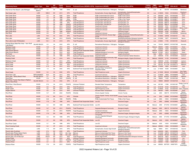| <b>Waterbody Name</b>                                         | <b>Water Type</b>                  | <b>Size</b> | <b>AU</b><br>Category | Cycle<br>Listed | <b>Source</b> | Pollutant/Cause (WDNR & EPA) Impairment (WDNR) |                                                            | <b>Observed Effect (EPA)</b>                                                | Listing<br>Category | <b>TMDL</b><br><b>Priority</b> | <b>WBIC</b> | WDNR<br>AU ID  | <b>EPA AU ID</b>          | <b>Counties</b>            |
|---------------------------------------------------------------|------------------------------------|-------------|-----------------------|-----------------|---------------|------------------------------------------------|------------------------------------------------------------|-----------------------------------------------------------------------------|---------------------|--------------------------------|-------------|----------------|---------------------------|----------------------------|
| Red Arrow Park Beach, Lake Michigan                           | <b>GREAT LAKES</b><br><b>BEACH</b> | 0.4         | 5A                    | 1998            | Other         | E. coli                                        | Recreational Restrictions - Pathogens                      | Pathogens                                                                   | 5A                  | Low                            | 20          |                | 481879 WI10008808         | Manitowoc                  |
| <b>Red Cedar Lake</b>                                         | LAKE                               | 1896.9      | 5W                    | 2014            | <b>NPS</b>    | <b>Total Phosphorus</b>                        | Eutrophication, Excess Algal Growth                        | Eutrophication, Nutrient/Eutrophication<br><b>Biological Indicators</b>     | 5W                  | Low                            | 2109600     | 16042          | WI10004632                | Washburn<br>Barron         |
| <b>Red Cedar River</b>                                        | <b>RIVER</b>                       | 9.3         | 5A                    | 2006            | Other         | <b>PCBs</b>                                    | PCBs Contaminated Fish Tissue                              | PCBs in Fish Tissue                                                         | 5A                  | Low                            | 2063500     | 15741          | WI10004383                | Dunn                       |
| <b>Red Cedar River</b>                                        | <b>RIVER</b>                       | 4.3         | 5A                    | 1998            | Other         | <b>PCBs</b>                                    | <b>PCBs Contaminated Fish Tissue</b>                       | PCBs in Fish Tissue                                                         | 5A                  | Low                            | 2063500     | 888773         | WI10008876                | Dunn                       |
| Red Cedar River                                               | <b>RIVER</b>                       | 2.9         | 5A                    | 1998            | Other         | <b>PCBs</b>                                    | PCBs Contaminated Fish Tissue                              | PCBs in Fish Tissue                                                         | 5A                  | Low                            | 2063500     | 888812         | WI10008877                | Dunn                       |
| <b>Red Cedar River</b>                                        | <b>RIVER</b>                       | 6.2         | 5W                    | 1998            | <b>PS/NPS</b> | <b>Total Phosphorus</b>                        | Eutrophication, Elevated pH                                | Eutrophication, pH                                                          | 5W                  | Low                            | 2063500     | 888648         | WI10008875                | Dunn                       |
| Red Cedar River                                               | <b>RIVER</b>                       | 4.3         | 5A                    | 1998            | <b>NPS</b>    | <b>Total Phosphorus</b>                        | Eutrophication, Elevated pH                                | Eutrophication, pH                                                          | 5W                  | Low                            | 2063500     |                | 888773 WI10008876         | Dunn                       |
| Red Cedar River                                               | <b>RIVER</b>                       | 2.3         | 5W                    | 1998            | <b>PS/NPS</b> | <b>Total Phosphorus</b>                        | Eutrophication, Elevated pH                                | Eutrophication, pH                                                          | 5W                  | Low                            | 2063500     | 888574         | WI10026586                | Dunn                       |
| Red Cedar River                                               | <b>RIVER</b>                       | 9.3         | 5A                    | 2014            | <b>PS/NPS</b> | <b>Total Phosphorus</b>                        | <b>Impairment Unknown</b>                                  | Organic Enrichment                                                          | 5W                  | Low                            | 2063500     | 15741          | WI10004383                | Dunn                       |
| Red Cedar River                                               | <b>RIVER</b>                       | 44.9        | 5W                    | 2012            | <b>PS/NPS</b> | <b>Total Phosphorus</b>                        | <b>Impairment Unknown</b>                                  | <b>Organic Enrichment</b>                                                   | 5W                  | Low                            | 2063500     | 15856          | WI10004471                | Barron, Dunn               |
| Red Cedar River                                               | <b>RIVER</b>                       | 2.9         | 5A                    | 2012            | <b>PS/NPS</b> | <b>Total Phosphorus</b>                        | Impairment Unknown                                         | Organic Enrichment                                                          | 5W                  | Low                            | 2063500     | 888812         | WI10008877                | Dunn                       |
| <b>Red Cedar River</b>                                        | <b>RIVER</b>                       | 4.9         | 5W                    | 1998            | <b>PS/NPS</b> | <b>Total Phosphorus</b>                        | Low DO                                                     | Dissolved Oxygen                                                            | 5W                  | Low                            | 2063500     | 18785          | WI10006629                | Barron                     |
| <b>Red River</b>                                              | RIVER                              | 8.9         | 5P                    | 2014            | <b>NPS</b>    | <b>Total Phosphorus</b>                        | Impairment Unknown                                         | Organic Enrichment                                                          | 5P                  | High                           | 101000      | 10250          | WI10000395                | Kewaunee                   |
| <b>Rice Lake</b>                                              | LAKE                               | 79.0        | 5A                    | 2022            | <b>NPS</b>    | <b>Total Phosphorus</b>                        | Impairment Unknown, Excess Algal<br>Growth                 | Organic Enrichment, Nutrient/Eutrophication<br><b>Biological Indicators</b> | 5A                  | Low                            | 1618600     | 128786         | WI10026161                | Vilas                      |
| Rice Lake                                                     | LAKE                               | 859.3       | 5W                    | 2012            | PS/NPS        | <b>Total Phosphorus</b>                        | <b>Excess Algal Growth</b>                                 | Nutrient/Eutrophication Biological Indicators                               | 5W                  | Low                            | 2103900     | 15977          | WI10004576                | Barron                     |
| Rice Lake (Lower Whitewater)                                  | LAKE                               | 144.1       | 5A                    | 2018            | <b>NPS</b>    | <b>Total Phosphorus</b>                        | Eutrophication, Excess Algal Growth                        | Eutrophication, Nutrient/Eutrophication<br><b>Biological Indicators</b>     | 5A                  | Low                            | 816600      | 11783          | WI10001551                | Walworth                   |
| Richard Bong State Rec Area - Vern Wolf<br>Lake Beach         | <b>INLAND BEACH</b>                | 0.0         | 5A                    | 2022            | <b>NPS</b>    | E. coli                                        | Recreational Restrictions - Pathogens                      | Pathogens                                                                   | 5A                  | Low                            | 739100      | 3898972        | WI10027368                | Kenosha                    |
| <b>Richland Creek</b>                                         | <b>RIVER</b>                       | 13.5        | 5P                    | 2014            | <b>NPS</b>    | <b>Total Phosphorus</b>                        | <b>Impairment Unknown</b>                                  | <b>Organic Enrichment</b>                                                   | 5P                  | Medium                         | 889200      | 13669          | WI10002831                | Green                      |
| Richland Creek                                                | <b>RIVER</b>                       | 9.7         | 5P                    | 2020            | <b>NPS</b>    | <b>Total Phosphorus</b>                        | <b>Impairment Unknown</b>                                  | Organic Enrichment                                                          | 5P                  | Low                            | 1206000     | 13238          | WI10002554                | Crawford                   |
| Riley School Branch                                           | <b>RIVER</b>                       | 4.8         | 5A                    | 2016            | <b>NPS</b>    | Sediment/Total Suspended Solids                | <b>Degraded Habitat</b>                                    | <b>Physical Substrate Habitat Alterations</b>                               | 5A                  | Medium                         | 877600      | 18519          | WI10006433                | Green                      |
| Riley School Branch                                           | <b>RIVER</b>                       | 4.8         | 5A                    | 2016            | <b>NPS</b>    | <b>Total Phosphorus</b>                        | Degraded Biological Community                              | Biological Integrity                                                        | 5A                  | Medium                         | 877600      | 18519          | WI10006433                | Green                      |
| <b>Rio Creek</b>                                              | <b>RIVER</b>                       | 8.8         | 5P                    | 2020            | <b>NPS</b>    | <b>Total Phosphorus</b>                        | <b>Impairment Unknown</b>                                  | Organic Enrichment                                                          | 5P                  | High                           | 95200       | 10215          | WI10000374                | Kewaunee                   |
| <b>Roaring Creek</b>                                          | <b>RIVER</b>                       | 5.3         | 5A                    | 1998            | <b>NPS</b>    | Sediment/Total Suspended Solids                | Degraded Habitat                                           | Physical Substrate Habitat Alterations                                      | 5A                  | Low                            | 1695200     | 14136          | WI10003095                | Jackson                    |
| <b>Roaring Creek</b>                                          | <b>RIVER</b>                       | 5.3         | 5A                    | 2016            | <b>NPS</b>    | <b>Total Phosphorus</b>                        | Degraded Biological Community, High<br>Phosphorus Levels   | <b>Biological Integrity, Organic Enrichment</b>                             | 5A                  | Medium                         | 1695200     | 14136          | WI10003095                | Jackson                    |
| <b>Robinson Creek</b>                                         | <b>RIVER</b>                       | 12.0        | 5P                    | 2012            | <b>NPS</b>    | <b>Total Phosphorus</b>                        | <b>Impairment Unknown</b>                                  | Organic Enrichment                                                          | 5P                  | Low                            | 1696300     | 14142          | WI10003099                | Jackson                    |
| <b>Rock Creek</b>                                             | <b>RIVER</b>                       | 0.9         | 5P                    | 2018            | <b>PS/NPS</b> | <b>Total Phosphorus</b>                        | <b>Impairment Unknown</b>                                  | <b>Organic Enrichment</b>                                                   | 5P                  | Low                            | 830100      |                | 6777615 WI10039661        | Jefferson                  |
| Rock Creek                                                    | RIVER                              | 4.2         | 5A                    | 2022            | <b>NPS</b>    | <b>Total Phosphorus</b>                        | Impairment Unknown                                         | Organic Enrichment                                                          | 5P                  | Low                            | 830100      |                | 9117164 WI10045173        | Jefferson                  |
| <b>Rock Creek</b>                                             | <b>RIVER</b>                       | 21.9        | 5A                    | 2012            | <b>NPS</b>    | <b>Total Phosphorus</b>                        | <b>High Phosphorus Levels</b>                              | <b>Organic Enrichment</b>                                                   | 5A                  | Medium                         | 1750800     | 18628          | WI10006501                | Clark                      |
| <b>Rock Creek</b>                                             | <b>RIVER</b>                       | 1.8         | 5A                    | 2002            | <b>NPS</b>    | Sediment/Total Suspended Solids                | Elevated Water Temperature.<br>Degraded Habitat            | Temperature, Physical Substrate Habitat<br>Alterations                      | 5A                  | Low                            | 2119000     | 16348          | WI10004861                | Dunn                       |
| <b>Rock Creek</b>                                             | <b>RIVER</b>                       | 5.0         | 5A                    | 2020            | <b>NPS</b>    | <b>Total Phosphorus</b>                        | <b>High Phosphorus Levels</b>                              | Organic Enrichment                                                          | 5A                  | Low                            | 2119000     | 890345         | WI10008896                | Eau Claire.<br>Pepin, Dunn |
| Rock Dam Lake                                                 | <b>IMPOUNDMENT</b>                 | 95.9        | 5W                    | 2014            | <b>NPS</b>    | <b>Total Phosphorus</b>                        | <b>Impairment Unknown</b>                                  | Organic Enrichment                                                          | 5W                  | Low                            | 2139000     | 18828          | WI10006669                | Clark                      |
| Rock Lake - Sandy Beach West                                  | <b>INLAND BEACH</b>                | 0.1         | 5A                    | 2022            | <b>NPS</b>    | E. coli                                        | <b>Recreational Restrictions - Pathogens</b>               | Pathogens                                                                   | 5A                  | Low                            | 830700      |                | 6878187 WI10040618        | Jefferson                  |
| Rock River                                                    | river                              | 12.4        | 5A                    | 2022            | PS/NPS        | E. coli                                        | Recreational Restrictions - Pathogens                      | Pathogens                                                                   | 5A                  | Low                            | 788800      | 11455          | WI10001290                | Rock                       |
| Rock River Traxler Park Skier's Platform<br>Beach, Rock River | <b>INLAND BEACH</b>                | 0.2         | 5A                    | 2022            | <b>NPS</b>    | E. coli                                        | Recreational Restrictions - Pathogens Pathogens            |                                                                             | 5A                  | Low                            | 788800      | 3899467        | WI10027438                | Rock                       |
| Rock River, West Branch                                       | <b>RIVER</b>                       | 37.6        | 5A                    | 2018            | <b>PS/NPS</b> | Unknown Pollutant                              | <b>Elevated Water Temperature</b>                          | Temperature                                                                 | 5A                  | Low                            | 861300      | 11566          | WI10001387                | Dodge, Fond du             |
|                                                               | <b>RIVER</b>                       | 8.0         | 5W                    | 2018            | <b>NPS</b>    | <b>Total Phosphorus</b>                        |                                                            | <b>Organic Enrichment</b>                                                   | 5W                  |                                | 2144100     |                | WI10004702                | Lac<br>Clark               |
| Rocky Run<br>Roger Creek                                      | RIVER                              | 9.0         | 5W                    | 2018            | <b>NPS</b>    | <b>Total Phosphorus</b>                        | <b>Impairment Unknown</b><br><b>High Phosphorus Levels</b> | Organic Enrichment                                                          | 5W                  | Low<br>Low                     | 2146600     | 16143<br>16152 | WI10004706                | Clark, Chippewa            |
| Rogers Branch                                                 | <b>RIVER</b>                       | 8.0         | 5A                    | 2016            | <b>NPS</b>    | <b>Unknown Pollutant</b>                       | <b>Elevated Water Temperature</b>                          | Temperature                                                                 | 5A                  | Low                            | 964300      | 13930          | WI10002981                | Grant                      |
|                                                               |                                    |             |                       |                 |               |                                                |                                                            |                                                                             |                     |                                |             |                |                           | Racine,                    |
| <b>Root River</b>                                             | <b>RIVER</b>                       | 14.7        | 5W                    | 2022            | <b>PS/NPS</b> | Chloride                                       | Chronic Aquatic Toxicity                                   | <b>Chronic Toxicity</b>                                                     | 5W                  | Low                            | 2900        |                | 896175 WI10027840         | Milwaukee                  |
| <b>Root River</b>                                             | <b>RIVER</b>                       | 17.9        | 5W                    | 2014            | <b>NPS</b>    | Chloride                                       | Chronic Aquatic Toxicity, Acute Aquatic<br><b>Toxicity</b> | <b>Chronic Toxicity, Toxicity</b>                                           | 5W                  | Low                            | 2900        | 425682         | WI10030660                | Waukesha<br>Milwaukee      |
| <b>Root River</b>                                             | <b>RIVER</b>                       | 5.82        | 5A                    | 1998            | PS/NPS        | <b>PCBs</b>                                    | PCBs Contaminated Fish Tissue                              | PCBs in Fish Tissue                                                         | 5A                  | Low                            | 2900        | 10533          | WI10000605                | Racine                     |
| <b>Root River</b>                                             | <b>RIVER</b>                       | 17.9        | 5W                    | 1998            | <b>NPS</b>    | Sediment/Total Suspended Solids                | Low DO                                                     | <b>Dissolved Oxygen</b>                                                     | 5W                  | Low                            | 2900        |                | 425682 WI10030660         | Waukesha<br>Milwaukee      |
| <b>Root River</b>                                             | <b>RIVER</b>                       | 5.3         | 5W                    | 1998            | <b>NPS</b>    | Sediment/Total Suspended Solids                | Low DO                                                     | Dissolved Oxygen                                                            | 5W                  | Medium                         | 2900        |                | 4714703 WI10030661        | Racine,<br>Milwaukee       |
| <b>Root River</b>                                             | <b>RIVER</b>                       | 14.7        | 5W                    | 2012            | <b>PS/NPS</b> | <b>Total Phosphorus</b>                        | <b>Degraded Biological Community</b>                       | <b>Biological Integrity</b>                                                 | 5W                  | Medium                         | 2900        |                | 896175 WI10027840         | Racine,<br>Milwaukee       |
| <b>Root River</b>                                             | <b>RIVER</b>                       | 5.8         | 5A                    | 2012            | <b>PS/NPS</b> | <b>Total Phosphorus</b>                        | Impairment Unknown                                         | Organic Enrichment                                                          | 5W                  | Medium                         | 2900        | 10533          | WI10000605                | Racine                     |
| <b>Root River</b>                                             | <b>RIVER</b>                       | 17.9        | 5W                    | 1998            | <b>NPS</b>    | <b>Total Phosphorus</b>                        | Low DO, Degraded Biological<br>Community                   | Dissolved Oxygen, Biological Integrity                                      | 5W                  | Low                            | 2900        |                | 425682 WI10030660         | Waukesha<br>Milwaukee      |
| Root River                                                    | RIVER                              | 5.3         | 5W                    | 1998            | <b>NPS</b>    | <b>Total Phosphorus</b>                        | Low DO, Degraded Biologica                                 | Dissolved Oxygen, Biological Integrity                                      | 5W                  | Medium                         | 2900        |                | 4714703 WI10030661        | Racine.<br>Milwaukee       |
| <b>Root River Canal</b>                                       | <b>RIVER</b>                       | 5.7         | 5W                    | 1998            | <b>NPS</b>    | Sediment/Total Suspended Solids                | Community<br>Low DO                                        | Dissolved Oxygen                                                            | 5W                  | Medium                         | 4300        |                | 10535 WI10000607          | Racine,                    |
| Root River Canal                                              | <b>RIVER</b>                       | 5.7         | 5W                    | 1998            | <b>NPS</b>    | <b>Total Phosphorus</b>                        | Low DO                                                     | Dissolved Oxygen                                                            | 5W                  | Medium                         | 4300        | 10535          | WI10000607                | Milwaukee<br>Racine,       |
| <b>Ross Crossing Creek</b>                                    | <b>RIVER</b>                       | 5.2         | 5P                    | 2018            | <b>NPS</b>    | <b>Total Phosphorus</b>                        | <b>Impairment Unknown</b>                                  | Organic Enrichment                                                          | 5P                  | Medium                         | 885600      | 13632          | WI10002805                | Milwaukee<br>Green         |
| Round Lake                                                    | LAKE                               | 11.4        | 5W                    | 2016            | <b>NPS</b>    | <b>Total Phosphorus</b>                        | Eutrophication, Excess Algal Growth                        | Eutrophication, Nutrient/Eutrophication                                     | 5W                  | High                           | 68600       | 9910           | WI10000162                | Calumet                    |
|                                                               |                                    |             |                       |                 |               |                                                |                                                            | <b>Biological Indicators</b>                                                |                     |                                |             |                |                           |                            |
| Round Lake (Cushing)                                          | LAKE                               | 37.4        | 5W                    | 2020            | <b>NPS</b>    | <b>Total Phosphorus</b>                        | <b>Impairment Unknown</b>                                  | <b>Organic Enrichment</b>                                                   | 5W                  | Low                            | 2494000     | 16631          | WI10005095                | Polk                       |
| Round Lake (Three Lakes Chain)                                | LAKE                               | 151.3       | 5B                    | 2018            | Atm. Dep.     | Mercury                                        | Mercury Contaminated Fish Tissue                           | Mercury in Fish Tissue                                                      | 5B                  | Low                            | 1610400     |                | 128272 WI10007418         | Oneida                     |
| Round Lake T32 R9w S14                                        | LAKE                               | 215.8       | 5B                    | 1998            | Atm. Dep.     | Mercury                                        | Mercury Contaminated Fish Tissue                           | Mercury in Fish Tissue                                                      | 5B                  | Low                            |             |                | 2169200 891353 WI10008932 | Chippewa                   |
| Round Lake T37n R18w S27                                      | LAKE                               | 208.35      | 5W                    | 2012            | <b>NPS</b>    | <b>Total Phosphorus</b>                        | Excess Algal Growth                                        | Nutrient/Eutrophication Biological Indicators                               | 5W                  | Low                            | 2640100     | 16676          | WI10005130                | Burnett                    |
| <b>Rouse Creek</b>                                            | <b>RIVER</b>                       | 2.3         | 5A                    | 2016            | <b>NPS</b>    | <b>Unknown Pollutant</b>                       | <b>Degraded Biological Community</b>                       | <b>Biological Integrity</b>                                                 | 5A                  | Low                            | 2925000     | 17755          | WI10008278                | Iron                       |
| Roxbury Creek                                                 | <b>RIVER</b>                       | 4.0         | 5A                    | 2014            | PS/NPS        | <b>Total Phosphorus</b>                        | Degraded Biological Community                              | <b>Biological Integrity</b>                                                 | 5A                  | Low                            | 1259900     | 13496          | WI10002706                | Dane                       |
| <b>Rubicon River</b>                                          | <b>RIVER</b>                       | 9.7         | 5A                    | 2012            | <b>NPS</b>    | <b>Total Phosphorus</b>                        | <b>High Phosphorus Levels</b>                              | Organic Enrichment                                                          | 5A                  | Low                            | 856500      |                | 11555 WI6977676           | Dodge                      |
| <b>Rubicon River</b>                                          | <b>RIVER</b>                       | 17.6        | 5A                    | 2012            | PS/NPS        | <b>Total Phosphorus</b>                        | <b>High Phosphorus Levels</b>                              | Organic Enrichment                                                          | 5A                  | Low                            |             |                | 856500 6977678 WI6977679  | Dodge,<br>Washington       |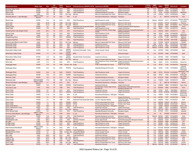| Waterbody Name                      | <b>Water Type</b>                  | <b>Size</b>    | <b>AU</b>      | Cycle          | Source                      | Pollutant/Cause (WDNR & EPA) Impairment (WDNR)             |                                                                   | <b>Observed Effect (EPA)</b>                                                | <b>Listing</b> | <b>TMDL</b>            | <b>WBIC</b>               | <b>WDNF</b>           | <b>EPA AU ID</b>         | <b>Counties</b>                     |
|-------------------------------------|------------------------------------|----------------|----------------|----------------|-----------------------------|------------------------------------------------------------|-------------------------------------------------------------------|-----------------------------------------------------------------------------|----------------|------------------------|---------------------------|-----------------------|--------------------------|-------------------------------------|
| <b>Running Valley Creek</b>         | <b>RIVER</b>                       | 4.6            | Category<br>5W | Listed<br>2012 | <b>NPS</b>                  | <b>Total Phosphorus</b>                                    | <b>High Phosphorus Levels</b>                                     | <b>Organic Enrichment</b>                                                   | Category<br>5W | <b>Priority</b><br>Low | 2082700                   | <b>AU ID</b><br>15745 | WI10004386               | Dunn                                |
| Rush Creek                          | <b>RIVER</b>                       | 5.2            | 5P             | 2018           | <b>NPS</b>                  | <b>Total Phosphorus</b>                                    | Impairment Unknown                                                | Organic Enrichment                                                          | 5P             | Low                    | 2066900                   | 18790                 | WI10006633               | Dunn                                |
| <b>Ryan Creek</b>                   | <b>RIVER</b>                       | 6.9            | 5W             | 2018           | <b>NPS</b>                  | <b>Total Phosphorus</b>                                    | <b>Degraded Biological Community</b>                              | <b>Biological Integrity</b>                                                 | 5W             | Low                    | 5100                      | 5719503               | WI10037315               | Milwaukee                           |
| Sackett Lake                        | LAKE                               | 60.2           | 5B             | 1998           | Atm. Dep.                   | Mercury                                                    | Mercury Contaminated Fish Tissue                                  | Mercury in Fish Tissue                                                      | 5B             | Low                    | 1764500                   | 14316                 | WI10003232               | Taylor                              |
| Sand Bay Beach 1, Lake Michigan     | <b>GREAT LAKES</b><br><b>BEACH</b> | 0.0            | 5A             | 2022           | <b>NPS</b>                  | E. coli                                                    | Recreational Restrictions - Pathogens                             | Pathogens                                                                   | 5A             | Low                    | 20                        |                       | 3897303 WI10027186       | Door                                |
| Sand Creek                          | <b>RIVER</b>                       | 10.2           | 5A             | 2016           | <b>NPS</b>                  | <b>Total Phosphorus</b>                                    | <b>High Phosphorus Levels</b>                                     | Organic Enrichment                                                          | 5A             | Medium                 | 1689700                   | 14017                 | WI10003023               | Jackson, Monroe<br>La Crosse        |
| Sand Lake                           | LAKE                               | 48.35          | 5B             | 1998           | Atm. Dep                    | Mercury                                                    | Mercury Contaminated Fish Tissue                                  | Mercury in Fish Tissue                                                      | 5B             | Low                    | 591600                    | 127700                | WI1002667                | Florence                            |
| Sand Lake                           | LAKE                               | 271.8          | 5B<br>5A       | 2012           | Atm. Dep.                   | Mercury                                                    | Mercury Contaminated Fish Tissue                                  | Mercury in Fish Tissue                                                      | 5B             | Low                    | 2353600                   | 18665                 | WI10006531               | Rusk, Chippewa                      |
| Sandy Creek<br>Sauk Creek           | <b>RIVER</b><br><b>RIVER</b>       | 5.6<br>15.9    | 5A             | 1998<br>2012   | <b>NPS</b><br><b>NPS</b>    | Sediment/Total Suspended Solids<br><b>Total Phosphorus</b> | <b>Degraded Habitat</b><br><b>High Phosphorus Levels</b>          | <b>Physical Substrate Habitat Alterations</b><br>Organic Enrichment         | 5A<br>5A       | Low<br>High            | 966100<br>49500           | 18576<br>11342        | WI10006469<br>WI10001213 | Grant<br>Ozaukee                    |
|                                     |                                    |                |                |                |                             |                                                            | Impairment Unknown, Excess Algal                                  | Organic Enrichment, Nutrient/Eutrophication                                 |                |                        |                           |                       |                          |                                     |
| Scattering Rice Lake (Eagle Chain)  | LAKE                               | 263.3          | 5A             | 2018           | <b>NPS</b>                  | <b>Total Phosphorus</b>                                    | Growth                                                            | <b>Biological Indicators</b>                                                | 5A             | Low                    | 1600300                   | 128607                | WI10007713               | Vilas<br><b>DIUWII</b>              |
| School Creek                        | <b>RIVER</b>                       | 5.6            | 5A             | 2018           | <b>NPS</b>                  | <b>Total Phosphorus</b>                                    | <b>High Phosphorus Levels</b>                                     | Organic Enrichment                                                          | 5A             | High                   | 92200                     | 10184                 | WI10000350               | Kewaunee                            |
| Scout Lake<br>Scuppernong River     | LAKE<br><b>RIVER</b>               | $5.5\,$<br>9.4 | 5W<br>5P       | 2014<br>2014   | <b>NPS</b><br><b>PS/NPS</b> | <b>Total Phosphorus</b><br><b>Total Phosphorus</b>         | <b>Impairment Unknown</b><br>Impairment Unknown                   | <b>Organic Enrichment</b><br>Organic Enrichment                             | 5W<br>5P       | Low<br>Low             | 6100<br>817600            | 207466<br>11789       | WI10008142<br>WI8107583  | Milwaukee<br>Jefferson              |
| Scuppernong River                   | <b>RIVER</b>                       | 2.2            | 5P             | 2014           | <b>NPS</b>                  | <b>Total Phosphorus</b>                                    | <b>Impairment Unknown</b>                                         | <b>Organic Enrichment</b>                                                   | 5P             | Low                    | 817600                    | 8107585               | WI8107586                | Jefferson,                          |
| Second Lake (Moen's Lake Chain)     | LAKE                               | 102.7          | 5B             | 2014           | Atm. Dep                    | Mercury                                                    | Mercury Contaminated Fish Tissue                                  | Mercury in Fish Tissue                                                      | 5B             | Low                    | 1572300                   | 128279                | WI10007424               | Waukesha<br>Oneida                  |
| Sevenmile Creek                     | <b>RIVER</b>                       | 5.0            | 5P             | 2020           | <b>NPS</b>                  | <b>Total Phosphorus</b>                                    | <b>Impairment Unknown</b>                                         | Organic Enrichment                                                          | 5A             | High                   | 65100                     | 9861                  | WI10000124               | Sheboygan                           |
| Sevenmile Creek                     | <b>RIVER</b>                       | 4.7            | 5W             | 2016           | <b>NPS</b>                  | <b>Total Phosphorus</b>                                    | <b>High Phosphorus Levels</b>                                     | Organic Enrichment                                                          | 5W             | Medium                 | 2128700                   | 16088                 | WI10004665               | Eau Claire                          |
| Sevenmile Creek                     | <b>RIVER</b>                       | 2.5            | 5W             | 2016           | <b>NPS</b>                  | <b>Total Phosphorus</b>                                    | <b>High Phosphorus Levels</b>                                     | Organic Enrichment                                                          | 5W             | Medium                 | 2128700                   | 16089                 | WI10004666               | Chippewa                            |
| Shannahan Valley Creek              | <b>RIVER</b>                       | 1.3            | 5A             | 2002           | Habitat/                    | Ammonia (Unionized) - Toxin                                | <b>Chronic Aquatic Toxicity</b>                                   | <b>Chronic Toxicity</b>                                                     | 5A             | Low                    | 1257900                   | 13466                 | WI10026085               | Sauk                                |
|                                     |                                    |                |                |                | Physica<br>Habitat/         |                                                            |                                                                   |                                                                             |                |                        |                           |                       |                          |                                     |
| Shannahan Valley Creek              | <b>RIVER</b>                       | 1.3            | 5A             | 2002           | Physical<br>Habitat/        | <b>BOD</b>                                                 | Low DO                                                            | <b>Dissolved Oxygen</b>                                                     | 5A             | Low                    | 1257900                   | 13466                 | WI10026085               | Sauk                                |
| Shannahan Valley Creek              | <b>RIVER</b>                       | 1.33           | 5A             | 2002           | Physica                     | <b>Elevated Water Temperature</b>                          | Impairment Unknown                                                | Organic Enrichment                                                          | 5A             | Low                    | 1257900                   | 13466                 | WI10026085               | Sauk                                |
| <b>Shannon Lake</b>                 | LAKE                               | 34.9           | 5B             | 1998           | Atm. Dep.                   | Mercury                                                    | <b>Mercury Contaminated Fish Tissue</b>                           | Mercury in Fish Tissue                                                      | 5B             | Low                    | 1016800                   | 128610                | WI10026107               | Vilas                               |
| Shea Lake                           | LAKE                               | 31.5           | 5A             | 2020           | <b>NPS</b>                  | <b>Total Phosphorus</b>                                    | High Phosphorus Levels, Excess Alga<br>Growth                     | Organic Enrichment, Nutrient/Eutrophication<br><b>Biological Indicators</b> | 5A             | High                   | 85400                     | 10154                 | WI10000326               | Kewaunee                            |
| Sheboygan River                     | <b>RIVER</b>                       | 13.6           | 5A             | 1998           | Contam. Sed.                | PCBs                                                       | <b>PCBs Contaminated Fish Tissue</b>                              | PCBs in Fish Tissue                                                         | 5A             | Low                    | 50700                     | 11354                 | WI10008190               | Sheboygan                           |
| Sheboygan River                     | <b>RIVER</b>                       | 20.2           | 5A             | 2020           | PS/NPS                      | <b>Total Phosphorus</b>                                    | Degraded Biological Community                                     | <b>Biological Integrity</b>                                                 | 5A             | High                   | 50700                     | 11356                 | WI10038520               | Calumet,<br>Manitowoc,<br>Sheboygan |
| Sheboygan River                     | <b>RIVER</b>                       | 20.8           | 5A             | 2020           | <b>PS/NPS</b>               | <b>Total Phosphorus</b>                                    | <b>High Phosphorus Levels</b>                                     | <b>Organic Enrichment</b>                                                   | 5A             | High                   | 50700                     |                       | 5753343 WI10038540       | Sheboygan, Fond<br>du Lac           |
| Sheboygan River                     | <b>RIVER</b>                       | 13.6           | 5A             | 2014           | PS/NPS                      | <b>Total Phosphorus</b>                                    | Impairment Unknown                                                | Organic Enrichment                                                          | 5P             | High                   | 50700                     | 11354                 | WI10008190               | Sheboygan                           |
| <b>Sherman Creek</b>                | <b>RIVER</b>                       | 14.0           | 5A             | 2014           | <b>NPS</b>                  | <b>Unknown Pollutant</b>                                   | <b>Degraded Biological Community</b>                              | <b>Biological Integrity</b>                                                 | 5A             | Low                    | 2125100                   | 16080                 | WI10006874               | Eau Claire<br>Chippewa              |
| Sherwood Lake                       | <b>IMPOUNDMENT</b>                 | 117.0          | 5B             | 1998           | Atm. Dep.                   | Mercury                                                    | Mercury Contaminated Fish Tissue                                  | Mercury in Fish Tissue                                                      | 5B             | Low                    | 1736200                   | 14240                 | WI10003172               | Clark                               |
| Shoop Park Beach, Lake Michigan     | <b>GREAT LAKES</b>                 | 0.1            | 5W             | 2014           | <b>NPS</b>                  | E. coli                                                    | Recreational Restrictions - Pathogens                             | Pathogens                                                                   | 5W             | Low                    | 20                        |                       | 3992139 WI10028614       | Racine                              |
| Shoulder Creek                      | <b>BEACH</b><br><b>RIVER</b>       | 13.0           | 5P             | 2020           | <b>PS/NPS</b>               | <b>Total Phosphorus</b>                                    | Impairment Unknown                                                | Organic Enrichment                                                          | 5P             | Low                    | 2188600                   | 18668                 | WI10006533               | Taylor, Rusk                        |
| Silver Birch Lake                   | LAKE                               | 144.6          | 5A             | 1998           | <b>NPS</b>                  | <b>Total Phosphorus</b>                                    | Eutrophication, Excess Algal Growth,                              | Eutrophication, Nutrient/Eutrophication                                     | 5A             | Low                    | 2054600                   | 15605                 | WI10004282               | Pepin                               |
|                                     |                                    |                |                |                |                             |                                                            | Elevated pH                                                       | Biological Indicators, pH                                                   |                |                        |                           |                       |                          |                                     |
| Silver Creek<br>Silver Creek        | <b>RIVER</b><br><b>RIVER</b>       | 8.4<br>9.3     | 5P<br>5P       | 2014<br>2014   | <b>NPS</b><br><b>PS/NPS</b> | <b>Total Phosphorus</b><br><b>Total Phosphorus</b>         | Impairment Unknown<br><b>Impairment Unknown</b>                   | Organic Enrichment<br>Organic Enrichment                                    | 5P<br>5P       | High<br>High           | 67300<br>67300            | 9872<br>8106635       | WI8106633<br>WI8106636   | Manitowoc<br>Manitowoc              |
|                                     |                                    |                |                |                |                             |                                                            |                                                                   |                                                                             |                |                        |                           |                       |                          | Green Lake                          |
| Silver Creek                        | <b>RIVER</b>                       | 11.44          | 5A             | 2022           | <b>NPS</b>                  | E. coli                                                    | Recreational Restrictions - Pathogens                             | Pathogens                                                                   | 5A             | Low                    | 146800                    | 11028                 | WI10038624               | Fond du Lac                         |
| <b>Silver Creek</b>                 | <b>RIVER</b>                       | 5.3            | 5P             | 2018           | <b>NPS</b>                  | <b>Total Phosphorus</b>                                    | <b>Impairment Unknown</b>                                         | <b>Organic Enrichment</b>                                                   | 5P             | Low                    | 847600                    | 11457                 | WI10001292               | Dodge                               |
| Silver Creek                        | <b>RIVER</b>                       | 4.4            | 5A             | 1998           | <b>NPS</b>                  | Sediment/Total Suspended Solids                            | Low DO, Degraded Habitat                                          | Dissolved Oxygen, Physical Substrate<br><b>Habitat Alterations</b>          | 5A             | Low                    | 1280000                   | 13004                 | WI10002427               | Sauk                                |
| <b>Silver Creek</b>                 | <b>RIVER</b>                       | 1.7            | 5A             | 2022           | <b>PS/NPS</b>               | <b>PFOS</b>                                                | PFOS Contaminated Fish Tissue                                     | PFOS in Fish Tissue                                                         | 5A             | Low                    | 1660500                   | 1180470               | WI1180470                | Monroe                              |
| Silver Creek                        | <b>RIVER</b>                       | 7.8            | 5A             | 2022           | <b>PS/NPS</b>               | <b>PFOS</b>                                                | PFOS Contaminated Fish Tissue                                     | PFOS in Fish Tissue                                                         | 5A             | Low                    | 1660500                   | 949202                | WI10010407               | Monroe                              |
| Silver Creek Mouth                  | LAKE                               | 156.0          | 5A             | 2012           | Unknown                     | E. coli                                                    | Recreational Restrictions - Pathogens                             | Pathogens                                                                   | 5A             | Low                    | 146800                    | 896230                | WI10009008               | <b>Green Lake</b>                   |
| Silver Creek(Havel Creek)           | <b>RIVER</b>                       | 5.5            | 5P             | 2018           | <b>NPS</b>                  | <b>Total Phosphorus</b>                                    | <b>Impairment Unknown</b>                                         | Organic Enrichment                                                          | 5P             | High                   | 94900                     | 10212                 | WI10026815               | Kewaunee                            |
| Silver Lake                         | LAKE                               | 330.7          | 5B             | 2012           | Atm. Dep.                   | Mercury                                                    | Mercury Contaminated Fish Tissue                                  | Mercury in Fish Tissue                                                      | 5B             | Low                    | 1881100                   | 15841                 | WI10004457               | Barron                              |
| Silver Spring Creek                 | <b>RIVER</b><br><b>GREAT LAKES</b> | 5.9            | 5A             | 2012           | <b>NPS</b>                  | <b>Total Phosphorus</b>                                    | Degraded Biological Community                                     | <b>Biological Integrity</b>                                                 | 5A             | Low                    | 917700                    | 13777                 | WI10026289               | Lafayette                           |
| Simmons Island Beach, Lake Michigan | <b>BEACH</b>                       | 0.5            | 5W             | 2006           | Other                       | E. coli                                                    | Recreational Restrictions - Pathogens Pathogens                   |                                                                             | 5W             | Low                    | 20                        |                       | 1452862 WI10024771       | Kenosha                             |
| Sinsinawa River                     | <b>RIVER</b>                       | 10.8           | 5A             | 2016           | <b>NPS</b>                  | <b>Total Phosphorus</b>                                    | <b>Degraded Biological Community</b>                              | <b>Biological Integrity</b>                                                 | 5A             | Medium                 | 940200                    | 13850                 | WI10002934               | Grant                               |
| Siskiwit Lake                       | LAKE                               | 284.8          | 5B             | 1998           | Atm. Dep.                   | Mercury                                                    | Mercury Contaminated Fish Tissue                                  | Mercury in Fish Tissue                                                      | 5B             | Low                    | 2882300                   |                       | 890939 WI10008910        | Bayfield                            |
| Sissabagama Lake                    | LAKE                               | 805.4          | 5A             | 2016           | <b>NPS</b>                  | Unknown Pollutant                                          | <b>Excess Algal Growth</b>                                        | Nutrient/Eutrophication Biological Indicators                               | 5A             | Low                    | 2393500                   | 15374                 | WI10004088               | Sawyer                              |
| Six Lake<br>Six Mile Creek          | LAKE<br><b>RIVER</b>               | 142.4<br>8.5   | 5B<br>5A       | 1998<br>2016   | Atm. Dep.<br><b>NPS</b>     | Mercury<br><b>Total Phosphorus</b>                         | Mercury Contaminated Fish Tissue<br><b>High Phosphorus Levels</b> | Mercury in Fish Tissue<br>Organic Enrichment                                | 5B<br>5A       | Low<br>Low             | 2294500<br>805500         | 14899<br>11691        | WI10003685<br>WI10001477 | Iron<br>Dane                        |
| Six Mile Creek                      | <b>RIVER</b>                       | 3.6            | 5A             | 2022           | <b>NPS</b>                  | <b>Total Phosphorus</b>                                    | <b>High Phosphorus Levels</b>                                     | <b>Organic Enrichment</b>                                                   | 5A             | Low                    | 805500                    |                       | 11692 WI10026265         | Dane                                |
| Sixth Avenue West Beach             | <b>GREAT LAKES</b><br><b>BEACH</b> | 0.1            | 5A             | 2022           | <b>NPS</b>                  | E. coli                                                    | Recreational Restrictions - Pathogens                             | Pathogens                                                                   | 5A             | Low                    | 2751220                   |                       | 6878249 WI10040620       | Ashland                             |
| <b>Skinner Creek</b>                | <b>RIVER</b>                       | 14.0           | 5P             | 2012           | <b>PS/NPS</b>               | <b>Total Phosphorus</b>                                    | <b>Impairment Unknown</b>                                         | <b>Organic Enrichment</b>                                                   | 5P             | Low                    | 894500                    | 13678                 | WI10002837               | Green                               |
| Slaughterhouse Creek                | <b>RIVER</b>                       | 0.7            | 5A             | 1998           |                             | Contam. Sed. Unspecified Metals                            | <b>Chronic Aquatic Toxicity</b>                                   | <b>Chronic Toxicity</b>                                                     | 5A             | Low                    | 1568100                   | 12806                 | WI10002279               | Oneida                              |
| Slim Creek                          | <b>RIVER</b>                       | 2.2            | 5W             | 2018           | <b>NPS</b>                  | <b>Total Phosphorus</b>                                    | <b>Impairment Unknown</b>                                         | <b>Organic Enrichment</b>                                                   | 5W             | Low                    | 2108400                   | 15998                 | WI10026767               | Washburn                            |
| Slim Lake                           | LAKE                               | 209.9          | 5W             | 2014           | <b>NPS</b>                  | <b>Total Phosphorus</b>                                    | <b>Impairment Unknown</b>                                         | Organic Enrichment                                                          | 5W             | Low                    | 2109300                   | 16000                 | WI10004596               | Washburn                            |
| Snipe Lake                          | LAKE                               | 215.5          | 5B             | 1998           | Atm. Dep.                   | Mercury                                                    | Mercury Contaminated Fish Tissue                                  | Mercury in Fish Tissue                                                      | 5B             | Low                    | 1018500                   | 128615                | WI10007719               | Vilas                               |
| Solberg Lake                        | LAKE                               | 843.6          | 5B             | 1998           | Atm. Dep.                   | Mercury                                                    | Mercury Contaminated Fish Tissue                                  | Mercury in Fish Tissue                                                      | 5B             | Low                    | 2242500                   | 14731                 | WI10003547               | Price                               |
| Solberg Lake                        | LAKE                               | 843.6          | 5B             | 2016           | <b>NPS</b>                  | <b>Total Phosphorus</b>                                    | <b>Impairment Unknown</b>                                         | Organic Enrichment                                                          | 5P             | Low                    | 2242500                   | 14731                 | WI10003547               | Price                               |
| Somo Lake                           | LAKE                               | 404.0          | 5B             | 1998           | Atm. Dep.                   | Mercury                                                    | Mercury Contaminated Fish Tissue                                  | Mercury in Fish Tissue                                                      | 5B<br>5P       | Low                    | 1547700<br>Medium 1693400 | 128861                | WI10007947               | Lincoln                             |
| <b>Soper Creek</b>                  | <b>RIVER</b>                       | 8.0            | 5P             | 2016           | <b>NPS</b>                  | <b>Total Phosphorus</b>                                    | <b>Impairment Unknown</b>                                         | <b>Organic Enrichment</b>                                                   |                |                        |                           |                       | 14129 WI10003091         | Monroe                              |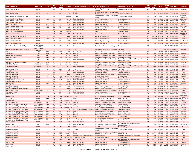| <b>Waterbody Name</b>                | Water Type                         | <b>Size</b> | AU<br>Category | <b>Cycle</b><br>Listed | <b>Source</b>        | Pollutant/Cause (WDNR & EPA) Impairment (WDNR)                    |                                                                                | <b>Observed Effect (EPA)</b>                                            | <b>Listing</b><br>Category | <b>TMDL</b><br>Priority | <b>WBIC</b> | WDNR<br>AU ID | <b>EPA AU ID</b>           | <b>Counties</b>              |
|--------------------------------------|------------------------------------|-------------|----------------|------------------------|----------------------|-------------------------------------------------------------------|--------------------------------------------------------------------------------|-------------------------------------------------------------------------|----------------------------|-------------------------|-------------|---------------|----------------------------|------------------------------|
| South 43rd Street Ditch              | <b>RIVER</b>                       | 1.2         | 5A             | 2022                   | PS/NPS               | Chloride                                                          | Chronic Aquatic Toxicity, Acute Aquatic<br>Toxicity                            | Chronic Toxicity, Toxicity                                              | 5A                         | Low                     | 15900       | 9981          | WI10000209                 | Milwaukee                    |
| South Branch Creek                   | <b>RIVER</b>                       | 2.4         | 5A             | 2018                   | <b>NPS</b>           | Chloride                                                          | Chronic Aquatic Toxicity, Acute Aquatic<br>Toxicity                            | Chronic Toxicity, Toxicity                                              | 5A                         | Low                     | 3000073     | 3899370       | WI10027435                 | Milwaukee                    |
| South Branch Of Underwood Creek      | <b>RIVER</b>                       | 1.1         | 5A             | 2018                   | PS/NPS               | Chloride                                                          | Chronic Aquatic Toxicity, Acute Aquatic Chronic Toxicity, Toxicity<br>Toxicity |                                                                         | 5A                         | Low                     | 16800       | 10028         | WI10000236                 | Waukesha<br>Milwaukee        |
| South Branch O'Neil Creek            | <b>RIVER</b>                       | 18.1        | 5A             | 2012                   | PS/NPS               | <b>Total Phosphorus</b>                                           | <b>High Phosphorus Levels</b>                                                  | Organic Enrichment                                                      | 5A                         | Low                     | 1749300     | 18626         | WI10006499                 | Clark, Wood                  |
| South Branch Tenmile Creek           | <b>RIVER</b>                       | 4.2         | 5A             | 2018                   | <b>NPS</b>           | <b>Unknown Pollutant</b>                                          | <b>Elevated Water Temperature</b>                                              | Temperature                                                             | 5A                         | Low                     | 1383200     | 1489448       | WI10024813                 | Portage                      |
| South Branch Trade River             | <b>RIVER</b>                       | 2.5         | 5W             | 2018                   | <b>NPS</b>           | <b>Total Phosphorus</b>                                           | <b>High Phosphorus Levels</b>                                                  | <b>Organic Enrichment</b>                                               | 5W                         | Low                     | 2641600     | 16684         | WI10005135                 | Polk                         |
| South Fish Creek                     | <b>RIVER</b>                       | 22.5        | 5P             | 2016                   | <b>NPS</b>           | <b>Total Phosphorus</b>                                           |                                                                                |                                                                         | 5P                         | Low                     | 2889900     | 17624         | WI10008261                 | Bayfield                     |
|                                      |                                    |             |                |                        |                      |                                                                   | Impairment Unknown                                                             | Organic Enrichment                                                      |                            |                         |             |               |                            |                              |
| South Fork Eau Claire River          | <b>RIVER</b>                       | 10.2        | 5W             | 2016                   | <b>NPS</b>           | <b>Total Phosphorus</b>                                           | <b>Degraded Biological Community</b>                                           | <b>Biological Integrity</b>                                             | 5W                         | Medium                  |             |               | 2137000 5542093 WI10034681 | Clark, Taylor                |
| South Fork Eau Claire River          | <b>RIVER</b>                       | 16.8        | 5W             | 2016                   | <b>NPS</b>           | <b>Total Phosphorus</b>                                           | <b>High Phosphorus Levels</b>                                                  | Organic Enrichment                                                      | 5W                         | Medium                  | 2137000     |               | 5542152 WI10034700         | Clark                        |
| South Fork Hay River                 | <b>RIVER</b>                       | 7.1         | 5W             | 2018                   | <b>PS/NPS</b>        | <b>Total Phosphorus</b>                                           | <b>Impairment Unknown</b>                                                      | <b>Organic Enrichment</b>                                               | 5W                         | Low                     | 2070100     |               | 1454817 WI10023560         | Dunn                         |
| South Fork Lemonweir River           | <b>RIVER</b>                       | 6.0         | 5A             | 1998                   | <b>PS/NPS</b>        | <b>BOD</b>                                                        | Low DO                                                                         | <b>Dissolved Oxygen</b>                                                 | 5A                         | Low                     | 1338500     | 888023        | WI10035721                 | Monroe                       |
| South Fork Paint Creek               | <b>RIVER</b>                       | 6.0         | 5P             | 2022                   | <b>NPS</b>           | <b>Total Phosphorus</b>                                           | <b>Impairment Unknown</b>                                                      | <b>Organic Enrichment</b>                                               | 5P                         | Low                     | 2153300     | 18842         | WI10006676                 | Eau Claire<br>Chippewa       |
| South Fork Popple (Poplar) River     | <b>RIVER</b>                       | 10.0        | 5A             | 2012                   | <b>NPS</b>           | <b>Total Phosphorus</b>                                           | <b>High Phosphorus Levels</b>                                                  | Organic Enrichment                                                      | 5A                         | Medium                  | 1754100     | 14280         | WI10003201                 | Clark                        |
| South Fork Popple River              | <b>RIVER</b>                       | 10.0        | 5A             | 2012                   | <b>PS/NPS</b>        | <b>Total Phosphorus</b>                                           | <b>High Phosphorus Levels</b>                                                  | <b>Organic Enrichment</b>                                               | 5A                         | Medium                  | 1754100     | 14281         | WI10003202                 | Clark                        |
|                                      |                                    |             |                |                        |                      |                                                                   |                                                                                |                                                                         |                            |                         |             |               |                            |                              |
| South Fork Thunder River             | <b>RIVER</b>                       | 4.4         | 5A             | 2018                   | <b>NPS</b>           | Chloride                                                          | <b>Chronic Aquatic Toxicity</b>                                                | Chronic Toxicity                                                        | 5A                         | Low                     | 538400      | 18284         |                            | WI10026638 Oconto, Marinette |
|                                      |                                    |             |                |                        |                      |                                                                   |                                                                                |                                                                         |                            |                         |             |               |                            |                              |
| South Fork Willow River              | <b>RIVER</b>                       | 5.3         | 5W             | 2018                   | <b>NPS</b>           | <b>Total Phosphorus</b>                                           | <b>Impairment Unknown</b>                                                      | <b>Organic Enrichment</b>                                               | 5W                         | Low                     | 2609200     | 16414         | WI10004908                 | <b>Saint Croix</b>           |
| South Shore Beach, Lake Michigan     | <b>GREAT LAKES</b><br><b>BEACH</b> | 0.7         | 5A             | 2004                   | Other                | E. coli                                                           | Recreational Restrictions - Pathogens                                          | Pathogens                                                               | 5A                         | Low                     | 20          | 481411        | WI10008800                 | Milwaukee                    |
| Southport Park Beach, Lake Michigan  | <b>GREAT LAKES</b><br><b>BEACH</b> | 0.1         | 5W             | 2022                   | <b>NPS</b>           | E. coli                                                           | Recreational Restrictions - Pathogens                                          | Pathogens                                                               | 5W                         | Low                     | 20          | 1491250       | WI10024852                 | Kenosha                      |
|                                      |                                    |             |                |                        |                      |                                                                   |                                                                                |                                                                         |                            |                         |             |               |                            |                              |
| Spice Lake                           | LAKE                               | 20.2        | 5P             | 2020                   | <b>NPS</b>           | Total Phosphorus                                                  | Impairment Unknown                                                             | Organic Enrichment                                                      | 5P                         | Low                     | 445900      | 900346        | WI10009574                 | Oconto                       |
| <b>Spider Lake</b>                   | LAKE                               | 86.4        | 5B             | 1998                   | Atm. Dep.            | Mercury                                                           | Mercury Contaminated Fish Tissue                                               | Mercury in Fish Tissue                                                  | 5B                         | Low                     | 2918600     |               | 891245 WI10008927          | Ashland                      |
| Spider Lake (Whispering)             | LAKE                               | 358.7       | 5B             | 2012                   | Atm. Dep             | Mercury                                                           | Mercury Contaminated Fish Tissue                                               | Mercury in Fish Tissue                                                  | 5B                         | Low                     | 2306300     | 14992         | WI10003764                 | Iron                         |
| Spillerberg Lake                     | LAKE                               | 74.9        | 5B             | 1998                   | Atm. Dep.            | Mercury                                                           | <b>Mercury Contaminated Fish Tissue</b>                                        | Mercury in Fish Tissue                                                  | 5B                         | Low                     |             |               | 2936200 891279 WI10008929  | Ashland                      |
| Spirit Lake                          | LAKE                               | 136.8       | 5C             | 2012                   | <b>NPS</b>           | <b>Total Phosphorus</b>                                           | High Phosphorus Levels, Excess Algal                                           | Organic Enrichment, Nutrient/Eutrophication                             | 5C                         | Low                     | 1513000     | 425781        | WI10008717                 | Price, Taylor                |
|                                      |                                    |             |                |                        |                      |                                                                   | Growth                                                                         | <b>Biological Indicators</b>                                            |                            |                         |             |               |                            |                              |
| Spirit Lake (Three Lakes Chain)      | LAKE                               | 347.8       | 5B             | 2018                   | Atm. Dep             | Mercury                                                           | <b>Mercury Contaminated Fish Tissue</b>                                        | Mercury in Fish Tissue                                                  | 5B                         | Low                     | 1612000     | 128297        | WI10007441                 | Oneida                       |
| Spirit River Flowage                 | <b>IMPOUNDMENT</b>                 | 1220.0      | 5A             | 1998                   | Atm. Dep.            | Mercury                                                           | Mercury Contaminated Fish Tissue                                               | Mercury in Fish Tissue                                                  | 5B                         | Low                     | 1506800     | 128009        | WI10007188                 | Lincoln                      |
| <b>Spirit River Flowage</b>          | <b>IMPOUNDMENT</b>                 | 1220.0      | 5A             | 2012                   | <b>NPS</b>           | <b>Total Phosphorus</b>                                           | High Phosphorus Levels, Excess Algal                                           | Organic Enrichment, Nutrient/Eutrophication                             | 5A                         | High                    | 1506800     | 128009        | WI10007188                 | Lincoln                      |
|                                      |                                    |             |                |                        |                      |                                                                   | Growth                                                                         | <b>Biological Indicators</b>                                            |                            |                         |             |               |                            |                              |
| Spring (Dorn) Creek                  | <b>RIVER</b>                       | 5.5         | 5A             | 2002                   | <b>NPS</b>           | E. coli                                                           | Recreational Restrictions - Pathogens                                          | Pathogens                                                               | 5A                         | Low                     | 805600      | 11694         | WI10001479                 | Dane                         |
| Spring (Dorn) Creek                  | <b>RIVER</b>                       | 1.0         | 5A             | 2018                   | <b>NPS</b>           | <b>Total Phosphorus</b>                                           | <b>Degraded Biological Community</b>                                           | <b>Biological Integrity</b>                                             | 5A                         | Low                     | 805600      | 11693         | WI10001478                 | Dane                         |
| Spring (Dorn) Creek                  | <b>RIVER</b>                       | 5.5         | 5A             | 2016                   | <b>NPS</b>           | <b>Total Phosphorus</b>                                           | Impairment Unknown                                                             | Organic Enrichment                                                      | 5P                         | Low                     | 805600      | 11694         | WI10001479                 | Dane                         |
| Spring Brook Creek                   | <b>RIVER</b>                       | 1.9         | 5A             | 2014                   | <b>NPS</b>           | <b>Unknown Pollutant</b>                                          |                                                                                |                                                                         | 5A                         | Low                     | 1440800     | 18345         | WI10024968                 | Langlade                     |
|                                      |                                    |             |                |                        |                      |                                                                   | <b>Degraded Biological Community</b>                                           | <b>Biological Integrity</b>                                             |                            |                         |             |               |                            |                              |
| Spring Brook Creek                   | <b>RIVER</b>                       | 2.4         | 5A             | 1998                   | Contam. Sed.         | <b>Unspecified Metals</b>                                         | <b>Chronic Aquatic Toxicity</b>                                                | <b>Chronic Toxicity</b>                                                 | 5A                         | Low                     | 1440800     | 12432         | WI10002023                 | Langlade                     |
| Spring Brook Creek                   | <b>RIVER</b>                       | 1.9         | 5A             | 1998                   | Contam. Sed.         | <b>Unspecified Metals</b>                                         | <b>Chronic Aquatic Toxicity</b>                                                | <b>Chronic Toxicity</b>                                                 | 5A                         | Low                     | 1440800     | 18345         | WI10024968                 | Langlade                     |
| Spring Brook T01n R13e S31           | <b>RIVER</b>                       | 9.7         | 5A             | 2022                   | PS/NPS               | <b>Total Phosphorus</b>                                           | <b>High Phosphorus Levels</b>                                                  | Organic Enrichment                                                      | 5A                         | Low                     | 790500      | 11613         | WI10001418                 | Rock                         |
| Spring Brook T02n R14e S27           | <b>RIVER</b>                       | 2.0         | 5P             | 2018                   | <b>NPS</b>           | <b>Total Phosphorus</b>                                           | <b>Impairment Unknown</b>                                                      | <b>Organic Enrichment</b>                                               | 5P                         | Low                     | 791300      | 11615         | WI10001420                 | Rock                         |
| Spring Creek                         | <b>RIVER</b>                       | 5.32        | 5P             | 2018                   | <b>NPS</b>           | <b>Total Phosphorus</b>                                           | Impairment Unknown                                                             | Organic Enrichment                                                      | 5P                         | Low                     | 172400      | 11094         | WI10026432                 | Columbia                     |
| Spring Creek                         | <b>RIVER</b>                       | 6.6         | 5A             | 1998                   | <b>PS/NPS</b>        | <b>Total Phosphorus</b>                                           | Low DO                                                                         | <b>Dissolved Oxygen</b>                                                 | 5A                         | High                    | 773400      | 10482         | WI10000574                 | Waukesha                     |
| Spring Creek (S29)                   | <b>RIVER</b>                       | 5.1         | 5W             | 2014                   | <b>NPS</b>           | Unknown Pollutan                                                  | <b>Degraded Biological Community</b>                                           | <b>Biological Integrity</b>                                             | 5W                         | Low                     | 2085900     |               | 1444913 WI10023466         | Barron                       |
|                                      |                                    |             |                |                        |                      |                                                                   |                                                                                |                                                                         |                            |                         |             |               |                            |                              |
| Spring Creek (Solon Spring Creek)    | <b>RIVER</b>                       | 2.5         | 5W             | 2016                   | <b>NPS</b>           | <b>Unknown Pollutant</b>                                          | <b>Elevated Water Temperature</b>                                              | Temperature                                                             | 5W                         | Low                     |             |               | 2748100 1497732 WI10024977 | Douglas                      |
| Spring Harbor Beach                  | <b>INLAND BEACH</b>                | 0.1         | 5A             | 2014                   | <b>NPS</b>           | E. coli                                                           | Recreational Restrictions - Pathogens                                          | Pathogens                                                               | 5A                         | Low                     | 805400      |               | 1491284 WI10024853         | Dane                         |
| <b>Spring Lake Lower</b>             | LAKE                               | 104.7       | 5P             | 2012                   | <b>NPS</b>           | <b>Total Phosphorus</b>                                           | <b>Impairment Unknown</b>                                                      | <b>Organic Enrichment</b>                                               | 5P                         | Low                     | 820800      | 902136        | WI10009837                 | Jefferson                    |
| <b>St Croix Creek</b>                | <b>RIVER</b>                       | 1.0         | 5W             | 2016                   | <b>NPS</b>           | Unknown Pollutan                                                  | <b>Elevated Water Temperature</b>                                              | Temperature                                                             | 5W                         | Low                     | 2749100     | 17123         | WI10005502                 | Douglas                      |
| <b>St Croix River</b>                | <b>RIVER</b>                       | 17.4        | 5A             | 1998                   | Contam. Sed.         | PCBs                                                              | <b>PCBs Contaminated Fish Tissue</b>                                           | PCBs in Fish Tissue                                                     | 5A                         | Low                     | 2601400     | 16373         | WI10008079                 | Pierce, Saint<br>Croix       |
| <b>St Croix River</b>                | <b>RIVER</b>                       | 27.3        | 5A             | 1998                   | Contam. Sed.         | PCBs                                                              | PCBs Contaminated Fish Tissue                                                  | PCBs in Fish Tissue                                                     | 5A                         | Low                     | 2601400     | 890644        | WI10008899                 | Polk, Saint Croix            |
|                                      |                                    |             |                |                        |                      |                                                                   |                                                                                |                                                                         |                            |                         |             |               |                            |                              |
| <b>St Croix River</b>                | <b>RIVER</b>                       | 9.8         | 5A             | 1998                   | Contam, Sed.         | PCBs                                                              | <b>PCBs Contaminated Fish Tissue</b>                                           | PCBs in Fish Tissue                                                     | 5A                         | Low                     | 2601400     | 890677        | WI10008900                 | Polk                         |
| St. Croix Flowage                    | <b>IMPOUNDMENT</b>                 | 2247.4      | 5B             | 1998                   | Atm. Dep             | Mercury                                                           | Mercury Contaminated Fish Tissue                                               | Mercury in Fish Tissue                                                  | 5B                         | Low                     | 2740300     | 17084         | WI10005472                 | Douglas                      |
| St. Louis River AOC, Howards Bay     | <b>BAY/HARBOR</b>                  | 140.6       | 5A             | 2010                   | Contam. Sed. Lead    |                                                                   | <b>Lead Contaminated Sediments</b>                                             | Lead in Sediment                                                        | 5A                         | Low                     | 2843800     |               | 1527203 WI10025422         | Douglas                      |
| St. Louis River AOC, Howards Bay     | <b>BAY/HARBOR</b>                  | 140.6       | 5A             | 1998                   | Contam. Sed. Mercury |                                                                   | Mercury Contaminated Fish Tissue                                               | Mercury in Fish Tissue                                                  | 5A                         | Low                     | 2843800     |               | 1527203 WI10025422         | Douglas                      |
| St. Louis River AOC, Howards Bay     | BAY/HARBOR                         | 140.6       | 5A             | 1998                   | Contam, Sed. PCBs    |                                                                   | <b>PCBs Contaminated Fish Tissue</b>                                           | <b>PCBs in Fish Tissue</b>                                              | 5A                         | Low                     |             |               | 2843800 1527203 WI10025422 | Douglas                      |
| St. Louis River AOC, St. Louis River | BAY/HARBOR                         | 5902.4      | 5A             | 2010                   | Other                | 2,3,7,8-Tetrachlorodibenzo-p-dioxin Dioxin Contaminated Sediments |                                                                                | Dioxin in Fish Tissue                                                   | 5A                         | Low                     | 2843800     | 17465         | WI10005776                 | Douglas                      |
| St. Louis River AOC, St. Louis River | <b>BAY/HARBOR</b>                  | 5902.4      | 5A             | 2010                   | Other                | <b>DDT</b>                                                        | <b>DDT Contaminated Sediments</b>                                              | <b>DDT</b> in Sediment                                                  | 5A                         | Low                     | 2843800     | 17465         | WI10005776                 | Douglas                      |
| St. Louis River AOC, St. Louis River | BAY/HARBOR                         | 5902.4      | 5A             | 2010                   | Other                | Dieldrin                                                          | <b>Dieldrin Contaminated Sediments</b>                                         | Dieldrin in Sediment                                                    | 5A                         | Low                     | 2843800     | 17465         | WI10005776                 | Douglas                      |
| St. Louis River AOC, St. Louis River | BAY/HARBOR                         | 5902.4      | 5A             | 1998                   | Other                | Mercury                                                           | Mercury Contaminated Fish Tissue                                               | Mercury in Fish Tissue                                                  | 5A                         | Low                     | 2843800     | 17465         | WI10005776                 | Douglas                      |
|                                      |                                    |             |                |                        |                      |                                                                   |                                                                                |                                                                         |                            |                         |             |               | WI10005776                 |                              |
| St. Louis River AOC, St. Louis River | <b>BAY/HARBOR</b>                  | 5902.4      | 5A             | 2006                   | Other                | PAHs                                                              | Chronic Aquatic Toxicity                                                       | <b>Chronic Toxicity</b>                                                 | 5A                         | Low                     | 2843800     | 17465         |                            | Douglas                      |
| St. Louis River AOC, St. Louis River | BAY/HARBOR                         | 5902.4      | 5A             | 1998                   | Other                | <b>PCBs</b>                                                       | <b>PCBs Contaminated Fish Tissue</b>                                           | PCBs in Fish Tissue                                                     | 5A                         | Low                     | 2843800     | 17465         | WI10005776                 | Douglas                      |
| St. Louis River AOC, St. Louis River | <b>BAY/HARBOR</b>                  | 5902.4      | 5A             | 2006                   | Other                | <b>Unspecified Metals</b>                                         | <b>Chronic Aquatic Toxicity</b>                                                | <b>Chronic Toxicity</b>                                                 | 5A                         | Low                     | 2843800     | 17465         | WI10005776                 | Douglas                      |
| <b>Staples Creek</b>                 | <b>RIVER</b>                       | 8.0         | 5W             | 2022                   | <b>NPS</b>           | <b>Total Phosphorus</b>                                           | <b>Impairment Unknown</b>                                                      | <b>Organic Enrichment</b>                                               | 5W                         | Low                     | 2631900     | 16584         | WI10005057                 | Barron                       |
| Staples Lake                         | LAKE                               | 339.6       | 5W             | 2018                   | <b>NPS</b>           | <b>Total Phosphorus</b>                                           | Eutrophication, Excess Algal Growth                                            | Eutrophication, Nutrient/Eutrophication                                 | 5W                         | Low                     | 2631200     | 16580         | WI10005053                 | Polk, Barron                 |
|                                      |                                    |             |                |                        |                      |                                                                   |                                                                                | <b>Biological Indicators</b>                                            |                            |                         |             |               |                            |                              |
| <b>Starkweather Creek</b>            | <b>RIVER</b>                       | 3.7         | 5A             | 1998                   | <b>NPS</b>           | <b>BOD</b>                                                        | Low DO                                                                         | Dissolved Oxygen                                                        | 5A                         | Low                     | 805100      | 11668         | WI10001458                 | Dane                         |
| <b>Starkweather Creek</b>            | <b>RIVER</b>                       | 3.7         | 5A             | 2016                   | <b>NPS</b>           | Chloride                                                          | Chronic Aquatic Toxicity, Acute Aquatic<br>Toxicity                            | Chronic Toxicity, Toxicity                                              | 5A                         | Low                     | 805100      | 11668         | WI10001458                 | Dane                         |
| <b>Starkweather Creek</b>            | <b>RIVER</b>                       | 3.7         | 5A             | 2022                   | <b>NPS</b>           | E. coli                                                           | <b>Recreational Restrictions - Pathogens</b>                                   | Pathogens                                                               | 5A                         | Low                     | 805100      | 11668         | WI10001458                 | Dane                         |
|                                      | <b>RIVER</b>                       | 3.7         |                | 2022                   | Point Source         | <b>PFOS</b>                                                       | PFOS Contaminated Fish Tissue                                                  |                                                                         | 5A                         |                         | 805100      | 11668         | WI10001458                 | Dane                         |
| <b>Starkweather Creek</b>            |                                    |             | 5A             |                        |                      |                                                                   |                                                                                | PFOS in Fish Tissue                                                     |                            | Medium                  |             |               |                            |                              |
| <b>Starkweather Creek</b>            | <b>RIVER</b>                       | 3.7         | 5A             | 1998                   | <b>NPS</b>           | Sediment/Total Suspended Solids                                   | <b>Degraded Habitat</b>                                                        | <b>Physical Substrate Habitat Alterations</b>                           | 5A                         | Low                     | 805100      | 11668         | WI10001458                 | Dane                         |
| <b>Starkweather Creek</b>            | <b>RIVER</b>                       | 3.7         | 5A             | 1998                   |                      | Contam. Sed. Unspecified Metals                                   | Chronic Aquatic Toxicity                                                       | <b>Chronic Toxicity</b>                                                 | 5A                         | Low                     | 805100      | 11668         | WI10001458                 | Dane                         |
| <b>Stewart Lake</b>                  | LAKE                               | 5.8         | 5A             | 2022                   | <b>NPS</b>           | <b>Total Phosphorus</b>                                           | Eutrophication, Excess Algal Growth                                            | Eutrophication, Nutrient/Eutrophication<br><b>Biological Indicators</b> | 5A                         | Medium                  | 1252300     | 13487         | WI10002700                 | Dane                         |
| <b>Stillson Creek</b>                | <b>RIVER</b>                       | 3.8         | 5P             | 2022                   | <b>NPS</b>           | <b>Total Phosphorus</b>                                           | Impairment Unknown                                                             | Organic Enrichment                                                      | 5P                         | Low                     | 2153000     | 16179         | WI10004723                 | Chippewa                     |
| <b>Stony Brook</b>                   | <b>RIVER</b>                       | 4.4         | 5P             | 2020                   | <b>NPS</b>           | <b>Total Phosphorus</b>                                           | <b>Impairment Unknown</b>                                                      | <b>Organic Enrichment</b>                                               | 5P                         | High                    | 81500       | 18047         | WI10026145                 | Calumet                      |
| <b>Stony Brook</b>                   | <b>RIVER</b>                       | 1.8         | 5P             | 2022                   | <b>NPS</b>           | <b>Total Phosphorus</b>                                           | Impairment Unknown                                                             | Organic Enrichment                                                      | 5P                         | High                    | 81500       |               | 5735506 WI10037981         | Calumet                      |
|                                      |                                    |             |                |                        |                      |                                                                   |                                                                                |                                                                         |                            |                         |             |               |                            |                              |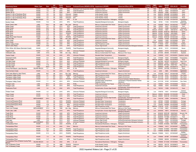| Waterbody Name                         | <b>Water Type</b>   | <b>Size</b> | AU      | Cycle  | <b>Source</b> | Pollutant/Cause (WDNR & EPA) Impairment (WDNR) |                                       | <b>Observed Effect (EPA)</b>                  | <b>Listing</b> | <b>TMDL</b> | <b>WBIC</b>     | WDNR         | <b>EPA AU ID</b>           | <b>Counties</b>  |
|----------------------------------------|---------------------|-------------|---------|--------|---------------|------------------------------------------------|---------------------------------------|-----------------------------------------------|----------------|-------------|-----------------|--------------|----------------------------|------------------|
|                                        |                     |             | Categon | Listed |               |                                                |                                       |                                               | Category       | Priority    |                 | <b>AU ID</b> |                            |                  |
| <b>Stony Creek</b>                     | <b>RIVER</b>        | 8.3         | 5A      | 1998   | <b>NPS</b>    | Sediment/Total Suspended Solids                | <b>Degraded Habitat</b>               | <b>Physical Substrate Habitat Alterations</b> | 5A             | High        | 96100           | 10219        | WI10025681                 | Door, Kewaunee   |
| Stony Creek                            | <b>RIVER</b>        | 7.8         | 5P      | 2018   | <b>NPS</b>    | <b>Total Phosphorus</b>                        | Impairment Unknown                    | Organic Enrichment                            | 5P             | High        | 96100           | 10220        | WI10000378                 | Door             |
| <b>Stream 28-10</b>                    | <b>RIVER</b>        | 8.1         | 5P      | 2020   | <b>NPS</b>    | <b>Total Phosphorus</b>                        | <b>Impairment Unknown</b>             | <b>Organic Enrichment</b>                     | 5P             | Low         | 2050200         | 15589        | WI10004270                 | Pepin            |
| Stream C, trib to Flambeau River       | <b>RIVER</b>        | 0.6         | 5A      | 2012   | Unknown       | Copper                                         | <b>Acute Aquatic Toxicity</b>         | Toxicity                                      | 5A             | Low         |                 |              | 4000013 3924686 WI10036600 | Rusk             |
| Stream C, trib to Flambeau River       | <b>RIVER</b>        | 0.2         | 5A      | 2022   | Unknown       | Copper                                         | <b>Acute Aquatic Toxicity</b>         | Toxicity                                      | 5A             | Low         |                 |              | 4000013 9133320 WI10045440 | <b>Rusk</b>      |
| Stream C, trib to Flambeau River       | <b>RIVER</b>        | 0.2         | 5A      | 2022   | Unknown       | Zinc                                           | <b>Acute Aquatic Toxicity</b>         | Toxicity                                      | 5A             | Low         |                 |              | 4000013 9133320 WI10045440 | Rusk             |
| Strum Lake Beach                       | <b>INLAND BEACH</b> | 0.0         | 5A      | 2022   | <b>NPS</b>    | E. coli                                        | Recreational Restrictions - Pathogens | Pathogens                                     | 5A             | Low         |                 |              | 1825100 8113409 WI10044783 | Trempealeau      |
|                                        |                     |             |         |        |               |                                                |                                       |                                               |                |             |                 |              |                            | Ozaukee,         |
| <b>Sucker Creek</b>                    | <b>RIVER</b>        | 10.2        | 5A      | 2012   | <b>NPS</b>    | <b>Total Phosphorus</b>                        | Degraded Biological Community         | <b>Biological Integrity</b>                   | 5A             | High        | 50100           | 11343        | WI10027605                 | Sheboygar        |
| Sugar Camp Lake                        | LAKE                | 519.1       | 5B      | 1998   | Atm. Dep      | Mercury                                        | Mercury Contaminated Fish Tissue      | Mercury in Fish Tissue                        | 5B             | Low         | 1020400         | 128310       | WI10007452                 | Oneida           |
| Sugar Creek                            | <b>RIVER</b>        | 9.0         | 5P      | 2014   | <b>NPS</b>    | <b>Total Phosphorus</b>                        | Impairment Unknown                    | Organic Enrichmen                             | 5P             | High        | 100500          | 10247        | WI10000392                 | Door             |
|                                        |                     | 26.3        | 5P      | 2014   |               |                                                |                                       |                                               | 5P             |             | 752100          |              |                            |                  |
| Sugar Creek                            | <b>RIVER</b>        |             |         |        | <b>NPS</b>    | <b>Total Phosphorus</b>                        | <b>Impairment Unknown</b>             | <b>Organic Enrichment</b>                     |                | High        |                 | 10488        | WI10000579                 | Walworth         |
| Sugar River                            | <b>RIVER</b>        | 20.9        | 5P      | 2014   | <b>NPS</b>    | <b>Total Phosphorus</b>                        | <b>Impairment Unknown</b>             | Organic Enrichment                            | 5P             | Medium      | 875300          | 13651        | WI8105718                  | Green, Rock      |
| Sugar Riveı                            | <b>RIVER</b>        | 5.3         | 5P      | 2014   | <b>PS/NPS</b> | <b>Total Phosphorus</b>                        | <b>Impairment Unknown</b>             | <b>Organic Enrichment</b>                     | 5P             | Medium      | 875300          | 8105719      | WI8105720                  | Green            |
| Sugar River                            | <b>RIVER</b>        | 17.7        | 5P      | 2014   | PS/NPS        | <b>Total Phosphorus</b>                        | Impairment Unknown                    | Organic Enrichment                            | 5P             | Medium      | 875300          | 8105801      | WI8105802                  | Green            |
| Sugar River                            | <b>RIVER</b>        | 11.0        | 5P      | 2012   | <b>NPS</b>    | <b>Total Phosphorus</b>                        | <b>Impairment Unknown</b>             | <b>Organic Enrichment</b>                     | 5P             | Medium      | 875300          |              | 1855695 WI10025771         | Rock             |
| Sugar River East Channel               | <b>RIVER</b>        | 3.2         | 5P      | 2016   | PS/NPS        | <b>Total Phosphorus</b>                        | <b>Impairment Unknown</b>             | Organic Enrichment                            | 5P             | Medium      | 878400          |              | 5476700 WI10031000         | Green            |
| <b>Summit Lake</b>                     | LAKE                | 279.2       | 5B      | 1998   | Atm. Dep      | Mercury                                        | Mercury Contaminated Fish Tissue      | Mercury in Fish Tissue                        | 5B             | Low         | 1445600         | 127905       | WI10007094                 | Langlade         |
| Swan Creek                             | <b>RIVER</b>        | 4.4         | 5P      | 2018   | <b>NPS</b>    | <b>Total Phosphorus</b>                        | Impairment Unknown                    | Organic Enrichment                            | 5P             | Low         | 803800          | 11662        | WI10025684                 | Dane             |
| Swan Creek                             | <b>RIVER</b>        | 5.1         | 5P      | 2016   | <b>NPS</b>    | <b>Total Phosphorus</b>                        | <b>Impairment Unknown</b>             | <b>Organic Enrichment</b>                     | 5P             | Medium      | 876700          | 13608        | WI10002791                 | Rock             |
| Swinns Valley Creek                    | <b>RIVER</b>        | 8.5         | 5A      | 2020   | <b>NPS</b>    | <b>Total Phosphorus</b>                        | <b>High Phosphorus Levels</b>         | Organic Enrichment                            | 5A             | Low         | 1776000         | 14351        | WI10026861                 | Buffalo          |
| Sylvan Lake (Pipe)                     | LAKE                | 76.9        | 5W      | 2016   | <b>NPS</b>    | <b>Total Phosphorus</b>                        | <b>Excess Algal Growth</b>            | Nutrient/Eutrophication Biological Indicators | 5W             | Low         | 1884800         | 15843        | WI10004459                 | Barron           |
|                                        |                     |             |         |        |               |                                                |                                       |                                               |                |             |                 |              |                            |                  |
| T22n, R22e, S23 Sesw (Denmark Creek)   | <b>RIVER</b>        | 4.7         | 5A      | 2016   | <b>PS/NPS</b> | <b>Total Phosphorus</b>                        | <b>Degraded Biological Community</b>  | Biological Integrity                          | 5A             | High        | 89100           | 10131        | WI10000305                 | Brown            |
|                                        |                     |             |         |        |               |                                                |                                       |                                               |                |             |                 |              |                            |                  |
| Tagatz Creek                           | <b>RIVER</b>        | 13.5        | 5A      | 2018   | <b>NPS</b>    | <b>Unknown Pollutant</b>                       | <b>Elevated Water Temperature</b>     | Temperature                                   | 5A             | Low         | 165800          | 10716        | WI10010020                 | Marquette        |
| Tahkodah Lake                          | LAKE                | 147.8       | 5B      | 1998   | Atm. Dep      | Mercury                                        | Mercury Contaminated Fish Tissue      | Mercury in Fish Tissue                        | 5B             | Low         | 2473500         | 890990       | WI10008913                 | Bayfield         |
| Tainter Creek                          | <b>RIVER</b>        | 12.6        | 5A      | 2020   | <b>NPS</b>    | <b>Unknown Pollutant</b>                       | <b>Elevated Water Temperature</b>     | Temperature                                   | 5A             | Low         | 1185500         | 13137        | WI10002501                 | Crawford, Vernon |
|                                        |                     |             |         |        |               |                                                |                                       |                                               |                |             |                 |              |                            |                  |
| Tamarack Creek                         | <b>RIVER</b>        | 6.3         | 5A      | 2012   | <b>NPS</b>    | <b>Total Phosphorus</b>                        | Degraded Biological Community         | <b>Biological Integrity</b>                   | 5A             | Low         | 1770300         | 14332        | WI10026860                 | Trempealeau      |
| <b>Taylor Creek</b>                    | <b>RIVER</b>        | 6.1         | 5P      | 2016   | <b>NPS</b>    | <b>Total Phosphorus</b>                        | <b>Impairment Unknown</b>             | <b>Organic Enrichment</b>                     | 5P             | Medium      | 876300          | 13605        | WI10034640                 | Rock             |
| Ten Mile Creeŀ                         | <b>RIVER</b>        | 3.1         | 5W      | 2018   | <b>NPS</b>    | Unknown Pollutan                               | Degraded Biological Community         | <b>Biological Integrity</b>                   | 5W             | Low         | 2607900         | 1467873      | WI10024479                 | Saint Croix      |
| <b>Tenmile Creek</b>                   | <b>RIVER</b>        | 2.1         | 5W      | 2014   | <b>NPS</b>    | <b>Total Phosphorus</b>                        | <b>High Phosphorus Levels</b>         | <b>Organic Enrichment</b>                     | 5W             | Low         | 2089400         | 15797        | WI6977818                  | Barron           |
| Tenmile Creek                          | <b>RIVER</b>        | 17.9        | 5W      | 2014   | <b>NPS</b>    | <b>Total Phosphorus</b>                        | <b>High Phosphorus Levels</b>         | Organic Enrichment                            | 5W             | Low         | 2089400         | 6977820      | WI6977821                  | Rusk, Barror     |
| Tenmile Lake                           | LAKE                | 265.8       | 5W      | 2006   | <b>NPS</b>    | <b>Total Phosphorus</b>                        | Eutrophication                        | Eutrophication                                | 5W             | Low         | 2089500         | 15798        | WI10024774                 | Barron           |
|                                        | <b>INLAND BEACH</b> | 0.1         | 5A      | 2014   | <b>NPS</b>    | E. coli                                        |                                       | Pathogens                                     | 5A             | Low         | 805400          | 1527026      | WI10025419                 | Dane             |
| Tenny Park Beach, Lake Mendota         |                     |             |         |        |               |                                                | Recreational Restrictions - Pathogens |                                               |                |             |                 |              |                            |                  |
| <b>Tess Corners Creel</b>              | <b>RIVER</b>        | 7.3         | 5W      | 2018   | <b>NPS</b>    | <b>Total Phosphorus</b>                        | <b>Impairment Unknown</b>             | <b>Organic Enrichment</b>                     | 5W             | Low         | 6200            | 9965         | WI10008084                 | Waukesha         |
|                                        |                     |             |         |        |               |                                                |                                       |                                               |                |             |                 |              |                            | Milwaukee        |
| Third Lake (Moen's Lake Chain)         | LAKE                | 96.7        | 5B      | 2014   | Atm. Dep      | Mercury                                        | Mercury Contaminated Fish Tissue      | Mercury in Fish Tissue                        | 5B             | Low         | 1572200         | 128317       | WI10007459                 | Oneida           |
| <b>Thompson Valley Creek</b>           | <b>RIVER</b>        | 2.7         | 5W      | 2014   | PS/NPS        | <b>Total Phosphorus</b>                        | <b>High Phosphorus Levels</b>         | <b>Organic Enrichment</b>                     | 5W             | Medium      | 2131100         | 16107        | WI10004676                 | Eau Claire       |
| Thompson Valley Creek                  | <b>RIVER</b>        | 7.1         | 5W      | 2014   | <b>NPS</b>    | <b>Total Phosphorus</b>                        | <b>High Phosphorus Levels</b>         | Organic Enrichment                            | 5W             |             | Medium 2131100  | 16106        | WI10024644                 | Eau Claire       |
| <b>Thompson Valley Creek</b>           | <b>RIVER</b>        | 2.7         | 5W      | 2014   | <b>PS/NPS</b> | <b>Unknown Pollutant</b>                       | <b>Degraded Habitat</b>               | <b>Physical Substrate Habitat Alterations</b> | 5W             | Low         | 2131100         | 16107        | WI10004676                 | Eau Claire       |
|                                        | <b>RIVER</b>        | 7.1         | 5W      | 2014   | <b>NPS</b>    | Unknown Pollutant                              | Elevated Water Temperature,           | Temperature, Physical Substrate Habitat       | 5W             |             | 2131100         | 16106        | WI10024644                 | Eau Claire       |
| Thompson Valley Creek                  |                     |             |         |        |               |                                                | Degraded Habitat                      | Alterations                                   |                | Low         |                 |              |                            |                  |
| Tichigan Lake                          | LAKE                | 281.7       | 5A      | 2014   | <b>NPS</b>    | <b>PCBs</b>                                    | <b>PCBs Contaminated Fish Tissue</b>  | <b>PCBs in Fish Tissue</b>                    | 5A             | Low         | 763600          | 10476        | WI10000569                 | Racine           |
| Tichigan Lake                          | LAKE                | 281.7       | 5A      | 2012   | <b>NPS</b>    | <b>Total Phosphorus</b>                        | <b>Impairment Unknown</b>             | Organic Enrichment                            | 5A             | High        | 763600          | 10476        | WI10000569                 | Racine           |
|                                        |                     |             |         |        |               |                                                |                                       | Eutrophication, Nutrient/Eutrophication       |                |             |                 |              |                            |                  |
| <b>Tiedemans Pond</b>                  | LAKE                | 9.4         | 5A      | 2022   | <b>NPS</b>    | <b>Total Phosphorus</b>                        | Eutrophication, Excess Algal Growth   | <b>Biological Indicators</b>                  | 5A             | Low         | 783740          | 11689        | WI10001475                 | Dane             |
|                                        |                     |             |         |        |               |                                                |                                       |                                               |                |             |                 |              |                            | Jackson.         |
| Timber Creek                           | <b>RIVER</b>        | 4.2         | 5A      | 2016   | <b>NPS</b>    | Unknown Pollutant                              | Degraded Biological Community         | <b>Biological Integrity</b>                   | 5A             | Low         | 1796700         | 14401        | WI10003291                 | Trempealeau      |
| <b>Token Creek</b>                     | <b>RIVER</b>        | 2.7         | 5P      | 2016   | <b>NPS</b>    | <b>Total Phosphorus</b>                        | <b>Impairment Unknown</b>             | <b>Organic Enrichment</b>                     | 5P             | Medium      | 806600          |              | 5546058 WI10040480         | Dane             |
| Token Creek                            | <b>RIVER</b>        | 1.8         | 5A      | 2016   | <b>NPS</b>    | <b>Total Phosphorus</b>                        | <b>Impairment Unknown</b>             | Organic Enrichmen                             | 5P             | Medium      | 806600          |              | 5546125 WI10040482         | Dane             |
|                                        |                     |             |         |        |               |                                                |                                       |                                               |                |             |                 |              |                            |                  |
| Tomah Lake                             | <b>IMPOUNDMENT</b>  | 245.5       | 5A      | 1998   | <b>NPS</b>    | <b>Total Phosphorus</b>                        | Eutrophication, Excess Algal Growth,  | Eutrophication, Nutrient/Eutrophication       | 5A             | Low         | 1342100         | 13599        | WI10002784                 | Monroe           |
|                                        |                     |             |         |        |               |                                                | Elevated pH                           | Biological Indicators, pH                     |                |             |                 |              |                            |                  |
| Tomorrow/Waupaca River                 | <b>RIVER</b>        | 5.8         | 5A      | 2016   | <b>PS/NPS</b> | <b>Unknown Pollutant</b>                       | <b>Elevated Water Temperature</b>     | Temperature                                   | 5A             | Low         | 257400          | 315909       | WI10008441                 | Portage          |
| Tomorrow/Waupaca River                 | <b>RIVER</b>        | 7.4         | 5A      | 2016   | <b>PS/NPS</b> | <b>Unknown Pollutant</b>                       | <b>Elevated Water Temperature</b>     | Temperature                                   | 5A             | Low         | 257400          | 315930       | WI10008442                 | Portage          |
| Tomorrow/Waupaca River                 | <b>RIVER</b>        | 13.9        | 5A      | 2016   | <b>NPS</b>    | Unknown Pollutant                              | <b>Elevated Water Temperature</b>     | Temperature                                   | 5A             | Low         | 270400          | 1493981      | WI10024905                 | Portage          |
| <b>Town Creek</b>                      | <b>RIVER</b>        | 4.0         | 5A      | 2016   | <b>NPS</b>    | <b>Total Phosphorus</b>                        | <b>High Phosphorus Levels</b>         | <b>Organic Enrichment</b>                     | 5A             | Medium      | 1708100         | 14181        | WI10008088                 | Jackson          |
| Town Line Flowage                      | <b>IMPOUNDMENT</b>  | 131.3       | 5B      | 1998   | Atm. Dep      | Mercury                                        | Mercury Contaminated Fish Tissue      | Mercury in Fish Tissue                        | 5B             | Low         | 1717300         | 18607        | WI10006484                 | Jackson          |
| Trade Lake, Little                     | LAKE                | 125.9       | 5W      | 2018   | <b>NPS</b>    | <b>Total Phosphorus</b>                        | Eutrophication, Excess Algal Growth   | Eutrophication, Nutrient/Eutrophication       | 5W             | Low         | 2639300         | 16674        | WI10005128                 | <b>Burnett</b>   |
|                                        |                     |             |         |        |               |                                                |                                       | <b>Biological Indicators</b>                  |                |             |                 |              |                            |                  |
| Trade River                            | <b>RIVER</b>        | 2.8         | 5W      | 2020   | <b>NPS</b>    | <b>Total Phosphorus</b>                        | Impairment Unknown                    | <b>Organic Enrichment</b>                     | 5W             | Low         | 2636000 6978199 |              | WI6978200                  | Burnett, Polk    |
| <b>Trade River</b>                     | <b>RIVER</b>        | 2.5         | 5W      | 2020   | <b>NPS</b>    | <b>Total Phosphorus</b>                        | <b>Impairment Unknown</b>             | <b>Organic Enrichment</b>                     | 5W             | Low         |                 |              | 2636000 6978241 WI6978242  | Polk             |
| Trade River                            | <b>RIVER</b>        | 4.7         | 5W      | 2020   | <b>NPS</b>    | Total Phosphorus                               | Impairment Unknown                    | Organic Enrichment                            | 5W             | Low         | 2636000         | 1517663      | WI10025171                 | Polk             |
| <b>Trappers Creek</b>                  | <b>RIVER</b>        | 14.5        | 5A      | 2018   | <b>NPS</b>    | <b>Total Phosphorus</b>                        | <b>High Phosphorus Levels</b>         | <b>Organic Enrichment</b>                     | 5A             | Low         | 1758400         | 14292        | WI10003211                 | Clark, Taylor    |
| Tree Lake                              | LAKE                | 73.2        | 5A      | 2014   | <b>NPS</b>    | Unknown Pollutant                              | <b>Excess Algal Growth</b>            | Nutrient/Eutrophication Biological Indicators | 5A             | Low         | 289400          | 10324        | WI10000452                 | Portage          |
| Trego Lake                             | <b>IMPOUNDMENT</b>  | 383.3       | 5W      | 2018   | <b>NPS</b>    | <b>Unknown Pollutant</b>                       | <b>Excess Algal Growth</b>            | Nutrient/Eutrophication Biological Indicators | 5W             | Low         | 2712000         | 17332        | WI10005676                 | Washburn         |
| Trempealeau River                      | <b>RIVER</b>        | 20.4        | 5A      | 2022   | PS/NPS        | E. coli                                        | Recreational Restrictions - Pathogens |                                               |                |             | 1769900 8105983 |              | WI8105984                  |                  |
|                                        |                     |             |         |        |               |                                                |                                       | Pathogens                                     | 5A             | Low         |                 |              |                            | Trempealeau      |
| Trempealeau River                      | <b>RIVER</b>        | 31.3        | 5A      | 2002   | Other         | Mercury                                        | Mercury Contaminated Fish Tissue      | Mercury in Fish Tissue                        | 5A             | Low         | 1769900         | 14412        | WI10003297                 | Buffalo,         |
|                                        |                     |             |         |        |               |                                                |                                       |                                               |                |             |                 |              |                            | Trempealeau      |
| Trempealeau River                      | <b>RIVER</b>        | 20.4        | 5A      | 2018   | PS/NPS        | <b>Total Phosphorus</b>                        | <b>High Phosphorus Levels</b>         | Organic Enrichment                            | 5A             | Low         | 1769900 8105983 |              | WI8105984                  | Trempealeau      |
| <b>Trempealeau River</b>               | <b>RIVER</b>        | 9.6         | 5A      | 2018   | PS/NPS        | <b>Total Phosphorus</b>                        | <b>High Phosphorus Levels</b>         | Organic Enrichment                            | 5A             | Low         | 1769900 8106050 |              | WI8106051                  | Trempealeau      |
| Trempealeau River                      | <b>RIVER</b>        | 31.3        | 5A      | 2012   | PS/NPS        | <b>Total Phosphorus</b>                        | <b>High Phosphorus Levels</b>         | Organic Enrichment                            | 5A             | Medium      | 1769900         | 14412        | WI10003297                 | Buffalo,         |
|                                        |                     |             |         |        |               |                                                |                                       |                                               |                |             |                 |              |                            | Trempealeau      |
| Trempealeau River                      | <b>RIVER</b>        | 7.9         | 5A      | 2018   | PS/NPS        | <b>Total Phosphorus</b>                        | <b>High Phosphorus Levels</b>         | <b>Organic Enrichment</b>                     | 5A             | Low         | 1769900         | 361967       | WI10008536                 | Jackson,         |
|                                        |                     |             |         |        |               |                                                |                                       |                                               |                |             |                 |              |                            | Trempealeau      |
| Trempealeau River                      | <b>RIVER</b>        | 11.7        | 5A      | 2018   | <b>NPS</b>    | <b>Total Phosphorus</b>                        | <b>High Phosphorus Levels</b>         | Organic Enrichment                            | 5A             | Low         | 1769900         | 362004       | WI10026444                 | Jackson          |
| Trempealeau River (Pietrek County Park |                     |             |         |        |               |                                                |                                       |                                               |                |             |                 |              |                            |                  |
| Beach)                                 | <b>INLAND BEACH</b> | 0.0         | 5A      | 2022   | <b>NPS</b>    | E. coli                                        | Recreational Restrictions - Pathogens | Pathogens                                     | 5A             | Low         |                 |              | 1769900 8113439 WI10044800 | Trempealeau      |
| Trib To Brewery Creek                  | <b>RIVER</b>        | 2.3         | 5A      | 1998   | PS/NPS        | Cadmium                                        | <b>Acute Aquatic Toxicity</b>         | Toxicity                                      | 5A             | Low         | 928700          |              | 353179 WI10008473          | lowa             |
| Trib To Brewery Creek                  | <b>RIVER</b>        | 2.3         | 5A      | 1998   | PS/NPS        | Lead                                           | <b>Acute Aquatic Toxicity</b>         | Toxicity                                      | 5A             | Low         | 928700          |              | 353179 WI10008473          | lowa             |
|                                        |                     |             |         |        |               |                                                |                                       |                                               |                |             |                 |              |                            |                  |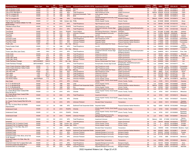| Waterbody Name                                               | <b>Water Type</b>  | <b>Size</b> | <b>AU</b><br>Categor | Cycle<br>Listed | <b>Source</b>         | Pollutant/Cause (WDNR & EPA) Impairment (WDNR) |                                                                                | <b>Observed Effect (EPA)</b>                                                | <b>Listing</b><br>Category | <b>TMDL</b><br>Priority | <b>WBIC</b>  | WDNR<br><b>AU ID</b> | <b>EPA AU ID</b>           | <b>Counties</b>             |
|--------------------------------------------------------------|--------------------|-------------|----------------------|-----------------|-----------------------|------------------------------------------------|--------------------------------------------------------------------------------|-----------------------------------------------------------------------------|----------------------------|-------------------------|--------------|----------------------|----------------------------|-----------------------------|
| Trib To Brewery Creek                                        | <b>RIVER</b>       | 2.3         | 5A                   | 1998            | PS/NPS                | Mercury                                        | <b>Acute Aquatic Toxicity</b>                                                  | Toxicity                                                                    | 5A                         | Low                     | 928700       | 353179               | WI10008473                 | lowa                        |
| <b>Trib To Brewery Creek</b>                                 | <b>RIVER</b>       | 2.3         | 5A                   | 1998            | <b>PS/NPS</b>         | Zinc                                           | <b>Acute Aquatic Toxicity</b>                                                  | Toxicity                                                                    | 5A                         | Low                     | 928700       | 353179               | WI10008473                 | lowa                        |
| Trib to E Br Little Black Cr                                 | <b>RIVER</b>       | 1.0         | 5A                   | 2022            | <b>NPS</b>            | <b>Total Phosphorus</b>                        | <b>High Phosphorus Levels</b>                                                  | <b>Organic Enrichment</b>                                                   | 5A                         | Medium                  |              |                      | 5008295 9122763 WI10045260 | Taylor                      |
| Trib To Livingston Br                                        | <b>RIVER</b>       | 3.5         | 5A                   | 1998            | <b>NPS</b>            | Ammonia (Unionized) - Toxin                    | <b>Acute Aquatic Toxicity</b>                                                  | Toxicity                                                                    | 5A                         | Low                     | 932800       |                      | 353406 WI10008474          | lowa                        |
| Trib To Livingston Br                                        | <b>RIVER</b>       | 3.5         | 5A                   | 1998            | <b>NPS</b>            | <b>BOD</b>                                     | Low DO                                                                         | Dissolved Oxygen                                                            | 5A                         | Low                     | 932800       |                      | 353406 WI10008474          | lowa                        |
| Trib To Livingston Br                                        | <b>RIVER</b>       | 3.5         | 5A                   | 1998            | <b>NPS</b>            | <b>Total Phosphorus</b>                        | Degraded Biological Community, Acute<br><b>Aquatic Toxicity</b>                | <b>Biological Integrity, Toxicity</b>                                       | 5A                         | Medium                  | 932800       | 353406               | WI10008474                 | lowa                        |
| Trib To The East River                                       | <b>RIVER</b>       | 0.7         | 5A                   | 1998            | Contam. Sed.          | PCBs                                           | Chronic Aquatic Toxicity                                                       | <b>Chronic Toxicity</b>                                                     | 5A                         | Low                     | 5018099      | 890826               | WI10030740                 | Brown                       |
| TRIBUTARY TO DEAD CREEK TO THE                               | <b>RIVER</b>       | 1.5         | 5A                   | 2012            | <b>NPS</b>            | <b>Total Phosphorus</b>                        | <b>High Phosphorus Levels</b>                                                  | <b>Organic Enrichment</b>                                                   | 5A                         | Low                     | 860400       |                      | 1517006 WI10025154         | Dodge                       |
| ROCK RIVER                                                   |                    |             |                      |                 |                       |                                                |                                                                                |                                                                             |                            |                         |              |                      |                            |                             |
| Tributary to Rock River                                      | <b>RIVER</b>       | 1.6         | 5A                   | 2018            | <b>PS/NPS</b>         | <b>Total Phosphorus</b>                        | <b>High Phosphorus Levels</b>                                                  | <b>Organic Enrichment</b>                                                   | 5A                         | Low                     | 870500       |                      | 1517805 WI10025177         | Fond du Lac                 |
| <b>Tripp Lake</b>                                            | LAKE               | 121.1       | 5A                   | 2012            | <b>NPS</b>            | <b>Total Phosphorus</b>                        | Impairment Unknown, Excess Algal<br>Growth                                     | Organic Enrichment, Nutrient/Eutrophication                                 | 5A                         | Low                     | 816000       | 11781                | WI10001549                 | Walworth                    |
| Trout Brook                                                  | <b>RIVER</b>       | 2.6         | 5W                   | 2016            | <b>PS/NPS</b>         | <b>Fecal Coliform</b>                          | Recreational Restrictions - Pathogens                                          | <b>Biological Indicators</b><br>Pathogens                                   | 5W                         | Low                     | 2913900      | 9119858              | WI9119859                  | Ashland                     |
| <b>Trout Creek</b>                                           | <b>RIVER</b>       | 3.7         | 5W                   | 2018            | <b>NPS</b>            | <b>Unknown Pollutant</b>                       | <b>Degraded Biological Community</b>                                           | <b>Biological Integrity</b>                                                 | 5W                         | Low                     | 515900       | 6898359              | WI6898360                  | Marinette                   |
| Trout Run                                                    | <b>RIVER</b>       | 5.3         | 5A                   | 1998            | <b>NPS</b>            | <b>BOD</b>                                     | Low DO                                                                         | Dissolved Oxygen                                                            | 5A                         | Low                     | 1695500      | 361621               | WI10008519                 | Jackson                     |
| Trout Run                                                    | <b>RIVER</b>       | 5.3         | 5A                   | 1998            | <b>NPS</b>            | Sediment/Total Suspended Solids                | <b>Elevated Water Temperature</b>                                              | Temperature                                                                 | 5A                         | Low                     | 1695500      | 361621               | WI10008519                 | Jackson                     |
| Trout Run Creek                                              | <b>RIVER</b>       | 3.8         | 5A                   | 2012            | <b>NPS</b>            | <b>Total Phosphorus</b>                        | <b>High Phosphorus Levels</b>                                                  | Organic Enrichment                                                          | 5A                         | Low                     | 1775000      | 14344                | WI10003252                 | Trempealeau                 |
| <b>Trout Run Creek</b>                                       | <b>RIVER</b>       | 3.8         | 5A                   | 2014            | <b>NPS</b>            | <b>Unknown Pollutant</b>                       | <b>Degraded Habitat</b>                                                        | <b>Physical Substrate Habitat Alterations</b>                               | 5A                         | Low                     | 1775000      | 14344                | WI10003252                 | Trempealeau                 |
| Trout Run Creek                                              | <b>RIVER</b>       | 2.3         | 5A                   | 2014            | <b>NPS</b>            | <b>Unknown Pollutant</b>                       | Degraded Habitat                                                               | <b>Physical Substrate Habitat Alterations</b>                               | 5A                         | Low                     | 1775000      | 14345                | WI10003253                 | Trempealeau                 |
| Trude Lake                                                   | LAKE               | 785.7       | 5B                   | 2002            | Atm. Dep.             | Mercury                                        | Mercury Contaminated Fish Tissue                                               | Mercury in Fish Tissue                                                      | 5B                         | Low                     | 2295200      | 14946                | WI10003728                 | Iron                        |
| Trump Coulee Creek                                           | <b>RIVER</b>       | 7.7         | 5A                   | 1998            | <b>NPS</b>            | <b>Total Phosphorus</b>                        | Low DO                                                                         | Dissolved Oxygen                                                            | 5A                         | Low                     | 1800600      | 14414                | WI10026663                 | Jackson,<br>Trempealeau     |
| <b>Tug Lake</b>                                              | LAKE               | 151.5       | 5B                   | 2010            | Atm. Dep.             | Mercury                                        | Mercury Contaminated Fish Tissue                                               | Mercury in Fish Tissue                                                      | 5B                         | Low                     | 1482400      |                      | 128014 WI10026797          | Lincoln                     |
| Turner Lake (Pike Lake Chain)                                | LAKE               | 158.6       | 5C                   | 2018            | <b>NPS</b>            | <b>Total Phosphorus</b>                        | Impairment Unknown, Excess Algal<br>Growth                                     | Organic Enrichment, Nutrient/Eutrophication<br><b>Biological Indicators</b> | 5C                         | Low                     | 2268500      | 14814                | WI10003622                 | Price, Vilas                |
| <b>Turtle Creek</b>                                          | <b>RIVER</b>       | 6.8         | 5P                   | 2022            | <b>NPS</b>            | <b>Total Phosphorus</b>                        | <b>Impairment Unknown</b>                                                      | <b>Organic Enrichment</b>                                                   | 5P                         | Low                     | 790300       | 18241                | WI10006231                 | Walworth                    |
| Turtle Creek                                                 | <b>RIVER</b>       | 23.8        | 5P                   | 2018            | <b>NPS</b>            | <b>Total Phosphorus</b>                        | Impairment Unknown                                                             | Organic Enrichment                                                          | 5P                         | Low                     | 790300       |                      | 1480471 WI10024635         | Rock, Walworth              |
| <b>Turtle Lake, North</b>                                    | LAKE               | 359.2       | 5C                   | 2020            | <b>NPS</b>            | <b>Total Phosphorus</b>                        | <b>Impairment Unknown</b>                                                      | <b>Organic Enrichment</b>                                                   | 5C                         | Low                     | 2310400      | 15010                | WI10003782                 | Vilas                       |
| Turtle Lake, South                                           | LAKE               | 466.2       | 5A                   | 2018            | <b>NPS</b>            | Unknown Pollutant                              | <b>Excess Algal Growth</b>                                                     | Nutrient/Eutrophication Biological Indicators                               | 5A                         | Low                     | 2310200      | 15009                | WI10003781                 | Vilas                       |
| Turtle-Flambeau Flowage                                      | <b>IMPOUNDMENT</b> | 12942.5     | 5A                   | 2002            | Atm. Dep              | Mercury                                        | Mercury Contaminated Fish Tissue                                               | Mercury in Fish Tissue                                                      | 5B                         | Low                     | 2294900      | 14944                | WI10026777                 | Iron                        |
| Turtle-Flambeau Flowage                                      | <b>IMPOUNDMENT</b> | 12942.5     | 5A                   | 2014            | <b>NPS</b>            | <b>Total Phosphorus</b>                        | Eutrophication, Excess Algal Growth                                            | Eutrophication, Nutrient/Eutrophication<br><b>Biological Indicators</b>     | 5C                         | Low                     | 2294900      | 14944                | WI10026777                 | Iron                        |
| Turton Creek (American Valley Creek)                         | <b>RIVER</b>       | 0.7         | 5A                   | 2012            | <b>NPS</b>            | <b>Total Phosphorus</b>                        | <b>High Phosphorus Levels</b>                                                  | <b>Organic Enrichment</b>                                                   | 5A                         | Low                     | 1777100      | 14354                | WI10036043                 | Trempealeau                 |
| Turton Creek (American Valley Creek)                         | <b>RIVER</b>       | 2.9         | 5A                   | 2018            | <b>NPS</b>            | <b>Total Phosphorus</b>                        | <b>High Phosphorus Levels</b>                                                  | <b>Organic Enrichment</b>                                                   | 5A                         | High                    |              |                      | 1777100 5688435 WI10036044 | Trempealeau                 |
| <b>Twin Falls Flowage</b>                                    | LAKE               | 569.7       | 5B                   | 2018            | Atm. Dep.             | Mercury                                        | Mercury Contaminated Fish Tissue                                               | Mercury in Fish Tissue                                                      | 5B                         | Low                     | 701900       |                      | 127710 WI10026672          | Florence                    |
| Twin Hill Creek                                              | <b>RIVER</b>       | 6.0         | 5A                   | 2020            | <b>NPS</b>            | <b>Total Phosphorus</b>                        | <b>High Phosphorus Levels</b>                                                  | Organic Enrichment                                                          | 5A                         | High                    | 89600        | 10135                | WI10000309                 | Brown                       |
| Twin Lakes                                                   | <b>LAKE</b>        | 627.7       | 5P                   | 2018            | <b>NPS</b>            | <b>Total Phosphorus</b>                        | <b>Impairment Unknown</b>                                                      | <b>Organic Enrichment</b>                                                   | 5P                         | Low                     | 1623700      | 128617               | WI10007721                 | Vilas                       |
| Twin Lakes                                                   | LAKE               | 2871.0      | 5C                   | 2016            | <b>NPS</b>            | <b>Total Phosphorus</b>                        | <b>Impairment Unknowr</b>                                                      | Organic Enrichment                                                          | 5C                         | Low                     | 1623800      | 128574               | WI10007685                 | Vilas                       |
| Twin Valley Lake                                             | LAKE               | 135.9       | 5A                   | 2016            | <b>NPS</b>            | Unknown Pollutant                              | <b>Excess Algal Growth</b>                                                     | Nutrient/Eutrophication Biological Indicators                               | 5A                         | Low                     | 1245800      | 13431                | WI10026083                 | lowa                        |
| Two Rivers Harbor                                            | <b>BAY/HARBOR</b>  | 11.4        | 5A                   | 1998            | Other                 | <b>Unknown Pollutant</b>                       | <b>Chronic Aquatic Toxicity</b>                                                | <b>Chronic Toxicity</b>                                                     | 5A                         | Low                     | 47           | 482709               | WI10008819                 | Manitowoc                   |
| Ulao Creek                                                   | <b>RIVER</b>       | 8.6         | 5A                   | 2016            | <b>NPS</b>            | Chloride                                       | Chronic Aquatic Toxicity, Acute Aquatic<br><b>Toxicity</b>                     | <b>Chronic Toxicity, Toxicity</b>                                           | 5A                         | Low                     | 21200        | 10012                | WI10026821                 | Ozaukee                     |
| Un Tr To Shullsburg Br                                       | <b>RIVER</b>       | 4.3         | 5A                   | 1998            | <b>NPS</b>            | Lead                                           | Chronic Aquatic Toxicity                                                       | <b>Chronic Toxicity</b>                                                     | 5A                         | Low                     | 937800       | 13845                | WI10008090                 | Lafayette                   |
| Un Tr To Shullsburg Br                                       | <b>RIVER</b>       | 4.3         | 5A                   | 1998            | <b>NPS</b>            | Sediment/Total Suspended Solids                | <b>Degraded Habitat</b>                                                        | <b>Physical Substrate Habitat Alterations</b>                               | 5A                         | Medium                  | 937800       | 13845                | WI10008090                 | Lafayette                   |
| Un Tr To Shullsburg Br                                       | <b>RIVER</b>       | 4.3         | 5A                   | 1998            | <b>NPS</b>            | Zinc                                           | Chronic Aquatic Toxicity                                                       | <b>Chronic Toxicity</b>                                                     | 5A                         | Low                     | 937800       | 13845                | WI10008090                 | Lafayette                   |
| Un Trib To Sinsinawa River                                   | <b>RIVER</b>       | 5.9         | 5A                   | 2016            | <b>NPS</b>            | <b>Unknown Pollutant</b>                       | Degraded Biological Community                                                  | <b>Biological Integrity</b>                                                 | 5A                         | Low                     | 941100       | 13851                | WI10036780                 | Grant                       |
| Un. Creek (Brown Deer Creek)(T08n<br>R22e Sw Nw 07)          | <b>RIVER</b>       | 2.3         | 5A                   | 2018            | <b>NPS</b>            | Chloride                                       | Chronic Aquatic Toxicity, Acute Aquatic<br>Toxicity                            | Chronic Toxicity, Toxicity                                                  | 5A                         | Low                     | 19700        | 10007                | WI10000219                 | Milwaukee                   |
| Un. Creek (Brown Deer Creek)(T08n<br>R22e Sw Nw 07)          | <b>RIVER</b>       | 2.3         | 5A                   | 2020            | <b>NPS</b>            | <b>Total Phosphorus</b>                        | <b>Impairment Unknown</b>                                                      | Organic Enrichment                                                          | 5P                         | Low                     | 19700        | 10007                | WI10000219                 | Milwaukee                   |
| Un. Creek (T07n R 20e Se Se 15)                              | <b>RIVER</b>       | 2.5         | 5A                   | 2022            | <b>NPS</b>            | Chloride                                       | Chronic Aquatic Toxicity, Acute Aquatic Chronic Toxicity, Toxicity<br>Toxicity |                                                                             | 5A                         | Low                     | 17100        | 10029                | WI10000237                 | Waukesha                    |
| Un. Creek (Trinity Creek)(T09n R21e Se<br>Ne 35)             | <b>RIVER</b>       | 3.1         | 5A                   | 2016            | <b>NPS</b>            | <b>Unknown Pollutant</b>                       | <b>Elevated Water Temperature</b>                                              | Temperature                                                                 | 5A                         | Low                     | 20400        | 10010                | WI10000222                 | Ozaukee.<br>Milwaukee       |
| Un. Trib. To Onion River via Waldo<br>Impoundment            | <b>RIVER</b>       | 3.7         | 5A                   | 1998            | <b>NPS</b>            | Sediment/Total Suspended Solids                | <b>Degraded Habitat</b>                                                        | Physical Substrate Habitat Alterations                                      | 5A                         | High                    | 52600        | 1489156              | WI10024806                 | Sheboygan                   |
| <b>Underwood Creek</b>                                       | <b>RIVER</b>       | 2.8         | 5A                   | 2018            | PS/NPS                | Chloride                                       | Chronic Aquatic Toxicity, Acute Aquatic<br><b>Toxicity</b>                     | <b>Chronic Toxicity, Toxicity</b>                                           | 5A                         | Low                     | 16700        | 10026                | WI10008091                 | Milwaukee                   |
| Underwood Creek                                              | <b>RIVER</b>       | 5.7         | 5A                   | 2018            | PS/NPS                | Chloride                                       | Chronic Aquatic Toxicity, Acute Aquatic<br>Toxicity                            | Chronic Toxicity, Toxicity                                                  | 5A                         | Low                     | 16700        | 10027                | WI10008092                 | Waukesha<br>Milwaukee       |
| <b>Underwood Creek</b>                                       | <b>RIVER</b>       | 2.8         | 5A                   | 2016            | <b>PS/NPS</b>         | <b>Unknown Pollutant</b>                       | Degraded Biological Community,<br><b>Elevated Water Temperature</b>            | <b>Biological Integrity</b>                                                 | 5A                         | Low                     | 16700        | 10026                | WI10008091                 | Milwaukee                   |
| Unnamed                                                      | <b>RIVER</b>       | 2.9         | 5W                   | 2018            | <b>NPS</b>            | <b>Total Phosphorus</b>                        | Impairment Unknown                                                             | Organic Enrichment                                                          | 5W                         | Medium                  | 3385         |                      | 5719859 WI10037326         | Racine,<br>Milwaukee        |
| Unnamed                                                      | <b>RIVER</b>       | 5.3         | 5P                   | 2018            | <b>NPS</b>            | <b>Total Phosphorus</b>                        | <b>Impairment Unknown</b>                                                      | <b>Organic Enrichment</b>                                                   | 5P                         | Low                     | 326100       |                      | 1524934 WI10025373         | Shawano                     |
| Unnamed (Trib To Crawford Creek)                             | <b>RIVER</b>       |             | 5A                   | 1998            | Contam. Sed. Creosote |                                                | <b>Chronic Aquatic Toxicity</b>                                                | <b>Chronic Toxicity</b>                                                     | 5A                         | Low                     | $\Omega$     |                      | 891570 WI10008949          | Douglas                     |
| Unnamed (Trib To Crawford Creek)                             | <b>RIVER</b>       |             | 5A                   | 1998            | Contam. Sed. PAHs     |                                                | <b>Chronic Aquatic Toxicity</b>                                                | <b>Chronic Toxicity</b>                                                     | 5A                         | Low                     | $\mathbf{0}$ |                      | 891570 WI10008949          | Douglas                     |
| Unnamed Cr 17-6 (T30n, R3e, S17,<br>Nwnw, 37)                | <b>RIVER</b>       | 3.9         | 5C                   | 2016            | <b>NPS</b>            | Unknown Pollutant                              | <b>Elevated Water Temperature</b>                                              | Temperature                                                                 | 5C                         | Low                     | 1460500      | 12482                |                            | WI10002065 Marathon, Taylor |
| <b>Unnamed Creek</b>                                         | <b>RIVER</b>       | 2.9         | 5A                   | 1998            | <b>PS/NPS</b>         | Sediment/Total Suspended Solids                | <b>Degraded Habitat</b>                                                        | <b>Physical Substrate Habitat Alterations</b>                               | 5A                         | High                    | 3000057      | 482551               | WI10008817                 | Calumet                     |
| <b>Unnamed Creek</b>                                         | <b>RIVER</b>       | 0.7         | 5A                   | 2014            | NPS                   | Unknown Pollutant                              | Degraded Biological Community                                                  | <b>Biological Integrity</b>                                                 | 5A                         | Low                     |              |                      | 5000547 1525949 WI10025414 | Douglas                     |
| <b>Unnamed Creek</b>                                         | <b>RIVER</b>       | 1.9         | 5A                   | 2022            | <b>NPS</b>            | <b>Unknown Pollutant</b>                       | <b>Degraded Biological Community</b>                                           | <b>Biological Integrity</b>                                                 | 5A                         | Low                     |              |                      | 5014158 5747098 WI10038338 | Door                        |
| Unnamed Creek (T18n, R21e, S13) Trib<br>To St. Nazianz       | <b>RIVER</b>       | 4.0         | 5A                   | 2016            | <b>NPS</b>            | <b>Unknown Pollutant</b>                       | Degraded Biological Community                                                  | <b>Biological Integrity</b>                                                 | 5A                         | Low                     | 73700        | 9889                 | WI10000149                 | Manitowoc                   |
| Unnamed Creek 2-13 (T29n, R4e, S2,<br>Nwse, 37)              | <b>RIVER</b>       | 3.2         | 5A                   | 2016            | <b>NPS</b>            | <b>Unknown Pollutant</b>                       | <b>Elevated Water Temperature</b>                                              | Temperature                                                                 | 5A                         | Low                     | 1458300      | 18359                | WI10006325                 | Marathon                    |
| Unnamed Creek Trib To Upper Mud Lake                         | <b>RIVER</b>       | 5.7         | 5A                   | 2018            | <b>NPS</b>            | <b>Total Phosphorus</b>                        | Degraded Biological Community                                                  | <b>Biological Integrity</b>                                                 | 5P                         | Low                     | 804100       | 305082               | WI10036740                 | Dane                        |
| Unnamed Creek(T22n,R20e,S31)<br>Unnamed Ditch to Lk Michigan | <b>RIVER</b>       | 10.0        | 5W                   | 2020            | <b>PS/NPS</b>         | <b>Total Phosphorus</b>                        | <b>High Phosphorus Levels</b>                                                  | <b>Organic Enrichment</b>                                                   | 5W                         | Low                     | 120500       | 10686                | WI10000732                 | <b>Brown</b>                |
|                                                              | <b>RIVER</b>       | 3.5         | 5W                   | 2018            | NPS                   | Unknown Pollutant                              | <b>Degraded Biological Community</b>                                           | <b>Biological Integrity</b>                                                 | 5W                         | Low                     |              |                      | 3000624 5536074 WI10034060 | Marinette                   |

2022 Impaired Waters List - Page 22 of 25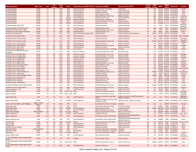| <b>Waterbody Name</b>                                             | <b>Water Type</b>            | <b>Size</b> | <b>AU</b><br>Category | Cycle<br>Listed | <b>Source</b>               | Pollutant/Cause (WDNR & EPA) Impairment (WDNR)     |                                                            | <b>Observed Effect (EPA)</b>                                            | <b>Listing</b><br>Category | <b>TMDL</b><br>Priority | WRIC    | WDNR<br><b>AU ID</b> | <b>EPA AU ID</b>                                         | <b>Counties</b>                     |
|-------------------------------------------------------------------|------------------------------|-------------|-----------------------|-----------------|-----------------------------|----------------------------------------------------|------------------------------------------------------------|-------------------------------------------------------------------------|----------------------------|-------------------------|---------|----------------------|----------------------------------------------------------|-------------------------------------|
| <b>Unnamed Stream</b>                                             | <b>RIVER</b>                 | 0.7         | 5C                    | 2016            | <b>NPS</b>                  | <b>Unknown Pollutant</b>                           | <b>Elevated Water Temperature</b>                          | Temperature                                                             | 5C                         | Low                     | 453700  |                      | 5506375 WI10032053                                       | Oconto                              |
| <b>Unnamed Stream</b>                                             | <b>RIVER</b>                 | 3.7         | 5P                    | 2018            | <b>NPS</b>                  | <b>Total Phosphorus</b>                            | Impairment Unknown                                         | Organic Enrichment                                                      | 5P                         | Low                     | 801500  |                      | 5512970 WI10032905                                       | Dane                                |
| <b>Unnamed Stream</b>                                             | <b>RIVER</b>                 | 5.3         | 5P                    | 2018            | <b>NPS</b>                  | <b>Total Phosphorus</b>                            | <b>Impairment Unknown</b>                                  | <b>Organic Enrichment</b>                                               | 5P                         | Low                     | 802400  |                      | 5513101 WI10032918                                       | Dane                                |
| <b>Unnamed Stream</b>                                             | <b>RIVER</b>                 | 1.2         | 5A                    | 2020            | <b>NPS</b>                  | <b>Total Phosphorus</b>                            | <b>High Phosphorus Levels</b>                              | <b>Organic Enrichment</b>                                               | 5A                         | Low                     | 1764700 |                      | 8110198 WI10044420                                       | Taylor                              |
| <b>Unnamed Stream</b>                                             | <b>RIVER</b>                 | 1.9         | 5A                    | 2016            | <b>NPS</b>                  | <b>Total Phosphorus</b>                            | Degraded Biological Community                              | <b>Biological Integrity</b>                                             | 5A                         | High                    |         |                      | 3000212 5500551 WI10031700                               | Kewaunee                            |
| <b>Unnamed Stream</b>                                             | <b>RIVER</b>                 | 0.4         | <b>5A</b>             | 2018            | <b>PS/NPS</b>               | <b>Total Phosphorus</b>                            | <b>High Phosphorus Levels</b>                              | Organic Enrichment                                                      | 5A                         | High                    |         |                      | 3000213 5500585 WI10031701                               | Kewaunee                            |
| <b>Unnamed Stream</b>                                             | <b>RIVER</b>                 | 0.4         | 5A                    | 2016            | <b>PS/NPS</b>               | <b>Unknown Pollutant</b>                           | <b>Elevated Water Temperature</b>                          | Temperature                                                             | 5A                         | Low                     | 3000213 |                      | 5500585 WI10031701                                       | Kewaunee                            |
| <b>Unnamed Stream</b><br><b>Unnamed Stream</b>                    | <b>RIVER</b><br><b>RIVER</b> | 7.3<br>1.5  | 5A<br>5P              | 2020<br>2020    | <b>NPS</b><br><b>PS/NPS</b> | <b>Total Phosphorus</b><br><b>Total Phosphorus</b> | Degraded Biological Community<br><b>Impairment Unknown</b> | <b>Biological Integrity</b><br><b>Organic Enrichment</b>                | 5A<br>5P                   | Low                     |         |                      | 5021372 8111273 WI10044545<br>5039986 8111314 WI10044546 | Outagamie<br>Green                  |
|                                                                   |                              |             |                       |                 |                             |                                                    |                                                            |                                                                         |                            | Low                     |         |                      |                                                          | Waukesha                            |
| Unnamed Stream (R21e S18                                          | <b>RIVER</b>                 | 2.0         | 5P                    | 2014            | <b>NPS</b>                  | <b>Total Phosphorus</b>                            | <b>Impairment Unknown</b>                                  | Organic Enrichment                                                      | 5P                         | Low                     | 18350   | 10041                | WI10000246                                               | Milwaukee                           |
| Unnamed Stream (T19n, R22e, S3)                                   | <b>RIVER</b>                 | 3.0         | 5A                    | 2012            | <b>NPS</b>                  | <b>Total Phosphorus</b>                            | <b>High Phosphorus Levels</b>                              | <b>Organic Enrichment</b>                                               | 5A                         | High                    | 71600   | 18037                | WI10006077                                               | Manitowoc                           |
| Unnamed Trib (T19n, R21e, S02)                                    | <b>RIVER</b>                 | 4.1         | 5A                    | 2020            | <b>NPS</b>                  | Unknown Pollutan                                   | Degraded Biological Community                              | <b>Biological Integrity</b>                                             | 5A                         | Low                     | 75500   | 18035                | WI10006075                                               | Manitowoc                           |
| Unnamed Trib T22n, R22e, S03 Sesw                                 | <b>RIVER</b>                 | 9.0         | 5A                    | 2018            | <b>NPS</b>                  | <b>Total Phosphorus</b>                            | <b>High Phosphorus Levels</b>                              | <b>Organic Enrichment</b>                                               | 5A                         | High                    | 89500   | 10134                | WI10000308                                               | <b>Brown</b>                        |
| Unnamed Trib to Burgy Cr                                          | <b>RIVER</b>                 | 3.8         | 5A                    | 2014            | <b>NPS</b>                  | Sediment/Total Suspended Solids                    | Degraded Habitat                                           | Physical Substrate Habitat Alterations                                  | 5A                         | Medium                  | 881000  |                      | 4000228 WI10029480                                       | Green                               |
| Unnamed Trib to Fischer River                                     | <b>RIVER</b>                 | 3.8         | 5P                    | 2018            | <b>NPS</b>                  | <b>Total Phosphorus</b>                            | <b>Impairment Unknown</b>                                  | <b>Organic Enrichment</b>                                               | 5P                         | Low                     | 2182400 |                      |                                                          | 6863003 WI10040380 Taylor, Chippewa |
| Unnamed Trib to Fourmile Creek                                    | <b>RIVER</b>                 | 1.5         | 5P                    | 2018            | <b>NPS</b>                  | <b>Total Phosphorus</b>                            | Impairment Unknown                                         | Organic Enrichment                                                      | 5P                         | High                    | 64800   |                      | 6853227 WI10039796                                       | Sheboygan                           |
| <b>Unnamed Trib to Garners Creek</b>                              | <b>RIVER</b>                 | 4.7         | 5W                    | 2016            | <b>NPS</b>                  | <b>Total Phosphorus</b>                            | <b>Degraded Biological Community</b>                       | <b>Biological Integrity</b>                                             | 5W                         | Medium                  |         |                      | 5022162 3993962 WI10028713                               | Calumet,<br>Outagamie               |
|                                                                   | <b>RIVER</b>                 | 3.0         | 5P                    | 2018            | <b>NPS</b>                  | <b>Total Phosphorus</b>                            | Impairment Unknown                                         | Organic Enrichment                                                      | 5P                         | Low                     | 803300  |                      | 6860960 WI10040200                                       | Dane                                |
| Unnamed Trib to Lake Kegonsa<br>Unnamed Trib to Lake Michigan     | <b>RIVER</b>                 | 6.0         | 5W                    | 2018            | <b>NPS</b>                  | <b>Unknown Pollutant</b>                           | <b>Degraded Biological Community</b>                       | <b>Biological Integrity</b>                                             | 5W                         | Low                     | 498000  |                      | 5476532 WI10030962                                       | Marinette                           |
| Unnamed Trib to Lotus Lake                                        | <b>RIVER</b>                 | 2.3         | 5W                    | 2018            | <b>NPS</b>                  | <b>Total Phosphorus</b>                            | Impairment Unknown                                         | Organic Enrichment                                                      | 5W                         | Low                     | 5006441 |                      | 5477038 WI10031020                                       | Polk                                |
| Unnamed Trib to Marengo R                                         | <b>RIVER</b>                 | 5.9         | 5W                    | 2016            | <b>NPS</b>                  | <b>Fecal Coliform</b>                              | Recreational Restrictions - Pathogens                      | Pathogens                                                               | 5W                         | Low                     |         |                      | 2919600 5702214 WI10036930                               | Bayfield                            |
| Unnamed Trib to Mineral Point Br at                               |                              |             |                       |                 |                             |                                                    |                                                            |                                                                         |                            |                         |         |                      |                                                          |                                     |
| Survey Rd                                                         | <b>RIVER</b>                 | 3.9         | 5A                    | 2018            | <b>NPS</b>                  | Unknown Pollutant                                  | Degraded Biological Community                              | <b>Biological Integrity</b>                                             | 5A                         | Low                     | 931000  |                      | 3991126 WI10028527                                       | lowa                                |
| Unnamed Trib to Peshtigo River                                    | <b>RIVER</b>                 | 0.5         | 5W                    | 2018            | <b>NPS</b>                  | <b>Unknown Pollutant</b>                           | <b>Degraded Biological Community</b>                       | <b>Biological Integrity</b>                                             | 5W                         | Low                     | 515600  |                      | 6776865 WI10039607                                       | Marinette                           |
| Unnamed Trib to Peshtigo River                                    | <b>RIVER</b>                 | 1.8         | 5W                    | 2018            | <b>NPS</b>                  | Unknown Pollutant                                  | Degraded Biological Community                              | <b>Biological Integrity</b>                                             | 5W                         | Low                     |         |                      | 5008359 6776931 WI10039621                               | Marinette                           |
| Unnamed Trib to Peshtigo River                                    | <b>RIVER</b>                 | 0.6         | 5W                    | 2018            | <b>NPS</b>                  | <b>Unknown Pollutant</b>                           | <b>Degraded Biological Community</b>                       | <b>Biological Integrity</b>                                             | 5W                         | Low                     |         |                      | 5008538 6776774 WI10039604                               | Marinette                           |
| Unnamed Trib to Pheasant Br                                       | <b>RIVER</b>                 | 5.0         | 5A                    | 2018            | <b>NPS</b>                  | <b>Total Phosphorus</b>                            | <b>High Phosphorus Levels</b>                              | Organic Enrichment                                                      | 5A                         | Low                     |         |                      | 5035724 5702430 WI10036940                               | Dane                                |
| Unnamed Trib to Pigeon River                                      | <b>RIVER</b>                 | 1.8         | 5P                    | 2018            | <b>NPS</b>                  | <b>Total Phosphorus</b>                            | <b>Impairment Unknown</b>                                  | <b>Organic Enrichment</b>                                               | 5P                         | Low                     | 5015231 |                      | 6775097 WI10039421                                       | Waupaca                             |
| Unnamed Trib to Pigeon River                                      | <b>RIVER</b>                 | 1.9         | 5A                    | 2018            | <b>NPS</b><br><b>NPS</b>    | <b>Total Phosphorus</b>                            | Degraded Biological Community                              | <b>Biological Integrity</b>                                             | 5A                         | Low                     |         |                      | 5016138 6852789 WI10039782                               | Waupaca                             |
| Unnamed Trib to S Br Pigeon River<br>Unnamed Trib to S Fish Creek | <b>RIVER</b><br><b>RIVER</b> | 0.7<br>6.7  | 5A<br>5P              | 2018<br>2016    | <b>NPS</b>                  | <b>Total Phosphorus</b><br><b>Total Phosphorus</b> | <b>High Phosphorus Levels</b>                              | <b>Organic Enrichment</b><br>Organic Enrichment                         | 5A<br>5P                   | Low<br>Low              | 295800  |                      | 6777222 WI10039630<br>2890200 5698877 WI10036580         | Waupaca<br>Bayfield                 |
| <b>Unnamed Trib to Spring Creek</b>                               | <b>RIVER</b>                 | 3.8         | 5P                    | 2018            | <b>NPS</b>                  | <b>Total Phosphorus</b>                            | <b>Impairment Unknown</b><br><b>Impairment Unknown</b>     | <b>Organic Enrichment</b>                                               | 5P                         | High                    |         |                      | 5033250 5477277 WI10031047                               | Dane, Columbia                      |
| Unnamed Trib to Token Creek                                       | <b>RIVER</b>                 | 0.6         | 5A                    | 2018            | <b>NPS</b>                  | <b>Total Phosphorus</b>                            | <b>High Phosphorus Levels</b>                              | <b>Organic Enrichment</b>                                               | 5A                         | Low                     | 5033839 |                      | 6876076 WI10040485                                       | Dane                                |
| Unnamed Trib to Trib of S Br Rock R                               | <b>RIVER</b>                 | 5.0         | 5A                    | 2016            | <b>NPS</b>                  | <b>Total Phosphorus</b>                            | <b>Degraded Biological Community</b>                       | <b>Biological Integrity</b>                                             | 5A                         | Medium                  | 871000  |                      | 5514082 WI10033140                                       | Fond du Lac                         |
| Unnamed Trib to Turtle Creek                                      | <b>RIVER</b>                 | 3.6         | 5P                    | 2022            | <b>NPS</b>                  | <b>Total Phosphorus</b>                            | <b>Impairment Unknown</b>                                  | Organic Enrichment                                                      | 5P                         | Low                     | 794300  |                      | 6854137 WI10039841                                       | Walworth                            |
| Unnamed Trib to W Br Root River Canal                             | <b>RIVER</b>                 | 3.9         | 5W                    | 2018            | <b>NPS</b>                  | <b>Total Phosphorus</b>                            | <b>Impairment Unknown</b>                                  | <b>Organic Enrichment</b>                                               | 5W                         | Medium                  | 4840    |                      | 6853289 WI10039798                                       | Racine                              |
| Unnamed Trib to Wildcat Creek                                     | <b>RIVER</b>                 | 0.9         | 5W                    | 2022            | <b>NPS</b>                  | <b>Total Phosphorus</b>                            | <b>Impairment Unknown</b>                                  | <b>Organic Enrichment</b>                                               | 5W                         | Low                     | 858700  |                      | 9117494 WI10045180                                       | Dodge                               |
| Unnamed Trib to Yahara R                                          | <b>RIVER</b>                 | 2.5         | 5A                    | 2018            | <b>NPS</b>                  | <b>Total Phosphorus</b>                            | <b>High Phosphorus Levels</b>                              | <b>Organic Enrichment</b>                                               | 5A                         | Low                     | 806300  |                      | 5703959 WI10037003                                       | Dane                                |
| Unnamed Trib to Yahara R                                          | <b>RIVER</b>                 | 1.1         | 5P                    | 2018            | <b>NPS</b>                  | <b>Total Phosphorus</b>                            | <b>Impairment Unknown</b>                                  | Organic Enrichment                                                      | 5P                         | Low                     | 5033743 |                      | 5536735 WI10034119                                       | Dane                                |
| Unnamed Trib to Yahara River                                      | <b>RIVER</b>                 | 1.7         | 5A                    | 2020            | <b>NPS</b>                  | <b>Total Phosphorus</b>                            | <b>High Phosphorus Levels</b>                              | <b>Organic Enrichment</b>                                               | 5A                         | Low                     |         |                      | 5034240 6854039 WI10039838                               | Dane                                |
| Unnamed Tributary to Silver Spring Creek                          | <b>RIVER</b>                 | 1.4         | 5A                    | 2016            | <b>NPS</b>                  | <b>Total Phosphorus</b>                            | Degraded Biological Community                              | <b>Biological Integrity</b>                                             | 5A                         | Medium                  | 5040863 |                      | 3991302 WI10028533                                       | Lafayette                           |
| Unnamed W Trib to Schoenick Cr                                    | <b>RIVER</b>                 | 1.2         | 5A                    | 2018            | <b>NPS</b>                  | <b>Unknown Pollutant</b>                           | <b>Degraded Biological Community</b>                       | <b>Biological Integrity</b>                                             | 5A                         | Low                     | 321400  |                      | 3997977 WI10028970                                       | Shawano                             |
| Upper Buckatabon Lake                                             | LAKE                         | 493.0       | 5C                    | 2016            | <b>NPS</b>                  | <b>Total Phosphorus</b>                            | <b>Impairment Unknown</b>                                  | Organic Enrichment                                                      | 5C                         | Low                     | 1621800 | 128692               | WI10007795                                               | Vilas                               |
| <b>Upper Fox River</b>                                            | <b>RIVER</b>                 | 4.5         | 5A                    | 2002            | Contam. Sed. PCBs           |                                                    | <b>PCBs Contaminated Fish Tissue</b>                       | PCBs in Fish Tissue                                                     | 5A                         | Low                     | 117900  |                      | 359244 WI10008506                                        | Columbia                            |
| <b>Upper Fox River</b>                                            | <b>RIVER</b>                 | 16.5        | 5A                    | 1998            | Contam. Sed. PCBs           |                                                    | PCBs Contaminated Fish Tissue                              | PCBs in Fish Tissue                                                     | 5A                         | Low                     | 117900  | 359274               | WI10008507                                               | Marquette                           |
|                                                                   |                              |             |                       |                 |                             |                                                    | Impairment Unknown, Excess Algal                           | Organic Enrichment, Nutrient/Eutrophication                             |                            |                         |         |                      |                                                          | Columbia<br>Waukesha                |
| <b>Upper Kelly Lake</b>                                           | LAKE                         | 12.7        | 5W                    | 2014            | <b>NPS</b>                  | <b>Total Phosphorus</b>                            | Growth                                                     | <b>Biological Indicators</b>                                            | 5W                         | Low                     | 7100    | 207470               | WI10008146                                               | Milwaukee                           |
| Upper Koshkonong                                                  | <b>RIVER</b>                 | 21.2        | 5A                    | 2012            | <b>PS/NPS</b>               | <b>Total Phosphorus</b>                            | Degraded Biological Community, High<br>Phosphorus Levels   | Biological Integrity, Organic Enrichment                                | 5A                         | Low                     | 808800  | 304937               | WI10038648                                               | Dane, Jefferson                     |
| Upper Lake Park Beach, Lake Michigan                              | <b>GREAT LAKES</b>           | 0.8         | 5A                    | 2022            | <b>NPS</b>                  | E. coli                                            | Recreational Restrictions - Pathogens                      | Pathogens                                                               | 5A                         | Low                     | 20      |                      | 1452959 WI10024775                                       | Ozaukee                             |
| <b>Upper Mud Lake</b>                                             | <b>BEACH</b><br>LAKE         | 218.0       | 5A                    | 2022            | <b>NPS</b>                  | <b>PFOS</b>                                        | PFOS Contaminated Fish Tissue                              | PFOS in Fish Tissue                                                     | 5A                         |                         | 804000  | 18256                | WI10006244                                               | Dane                                |
| <b>Upper Pine Creek</b>                                           | <b>RIVER</b>                 | 9.0         | 5W                    | 2016            | <b>PS/NPS</b>               | <b>Total Phosphorus</b>                            | <b>High Phosphorus Levels</b>                              | <b>Organic Enrichment</b>                                               | 5W                         | Low<br>Medium           | 2087300 | 1515438              | WI10026866                                               | Barron                              |
| <b>Upper Pine Creek</b>                                           | <b>RIVER</b>                 | 5.5         | 5W                    | 2018            | NPS                         | Unknown Pollutant                                  | Degraded Biological Community                              | <b>Biological Integrity</b>                                             | 5W                         | Low                     | 2087300 | 15766                | WI10004397                                               | Barron                              |
| Upper Pixley Flowage                                              | <b>IMPOUNDMENT</b>           | 84.3        | 5A                    | 1998            | Atm. Dep.                   | Mercury                                            | Mercury Contaminated Fish Tissue                           | Mercury in Fish Tissue                                                  | 5B                         | Low                     | 2225000 | 890453               | WI10026587                                               | Price                               |
| Upper Sugar River                                                 | <b>RIVER</b>                 | 26.2        | 5C                    | 2020            | <b>PS/NPS</b>               | <b>Total Phosphorus</b>                            | Impairment Unknown                                         | <b>Organic Enrichment</b>                                               | 5C                         | Low                     | 875300  |                      | 1520990 WI10025254                                       | Dane, Green                         |
| <b>Upper Turtle Lake</b>                                          | LAKE                         | 427.0       | 5W                    | 2018            | <b>NPS</b>                  | <b>Total Phosphorus</b>                            | Eutrophication, Excess Algal Growth                        | Eutrophication, Nutrient/Eutrophication<br><b>Biological Indicators</b> | 5W                         | Im <sub>0</sub>         | 2079800 | 15711                | WI10004364                                               | <b>Barron</b>                       |
| <b>Upper Vermillion Lake</b>                                      | LAKE                         | 91.5        | 5W                    | 2020            | <b>NPS</b>                  | <b>Total Phosphorus</b>                            | Eutrophication, Excess Algal Growth                        | Eutrophication, Nutrient/Eutrophication                                 | 5W                         | Low                     | 2098800 | 15868                | WI10004481                                               | Barron                              |
| Van Zile Lake                                                     | LAKE                         | 78.3        | 5B                    | 1998            | Atm. Dep.                   | Mercury                                            | Mercury Contaminated Fish Tissue                           | <b>Biological Indicators</b><br>Mercury in Fish Tissue                  | 5B                         | Low                     | 608400  |                      | 127822 WI10007020                                        | Florence, Forest                    |
| Vance Creek                                                       | <b>RIVER</b>                 | 3.2         | 5W                    | 2018            | <b>NPS</b>                  | <b>Total Phosphorus</b>                            | Impairment Unknown                                         | Organic Enrichment                                                      | 5W                         | Low                     | 2077100 | 15695                | WI10004350                                               | Dunn                                |
| <b>Vance Creek</b>                                                | <b>RIVER</b>                 | 1.8         | 5W                    | 2018            | <b>NPS</b>                  | <b>Total Phosphorus</b>                            | <b>Impairment Unknown</b>                                  | Organic Enrichment                                                      | 5W                         | Low                     |         |                      | 2077100 1515495 WI10025110                               | Barron                              |
| Vermillion Creek & Spring                                         | <b>RIVER</b>                 | 1.5         | 5W                    | 2018            | <b>NPS</b>                  | <b>Total Phosphorus</b>                            | Impairment Unknown                                         | Organic Enrichment                                                      | 5W                         | Low                     | 2098700 |                      | 1452285 WI10023507                                       | Barron                              |
| <b>Vilas Park Beach</b>                                           | <b>INLAND BEACH</b>          | 0.3         | 5A                    | 2008            | <b>NPS</b>                  | E. coli                                            | Recreational Restrictions - Pathogens                      | Pathogens                                                               | 5A                         | Low                     | 805000  |                      | 1490942 WI10026722                                       | Dane                                |
| Villa Mann Creek                                                  | <b>RIVER</b>                 | 1.2         | 5A                    | 2010            | Other                       | <b>Fecal Coliform</b>                              | Recreational Restrictions - Pathogens                      | Pathogens                                                               | 5A                         | Low                     | 15300   | 9978                 | WI10000206                                               |                                     |
| <b>Virgin Lake</b>                                                | LAKE                         | 260.8       | 5B                    | 2016            | Atm. Dep.                   | Mercury                                            | Mercury Contaminated Fish Tissue                           | Mercury in Fish Tissue                                                  | 5B                         | Low                     | 1614100 |                      | 128371 WI10007510                                        | Oneida                              |
| Vosse Coulee Creek                                                | RIVER                        | 6.3         | 5A                    | 2020            | <b>NPS</b>                  | <b>Total Phosphorus</b>                            | <b>High Phosphorus Levels</b>                              | Organic Enrichment                                                      | 5A                         | Low                     | 1801800 |                      | 14416 WI10026498                                         | Jackson,<br>Trempealeau             |
| W. Br. Starkweather Creek (Airport Road<br>Creek)                 | <b>RIVER</b>                 | 2.6         | 5A                    | 2016            | <b>NPS</b>                  | Chloride                                           | <b>Chronic Aquatic Toxicity</b>                            | <b>Chronic Toxicity</b>                                                 | 5A                         | Low                     | 805200  | 893239               | WI10008957                                               | Dane                                |
| W. Br. Starkweather Creek (Airport Road<br>Creek)                 | RIVER                        | 2.6         | 5A                    | 2022            | Point Source PFOS           |                                                    | PFOS Contaminated Fish Tissue                              | PFOS in Fish Tissue                                                     | 5A                         | Medium                  | 805200  | 893239               | WI10008957                                               | Dane                                |
| W. Br. Starkweather Creek (Airport Road<br>Creek)                 | <b>RIVER</b>                 | 2.6         | 5A                    | 2022            | <b>NPS</b>                  | <b>Total Phosphorus</b>                            | <b>Impairment Unknown</b>                                  | Organic Enrichment                                                      | 5P                         | Low                     | 805200  |                      | 893239 WI10008957                                        | Dane                                |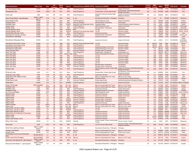| <b>Waterbody Name</b>                    | <b>Water Type</b>                  | <b>Size</b> | <b>AU</b><br>Categor | Cycle<br>Listed | Source        | Pollutant/Cause (WDNR & EPA) Impairment (WDNR) |                                                                                | <b>Observed Effect (EPA)</b>                                                | <b>Listing</b><br>Category | <b>TMDL</b><br>Priority | <b>WBIC</b> | WDNF    | <b>EPA AU ID</b>           | <b>Counties</b>                      |
|------------------------------------------|------------------------------------|-------------|----------------------|-----------------|---------------|------------------------------------------------|--------------------------------------------------------------------------------|-----------------------------------------------------------------------------|----------------------------|-------------------------|-------------|---------|----------------------------|--------------------------------------|
| W. Fork Kickapoo River                   | <b>RIVER</b>                       | 10.3        | 5P                   | 2022            | <b>NPS</b>    | <b>Total Phosphorus</b>                        | <b>Impairment Unknown</b>                                                      | <b>Organic Enrichment</b>                                                   | 5P                         | Low                     | 1187900     | 13154   | WI10002508                 | Vernon                               |
| <b>Wapogasset Lake</b>                   | LAKE                               | 1188.8      | 5W                   | 2012            | <b>NPS</b>    | <b>Total Phosphorus</b>                        | Eutrophication, Excess Algal Growth                                            | Eutrophication, Nutrient/Eutrophication<br><b>Biological Indicators</b>     | 5W                         | Low                     | 2618000     | 16486   | WI10026576                 | Polk                                 |
| Ward Lake                                | LAKE                               | 82.2        | 5W                   | 2012            | <b>NPS</b>    | <b>Total Phosphorus</b>                        | Impairment Unknown, Excess Algal<br>Growth                                     | Organic Enrichment, Nutrient/Eutrophication<br><b>Biological Indicators</b> | 5W                         | Low                     | 2599400     | 18912   | WI10006733                 | Polk                                 |
| Warm Water Beach, Lake Michigan          | <b>GREAT LAKES</b><br><b>BEACH</b> | 0.78        | 5A                   | 2006            | Other         | E. coli                                        | Recreational Restrictions - Pathogens                                          | Pathogens                                                                   | 5A                         | Low                     | 20          | 1452984 | WI10024776                 | Manitowoc                            |
| <b>Waumandee Creek</b>                   | <b>RIVER</b>                       | 12.4        | 5A                   | 2020            | <b>NPS</b>    | <b>Total Phosphorus</b>                        | <b>High Phosphorus Levels</b>                                                  | Organic Enrichment                                                          | 5A                         | Low                     | 1808300     | 14439   | WI10036660                 | Buffalo                              |
| <b>Waupaca River</b>                     | <b>RIVER</b>                       | 15.5        | 5A                   | 2016            | <b>NPS</b>    | <b>Unknown Pollutant</b>                       | <b>Elevated Water Temperature</b>                                              | Temperature                                                                 | 5A                         | Low                     | 257400      | 315887  | WI10008440                 | Waupaca                              |
| Waxdale Creek                            | <b>RIVER</b>                       | 2.9         | 5W                   | 2008            | PS/NPS        | Sediment/Total Suspended Solids                | <b>Degraded Habitat</b>                                                        | Physical Substrate Habitat Alterations                                      | 5W                         | Low                     | 2300        | 10527   | WI10008110                 | Racine                               |
| <b>Wayne Creek</b>                       | <b>RIVER</b>                       | 3.1         | 5A                   | 2012            | <b>NPS</b>    | <b>Total Phosphorus</b>                        | <b>High Phosphorus Levels</b>                                                  | <b>Organic Enrichment</b>                                                   | 5A                         | Low                     | 865500      | 1438861 | WI10023256                 | Washington                           |
| Wedde Creek                              | <b>RIVER</b>                       | 5.1         | 5A                   | 2016            | <b>NPS</b>    | Unknown Pollutant                              | <b>Elevated Water Temperature</b>                                              | Temperature                                                                 | 5A                         | Low                     | 156000      | 11069   | WI10001002                 | Marquette                            |
| West Br Baraboo River                    | <b>RIVER</b>                       | 7.2         | 5A                   | 1998            | <b>PS/NPS</b> | <b>BOD</b>                                     | Low DC                                                                         | <b>Dissolved Oxygen</b>                                                     | 5A                         | Low                     | 1288400     | 13026   | WI10008116                 | Juneau, Vernor                       |
| West Br Baraboo River                    | <b>RIVER</b>                       | 7.2         | 5A                   | 1998            | <b>PS/NPS</b> | Sediment/Total Suspended Solids                | Low DC                                                                         | Dissolved Oxyger                                                            | 5A                         | Low                     | 1288400     | 13026   | WI10008116                 | Juneau, Vernor                       |
| West Br Blue Mounds Creek                | <b>RIVER</b>                       | 7.7         | 5P                   | 2018            | <b>NPS</b>    | <b>Total Phosphorus</b>                        | <b>Impairment Unknown</b>                                                      | Organic Enrichment                                                          | 5P                         | Low                     | 1250400     | 13434   | WI10010266                 | lowa                                 |
| West Branch Fond Du Lac River            | <b>RIVER</b>                       | 26.8        | 5A                   | 2016            | PS/NPS        | Unknown Pollutant                              | <b>Elevated Water Temperature</b>                                              | Temperature                                                                 | 5A                         | Low                     | 134000      | 10990   | WI10000947                 | Fond du Lac                          |
| West Branch Little Black                 | <b>RIVER</b>                       | 13.0        | 5P                   | 2018            | <b>NPS</b>    | <b>Total Phosphorus</b>                        | <b>Impairment Unknown</b>                                                      | <b>Organic Enrichment</b>                                                   | 5P                         | Low                     | 1766200     | 14320   | WI10003236                 | Taylor                               |
| West Branch Milwaukee River              | <b>RIVER</b>                       | 20.6        | 4A                   | 2016            | <b>NPS</b>    | <b>Total Phosphorus</b>                        | <b>Impairment Unknown</b>                                                      | Organic Enrichment                                                          | 5P                         | Low                     | 40400       | 10117   | WI10000294                 | Dodge,<br>Washington.<br>Fond du Lac |
| West Branch Root River Canal             | <b>RIVER</b>                       | 4.4         | 5W                   | 1998            | <b>NPS</b>    | Sediment/Total Suspended Solids                | Low DO                                                                         | <b>Dissolved Oxygen</b>                                                     | 5W                         | Medium                  | 4500        | 9963    | WI10008118                 | Racine                               |
| West Branch Root River Canal             | <b>RIVER</b>                       | 4.4         | 5W                   | 1998            | <b>NPS</b>    | <b>Total Phosphorus</b>                        | Low DO                                                                         | Dissolved Oxygen                                                            | 5W                         | Medium                  | 4500        | 9963    | WI10008118                 | Racine                               |
| West Branch Sugar River                  | <b>RIVER</b>                       | 7.6         | 5A                   | 2012            | <b>NPS</b>    | <b>Total Phosphorus</b>                        | <b>Degraded Biological Community</b>                                           | <b>Biological Integrity</b>                                                 | 5A                         | Medium                  | 886100      | 13658   | WI10002825                 | Dane                                 |
| West Branch Sugar River                  | <b>RIVER</b>                       | 11.2        | 5А                   | 2018            | <b>NPS</b>    | <b>Total Phosphorus</b>                        | Degraded Biological Community                                                  | <b>Biological Integrity</b>                                                 | 5A                         | Low                     | 886100      | 13659   | WI10002826                 | Dane                                 |
| <b>West Thunder Creek</b>                | <b>RIVER</b>                       | 1.4         | 5C                   | 2018            | <b>NPS</b>    | <b>Unknown Pollutant</b>                       | <b>Elevated Water Temperature</b>                                              | Temperature                                                                 | 5C                         | Low                     | 538100      | 11928   | WI10001668                 | Oconto                               |
| West Twin Lake                           | LAKE                               | 98.6        | 5W                   | 1998            | <b>NPS</b>    | <b>Total Phosphorus</b>                        | Eutrophication, Elevated pH                                                    | Eutrophication, pH                                                          | 5W                         | Low                     | 2462300     | 890711  | WI10008901                 | Saint Croix                          |
| <b>West Twin River</b>                   | <b>RIVER</b>                       | 5.9         | 5A                   | 2012            | Contam. Sed.  | <b>PCBs</b>                                    | <b>PCBs Contaminated Fish Tissue</b>                                           | PCBs in Fish Tissue                                                         | 5A                         | Low                     | 87000       | 18050   | WI10006087                 | Manitowoc                            |
| West Twin River                          | <b>RIVER</b>                       | 9.5         | 5A                   | 1998            | <b>NPS</b>    | <b>Total Phosphorus</b>                        | Low DO                                                                         | Dissolved Oxygen                                                            | 5A                         | High                    | 87000       | 9948    | WI10000191                 | Manitowoc                            |
| <b>West Twin River</b>                   | <b>RIVER</b>                       | 5.9         | 5A                   | 1998            | <b>NPS</b>    | <b>Total Phosphorus</b>                        | Low DO                                                                         | <b>Dissolved Oxygen</b>                                                     | 5A                         | High                    | 87000       | 18050   | WI10006087                 | Manitowoc                            |
| West Twin River                          | <b>RIVER</b>                       | 1.3         | 5A                   | 1998            | <b>NPS</b>    | <b>Total Phosphorus</b>                        | Low DO                                                                         | <b>Dissolved Oxyger</b>                                                     | 5A                         | High                    | 87000       | 18051   | WI10006088                 | Manitowoc                            |
| <b>West Twin River</b>                   | <b>RIVER</b>                       | 1.4         | 5A                   | 1998            | <b>NPS</b>    | <b>Total Phosphorus</b>                        | Low DO                                                                         | <b>Dissolved Oxyger</b>                                                     | 5A                         | High                    | 87000       | 9950    | WI10008818                 | Manitowoc                            |
| West Twin River                          | <b>RIVER</b>                       | 0.4         | 5A                   | 1998            | <b>NPS</b>    | <b>Total Phosphorus</b>                        | Low DO                                                                         | Dissolved Oxygen                                                            | 5A                         | High                    | 87000       | 9949    | WI10026863                 | Manitowoc                            |
| <b>West Twin River</b>                   | <b>RIVER</b>                       | 5.9         | 5A                   | 2016            | <b>PS/NPS</b> | <b>Unknown Pollutant</b>                       | <b>Elevated Water Temperature</b>                                              | Temperature                                                                 | 5A                         | Low                     | 87000       | 18050   | WI10006087                 | Manitowoc                            |
| West Twin River                          | <b>RIVER</b>                       | 1.3         | 5A                   | 2016            | <b>NPS</b>    | Unknown Pollutant                              | <b>Elevated Water Temperature</b>                                              | Temperature                                                                 | 5A                         | Low                     | 87000       | 18051   | WI10006088                 | Manitowoc                            |
| Weyers Lake                              | LAKE                               | 5.6         | 5W                   | 2018            | <b>NPS</b>    | <b>Total Phosphorus</b>                        | High Phosphorus Levels, Excess Algal<br>Growth                                 | Organic Enrichment, Nutrient/Eutrophication<br><b>Biological Indicators</b> | 5W                         | High                    | 49400       | 9859    | WI10000122                 | Manitowoc                            |
| White Ash Lake                           | LAKE                               | 147.1       | 5W                   | 2012            | Other         | <b>Total Phosphorus</b>                        | Eutrophication, Excess Algal Growth                                            | Eutrophication, Nutrient/Eutrophication<br><b>Biological Indicators</b>     | 5W                         | Low                     | 2628600     | 16567   | WI10005041                 | Polk                                 |
| White Ash Lake, North                    | LAKE                               | 115.8       | 5W                   | 2014            | <b>NPS</b>    | <b>Total Phosphorus</b>                        | <b>Impairment Unknown</b>                                                      | <b>Organic Enrichment</b>                                                   | 5W                         | Low                     | 2628800     | 16568   | WI10005042                 | Polk                                 |
| White Birch Lake (Ballard Chain)         | LAKE                               | 112.9       | 5В                   | 1998            | Atm. Dep.     | Mercury                                        | Mercury Contaminated Fish Tissue                                               | Mercury in Fish Tissue                                                      | 5B                         | Low                     | 2340500     | 15234   | WI10003969                 | Vilas                                |
| <b>White Creek</b>                       | <b>RIVER</b>                       | 3.1         | 5A                   | 1998            | <b>NPS</b>    | Sediment/Total Suspended Solids                | Degraded Habitat                                                               | <b>Physical Substrate Habitat Alterations</b>                               | 5A                         | Low                     | 1691700     | 14119   | WI10003085                 | Jackson                              |
| White Mound Lake                         | LAKE                               | 92.5        | 5А                   | 2014            | <b>NPS</b>    | Unknown Pollutant                              | <b>Excess Algal Growth</b>                                                     | Nutrient/Eutrophication Biological Indicators                               | 5A                         | Low                     | 1258100     | 13469   | WI10002687                 | Sauk                                 |
| <b>White River</b>                       | <b>RIVER</b>                       | 15.5        | 5P                   | 2012            | <b>PS/NPS</b> | <b>Total Phosphorus</b>                        | <b>Impairment Unknown</b>                                                      | <b>Organic Enrichment</b>                                                   | 5P                         | High                    | 751200      | 10453   |                            | WI10000549 Racine, Walworth          |
| White Tail Flowage                       | <b>IMPOUNDMEN</b>                  | 94.0        | 5B                   | 2002            | Atm. Dep.     | Mercury                                        | Mercury Contaminated Fish Tissue                                               | Mercury in Fish Tissue                                                      | 5B                         | Low                     | 1717500     | 14201   | WI10003143                 | Jackson                              |
| <b>Whitefish Lake</b>                    | LAKE                               | 198.84      | 5B                   | 1998            | Atm. Dep.     | Mercury                                        | Mercury Contaminated Fish Tissue                                               | Mercury in Fish Tissue                                                      | 5B                         | Low                     | 1613500     | 128378  | WI10007517                 | Oneida                               |
| Whitefish Lake                           | LAKE                               | 799.6       | 5P                   | 2016            | <b>NPS</b>    | <b>Total Phosphorus</b>                        | Impairment Unknown                                                             | Organic Enrichment                                                          | 5P                         | Low                     | 2392000     | 18750   | WI10006603                 | Sawyer                               |
| <b>Whiteside Creek</b>                   | <b>RIVER</b>                       | 1.6         | 5A                   | 2018            | <b>NPS</b>    | <b>Unknown Pollutant</b>                       | <b>Degraded Biological Community</b>                                           | <b>Biological Integrity</b>                                                 | 5A                         | Low                     | 899700      | 13691   | WI10002844                 | Lafayette                            |
| Wi-173-Lw18-978900                       | LAKE                               | 525.0       | 5A                   | 2016            | <b>NPS</b>    | <b>Total Phosphorus</b>                        | <b>High Phosphorus Levels</b>                                                  | Organic Enrichment                                                          | 5A                         | Low                     | 978900      | 13489   | WI10002701                 | Dane, Columbia                       |
| <b>Wildcat Creek</b>                     | <b>RIVER</b>                       | 5.1         | 5W                   | 2022            | <b>NPS</b>    | <b>Total Phosphorus</b>                        | <b>Impairment Unknown</b>                                                      | <b>Organic Enrichment</b>                                                   | 5W                         | Low                     | 858600      | 11461   | WI10001296                 | Dodge                                |
| <b>Wildcat Creek</b>                     | <b>RIVER</b>                       | 8.8         | 5W                   | 2022            | <b>NPS</b>    | <b>Total Phosphorus</b>                        | <b>Impairment Unknown</b>                                                      | Organic Enrichment                                                          | 5W                         | Low                     | 858600      | 11462   | WI10026119                 | Dodge                                |
| Willow Creek                             | <b>RIVER</b>                       | 1.0         | 5A                   | 2018            | <b>NPS</b>    | <b>Unknown Pollutant</b>                       | <b>Elevated Water Temperature</b>                                              | Temperature                                                                 | 5A                         | Low                     | 243700      | 6902972 | WI6902973                  | Waushara                             |
| <b>Willow Creek</b>                      | <b>RIVER</b>                       | 16.3        | 5A                   | 2018            | <b>PS/NPS</b> | <b>Unknown Pollutant</b>                       | <b>Elevated Water Temperature</b>                                              | Temperature                                                                 | 5A                         | Low                     | 243700      | 10769   | WI10000792                 | Waushara                             |
| <b>Willow Creek</b>                      | <b>RIVER</b>                       | 9.6         | 5A                   | 2016            | <b>PS/NPS</b> | <b>Unknown Pollutant</b>                       | <b>Elevated Water Temperature</b>                                              | Temperature                                                                 | 5A                         | Low                     | 243700      | 10768   | WI10034820                 | Waushara                             |
| Willow Creek                             | <b>RIVER</b>                       | 6.8         | 5P                   | 2018            | <b>NPS</b>    | <b>Total Phosphorus</b>                        | Impairment Unknown                                                             | Organic Enrichment                                                          | 5P                         | Low                     | 871500      | 11581   | WI10001399                 | Fond du Lac                          |
| <b>Willow Flowage</b>                    | LAKE                               | 4229.4      | 5B                   | 2012            | Atm. Dep.     | Mercury                                        | Mercury Contaminated Fish Tissue                                               | Mercury in Fish Tissue                                                      | 5B                         | Low                     | 1528300     | 128380  | WI10007519                 | Oneida                               |
| Willow Lake                              | LAKE                               | 409.6       | 5B                   | 1998            | Atm. Dep.     | Mercury                                        | Mercury Contaminated Fish Tissue                                               | Mercury in Fish Tissue                                                      | 5B                         | Low                     | 1529500     | 128381  | WI10026528                 | Oneida                               |
| Willow River (140 St to 100th)           | <b>RIVER</b>                       | 2.0         | 5W                   | 1998            | <b>PS/NPS</b> | <b>BOD</b>                                     | Low DO                                                                         | <b>Dissolved Oxygen</b>                                                     | 5W                         | Low                     | 2606900     | 16411   | WI10038943                 | <b>Saint Croix</b>                   |
| Willow River (140 St to 100th            | <b>RIVER</b>                       | 2.0         | 5W                   | 1998            | PS/NPS        | <b>Total Phosphorus</b>                        | Low DC                                                                         | Dissolved Oxygen                                                            | 5W                         | High                    | 2606900     | 16411   | WI10038943                 | Saint Croix                          |
| Willow River (Mouth to Dam)              | <b>RIVER</b>                       | 2.5         | 5W                   | 2020            | <b>NPS</b>    | <b>Total Phosphorus</b>                        | <b>Impairment Unknown</b>                                                      | Organic Enrichment                                                          | 5W                         | Low                     | 2606900     | 1468860 | WI10033723                 | <b>Saint Croix</b>                   |
| Willow River (to confluence of branches) | <b>RIVER</b>                       | 6.2         | 5W                   | 2020            | <b>NPS</b>    | <b>Total Phosphorus</b>                        | Impairment Unknown                                                             | Organic Enrichment                                                          | 5W                         | Low                     | 2606900     | 1525181 | WI10038947                 | Saint Croix                          |
| <b>Wilson Creek</b>                      | <b>RIVER</b>                       | 11.0        | 5P                   | 2012            | <b>PS/NPS</b> | <b>Total Phosphorus</b>                        | <b>Impairment Unknown</b>                                                      | Organic Enrichment                                                          | 5P                         | Low                     | 2066000     | 15662   | WI10004326                 | Dunn                                 |
| Wilson Creek                             | <b>RIVER</b>                       | 3.4         | 5P                   | 2016            | <b>NPS</b>    | <b>Total Phosphorus</b>                        | Impairment Unknown                                                             | Organic Enrichment                                                          | 5P                         | Medium                  | 2066000     | 18788   | WI10006631                 | Dunn                                 |
| Wilson Lake (Wilson Ck FI)               | LAKE                               | 348.0       | 5P                   | 2012            | <b>NPS</b>    | <b>Total Phosphorus</b>                        | <b>Impairment Unknown</b>                                                      | <b>Organic Enrichment</b>                                                   | 5P                         | Low                     | 2239400     |         | 14720 WI10003538           | Price                                |
| <b>Wilson Park Creek</b>                 | RIVER                              | 3.5         | 5A                   | 2018            | PS/NPS        | Chloride                                       | Chronic Aquatic Toxicity, Acute Aquatic Chronic Toxicity, Toxicity<br>Toxicity |                                                                             | 5A                         | Low                     | 15200       | 9975    | WI10000203                 | Milwaukee                            |
| <b>Wind Lake</b>                         | LAKE                               | 919.3       | 5A                   | 1998            | <b>NPS</b>    | <b>Total Phosphorus</b>                        | Low DO, Excess Algal Growth                                                    | Dissolved Oxygen, Nutrient/Eutrophication<br><b>Biological Indicators</b>   | 5A                         | High                    | 761700      | 10469   | WI10000564                 | Racine                               |
| Wind Point Lighthouse Beach              | <b>GREAT LAKES</b><br><b>BEACH</b> | 0.1         | 5W                   | 2022            | <b>NPS</b>    | E. coli                                        | Recreational Restrictions - Pathogens                                          | Pathogens                                                                   | 5W                         | Low                     | 20          |         | 3999943 WI10029380         | Racine                               |
| Windigo Lake (Bass)                      | LAKE                               | 503.2       | 5B                   | 1998            | Atm. Dep.     | Mercury                                        | Mercury Contaminated Fish Tissue                                               | Mercury in Fish Tissue                                                      | 5B                         | Low                     | 2046600     |         | 15354 WI10004070           | Sawyer                               |
| Wingra Creek                             | RIVER                              | 0.8         | 5A                   | 2022            | <b>NPS</b>    | <b>PFOS</b>                                    | PFOS Contaminated Fish Tissue                                                  | PFOS in Fish Tissue                                                         | 5A                         | Low                     | 804700      |         | 5533632 WI10033422         | Dane                                 |
| Winnebago County Community Swim          | <b>INLAND BEACH</b>                | 0.1         | 5A                   | 2018            | <b>NPS</b>    | E. coli                                        | Recreational Restrictions - Pathogens                                          | Pathogens                                                                   | 5A                         | Low                     |             |         | 5556614 6878159 WI10040617 | Winnebago                            |
| Area<br>Winter Lake (Price Flowage)      | <b>IMPOUNDMENT</b>                 | 256.9       | 5B                   | 1998            | Atm. Dep.     | Mercury                                        | Mercury Contaminated Fish Tissue                                               | Mercury in Fish Tissue                                                      | 5B                         | Low                     | 2381100     | 15324   | WI10004043                 | Sawyer                               |
|                                          | <b>GREAT LAKES</b>                 |             |                      |                 |               |                                                |                                                                                |                                                                             |                            |                         |             |         |                            |                                      |
| Wisconsin Point Beach #2, Lake Superior  | <b>BEACH</b><br><b>GREAT LAKES</b> | 0.5         | 5A                   | 2008            | <b>NPS</b>    | E. coli                                        | Recreational Restrictions - Pathogens                                          | Pathogens                                                                   | 5A                         | Low                     |             |         | 2751220 1490997 WI10024845 | Douglas                              |
| Wisconsin Point Beach 1, Lake Superior   | <b>BEACH</b>                       | 0.3         | 5A                   | 2014            | <b>NPS</b>    | E. coli                                        | Recreational Restrictions - Pathogens Pathogens                                |                                                                             | 5A                         | Low                     |             |         | 2751220 3897974 WI10027274 | Douglas                              |